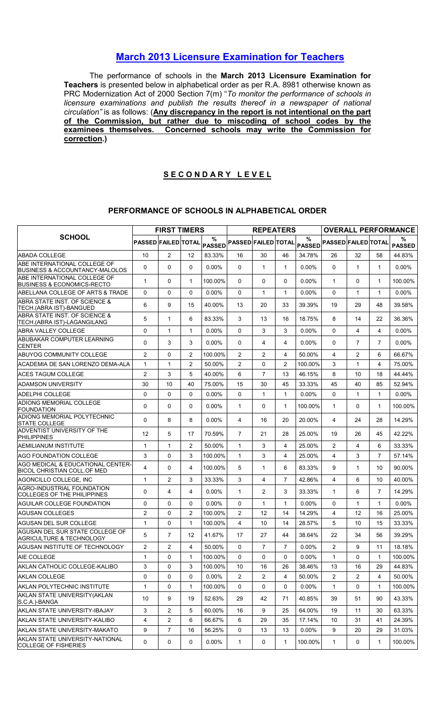## March 2013 Licensure Examination for Teachers

The performance of schools in the March 2013 Licensure Examination for Teachers is presented below in alphabetical order as per R.A. 8981 otherwise known as PRC Modernization Act of 2000 Section 7(m) "To monitor the performance of schools in licensure examinations and publish the results thereof in a newspaper of national circulation" is as follows: (Any discrepancy in the report is not intentional on the part of the Commission, but rather due to miscoding of school codes by the examinees themselves. Concerned schools may write the Commission for correction.)

## SECONDARY LEVEL

## PERFORMANCE OF SCHOOLS IN ALPHABETICAL ORDER

|                                                                         |                            |                | <b>FIRST TIMERS</b> |                    |                            | <b>REPEATERS</b> |                |                    |                            |                |                | <b>OVERALL PERFORMANCE</b> |
|-------------------------------------------------------------------------|----------------------------|----------------|---------------------|--------------------|----------------------------|------------------|----------------|--------------------|----------------------------|----------------|----------------|----------------------------|
| <b>SCHOOL</b>                                                           | <b>PASSED FAILED TOTAL</b> |                |                     | %<br><b>PASSED</b> | <b>PASSED FAILED TOTAL</b> |                  |                | %<br><b>PASSED</b> | <b>PASSED FAILED TOTAL</b> |                |                | %<br><b>PASSED</b>         |
| <b>ABADA COLLEGE</b>                                                    | 10                         | $\overline{2}$ | 12                  | 83.33%             | 16                         | 30               | 46             | 34.78%             | 26                         | 32             | 58             | 44.83%                     |
| ABE INTERNATIONAL COLLEGE OF<br>BUSINESS & ACCOUNTANCY-MALOLOS          | 0                          | 0              | $\Omega$            | $0.00\%$           | $\Omega$                   | $\mathbf{1}$     | $\mathbf{1}$   | 0.00%              | $\Omega$                   | $\mathbf{1}$   | $\mathbf{1}$   | $0.00\%$                   |
| <b>ABE INTERNATIONAL COLLEGE OF</b><br>BUSINESS & ECONOMICS-RECTO       | $\mathbf{1}$               | 0              | $\mathbf{1}$        | 100.00%            | $\mathbf{0}$               | $\Omega$         | $\mathbf{0}$   | 0.00%              | $\mathbf 1$                | $\Omega$       | $\mathbf{1}$   | 100.00%                    |
| ABELLANA COLLEGE OF ARTS & TRADE                                        | $\Omega$                   | 0              | $\Omega$            | $0.00\%$           | $\Omega$                   | $\mathbf{1}$     | 1              | 0.00%              | $\Omega$                   | $\mathbf{1}$   | $\mathbf{1}$   | $0.00\%$                   |
| ABRA STATE INST. OF SCIENCE &<br>TECH.(ABRA IST)-BANGUED                | 6                          | 9              | 15                  | 40.00%             | 13                         | 20               | 33             | 39.39%             | 19                         | 29             | 48             | 39.58%                     |
| ABRA STATE INST. OF SCIENCE &<br>TECH.(ABRA IST)-LAGANGILANG            | 5                          | $\mathbf{1}$   | 6                   | 83.33%             | 3                          | 13               | 16             | 18.75%             | 8                          | 14             | 22             | 36.36%                     |
| ABRA VALLEY COLLEGE                                                     | 0                          | $\mathbf{1}$   | $\mathbf{1}$        | $0.00\%$           | $\Omega$                   | 3                | 3              | 0.00%              | $\Omega$                   | 4              | 4              | $0.00\%$                   |
| ABUBAKAR COMPUTER LEARNING<br><b>ICENTER</b>                            | $\Omega$                   | 3              | 3                   | $0.00\%$           | $\mathbf{0}$               | 4                | 4              | $0.00\%$           | 0                          | $\overline{7}$ | $\overline{7}$ | $0.00\%$                   |
| ABUYOG COMMUNITY COLLEGE                                                | 2                          | 0              | 2                   | 100.00%            | $\overline{2}$             | $\overline{2}$   | 4              | 50.00%             | 4                          | $\overline{2}$ | 6              | 66.67%                     |
| ACADEMIA DE SAN LORENZO DEMA-ALA                                        | $\mathbf{1}$               | $\mathbf{1}$   | 2                   | 50.00%             | $\overline{2}$             | $\mathbf 0$      | $\overline{2}$ | 100.00%            | 3                          | $\mathbf{1}$   | 4              | 75.00%                     |
| ACES TAGUM COLLEGE                                                      | $\overline{2}$             | 3              | 5                   | 40.00%             | 6                          | $\overline{7}$   | 13             | 46.15%             | 8                          | 10             | 18             | 44.44%                     |
| IADAMSON UNIVERSITY                                                     | 30                         | 10             | 40                  | 75.00%             | 15                         | 30               | 45             | 33.33%             | 45                         | 40             | 85             | 52.94%                     |
| ADELPHI COLLEGE                                                         | $\mathbf 0$                | 0              | 0                   | $0.00\%$           | 0                          | $\mathbf{1}$     | $\mathbf{1}$   | 0.00%              | $\Omega$                   | $\mathbf{1}$   | $\mathbf{1}$   | $0.00\%$                   |
| <b>ADIONG MEMORIAL COLLEGE</b><br>FOUNDATION                            | $\Omega$                   | 0              | 0                   | $0.00\%$           | 1                          | 0                | 1              | 100.00%            | $\mathbf{1}$               | $\Omega$       | 1              | 100.00%                    |
| ADIONG MEMORIAL POLYTECHNIC<br><b>ISTATE COLLEGE</b>                    | 0                          | 8              | 8                   | $0.00\%$           | 4                          | 16               | 20             | 20.00%             | 4                          | 24             | 28             | 14.29%                     |
| ADVENTIST UNIVERSITY OF THE<br>PHILIPPINES                              | 12                         | 5              | 17                  | 70.59%             | $\overline{7}$             | 21               | 28             | 25.00%             | 19                         | 26             | 45             | 42.22%                     |
| AEMILIANUM INSTITUTE                                                    | 1                          | $\mathbf{1}$   | $\overline{c}$      | 50.00%             | $\mathbf{1}$               | 3                | 4              | 25.00%             | $\overline{2}$             | 4              | 6              | 33.33%                     |
| IAGO FOUNDATION COLLEGE                                                 | 3                          | 0              | 3                   | 100.00%            | $\mathbf{1}$               | 3                | 4              | 25.00%             | 4                          | 3              | $\overline{7}$ | 57.14%                     |
| AGO MEDICAL & EDUCATIONAL CENTER-<br><b>BICOL CHRISTIAN COLL.OF MED</b> | 4                          | 0              | 4                   | 100.00%            | 5                          | 1                | 6              | 83.33%             | 9                          | $\mathbf{1}$   | 10             | 90.00%                     |
| AGONCILLO COLLEGE, INC                                                  | $\mathbf{1}$               | 2              | 3                   | 33.33%             | 3                          | 4                | $\overline{7}$ | 42.86%             | 4                          | 6              | 10             | 40.00%                     |
| AGRO-INDUSTRIAL FOUNDATION<br>COLLEGES OF THE PHILIPPINES               | 0                          | 4              | 4                   | $0.00\%$           | 1                          | $\overline{2}$   | 3              | 33.33%             | $\mathbf 1$                | 6              | $\overline{7}$ | 14.29%                     |
| AGUILAR COLLEGE FOUNDATION                                              | 0                          | 0              | 0                   | $0.00\%$           | 0                          | 1                | 1              | $0.00\%$           | 0                          | $\mathbf{1}$   | $\mathbf{1}$   | $0.00\%$                   |
| <b>AGUSAN COLLEGES</b>                                                  | $\overline{2}$             | 0              | 2                   | 100.00%            | $\overline{2}$             | 12               | 14             | 14.29%             | 4                          | 12             | 16             | 25.00%                     |
| <b>AGUSAN DEL SUR COLLEGE</b>                                           | $\mathbf{1}$               | 0              | $\mathbf{1}$        | 100.00%            | $\overline{4}$             | 10               | 14             | 28.57%             | 5                          | 10             | 15             | 33.33%                     |
| AGUSAN DEL SUR STATE COLLEGE OF<br>AGRICULTURE & TECHNOLOGY             | 5                          | $\overline{7}$ | 12                  | 41.67%             | 17                         | 27               | 44             | 38.64%             | 22                         | 34             | 56             | 39.29%                     |
| IAGUSAN INSTITUTE OF TECHNOLOGY                                         | $\overline{2}$             | 2              | 4                   | 50.00%             | 0                          | $\overline{7}$   | $\overline{7}$ | 0.00%              | $\overline{2}$             | 9              | 11             | 18.18%                     |
| <b>AIE COLLEGE</b>                                                      | $\mathbf{1}$               | 0              | $\mathbf{1}$        | 100.00%            | 0                          | $\Omega$         | $\mathbf{0}$   | 0.00%              | $\mathbf{1}$               | $\mathbf 0$    | 1              | 100.00%                    |
| AKLAN CATHOLIC COLLEGE-KALIBO                                           | 3                          | 0              | 3                   | 100.00%            | 10                         | 16               | 26             | 38.46%             | 13                         | 16             | 29             | 44.83%                     |
| <b>AKLAN COLLEGE</b>                                                    | 0                          | 0              | 0                   | $0.00\%$           | $\overline{2}$             | $\overline{2}$   | 4              | 50.00%             | $\overline{2}$             | $\overline{2}$ | 4              | 50.00%                     |
| AKLAN POLYTECHNIC INSTITUTE                                             | 1                          | 0              | 1                   | 100.00%            | 0                          | 0                | 0              | 0.00%              | $\mathbf{1}$               | 0              | $\mathbf{1}$   | 100.00%                    |
| AKLAN STATE UNIVERSITY (AKLAN<br>S.C.A.)-BANGA                          | 10                         | 9              | 19                  | 52.63%             | 29                         | 42               | 71             | 40.85%             | 39                         | 51             | 90             | 43.33%                     |
| AKLAN STATE UNIVERSITY-IBAJAY                                           | 3                          | 2              | 5                   | 60.00%             | 16                         | 9                | 25             | 64.00%             | 19                         | 11             | 30             | 63.33%                     |
| AKLAN STATE UNIVERSITY-KALIBO                                           | $\overline{4}$             | $\overline{c}$ | 6                   | 66.67%             | 6                          | 29               | 35             | 17.14%             | 10                         | 31             | 41             | 24.39%                     |
| AKLAN STATE UNIVERSITY-MAKATO                                           | 9                          | $\overline{7}$ | 16                  | 56.25%             | 0                          | 13               | 13             | $0.00\%$           | 9                          | 20             | 29             | 31.03%                     |
| AKLAN STATE UNIVERSITY-NATIONAL<br><b>COLLEGE OF FISHERIES</b>          | 0                          | 0              | 0                   | $0.00\%$           | $\mathbf{1}$               | $\mathbf 0$      | $\mathbf{1}$   | 100.00%            | $\mathbf{1}$               | $\mathbf 0$    | $\mathbf{1}$   | 100.00%                    |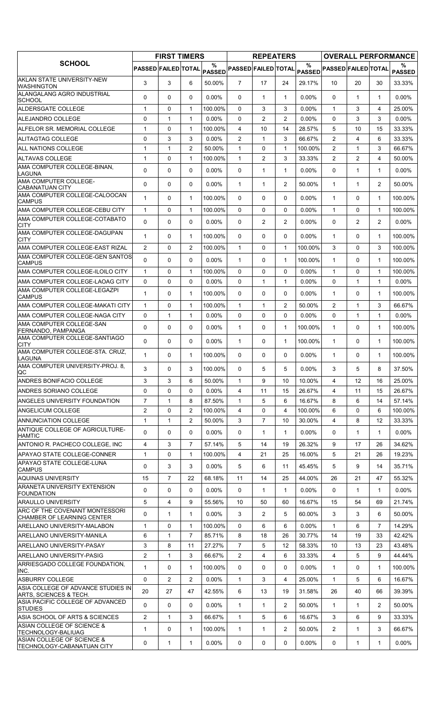|                                                              |                            | <b>FIRST TIMERS</b> |                |                    |                            | <b>REPEATERS</b> |                |          |                                                        |                |                | <b>OVERALL PERFORMANCE</b> |
|--------------------------------------------------------------|----------------------------|---------------------|----------------|--------------------|----------------------------|------------------|----------------|----------|--------------------------------------------------------|----------------|----------------|----------------------------|
| <b>SCHOOL</b>                                                | <b>PASSED FAILED TOTAL</b> |                     |                | %<br><b>PASSED</b> | <b>PASSED FAILED TOTAL</b> |                  |                | %        | $ {\mathsf{pass}} $ Passed $ {\mathsf{FAILED}} $ total |                |                | %<br><b>PASSED</b>         |
| AKLAN STATE UNIVERSITY-NEW<br><b>WASHINGTON</b>              | 3                          | 3                   | 6              | 50.00%             | $\overline{7}$             | 17               | 24             | 29.17%   | 10                                                     | 20             | 30             | 33.33%                     |
| ALANGALANG AGRO INDUSTRIAL<br><b>SCHOOL</b>                  | 0                          | 0                   | 0              | $0.00\%$           | $\Omega$                   | 1                | 1              | 0.00%    | $\Omega$                                               | 1              | $\mathbf{1}$   | $0.00\%$                   |
| ALDERSGATE COLLEGE                                           | $\mathbf{1}$               | $\mathbf 0$         | $\mathbf{1}$   | 100.00%            | $\Omega$                   | 3                | 3              | 0.00%    | $\mathbf{1}$                                           | 3              | 4              | 25.00%                     |
| <b>ALEJANDRO COLLEGE</b>                                     | 0                          | $\mathbf{1}$        | $\mathbf{1}$   | 0.00%              | $\Omega$                   | $\overline{2}$   | $\overline{2}$ | $0.00\%$ | 0                                                      | 3              | 3              | $0.00\%$                   |
| ALFELOR SR. MEMORIAL COLLEGE                                 | 1                          | 0                   | $\mathbf{1}$   | 100.00%            | 4                          | 10               | 14             | 28.57%   | 5                                                      | 10             | 15             | 33.33%                     |
| ALITAGTAG COLLEGE                                            | 0                          | 3                   | 3              | 0.00%              | $\overline{c}$             | $\mathbf{1}$     | 3              | 66.67%   | $\overline{2}$                                         | 4              | 6              | 33.33%                     |
| <b>ALL NATIONS COLLEGE</b>                                   | 1                          | $\mathbf{1}$        | $\overline{2}$ | 50.00%             | $\mathbf{1}$               | 0                | $\mathbf{1}$   | 100.00%  | $\overline{2}$                                         | $\mathbf{1}$   | 3              | 66.67%                     |
| ALTAVAS COLLEGE                                              | 1                          | 0                   | 1              | 100.00%            | $\mathbf{1}$               | 2                | 3              | 33.33%   | $\overline{c}$                                         | $\overline{2}$ | 4              | 50.00%                     |
| AMA COMPUTER COLLEGE-BINAN,<br>LAGUNA                        | $\Omega$                   | $\Omega$            | 0              | $0.00\%$           | $\mathbf{0}$               | $\mathbf{1}$     | 1              | $0.00\%$ | $\Omega$                                               | 1              | $\mathbf{1}$   | $0.00\%$                   |
| AMA COMPUTER COLLEGE-<br><b>CABANATUAN CITY</b>              | $\Omega$                   | 0                   | 0              | $0.00\%$           | $\mathbf{1}$               | 1                | $\overline{2}$ | 50.00%   | $\mathbf{1}$                                           | $\mathbf{1}$   | $\overline{2}$ | 50.00%                     |
| AMA COMPUTER COLLEGE-CALOOCAN<br><b>CAMPUS</b>               | $\mathbf{1}$               | 0                   | $\mathbf{1}$   | 100.00%            | $\Omega$                   | 0                | 0              | $0.00\%$ | $\mathbf{1}$                                           | 0              | $\mathbf{1}$   | 100.00%                    |
| AMA COMPUTER COLLEGE-CEBU CITY                               | $\mathbf{1}$               | 0                   | $\mathbf{1}$   | 100.00%            | $\Omega$                   | 0                | 0              | 0.00%    | $\mathbf{1}$                                           | $\Omega$       | $\mathbf{1}$   | 100.00%                    |
| AMA COMPUTER COLLEGE-COTABATO                                |                            |                     |                |                    |                            |                  |                |          |                                                        |                |                |                            |
| <b>CITY</b>                                                  | 0                          | 0                   | 0              | 0.00%              | $\Omega$                   | 2                | 2              | $0.00\%$ | $\Omega$                                               | $\overline{2}$ | $\overline{2}$ | $0.00\%$                   |
| AMA COMPUTER COLLEGE-DAGUPAN<br><b>CITY</b>                  | $\mathbf{1}$               | 0                   | $\mathbf{1}$   | 100.00%            | 0                          | 0                | 0              | $0.00\%$ | $\mathbf{1}$                                           | $\Omega$       | $\mathbf{1}$   | 100.00%                    |
| AMA COMPUTER COLLEGE-EAST RIZAL                              | 2                          | 0                   | 2              | 100.00%            | $\mathbf{1}$               | 0                | 1              | 100.00%  | 3                                                      | 0              | 3              | 100.00%                    |
| AMA COMPUTER COLLEGE-GEN SANTOS<br><b>CAMPUS</b>             | $\Omega$                   | 0                   | $\Omega$       | $0.00\%$           | 1                          | 0                | 1              | 100.00%  | $\mathbf{1}$                                           | 0              | $\mathbf{1}$   | 100.00%                    |
| AMA COMPUTER COLLEGE-ILOILO CITY                             | $\mathbf{1}$               | 0                   | $\mathbf{1}$   | 100.00%            | $\Omega$                   | 0                | $\Omega$       | $0.00\%$ | $\mathbf{1}$                                           | $\Omega$       | $\mathbf{1}$   | 100.00%                    |
| AMA COMPUTER COLLEGE-LAOAG CITY                              | 0                          | 0                   | 0              | $0.00\%$           | $\mathbf 0$                | 1                | 1              | $0.00\%$ | 0                                                      | 1              | 1              | $0.00\%$                   |
| AMA COMPUTER COLLEGE-LEGAZPI<br><b>CAMPUS</b>                | 1                          | 0                   | $\mathbf{1}$   | 100.00%            | 0                          | 0                | 0              | $0.00\%$ | $\mathbf{1}$                                           | 0              | $\mathbf{1}$   | 100.00%                    |
| IAMA COMPUTER COLLEGE-MAKATI CITY                            | $\mathbf{1}$               | 0                   | $\mathbf{1}$   | 100.00%            | $\mathbf{1}$               | 1                | 2              | 50.00%   | $\overline{2}$                                         | 1              | 3              | 66.67%                     |
| AMA COMPUTER COLLEGE-NAGA CITY                               | 0                          | 1                   | $\mathbf{1}$   | $0.00\%$           | $\mathbf 0$                | 0                | 0              | $0.00\%$ | 0                                                      | $\mathbf{1}$   | $\mathbf{1}$   | $0.00\%$                   |
| AMA COMPUTER COLLEGE-SAN<br>FERNANDO, PAMPANGA               | 0                          | 0                   | 0              | 0.00%              | $\mathbf{1}$               | 0                | 1              | 100.00%  | $\mathbf{1}$                                           | $\Omega$       | $\mathbf{1}$   | 100.00%                    |
| AMA COMPUTER COLLEGE-SANTIAGO<br><b>CITY</b>                 | $\Omega$                   | 0                   | $\Omega$       | 0.00%              | 1                          | 0                | 1              | 100.00%  | 1                                                      | 0              | $\mathbf{1}$   | 100.00%                    |
| AMA COMPUTER COLLEGE-STA. CRUZ.<br>LAGUNA                    | $\mathbf{1}$               | 0                   | $\mathbf{1}$   | 100.00%            | 0                          | 0                | 0              | $0.00\%$ | $\mathbf{1}$                                           | 0              | 1              | 100.00%                    |
| AMA COMPUTER UNIVERSITY-PROJ. 8,<br>QC                       | 3                          | 0                   | 3 <sup>1</sup> | 100.00%            | 0                          | 5                | 5              | 0.00%    | 3                                                      | 5              | 8              | 37.50%                     |
| <b>ANDRES BONIFACIO COLLEGE</b>                              | 3                          | 3                   | 6              | 50.00%             | $\mathbf{1}$               | 9                | 10             | 10.00%   | 4                                                      | 12             | 16             | 25.00%                     |
| <b>ANDRES SORIANO COLLEGE</b>                                | 0                          | 0                   | $\Omega$       | $0.00\%$           | 4                          | 11               | 15             | 26.67%   | 4                                                      | 11             | 15             | 26.67%                     |
| <b>ANGELES UNIVERSITY FOUNDATION</b>                         | $\overline{7}$             | $\mathbf{1}$        | 8              | 87.50%             | $\mathbf{1}$               | 5                | 6              | 16.67%   | 8                                                      | 6              | 14             | 57.14%                     |
| ANGELICUM COLLEGE                                            | 2                          | $\mathbf 0$         | 2              | 100.00%            | 4                          | 0                | 4              | 100.00%  | 6                                                      | 0              | 6              | 100.00%                    |
| ANNUNCIATION COLLEGE                                         | $\mathbf{1}$               | $\mathbf{1}$        | 2              | 50.00%             | 3                          | $\overline{7}$   | 10             | 30.00%   | 4                                                      | 8              | 12             | 33.33%                     |
| ANTIQUE COLLEGE OF AGRICULTURE-<br><b>HAMTIC</b>             | 0                          | 0                   | 0              | $0.00\%$           | 0                          | 1                | 1              | $0.00\%$ | 0                                                      | 1              | 1              | $0.00\%$                   |
| ANTONIO R. PACHECO COLLEGE, INC                              | 4                          | 3                   | $\overline{7}$ | 57.14%             | 5                          | 14               | 19             | 26.32%   | 9                                                      | 17             | 26             | 34.62%                     |
| APAYAO STATE COLLEGE-CONNER                                  | $\mathbf{1}$               | 0                   | $\mathbf{1}$   | 100.00%            | 4                          | 21               | 25             | 16.00%   | 5                                                      | 21             | 26             | 19.23%                     |
| APAYAO STATE COLLEGE-LUNA<br><b>CAMPUS</b>                   | 0                          | 3                   | 3              | $0.00\%$           | 5                          | 6                | 11             | 45.45%   | 5                                                      | 9              | 14             | 35.71%                     |
| AQUINAS UNIVERSITY                                           | 15                         | 7                   | 22             | 68.18%             | 11                         | 14               | 25             | 44.00%   | 26                                                     | 21             | 47             | 55.32%                     |
| <b>ARANETA UNIVERSITY EXTENSION</b>                          | $\Omega$                   | 0                   | 0              | $0.00\%$           | $\mathbf{0}$               | 1                | 1              | $0.00\%$ | $\Omega$                                               | $\mathbf{1}$   | $\mathbf 1$    | $0.00\%$                   |
| <b>FOUNDATION</b><br><b>ARAULLO UNIVERSITY</b>               | 5                          | $\overline{4}$      | 9              | 55.56%             | 10                         | 50               | 60             | 16.67%   | 15                                                     | 54             | 69             | 21.74%                     |
| ARC OF THE COVENANT MONTESSORI                               | 0                          | 1                   | $\mathbf{1}$   | $0.00\%$           | 3                          | $\overline{2}$   | 5              | 60.00%   | 3                                                      | 3              | 6              | 50.00%                     |
| CHAMBER OF LEARNING CENTER<br>ARELLANO UNIVERSITY-MALABON    | $\mathbf{1}$               | 0                   | $\mathbf{1}$   | 100.00%            | 0                          | 6                | 6              | $0.00\%$ | $\mathbf{1}$                                           | 6              | $\overline{7}$ | 14.29%                     |
| <b>ARELLANO UNIVERSITY-MANILA</b>                            | 6                          | $\mathbf{1}$        | $\overline{7}$ | 85.71%             | 8                          | 18               | 26             | 30.77%   | 14                                                     | 19             | 33             | 42.42%                     |
| <b>ARELLANO UNIVERSITY-PASAY</b>                             | 3                          | 8                   | 11             | 27.27%             | $\overline{7}$             | 5                | 12             | 58.33%   | 10                                                     | 13             | 23             | 43.48%                     |
| <b>ARELLANO UNIVERSITY-PASIG</b>                             | 2                          | $\mathbf{1}$        | 3              | 66.67%             | 2                          | 4                | 6              | 33.33%   | 4                                                      | 5              | 9              | 44.44%                     |
| ARRIESGADO COLLEGE FOUNDATION,<br>INC.                       | $\mathbf{1}$               | 0                   | $\mathbf{1}$   | 100.00%            | 0                          | 0                | 0              | $0.00\%$ | $\mathbf{1}$                                           | 0              | 1              | 100.00%                    |
| <b>ASBURRY COLLEGE</b>                                       | 0                          | 2                   | $\overline{2}$ | $0.00\%$           | $\mathbf{1}$               | 3                | 4              | 25.00%   | $\mathbf{1}$                                           | 5              | 6              | 16.67%                     |
| ASIA COLLEGE OF ADVANCE STUDIES IN<br>ARTS, SCIENCES & TECH. | 20                         | 27                  | 47             | 42.55%             | 6                          | 13               | 19             | 31.58%   | 26                                                     | 40             | 66             | 39.39%                     |
| ASIA PACIFIC COLLEGE OF ADVANCED                             | $\Omega$                   | $\Omega$            | $\mathbf{0}$   | $0.00\%$           | $\mathbf{1}$               | 1                | $\overline{2}$ | 50.00%   | $\mathbf{1}$                                           | $\mathbf{1}$   | $\overline{2}$ | 50.00%                     |
| <b>STUDIES</b><br>ASIA SCHOOL OF ARTS & SCIENCES             | $\overline{2}$             | $\mathbf{1}$        | 3              | 66.67%             | $\mathbf{1}$               | 5                | 6              | 16.67%   | 3                                                      | 6              | 9              | 33.33%                     |
| <b>ASIAN COLLEGE OF SCIENCE &amp;</b>                        | 1                          | 0                   | $\mathbf{1}$   | 100.00%            | $\mathbf{1}$               | $\mathbf{1}$     | $\overline{2}$ | 50.00%   | $\overline{2}$                                         | $\mathbf{1}$   | 3              | 66.67%                     |
| <b>TECHNOLOGY-BALIUAG</b><br>ASIAN COLLEGE OF SCIENCE &      |                            |                     |                |                    |                            |                  |                |          |                                                        |                |                |                            |
| <b>TECHNOLOGY-CABANATUAN CITY</b>                            | 0                          | 1                   | $\mathbf{1}$   | $0.00\%$           | 0                          | 0                | 0              | $0.00\%$ | 0                                                      | $\mathbf{1}$   | $\mathbf{1}$   | $0.00\%$                   |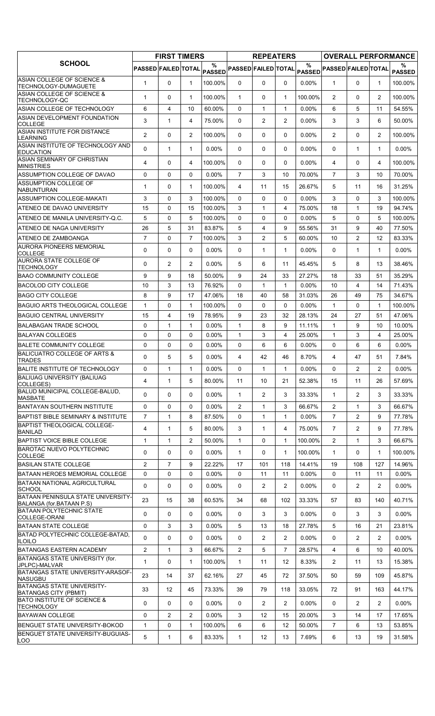|                                                                |                     | <b>FIRST TIMERS</b> |                |                    |                            | <b>REPEATERS</b> |                |          |                                                                               |                |                | <b>OVERALL PERFORMANCE</b> |
|----------------------------------------------------------------|---------------------|---------------------|----------------|--------------------|----------------------------|------------------|----------------|----------|-------------------------------------------------------------------------------|----------------|----------------|----------------------------|
| <b>SCHOOL</b>                                                  | PASSED FAILED TOTAL |                     |                | %<br><b>PASSED</b> | <b>PASSED FAILED TOTAL</b> |                  |                | $\%$     | $\mathsf{PAS\widetilde{SED}} \mathsf{PASSED} \mathsf{FAILED} \mathsf{TOTAL} $ |                |                | %<br><b>PASSED</b>         |
| ASIAN COLLEGE OF SCIENCE &<br>TECHNOLOGY-DUMAGUETE             | $\mathbf{1}$        | $\Omega$            | $\mathbf{1}$   | 100.00%            | $\Omega$                   | $\Omega$         | $\Omega$       | 0.00%    | $\mathbf{1}$                                                                  | $\Omega$       | $\mathbf{1}$   | 100.00%                    |
| ASIAN COLLEGE OF SCIENCE &<br><b>TECHNOLOGY-QC</b>             | $\mathbf{1}$        | 0                   | $\mathbf{1}$   | 100.00%            | $\mathbf{1}$               | 0                | $\mathbf{1}$   | 100.00%  | $\overline{2}$                                                                | $\Omega$       | $\overline{2}$ | 100.00%                    |
| ASIAN COLLEGE OF TECHNOLOGY                                    | 6                   | $\overline{4}$      | 10             | 60.00%             | $\Omega$                   | $\mathbf{1}$     | $\mathbf{1}$   | 0.00%    | 6                                                                             | 5              | 11             | 54.55%                     |
| ASIAN DEVELOPMENT FOUNDATION<br><b>COLLEGE</b>                 | 3                   | $\mathbf{1}$        | $\overline{4}$ | 75.00%             | 0                          | 2                | 2              | $0.00\%$ | 3                                                                             | 3              | 6              | 50.00%                     |
| ASIAN INSTITUTE FOR DISTANCE<br>LEARNING                       | $\overline{2}$      | 0                   | $\overline{2}$ | 100.00%            | $\Omega$                   | 0                | $\Omega$       | 0.00%    | $\overline{2}$                                                                | $\Omega$       | $\overline{2}$ | 100.00%                    |
| ASIAN INSTITUTE OF TECHNOLOGY AND<br><b>EDUCATION</b>          | $\Omega$            | $\mathbf{1}$        | $\mathbf{1}$   | $0.00\%$           | $\mathbf{0}$               | 0                | 0              | 0.00%    | 0                                                                             | $\mathbf{1}$   | $\mathbf{1}$   | $0.00\%$                   |
| <b>ASIAN SEMINARY OF CHRISTIAN</b><br><b>MINISTRIES</b>        | 4                   | 0                   | 4              | 100.00%            | 0                          | 0                | 0              | 0.00%    | 4                                                                             | 0              | 4              | 100.00%                    |
| ASSUMPTION COLLEGE OF DAVAO                                    | 0                   | 0                   | $\mathbf{0}$   | 0.00%              | $\overline{7}$             | 3                | 10             | 70.00%   | $\overline{7}$                                                                | 3              | 10             | 70.00%                     |
| <b>ASSUMPTION COLLEGE OF</b><br><b>NABUNTURAN</b>              | $\mathbf{1}$        | 0                   | $\mathbf{1}$   | 100.00%            | 4                          | 11               | 15             | 26.67%   | 5                                                                             | 11             | 16             | 31.25%                     |
| <b>ASSUMPTION COLLEGE-MAKATI</b>                               | 3                   | 0                   | 3              | 100.00%            | 0                          | 0                | 0              | 0.00%    | 3                                                                             | $\Omega$       | 3              | 100.00%                    |
| ATENEO DE DAVAO UNIVERSITY                                     | 15                  | 0                   | 15             | 100.00%            | 3                          | $\mathbf{1}$     | 4              | 75.00%   | 18                                                                            | $\mathbf{1}$   | 19             | 94.74%                     |
| ATENEO DE MANILA UNIVERSITY-Q.C.                               | 5                   | 0                   | 5              | 100.00%            | $\Omega$                   | 0                | 0              | 0.00%    | 5                                                                             | $\Omega$       | 5              | 100.00%                    |
| ATENEO DE NAGA UNIVERSITY                                      | 26                  | 5                   | 31             | 83.87%             | 5                          | 4                | 9              | 55.56%   | 31                                                                            | 9              | 40             | 77.50%                     |
| ATENEO DE ZAMBOANGA                                            | $\overline{7}$      | 0                   | $\overline{7}$ | 100.00%            | 3                          | $\overline{c}$   | 5              | 60.00%   | 10                                                                            | $\overline{2}$ | 12             | 83.33%                     |
| <b>AURORA PIONEERS MEMORIAL</b><br><b>COLLEGE</b>              | 0                   | 0                   | $\mathbf 0$    | $0.00\%$           | $\mathbf{0}$               | 1                | $\mathbf{1}$   | $0.00\%$ | 0                                                                             | 1              | $\mathbf{1}$   | $0.00\%$                   |
| <b>AURORA STATE COLLEGE OF</b><br><b>TECHNOLOGY</b>            | $\Omega$            | $\overline{c}$      | 2              | $0.00\%$           | 5                          | 6                | 11             | 45.45%   | 5                                                                             | 8              | 13             | 38.46%                     |
| <b>BAAO COMMUNITY COLLEGE</b>                                  | 9                   | 9                   | 18             | 50.00%             | 9                          | 24               | 33             | 27.27%   | 18                                                                            | 33             | 51             | 35.29%                     |
| <b>BACOLOD CITY COLLEGE</b>                                    | 10                  | 3                   | 13             | 76.92%             | $\Omega$                   | 1                | $\mathbf{1}$   | 0.00%    | 10                                                                            | 4              | 14             | 71.43%                     |
| <b>BAGO CITY COLLEGE</b>                                       | 8                   | 9                   | 17             | 47.06%             | 18                         | 40               | 58             | 31.03%   | 26                                                                            | 49             | 75             | 34.67%                     |
| <b>BAGUIO ARTS THEOLOGICAL COLLEGE</b>                         | $\mathbf{1}$        | 0                   | $\mathbf{1}$   | 100.00%            | $\Omega$                   | 0                | $\Omega$       | 0.00%    | $\mathbf{1}$                                                                  | $\Omega$       | $\mathbf{1}$   | 100.00%                    |
| <b>BAGUIO CENTRAL UNIVERSITY</b>                               | 15                  | 4                   | 19             | 78.95%             | 9                          | 23               | 32             | 28.13%   | 24                                                                            | 27             | 51             | 47.06%                     |
| <b>BALABAGAN TRADE SCHOOL</b>                                  | 0                   | $\mathbf{1}$        | $\mathbf{1}$   | 0.00%              | $\mathbf{1}$               | 8                | 9              | 11.11%   | $\mathbf{1}$                                                                  | 9              | 10             | 10.00%                     |
| <b>BALAYAN COLLEGES</b>                                        | $\Omega$            | 0                   | $\Omega$       | $0.00\%$           | $\mathbf{1}$               | 3                | 4              | 25.00%   | $\mathbf{1}$                                                                  | 3              | 4              | 25.00%                     |
| <b>BALETE COMMUNITY COLLEGE</b>                                | 0                   | 0                   | $\mathbf{0}$   | 0.00%              | $\Omega$                   | 6                | 6              | 0.00%    | $\Omega$                                                                      | 6              | 6              | $0.00\%$                   |
| <b>BALICUATRO COLLEGE OF ARTS &amp;</b><br><b>TRADES</b>       | $\Omega$            | 5                   | 5              | $0.00\%$           | 4                          | 42               | 46             | 8.70%    | 4                                                                             | 47             | 51             | 7.84%                      |
| BALITE INSTITUTE OF TECHNOLOGY                                 | 0                   | $\mathbf{1}$        | $\mathbf{1}$   | 0.00%              | 0                          | $\mathbf 1$      | $\mathbf{1}$   | 0.00%    | $\mathsf{O}$                                                                  | $\overline{2}$ | $\overline{2}$ | $0.00\%$                   |
| <b>BALIUAG UNIVERSITY (BALIUAG)</b><br>COLLEGES)               | 4                   | $\mathbf{1}$        | 5              | 80.00%             | 11                         | 10               | 21             | 52.38%   | 15                                                                            | 11             | 26             | 57.69%                     |
| BALUD MUNICIPAL COLLEGE-BALUD,<br><b>MASBATE</b>               | 0                   | 0                   | $\mathbf 0$    | $0.00\%$           | $\mathbf{1}$               | $\overline{2}$   | 3              | 33.33%   | $\mathbf{1}$                                                                  | $\overline{2}$ | 3              | 33.33%                     |
| <b>BANTAYAN SOUTHERN INSTITUTE</b>                             | $\mathbf 0$         | 0                   | 0              | $0.00\%$           | 2                          | 1                | 3              | 66.67%   | $\overline{2}$                                                                | $\mathbf{1}$   | 3              | 66.67%                     |
| <b>BAPTIST BIBLE SEMINARY &amp; INSTITUTE</b>                  | $\overline{7}$      | $\mathbf{1}$        | 8              | 87.50%             | $\Omega$                   | $\mathbf{1}$     | $\mathbf{1}$   | $0.00\%$ | $\overline{7}$                                                                | $\overline{2}$ | 9              | 77.78%                     |
| <b>BAPTIST THEOLOGICAL COLLEGE-</b>                            | $\overline{4}$      | $\mathbf{1}$        | 5              | 80.00%             | 3                          | $\mathbf{1}$     | 4              | 75.00%   | $\overline{7}$                                                                | $\overline{2}$ | 9              | 77.78%                     |
| <b>BANILAD</b><br><b>BAPTIST VOICE BIBLE COLLEGE</b>           | $\mathbf{1}$        | $\mathbf{1}$        | $\overline{2}$ | 50.00%             | $\mathbf{1}$               | 0                | 1              | 100.00%  | $\overline{2}$                                                                | $\mathbf{1}$   | 3              | 66.67%                     |
| <b>BAROTAC NUEVO POLYTECHNIC</b>                               | 0                   | 0                   | 0              | $0.00\%$           | $\mathbf{1}$               | 0                | $\mathbf{1}$   | 100.00%  | $\mathbf{1}$                                                                  | 0              | $\mathbf{1}$   | 100.00%                    |
| <b>COLLEGE</b><br><b>BASILAN STATE COLLEGE</b>                 | $\overline{2}$      | $\overline{7}$      | 9              | 22.22%             | 17                         | 101              | 118            | 14.41%   | 19                                                                            | 108            | 127            | 14.96%                     |
| <b>BATAAN HEROES MEMORIAL COLLEGE</b>                          | 0                   | 0                   | $\mathbf 0$    | $0.00\%$           | 0                          | 11               | 11             | 0.00%    | 0                                                                             | 11             | 11             | $0.00\%$                   |
| BATAAN NATIONAL AGRICULTURAL<br><b>SCHOOL</b>                  | 0                   | 0                   | 0              | $0.00\%$           | 0                          | $\overline{2}$   | 2              | 0.00%    | 0                                                                             | $\overline{2}$ | $\overline{2}$ | $0.00\%$                   |
| BATAAN PENINSULA STATE UNIVERSITY-<br>BALANGA (for.BATAAN P.S) | 23                  | 15                  | 38             | 60.53%             | 34                         | 68               | 102            | 33.33%   | 57                                                                            | 83             | 140            | 40.71%                     |
| <b>BATAAN POLYTECHNIC STATE</b><br><b>COLLEGE-ORANI</b>        | 0                   | 0                   | $\mathbf 0$    | $0.00\%$           | $\mathbf{0}$               | 3                | 3              | 0.00%    | 0                                                                             | 3              | 3              | $0.00\%$                   |
| <b>BATAAN STATE COLLEGE</b>                                    | 0                   | 3                   | 3              | $0.00\%$           | 5                          | 13               | 18             | 27.78%   | 5                                                                             | 16             | 21             | 23.81%                     |
| BATAD POLYTECHNIC COLLEGE-BATAD,<br><b>ILOILO</b>              | 0                   | 0                   | $\mathbf{0}$   | $0.00\%$           | 0                          | $\overline{2}$   | $\overline{2}$ | 0.00%    | 0                                                                             | $\overline{2}$ | $\overline{2}$ | $0.00\%$                   |
| <b>BATANGAS EASTERN ACADEMY</b>                                | $\overline{c}$      | $\mathbf{1}$        | 3              | 66.67%             | $\overline{2}$             | 5                | $\overline{7}$ | 28.57%   | $\overline{4}$                                                                | 6              | 10             | 40.00%                     |
| BATANGAS STATE UNIVERSITY (for.<br>JPLPC)-MALVAR               | $\mathbf{1}$        | 0                   | $\mathbf{1}$   | 100.00%            | $\mathbf{1}$               | 11               | 12             | 8.33%    | $\overline{2}$                                                                | 11             | 13             | 15.38%                     |
| BATANGAS STATE UNIVERSITY-ARASOF-<br><b>NASUGBU</b>            | 23                  | 14                  | 37             | 62.16%             | 27                         | 45               | 72             | 37.50%   | 50                                                                            | 59             | 109            | 45.87%                     |
| BATANGAS STATE UNIVERSITY-<br>BATANGAS CITY (PBMIT)            | 33                  | 12                  | 45             | 73.33%             | 39                         | 79               | 118            | 33.05%   | 72                                                                            | 91             | 163            | 44.17%                     |
| <b>BATO INSTITUTE OF SCIENCE &amp;</b><br><b>TECHNOLOGY</b>    | 0                   | 0                   | 0              | $0.00\%$           | 0                          | $\overline{2}$   | $\overline{2}$ | 0.00%    | 0                                                                             | $\overline{2}$ | $\overline{2}$ | $0.00\%$                   |
| <b>BAYAWAN COLLEGE</b>                                         | $\mathbf 0$         | $\overline{2}$      | 2              | $0.00\%$           | 3                          | 12               | 15             | 20.00%   | 3                                                                             | 14             | 17             | 17.65%                     |
| BENGUET STATE UNIVERSITY-BOKOD                                 | $\mathbf{1}$        | 0                   | $\mathbf{1}$   | 100.00%            | 6                          | 6                | 12             | 50.00%   | $\overline{7}$                                                                | 6              | 13             | 53.85%                     |
| BENGUET STATE UNIVERSITY-BUGUIAS-<br>LOO                       | 5                   | 1                   | 6              | 83.33%             | $\mathbf{1}$               | 12               | 13             | 7.69%    | 6                                                                             | 13             | 19             | 31.58%                     |
|                                                                |                     |                     |                |                    |                            |                  |                |          |                                                                               |                |                |                            |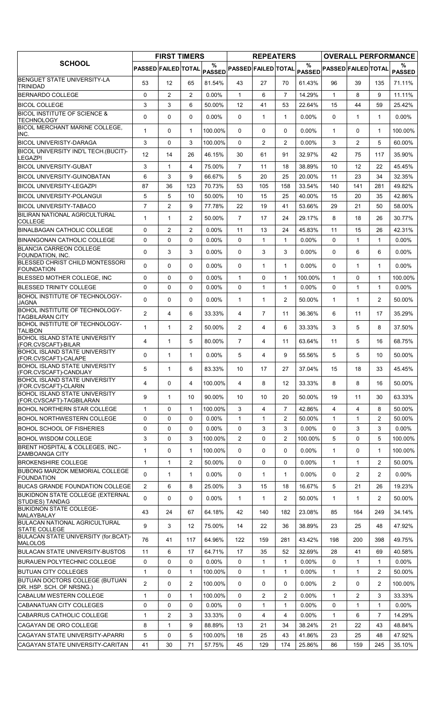|                                                                  |                     | <b>FIRST TIMERS</b> |                |                    |                            | <b>REPEATERS</b> |                |                       |                            |              |                | <b>OVERALL PERFORMANCE</b> |
|------------------------------------------------------------------|---------------------|---------------------|----------------|--------------------|----------------------------|------------------|----------------|-----------------------|----------------------------|--------------|----------------|----------------------------|
| <b>SCHOOL</b>                                                    | PASSED FAILED TOTAL |                     |                | %<br><b>PASSED</b> | <b>PASSED FAILED TOTAL</b> |                  |                | $\%$<br><b>PASSED</b> | <b>PASSED FAILED TOTAL</b> |              |                | ℅<br><b>PASSED</b>         |
| <b>BENGUET STATE UNIVERSITY-LA</b><br><b>TRINIDAD</b>            | 53                  | 12 <sup>2</sup>     | 65             | 81.54%             | 43                         | 27               | 70             | 61.43%                | 96                         | 39           | 135            | 71.11%                     |
| <b>BERNARDO COLLEGE</b>                                          | 0                   | $\overline{2}$      | 2              | $0.00\%$           | $\mathbf{1}$               | 6                | $\overline{7}$ | 14.29%                | $\mathbf{1}$               | 8            | 9              | 11.11%                     |
| <b>BICOL COLLEGE</b>                                             | 3                   | 3                   | 6              | 50.00%             | 12                         | 41               | 53             | 22.64%                | 15                         | 44           | 59             | 25.42%                     |
| <b>BICOL INSTITUTE OF SCIENCE &amp;</b><br><b>TECHNOLOGY</b>     | 0                   | $\mathbf 0$         | $\Omega$       | 0.00%              | 0                          | $\mathbf{1}$     | $\mathbf{1}$   | $0.00\%$              | $\Omega$                   | 1            | $\mathbf{1}$   | $0.00\%$                   |
| BICOL MERCHANT MARINE COLLEGE,<br>INC.                           | 1                   | $\mathbf 0$         | $\mathbf{1}$   | 100.00%            | $\Omega$                   | 0                | 0              | $0.00\%$              | $\mathbf{1}$               | $\Omega$     | $\mathbf{1}$   | 100.00%                    |
| <b>BICOL UNIVERISTY-DARAGA</b>                                   | 3                   | $\mathbf 0$         | 3              | 100.00%            | $\Omega$                   | $\overline{2}$   | $\overline{2}$ | 0.00%                 | 3                          | 2            | 5              | 60.00%                     |
| BICOL UNIVERSITY IND'L TECH.(BUCIT)-<br><b>LEGAZPI</b>           | 12                  | 14                  | 26             | 46.15%             | 30                         | 61               | 91             | 32.97%                | 42                         | 75           | 117            | 35.90%                     |
| <b>BICOL UNIVERSITY-GUBAT</b>                                    | 3                   | $\mathbf{1}$        | 4              | 75.00%             | $\overline{7}$             | 11               | 18             | 38.89%                | 10                         | 12           | 22             | 45.45%                     |
| <b>BICOL UNIVERSITY-GUINOBATAN</b>                               | 6                   | 3                   | 9              | 66.67%             | 5                          | 20               | 25             | 20.00%                | 11                         | 23           | 34             | 32.35%                     |
| <b>BICOL UNIVERSITY-LEGAZPI</b>                                  | 87                  | 36                  | 123            | 70.73%             | 53                         | 105              | 158            | 33.54%                | 140                        | 141          | 281            | 49.82%                     |
| <b>BICOL UNIVERSITY-POLANGUI</b>                                 | 5                   | 5                   | 10             | 50.00%             | 10                         | 15               | 25             | 40.00%                | 15                         | 20           | 35             | 42.86%                     |
| <b>BICOL UNIVERSITY-TABACO</b>                                   | $\overline{7}$      | 2                   | 9              | 77.78%             | 22                         | 19               | 41             | 53.66%                | 29                         | 21           | 50             | 58.00%                     |
| BILIRAN NATIONAL AGRICULTURAL                                    | 1                   | 1                   | 2              | 50.00%             | $\overline{7}$             | 17               | 24             | 29.17%                | 8                          | 18           | 26             | 30.77%                     |
| <b>COLLEGE</b><br><b>BINALBAGAN CATHOLIC COLLEGE</b>             | 0                   | 2                   | $\overline{2}$ | 0.00%              | 11                         | 13               | 24             | 45.83%                | 11                         | 15           | 26             | 42.31%                     |
| <b>BINANGONAN CATHOLIC COLLEGE</b>                               | 0                   | $\mathbf 0$         | $\mathbf 0$    | 0.00%              | 0                          | 1                | $\mathbf{1}$   | 0.00%                 | $\Omega$                   | 1            | $\mathbf{1}$   | $0.00\%$                   |
| <b>BLANCIA CARREON COLLEGE</b>                                   |                     |                     |                |                    |                            |                  |                |                       |                            |              |                |                            |
| <b>FOUNDATION, INC.</b>                                          | $\Omega$            | 3                   | 3              | $0.00\%$           | 0                          | 3                | 3              | 0.00%                 | $\Omega$                   | 6            | 6              | $0.00\%$                   |
| BLESSED CHRIST CHILD MONTESSORI<br><b>FOUNDATION</b>             | 0                   | $\mathbf 0$         | 0              | $0.00\%$           | 0                          | $\mathbf{1}$     | $\mathbf{1}$   | $0.00\%$              | $\Omega$                   | 1            | 1              | $0.00\%$                   |
| BLESSED MOTHER COLLEGE, INC                                      | 0                   | 0                   | $\Omega$       | $0.00\%$           | 1                          | 0                | $\mathbf{1}$   | 100.00%               | $\mathbf{1}$               | 0            | $\mathbf{1}$   | 100.00%                    |
| <b>BLESSED TRINITY COLLEGE</b>                                   | 0                   | $\mathbf 0$         | $\Omega$       | 0.00%              | 0                          | $\mathbf{1}$     | $\mathbf{1}$   | 0.00%                 | $\Omega$                   | $\mathbf{1}$ | $\mathbf{1}$   | $0.00\%$                   |
| <b>BOHOL INSTITUTE OF TECHNOLOGY-</b><br><b>JAGNA</b>            | 0                   | 0                   | $\mathbf 0$    | 0.00%              | 1                          | $\mathbf{1}$     | 2              | 50.00%                | $\mathbf{1}$               | 1            | $\overline{2}$ | 50.00%                     |
| <b>BOHOL INSTITUTE OF TECHNOLOGY-</b><br><b>TAGBILARAN CITY</b>  | $\overline{2}$      | $\overline{4}$      | 6              | 33.33%             | 4                          | $\overline{7}$   | 11             | 36.36%                | 6                          | 11           | 17             | 35.29%                     |
| BOHOL INSTITUTE OF TECHNOLOGY-<br><b>TALIBON</b>                 | 1                   | $\mathbf{1}$        | $\overline{2}$ | 50.00%             | $\overline{2}$             | 4                | 6              | 33.33%                | 3                          | 5            | 8              | 37.50%                     |
| <b>BOHOL ISLAND STATE UNIVERSITY</b><br>(FOR.CVSCAFT)-BILAR      | 4                   | 1                   | 5              | 80.00%             | $\overline{7}$             | 4                | 11             | 63.64%                | 11                         | 5            | 16             | 68.75%                     |
| <b>BOHOL ISLAND STATE UNIVERSITY</b><br>(FOR.CVSCAFT)-CALAPE     | 0                   | $\mathbf{1}$        | 1              | $0.00\%$           | 5                          | 4                | 9              | 55.56%                | 5                          | 5            | 10             | 50.00%                     |
| <b>BOHOL ISLAND STATE UNIVERSITY</b><br>(FOR.CVSCAFT)-CANDIJAY   | 5                   | 1                   | 6              | 83.33%             | 10 <sup>°</sup>            | 17               | 27             | 37.04%                | 15                         | 18           | 33             | 45.45%                     |
| <b>BOHOL ISLAND STATE UNIVERSITY</b><br>(FOR.CVSCAFT)-CLARIN     | 4                   | 0                   | 4              | 100.00%            | 4                          | 8                | 12             | 33.33%                | 8                          | 8            | 16             | 50.00%                     |
| <b>BOHOL ISLAND STATE UNIVERSITY</b><br>(FOR.CVSCAFT)-TAGBILARAN | 9                   | 1                   | 10             | 90.00%             | 10                         | 10               | 20             | 50.00%                | 19                         | 11           | 30             | 63.33%                     |
| <b>BOHOL NORTHERN STAR COLLEGE</b>                               | 1                   | $\mathbf 0$         | 1              | 100.00%            | 3                          | 4                | $\overline{7}$ | 42.86%                | 4                          | 4            | 8              | 50.00%                     |
| <b>BOHOL NORTHWESTERN COLLEGE</b>                                | 0                   | 0                   | $\mathbf 0$    | $0.00\%$           | $\mathbf{1}$               | $\mathbf{1}$     | 2              | 50.00%                | $\mathbf{1}$               | 1            | $\overline{2}$ | 50.00%                     |
| <b>BOHOL SCHOOL OF FISHERIES</b>                                 | 0                   | $\mathbf 0$         | $\mathbf 0$    | $0.00\%$           | 0                          | 3                | 3              | 0.00%                 | $\Omega$                   | 3            | 3              | $0.00\%$                   |
| <b>BOHOL WISDOM COLLEGE</b>                                      | 3                   | $\mathbf 0$         | 3              | 100.00%            | $\overline{2}$             | 0                | $\overline{c}$ | 100.00%               | 5                          | 0            | 5              | 100.00%                    |
| BRENT HOSPITAL & COLLEGES. INC.-<br><b>ZAMBOANGA CITY</b>        | 1                   | $\mathbf 0$         | $\mathbf{1}$   | 100.00%            | 0                          | 0                | 0              | $0.00\%$              | $\mathbf{1}$               | $\Omega$     | $\mathbf{1}$   | 100.00%                    |
| <b>BROKENSHIRE COLLEGE</b>                                       | 1                   | $\mathbf{1}$        | $\overline{c}$ | 50.00%             | 0                          | 0                | 0              | 0.00%                 | $\mathbf{1}$               | $\mathbf{1}$ | $\overline{2}$ | 50.00%                     |
| <b>BUBONG MARZOK MEMORIAL COLLEGE</b><br><b>FOUNDATION</b>       | 0                   | 1                   | 1              | 0.00%              | 0                          | $\mathbf{1}$     | 1              | 0.00%                 | 0                          | 2            | $\overline{2}$ | $0.00\%$                   |
| <b>BUCAS GRANDE FOUNDATION COLLEGE</b>                           | $\overline{2}$      | 6                   | 8              | 25.00%             | 3                          | 15               | 18             | 16.67%                | 5                          | 21           | 26             | 19.23%                     |
| BUKIDNON STATE COLLEGE (EXTERNAL<br>STUDIES) TANDAG              | $\Omega$            | $\Omega$            | 0              | $0.00\%$           | 1                          | $\mathbf{1}$     | 2              | 50.00%                | $\mathbf{1}$               | 1            | $\overline{2}$ | 50.00%                     |
| <b>BUKIDNON STATE COLLEGE-</b><br>MALAYBALAY                     | 43                  | 24                  | 67             | 64.18%             | 42                         | 140              | 182            | 23.08%                | 85                         | 164          | 249            | 34.14%                     |
| <b>BULACAN NATIONAL AGRICULTURAL</b><br><b>STATE COLLEGE</b>     | 9                   | 3                   | 12             | 75.00%             | 14                         | 22               | 36             | 38.89%                | 23                         | 25           | 48             | 47.92%                     |
| BULACAN STATE UNIVERSITY (for.BCAT)-<br><b>MALOLOS</b>           | 76                  | 41                  | 117            | 64.96%             | 122                        | 159              | 281            | 43.42%                | 198                        | 200          | 398            | 49.75%                     |
| <b>BULACAN STATE UNIVERSITY-BUSTOS</b>                           | 11                  | 6                   | 17             | 64.71%             | 17                         | 35               | 52             | 32.69%                | 28                         | 41           | 69             | 40.58%                     |
| <b>BURAUEN POLYTECHNIC COLLEGE</b>                               | 0                   | 0                   | $\mathbf 0$    | $0.00\%$           | 0                          | $\mathbf{1}$     | $\mathbf{1}$   | 0.00%                 | $\Omega$                   | $\mathbf{1}$ | $\mathbf{1}$   | $0.00\%$                   |
| <b>BUTUAN CITY COLLEGES</b>                                      | 1                   | 0                   | 1              | 100.00%            | 0                          | 1                | 1              | $0.00\%$              | $\mathbf{1}$               | 1            | $\overline{2}$ | 50.00%                     |
| BUTUAN DOCTORS COLLEGE (BUTUAN                                   | $\overline{2}$      | $\mathbf{0}$        | 2              | 100.00%            | $\Omega$                   | 0                | 0              | $0.00\%$              | $\overline{2}$             | $\Omega$     | 2              | 100.00%                    |
| DR. HSP. SCH. OF NRSNG.)<br>CABALUM WESTERN COLLEGE              | 1                   | $\mathbf{0}$        | 1              | 100.00%            | 0                          | 2                | $\overline{c}$ | $0.00\%$              | $\mathbf{1}$               | 2            | 3              | 33.33%                     |
| CABANATUAN CITY COLLEGES                                         | 0                   | $\mathbf 0$         | $\mathbf 0$    | $0.00\%$           | 0                          | $\mathbf{1}$     | $\mathbf{1}$   | 0.00%                 | $\Omega$                   | 1            | $\mathbf{1}$   | $0.00\%$                   |
| CABARRUS CATHOLIC COLLEGE                                        | 1                   | $\overline{2}$      | 3              | 33.33%             | 0                          | 4                | 4              | 0.00%                 | $\mathbf{1}$               | 6            | $\overline{7}$ | 14.29%                     |
| CAGAYAN DE ORO COLLEGE                                           | 8                   | 1                   | 9              | 88.89%             | 13                         | 21               | 34             | 38.24%                | 21                         | 22           | 43             | 48.84%                     |
| CAGAYAN STATE UNIVERSITY-APARRI                                  | 5                   | $\mathbf 0$         | 5              | 100.00%            | 18                         | 25               | 43             | 41.86%                | 23                         | 25           | 48             | 47.92%                     |
| ICAGAYAN STATE UNIVERSITY-CARITAN                                | 41                  | 30                  | 71             | 57.75%             | 45                         | 129              | 174            | 25.86%                | 86                         | 159          | 245            | 35.10%                     |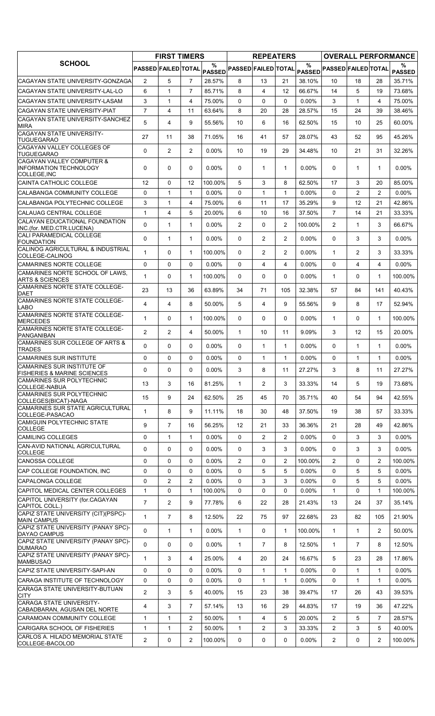| PASSED FAILED TOTAL<br><b>PASSED FAILED TOTAL</b><br>PASSED PASSED FAILED TOTAL<br>PASSED<br>CAGAYAN STATE UNIVERSITY-GONZAGA<br>$\mathbf{2}$<br>5<br>$\overline{7}$<br>28.57%<br>8<br>13<br>21<br>38.10%<br>10<br>18<br>28<br>35.71%<br>$\overline{7}$<br>85.71%<br>8<br>66.67%<br>5<br>CAGAYAN STATE UNIVERSITY-LAL-LO<br>6<br>4<br>14<br>73.68%<br>$\mathbf{1}$<br>12<br>19<br>3<br>$\mathbf{1}$<br>$\overline{4}$<br>75.00%<br>$\Omega$<br>$\Omega$<br>0<br>$0.00\%$<br>3<br>$\mathbf{1}$<br>4<br>75.00%<br>$\overline{7}$<br><b>CAGAYAN STATE UNIVERSITY-PIAT</b><br>$\overline{4}$<br>11<br>8<br>28.57%<br>15<br>63.64%<br>20<br>28<br>24<br>39<br>38.46%<br><b>CAGAYAN STATE UNIVERSITY-SANCHEZ</b><br>5<br>$\overline{4}$<br>9<br>6<br>55.56%<br>10<br>16<br>62.50%<br>15<br>10<br>25<br>60.00%<br><b>MIRA</b><br>CAGAYAN STATE UNIVERSITY-<br>27<br>28.07%<br>52<br>11<br>38<br>71.05%<br>16<br>41<br>57<br>43<br>95<br>45.26%<br><b>TUGUEGARAO</b><br>CAGAYAN VALLEY COLLEGES OF<br>0<br>$\overline{2}$<br>$\overline{2}$<br>$0.00\%$<br>19<br>34.48%<br>10<br>29<br>10<br>21<br>31<br>32.26%<br><b>TUGUEGARAO</b><br>ICAGAYAN VALLEY COMPUTER &<br>$\Omega$<br>0<br>0<br>$0.00\%$<br>0<br>$\mathbf{1}$<br>$\mathbf{1}$<br>$0.00\%$<br>$\mathbf{0}$<br>1<br>$0.00\%$<br>$\mathbf 1$<br>COLLEGE, INC<br><b>CAINTA CATHOLIC COLLEGE</b><br>12<br>$\Omega$<br>12<br>100.00%<br>5<br>3<br>8<br>62.50%<br>17<br>3<br>20<br>85.00%<br>$\overline{2}$<br>CALABANGA COMMUNITY COLLEGE<br>$\Omega$<br>$\mathbf{1}$<br>$0.00\%$<br>$\Omega$<br>$\mathbf{1}$<br>$\mathbf{1}$<br>0.00%<br>$\Omega$<br>2<br>$0.00\%$<br>1<br>3<br>9<br>$\mathbf{1}$<br>6<br>35.29%<br>12<br>4<br>75.00%<br>11<br>17<br>21<br>42.86%<br>ICALAUAG CENTRAL COLLEGE<br>$\mathbf{1}$<br>5<br>6<br>$\overline{7}$<br>14<br>21<br>4<br>20.00%<br>10<br>16<br>37.50%<br>33.33%<br>CALAYAN EDUCATIONAL FOUNDATION<br>0<br>$\mathbf{1}$<br>$\mathbf{1}$<br>0.00%<br>$\overline{2}$<br>0<br>$\overline{2}$<br>100.00%<br>$\overline{2}$<br>$\mathbf{1}$<br>3<br>66.67%<br>CALI PARAMEDICAL COLLEGE<br>$\Omega$<br>$\mathbf{1}$<br>0.00%<br>$\overline{2}$<br>$\overline{2}$<br>0.00%<br>$\Omega$<br>3<br>3<br>$0.00\%$<br>$\mathbf{1}$<br>0<br><b>FOUNDATION</b><br>CALINOG AGRICULTURAL & INDUSTRIAL<br>0<br>100.00%<br>$\overline{2}$<br>$\overline{2}$<br>0.00%<br>$\mathbf{1}$<br>$\overline{2}$<br>3<br>1<br>0<br>33.33%<br>1<br>0<br>$\mathbf 0$<br>$\Omega$<br>4<br>4<br>$\Omega$<br>0<br>$0.00\%$<br>$0.00\%$<br>4<br>4<br>$0.00\%$<br>ICAMARINES NORTE SCHOOL OF LAWS.<br>$\mathbf{1}$<br>0<br>0<br>$\mathbf{1}$<br>100.00%<br>0<br>0<br>$0.00\%$<br>$\mathbf{1}$<br>$\Omega$<br>$\mathbf{1}$<br>100.00%<br><b>ARTS &amp; SCIENCES</b><br>23<br>13<br>36<br>63.89%<br>34<br>71<br>105<br>32.38%<br>57<br>84<br>141<br>40.43%<br><b>DAET</b><br>CAMARINES NORTE STATE COLLEGE-<br>4<br>$\overline{4}$<br>8<br>50.00%<br>5<br>4<br>9<br>9<br>8<br>55.56%<br>17<br>52.94%<br><b>LABO</b><br>$\mathbf{1}$<br>0<br>1<br>0<br>100.00%<br>0<br>0<br>$0.00\%$<br>$\mathbf{1}$<br>$\Omega$<br>$\mathbf{1}$<br>100.00%<br><b>MERCEDES</b><br>$\overline{2}$<br>2<br>9.09%<br>3<br>4<br>50.00%<br>$\mathbf{1}$<br>10<br>11<br>12<br>15<br>20.00%<br>PANGANIBAN<br>$\Omega$<br>$\Omega$<br>0.00%<br>0.00%<br>$\Omega$<br>$0.00\%$<br>0<br>0<br>$\mathbf{1}$<br>$\mathbf{1}$<br>1<br>$\mathbf{1}$<br><b>TRADES</b><br><b>CAMARINES SUR INSTITUTE</b><br>0<br>$\Omega$<br>$\Omega$<br>$0.00\%$<br>$\Omega$<br>$\mathbf{1}$<br>$0.00\%$<br>$\Omega$<br>$\mathbf{1}$<br>$0.00\%$<br>$\mathbf{1}$<br>$\mathbf{1}$<br>27.27%<br>$0.00\%$<br>27.27%<br>0<br>$\mathsf{O}$<br>$\overline{0}$<br>3<br>8<br>11<br>3<br>8<br>11<br>CAMARINES SUR POLYTECHNIC<br>3<br>$\overline{2}$<br>3<br>13<br>16<br>81.25%<br>$\mathbf{1}$<br>33.33%<br>14<br>5<br>19<br>73.68%<br>COLLEGE-NABUA<br>9<br>62.50%<br>35.71%<br>15<br>24<br>25<br>45<br>70<br>40<br>54<br>94<br>42.55%<br>COLLEGES(BICAT)-NAGA<br>CAMARINES SUR STATE AGRICULTURAL<br>9<br>$\mathbf{1}$<br>8<br>37.50%<br>19<br>11.11%<br>18<br>30<br>48<br>38<br>57<br>33.33%<br>COLLEGE-PASACAO<br>$\overline{7}$<br>9<br>16<br>56.25%<br>12<br>21<br>33<br>36.36%<br>21<br>28<br>49<br>42.86%<br><b>COLLEGE</b><br>0<br>$\Omega$<br>$\overline{2}$<br>$\overline{2}$<br>$0.00\%$<br>0<br>3<br>$\mathbf{1}$<br>$\mathbf{1}$<br>$0.00\%$<br>3<br>$0.00\%$<br>0<br>0<br>0<br>$0.00\%$<br>$0.00\%$<br>$0.00\%$<br>0<br>3<br>3<br>0<br>3<br>3<br><b>COLLEGE</b><br><b>CANOSSA COLLEGE</b><br>0<br>$\mathbf 0$<br>0<br>2<br>$\overline{2}$<br>$0.00\%$<br>$\overline{2}$<br>0<br>100.00%<br>0<br>$\overline{2}$<br>100.00%<br>5<br>0<br>$\mathbf 0$<br>0<br>0.00%<br>0<br>5<br>0.00%<br>$\Omega$<br>5<br>5<br>$0.00\%$<br>2<br>2<br>0<br>0<br>5<br>5<br>0<br>0.00%<br>3<br>3<br>$0.00\%$<br> CAPALONGA COLLEGE<br>$0.00\%$<br>CAPITOL MEDICAL CENTER COLLEGES<br>0<br>0.00%<br>1<br>0<br>1<br>100.00%<br>0<br>0<br>$\mathbf{1}$<br>$\Omega$<br>$\mathbf{1}$<br>100.00%<br>$\overline{7}$<br>2<br>9<br>22<br>77.78%<br>6<br>28<br>21.43%<br>13<br>24<br>37<br>35.14%<br>CAPITOL COLL.)<br>$\overline{7}$<br>8<br>12.50%<br>75<br>22.68%<br>21.90%<br>1<br>22<br>97<br>23<br>82<br>105<br><b>MAIN CAMPUS</b><br>CAPIZ STATE UNIVERSITY (PANAY SPC)-<br>0<br>$\mathbf{1}$<br>$0.00\%$<br>0<br>$\mathbf{1}$<br>100.00%<br>$\mathbf{1}$<br>$\overline{2}$<br>50.00%<br>1<br>1<br>$\mathbf{1}$<br>DAYAO CAMPUS<br>0<br>0<br>0<br>$\overline{7}$<br>$\overline{7}$<br>$0.00\%$<br>1<br>8<br>12.50%<br>$\mathbf{1}$<br>8<br>12.50%<br>DUMARAO<br>1<br>3<br>4<br>25.00%<br>20<br>24<br>16.67%<br>5<br>23<br>17.86%<br>4<br>28<br>MAMBUSAO<br>0<br>$\Omega$<br>$\mathbf{1}$<br>0<br>0<br>0.00%<br>0<br>$\mathbf{1}$<br>$\mathbf{1}$<br>$0.00\%$<br>$\mathbf{1}$<br>$0.00\%$<br>CARAGA INSTITUTE OF TECHNOLOGY<br>$0.00\%$<br>0.00%<br>0<br>0<br>0<br>0<br>0<br>$\mathbf{1}$<br>$\mathbf{1}$<br>1<br>$0.00\%$<br>1<br>$\overline{2}$<br>3<br>39.47%<br>17<br>5<br>40.00%<br>15<br>23<br>38<br>26<br>43<br>39.53%<br><b>CITY</b><br><b>CARAGA STATE UNIVERSITY-</b><br>3<br>$\overline{7}$<br>44.83%<br>4<br>57.14%<br>13<br>16<br>29<br>17<br>19<br>36<br>47.22%<br>CABADBARAN, AGUSAN DEL NORTE<br>5<br>CARAMOAN COMMUNITY COLLEGE<br>$\mathbf{1}$<br>$\overline{2}$<br>50.00%<br>4<br>20.00%<br>$\overline{2}$<br>5<br>$\overline{7}$<br>1<br>1<br>28.57%<br>$\mathbf{1}$<br>$\overline{2}$<br>50.00%<br>$\overline{2}$<br>3<br>33.33%<br>$\overline{2}$<br>3<br>5<br>$\mathbf{1}$<br>$\mathbf{1}$<br>40.00%<br>$\overline{2}$<br>$\overline{2}$<br>2<br>100.00%<br>0.00%<br>0<br>0<br>0<br>0<br>0<br>2<br>100.00% |                                                                      | <b>FIRST TIMERS</b> |   | <b>REPEATERS</b> |      |  | <b>OVERALL PERFORMANCE</b> |
|------------------------------------------------------------------------------------------------------------------------------------------------------------------------------------------------------------------------------------------------------------------------------------------------------------------------------------------------------------------------------------------------------------------------------------------------------------------------------------------------------------------------------------------------------------------------------------------------------------------------------------------------------------------------------------------------------------------------------------------------------------------------------------------------------------------------------------------------------------------------------------------------------------------------------------------------------------------------------------------------------------------------------------------------------------------------------------------------------------------------------------------------------------------------------------------------------------------------------------------------------------------------------------------------------------------------------------------------------------------------------------------------------------------------------------------------------------------------------------------------------------------------------------------------------------------------------------------------------------------------------------------------------------------------------------------------------------------------------------------------------------------------------------------------------------------------------------------------------------------------------------------------------------------------------------------------------------------------------------------------------------------------------------------------------------------------------------------------------------------------------------------------------------------------------------------------------------------------------------------------------------------------------------------------------------------------------------------------------------------------------------------------------------------------------------------------------------------------------------------------------------------------------------------------------------------------------------------------------------------------------------------------------------------------------------------------------------------------------------------------------------------------------------------------------------------------------------------------------------------------------------------------------------------------------------------------------------------------------------------------------------------------------------------------------------------------------------------------------------------------------------------------------------------------------------------------------------------------------------------------------------------------------------------------------------------------------------------------------------------------------------------------------------------------------------------------------------------------------------------------------------------------------------------------------------------------------------------------------------------------------------------------------------------------------------------------------------------------------------------------------------------------------------------------------------------------------------------------------------------------------------------------------------------------------------------------------------------------------------------------------------------------------------------------------------------------------------------------------------------------------------------------------------------------------------------------------------------------------------------------------------------------------------------------------------------------------------------------------------------------------------------------------------------------------------------------------------------------------------------------------------------------------------------------------------------------------------------------------------------------------------------------------------------------------------------------------------------------------------------------------------------------------------------------------------------------------------------------------------------------------------------------------------------------------------------------------------------------------------------------------------------------------------------------------------------------------------------------------------------------------------------------------------------------------------------------------------------------------------------------------------------------------------------------------------------------------------------------------------------------------------------------------------------------------------------------------------------------------------------------------------------------------------------------------------------------------------------------------------------------------------------------------------------------------------------------------------------------------------------------------------------------------------------------------------------------------------------------------------------------------------------------------------------------------------------------------------------------------------------------------------------------------------------------------------------------------------------------------------------------------------------------------------------------------------------------------------------------------------------------------------------------------------------------------------------------------------------------------------------------------------------------------------------------------------------------------------------------------------------------------------------------------------------------------------------------------------------------------------|----------------------------------------------------------------------|---------------------|---|------------------|------|--|----------------------------|
|                                                                                                                                                                                                                                                                                                                                                                                                                                                                                                                                                                                                                                                                                                                                                                                                                                                                                                                                                                                                                                                                                                                                                                                                                                                                                                                                                                                                                                                                                                                                                                                                                                                                                                                                                                                                                                                                                                                                                                                                                                                                                                                                                                                                                                                                                                                                                                                                                                                                                                                                                                                                                                                                                                                                                                                                                                                                                                                                                                                                                                                                                                                                                                                                                                                                                                                                                                                                                                                                                                                                                                                                                                                                                                                                                                                                                                                                                                                                                                                                                                                                                                                                                                                                                                                                                                                                                                                                                                                                                                                                                                                                                                                                                                                                                                                                                                                                                                                                                                                                                                                                                                                                                                                                                                                                                                                                                                                                                                                                                                                                                                                                                                                                                                                                                                                                                                                                                                                                                                                                                                                                                                                                                                                                                                                                                                                                                                                                                                                                                                                                                                                                            | <b>SCHOOL</b>                                                        |                     | % |                  | $\%$ |  | %<br><b>PASSED</b>         |
|                                                                                                                                                                                                                                                                                                                                                                                                                                                                                                                                                                                                                                                                                                                                                                                                                                                                                                                                                                                                                                                                                                                                                                                                                                                                                                                                                                                                                                                                                                                                                                                                                                                                                                                                                                                                                                                                                                                                                                                                                                                                                                                                                                                                                                                                                                                                                                                                                                                                                                                                                                                                                                                                                                                                                                                                                                                                                                                                                                                                                                                                                                                                                                                                                                                                                                                                                                                                                                                                                                                                                                                                                                                                                                                                                                                                                                                                                                                                                                                                                                                                                                                                                                                                                                                                                                                                                                                                                                                                                                                                                                                                                                                                                                                                                                                                                                                                                                                                                                                                                                                                                                                                                                                                                                                                                                                                                                                                                                                                                                                                                                                                                                                                                                                                                                                                                                                                                                                                                                                                                                                                                                                                                                                                                                                                                                                                                                                                                                                                                                                                                                                                            |                                                                      |                     |   |                  |      |  |                            |
|                                                                                                                                                                                                                                                                                                                                                                                                                                                                                                                                                                                                                                                                                                                                                                                                                                                                                                                                                                                                                                                                                                                                                                                                                                                                                                                                                                                                                                                                                                                                                                                                                                                                                                                                                                                                                                                                                                                                                                                                                                                                                                                                                                                                                                                                                                                                                                                                                                                                                                                                                                                                                                                                                                                                                                                                                                                                                                                                                                                                                                                                                                                                                                                                                                                                                                                                                                                                                                                                                                                                                                                                                                                                                                                                                                                                                                                                                                                                                                                                                                                                                                                                                                                                                                                                                                                                                                                                                                                                                                                                                                                                                                                                                                                                                                                                                                                                                                                                                                                                                                                                                                                                                                                                                                                                                                                                                                                                                                                                                                                                                                                                                                                                                                                                                                                                                                                                                                                                                                                                                                                                                                                                                                                                                                                                                                                                                                                                                                                                                                                                                                                                            |                                                                      |                     |   |                  |      |  |                            |
|                                                                                                                                                                                                                                                                                                                                                                                                                                                                                                                                                                                                                                                                                                                                                                                                                                                                                                                                                                                                                                                                                                                                                                                                                                                                                                                                                                                                                                                                                                                                                                                                                                                                                                                                                                                                                                                                                                                                                                                                                                                                                                                                                                                                                                                                                                                                                                                                                                                                                                                                                                                                                                                                                                                                                                                                                                                                                                                                                                                                                                                                                                                                                                                                                                                                                                                                                                                                                                                                                                                                                                                                                                                                                                                                                                                                                                                                                                                                                                                                                                                                                                                                                                                                                                                                                                                                                                                                                                                                                                                                                                                                                                                                                                                                                                                                                                                                                                                                                                                                                                                                                                                                                                                                                                                                                                                                                                                                                                                                                                                                                                                                                                                                                                                                                                                                                                                                                                                                                                                                                                                                                                                                                                                                                                                                                                                                                                                                                                                                                                                                                                                                            | <b>CAGAYAN STATE UNIVERSITY-LASAM</b>                                |                     |   |                  |      |  |                            |
|                                                                                                                                                                                                                                                                                                                                                                                                                                                                                                                                                                                                                                                                                                                                                                                                                                                                                                                                                                                                                                                                                                                                                                                                                                                                                                                                                                                                                                                                                                                                                                                                                                                                                                                                                                                                                                                                                                                                                                                                                                                                                                                                                                                                                                                                                                                                                                                                                                                                                                                                                                                                                                                                                                                                                                                                                                                                                                                                                                                                                                                                                                                                                                                                                                                                                                                                                                                                                                                                                                                                                                                                                                                                                                                                                                                                                                                                                                                                                                                                                                                                                                                                                                                                                                                                                                                                                                                                                                                                                                                                                                                                                                                                                                                                                                                                                                                                                                                                                                                                                                                                                                                                                                                                                                                                                                                                                                                                                                                                                                                                                                                                                                                                                                                                                                                                                                                                                                                                                                                                                                                                                                                                                                                                                                                                                                                                                                                                                                                                                                                                                                                                            |                                                                      |                     |   |                  |      |  |                            |
|                                                                                                                                                                                                                                                                                                                                                                                                                                                                                                                                                                                                                                                                                                                                                                                                                                                                                                                                                                                                                                                                                                                                                                                                                                                                                                                                                                                                                                                                                                                                                                                                                                                                                                                                                                                                                                                                                                                                                                                                                                                                                                                                                                                                                                                                                                                                                                                                                                                                                                                                                                                                                                                                                                                                                                                                                                                                                                                                                                                                                                                                                                                                                                                                                                                                                                                                                                                                                                                                                                                                                                                                                                                                                                                                                                                                                                                                                                                                                                                                                                                                                                                                                                                                                                                                                                                                                                                                                                                                                                                                                                                                                                                                                                                                                                                                                                                                                                                                                                                                                                                                                                                                                                                                                                                                                                                                                                                                                                                                                                                                                                                                                                                                                                                                                                                                                                                                                                                                                                                                                                                                                                                                                                                                                                                                                                                                                                                                                                                                                                                                                                                                            |                                                                      |                     |   |                  |      |  |                            |
|                                                                                                                                                                                                                                                                                                                                                                                                                                                                                                                                                                                                                                                                                                                                                                                                                                                                                                                                                                                                                                                                                                                                                                                                                                                                                                                                                                                                                                                                                                                                                                                                                                                                                                                                                                                                                                                                                                                                                                                                                                                                                                                                                                                                                                                                                                                                                                                                                                                                                                                                                                                                                                                                                                                                                                                                                                                                                                                                                                                                                                                                                                                                                                                                                                                                                                                                                                                                                                                                                                                                                                                                                                                                                                                                                                                                                                                                                                                                                                                                                                                                                                                                                                                                                                                                                                                                                                                                                                                                                                                                                                                                                                                                                                                                                                                                                                                                                                                                                                                                                                                                                                                                                                                                                                                                                                                                                                                                                                                                                                                                                                                                                                                                                                                                                                                                                                                                                                                                                                                                                                                                                                                                                                                                                                                                                                                                                                                                                                                                                                                                                                                                            |                                                                      |                     |   |                  |      |  |                            |
|                                                                                                                                                                                                                                                                                                                                                                                                                                                                                                                                                                                                                                                                                                                                                                                                                                                                                                                                                                                                                                                                                                                                                                                                                                                                                                                                                                                                                                                                                                                                                                                                                                                                                                                                                                                                                                                                                                                                                                                                                                                                                                                                                                                                                                                                                                                                                                                                                                                                                                                                                                                                                                                                                                                                                                                                                                                                                                                                                                                                                                                                                                                                                                                                                                                                                                                                                                                                                                                                                                                                                                                                                                                                                                                                                                                                                                                                                                                                                                                                                                                                                                                                                                                                                                                                                                                                                                                                                                                                                                                                                                                                                                                                                                                                                                                                                                                                                                                                                                                                                                                                                                                                                                                                                                                                                                                                                                                                                                                                                                                                                                                                                                                                                                                                                                                                                                                                                                                                                                                                                                                                                                                                                                                                                                                                                                                                                                                                                                                                                                                                                                                                            |                                                                      |                     |   |                  |      |  |                            |
|                                                                                                                                                                                                                                                                                                                                                                                                                                                                                                                                                                                                                                                                                                                                                                                                                                                                                                                                                                                                                                                                                                                                                                                                                                                                                                                                                                                                                                                                                                                                                                                                                                                                                                                                                                                                                                                                                                                                                                                                                                                                                                                                                                                                                                                                                                                                                                                                                                                                                                                                                                                                                                                                                                                                                                                                                                                                                                                                                                                                                                                                                                                                                                                                                                                                                                                                                                                                                                                                                                                                                                                                                                                                                                                                                                                                                                                                                                                                                                                                                                                                                                                                                                                                                                                                                                                                                                                                                                                                                                                                                                                                                                                                                                                                                                                                                                                                                                                                                                                                                                                                                                                                                                                                                                                                                                                                                                                                                                                                                                                                                                                                                                                                                                                                                                                                                                                                                                                                                                                                                                                                                                                                                                                                                                                                                                                                                                                                                                                                                                                                                                                                            | <b>INFORMATION TECHNOLOGY</b>                                        |                     |   |                  |      |  |                            |
|                                                                                                                                                                                                                                                                                                                                                                                                                                                                                                                                                                                                                                                                                                                                                                                                                                                                                                                                                                                                                                                                                                                                                                                                                                                                                                                                                                                                                                                                                                                                                                                                                                                                                                                                                                                                                                                                                                                                                                                                                                                                                                                                                                                                                                                                                                                                                                                                                                                                                                                                                                                                                                                                                                                                                                                                                                                                                                                                                                                                                                                                                                                                                                                                                                                                                                                                                                                                                                                                                                                                                                                                                                                                                                                                                                                                                                                                                                                                                                                                                                                                                                                                                                                                                                                                                                                                                                                                                                                                                                                                                                                                                                                                                                                                                                                                                                                                                                                                                                                                                                                                                                                                                                                                                                                                                                                                                                                                                                                                                                                                                                                                                                                                                                                                                                                                                                                                                                                                                                                                                                                                                                                                                                                                                                                                                                                                                                                                                                                                                                                                                                                                            |                                                                      |                     |   |                  |      |  |                            |
|                                                                                                                                                                                                                                                                                                                                                                                                                                                                                                                                                                                                                                                                                                                                                                                                                                                                                                                                                                                                                                                                                                                                                                                                                                                                                                                                                                                                                                                                                                                                                                                                                                                                                                                                                                                                                                                                                                                                                                                                                                                                                                                                                                                                                                                                                                                                                                                                                                                                                                                                                                                                                                                                                                                                                                                                                                                                                                                                                                                                                                                                                                                                                                                                                                                                                                                                                                                                                                                                                                                                                                                                                                                                                                                                                                                                                                                                                                                                                                                                                                                                                                                                                                                                                                                                                                                                                                                                                                                                                                                                                                                                                                                                                                                                                                                                                                                                                                                                                                                                                                                                                                                                                                                                                                                                                                                                                                                                                                                                                                                                                                                                                                                                                                                                                                                                                                                                                                                                                                                                                                                                                                                                                                                                                                                                                                                                                                                                                                                                                                                                                                                                            |                                                                      |                     |   |                  |      |  |                            |
|                                                                                                                                                                                                                                                                                                                                                                                                                                                                                                                                                                                                                                                                                                                                                                                                                                                                                                                                                                                                                                                                                                                                                                                                                                                                                                                                                                                                                                                                                                                                                                                                                                                                                                                                                                                                                                                                                                                                                                                                                                                                                                                                                                                                                                                                                                                                                                                                                                                                                                                                                                                                                                                                                                                                                                                                                                                                                                                                                                                                                                                                                                                                                                                                                                                                                                                                                                                                                                                                                                                                                                                                                                                                                                                                                                                                                                                                                                                                                                                                                                                                                                                                                                                                                                                                                                                                                                                                                                                                                                                                                                                                                                                                                                                                                                                                                                                                                                                                                                                                                                                                                                                                                                                                                                                                                                                                                                                                                                                                                                                                                                                                                                                                                                                                                                                                                                                                                                                                                                                                                                                                                                                                                                                                                                                                                                                                                                                                                                                                                                                                                                                                            | CALABANGA POLYTECHNIC COLLEGE                                        |                     |   |                  |      |  |                            |
|                                                                                                                                                                                                                                                                                                                                                                                                                                                                                                                                                                                                                                                                                                                                                                                                                                                                                                                                                                                                                                                                                                                                                                                                                                                                                                                                                                                                                                                                                                                                                                                                                                                                                                                                                                                                                                                                                                                                                                                                                                                                                                                                                                                                                                                                                                                                                                                                                                                                                                                                                                                                                                                                                                                                                                                                                                                                                                                                                                                                                                                                                                                                                                                                                                                                                                                                                                                                                                                                                                                                                                                                                                                                                                                                                                                                                                                                                                                                                                                                                                                                                                                                                                                                                                                                                                                                                                                                                                                                                                                                                                                                                                                                                                                                                                                                                                                                                                                                                                                                                                                                                                                                                                                                                                                                                                                                                                                                                                                                                                                                                                                                                                                                                                                                                                                                                                                                                                                                                                                                                                                                                                                                                                                                                                                                                                                                                                                                                                                                                                                                                                                                            |                                                                      |                     |   |                  |      |  |                            |
|                                                                                                                                                                                                                                                                                                                                                                                                                                                                                                                                                                                                                                                                                                                                                                                                                                                                                                                                                                                                                                                                                                                                                                                                                                                                                                                                                                                                                                                                                                                                                                                                                                                                                                                                                                                                                                                                                                                                                                                                                                                                                                                                                                                                                                                                                                                                                                                                                                                                                                                                                                                                                                                                                                                                                                                                                                                                                                                                                                                                                                                                                                                                                                                                                                                                                                                                                                                                                                                                                                                                                                                                                                                                                                                                                                                                                                                                                                                                                                                                                                                                                                                                                                                                                                                                                                                                                                                                                                                                                                                                                                                                                                                                                                                                                                                                                                                                                                                                                                                                                                                                                                                                                                                                                                                                                                                                                                                                                                                                                                                                                                                                                                                                                                                                                                                                                                                                                                                                                                                                                                                                                                                                                                                                                                                                                                                                                                                                                                                                                                                                                                                                            | INC.(for. MED.CTR.LUCENA)                                            |                     |   |                  |      |  |                            |
|                                                                                                                                                                                                                                                                                                                                                                                                                                                                                                                                                                                                                                                                                                                                                                                                                                                                                                                                                                                                                                                                                                                                                                                                                                                                                                                                                                                                                                                                                                                                                                                                                                                                                                                                                                                                                                                                                                                                                                                                                                                                                                                                                                                                                                                                                                                                                                                                                                                                                                                                                                                                                                                                                                                                                                                                                                                                                                                                                                                                                                                                                                                                                                                                                                                                                                                                                                                                                                                                                                                                                                                                                                                                                                                                                                                                                                                                                                                                                                                                                                                                                                                                                                                                                                                                                                                                                                                                                                                                                                                                                                                                                                                                                                                                                                                                                                                                                                                                                                                                                                                                                                                                                                                                                                                                                                                                                                                                                                                                                                                                                                                                                                                                                                                                                                                                                                                                                                                                                                                                                                                                                                                                                                                                                                                                                                                                                                                                                                                                                                                                                                                                            |                                                                      |                     |   |                  |      |  |                            |
|                                                                                                                                                                                                                                                                                                                                                                                                                                                                                                                                                                                                                                                                                                                                                                                                                                                                                                                                                                                                                                                                                                                                                                                                                                                                                                                                                                                                                                                                                                                                                                                                                                                                                                                                                                                                                                                                                                                                                                                                                                                                                                                                                                                                                                                                                                                                                                                                                                                                                                                                                                                                                                                                                                                                                                                                                                                                                                                                                                                                                                                                                                                                                                                                                                                                                                                                                                                                                                                                                                                                                                                                                                                                                                                                                                                                                                                                                                                                                                                                                                                                                                                                                                                                                                                                                                                                                                                                                                                                                                                                                                                                                                                                                                                                                                                                                                                                                                                                                                                                                                                                                                                                                                                                                                                                                                                                                                                                                                                                                                                                                                                                                                                                                                                                                                                                                                                                                                                                                                                                                                                                                                                                                                                                                                                                                                                                                                                                                                                                                                                                                                                                            | COLLEGE-CALINOG                                                      |                     |   |                  |      |  |                            |
|                                                                                                                                                                                                                                                                                                                                                                                                                                                                                                                                                                                                                                                                                                                                                                                                                                                                                                                                                                                                                                                                                                                                                                                                                                                                                                                                                                                                                                                                                                                                                                                                                                                                                                                                                                                                                                                                                                                                                                                                                                                                                                                                                                                                                                                                                                                                                                                                                                                                                                                                                                                                                                                                                                                                                                                                                                                                                                                                                                                                                                                                                                                                                                                                                                                                                                                                                                                                                                                                                                                                                                                                                                                                                                                                                                                                                                                                                                                                                                                                                                                                                                                                                                                                                                                                                                                                                                                                                                                                                                                                                                                                                                                                                                                                                                                                                                                                                                                                                                                                                                                                                                                                                                                                                                                                                                                                                                                                                                                                                                                                                                                                                                                                                                                                                                                                                                                                                                                                                                                                                                                                                                                                                                                                                                                                                                                                                                                                                                                                                                                                                                                                            | CAMARINES NORTE COLLEGE                                              |                     |   |                  |      |  |                            |
|                                                                                                                                                                                                                                                                                                                                                                                                                                                                                                                                                                                                                                                                                                                                                                                                                                                                                                                                                                                                                                                                                                                                                                                                                                                                                                                                                                                                                                                                                                                                                                                                                                                                                                                                                                                                                                                                                                                                                                                                                                                                                                                                                                                                                                                                                                                                                                                                                                                                                                                                                                                                                                                                                                                                                                                                                                                                                                                                                                                                                                                                                                                                                                                                                                                                                                                                                                                                                                                                                                                                                                                                                                                                                                                                                                                                                                                                                                                                                                                                                                                                                                                                                                                                                                                                                                                                                                                                                                                                                                                                                                                                                                                                                                                                                                                                                                                                                                                                                                                                                                                                                                                                                                                                                                                                                                                                                                                                                                                                                                                                                                                                                                                                                                                                                                                                                                                                                                                                                                                                                                                                                                                                                                                                                                                                                                                                                                                                                                                                                                                                                                                                            |                                                                      |                     |   |                  |      |  |                            |
|                                                                                                                                                                                                                                                                                                                                                                                                                                                                                                                                                                                                                                                                                                                                                                                                                                                                                                                                                                                                                                                                                                                                                                                                                                                                                                                                                                                                                                                                                                                                                                                                                                                                                                                                                                                                                                                                                                                                                                                                                                                                                                                                                                                                                                                                                                                                                                                                                                                                                                                                                                                                                                                                                                                                                                                                                                                                                                                                                                                                                                                                                                                                                                                                                                                                                                                                                                                                                                                                                                                                                                                                                                                                                                                                                                                                                                                                                                                                                                                                                                                                                                                                                                                                                                                                                                                                                                                                                                                                                                                                                                                                                                                                                                                                                                                                                                                                                                                                                                                                                                                                                                                                                                                                                                                                                                                                                                                                                                                                                                                                                                                                                                                                                                                                                                                                                                                                                                                                                                                                                                                                                                                                                                                                                                                                                                                                                                                                                                                                                                                                                                                                            | CAMARINES NORTE STATE COLLEGE-                                       |                     |   |                  |      |  |                            |
|                                                                                                                                                                                                                                                                                                                                                                                                                                                                                                                                                                                                                                                                                                                                                                                                                                                                                                                                                                                                                                                                                                                                                                                                                                                                                                                                                                                                                                                                                                                                                                                                                                                                                                                                                                                                                                                                                                                                                                                                                                                                                                                                                                                                                                                                                                                                                                                                                                                                                                                                                                                                                                                                                                                                                                                                                                                                                                                                                                                                                                                                                                                                                                                                                                                                                                                                                                                                                                                                                                                                                                                                                                                                                                                                                                                                                                                                                                                                                                                                                                                                                                                                                                                                                                                                                                                                                                                                                                                                                                                                                                                                                                                                                                                                                                                                                                                                                                                                                                                                                                                                                                                                                                                                                                                                                                                                                                                                                                                                                                                                                                                                                                                                                                                                                                                                                                                                                                                                                                                                                                                                                                                                                                                                                                                                                                                                                                                                                                                                                                                                                                                                            |                                                                      |                     |   |                  |      |  |                            |
|                                                                                                                                                                                                                                                                                                                                                                                                                                                                                                                                                                                                                                                                                                                                                                                                                                                                                                                                                                                                                                                                                                                                                                                                                                                                                                                                                                                                                                                                                                                                                                                                                                                                                                                                                                                                                                                                                                                                                                                                                                                                                                                                                                                                                                                                                                                                                                                                                                                                                                                                                                                                                                                                                                                                                                                                                                                                                                                                                                                                                                                                                                                                                                                                                                                                                                                                                                                                                                                                                                                                                                                                                                                                                                                                                                                                                                                                                                                                                                                                                                                                                                                                                                                                                                                                                                                                                                                                                                                                                                                                                                                                                                                                                                                                                                                                                                                                                                                                                                                                                                                                                                                                                                                                                                                                                                                                                                                                                                                                                                                                                                                                                                                                                                                                                                                                                                                                                                                                                                                                                                                                                                                                                                                                                                                                                                                                                                                                                                                                                                                                                                                                            | CAMARINES NORTE STATE COLLEGE-                                       |                     |   |                  |      |  |                            |
|                                                                                                                                                                                                                                                                                                                                                                                                                                                                                                                                                                                                                                                                                                                                                                                                                                                                                                                                                                                                                                                                                                                                                                                                                                                                                                                                                                                                                                                                                                                                                                                                                                                                                                                                                                                                                                                                                                                                                                                                                                                                                                                                                                                                                                                                                                                                                                                                                                                                                                                                                                                                                                                                                                                                                                                                                                                                                                                                                                                                                                                                                                                                                                                                                                                                                                                                                                                                                                                                                                                                                                                                                                                                                                                                                                                                                                                                                                                                                                                                                                                                                                                                                                                                                                                                                                                                                                                                                                                                                                                                                                                                                                                                                                                                                                                                                                                                                                                                                                                                                                                                                                                                                                                                                                                                                                                                                                                                                                                                                                                                                                                                                                                                                                                                                                                                                                                                                                                                                                                                                                                                                                                                                                                                                                                                                                                                                                                                                                                                                                                                                                                                            | CAMARINES NORTE STATE COLLEGE-                                       |                     |   |                  |      |  |                            |
|                                                                                                                                                                                                                                                                                                                                                                                                                                                                                                                                                                                                                                                                                                                                                                                                                                                                                                                                                                                                                                                                                                                                                                                                                                                                                                                                                                                                                                                                                                                                                                                                                                                                                                                                                                                                                                                                                                                                                                                                                                                                                                                                                                                                                                                                                                                                                                                                                                                                                                                                                                                                                                                                                                                                                                                                                                                                                                                                                                                                                                                                                                                                                                                                                                                                                                                                                                                                                                                                                                                                                                                                                                                                                                                                                                                                                                                                                                                                                                                                                                                                                                                                                                                                                                                                                                                                                                                                                                                                                                                                                                                                                                                                                                                                                                                                                                                                                                                                                                                                                                                                                                                                                                                                                                                                                                                                                                                                                                                                                                                                                                                                                                                                                                                                                                                                                                                                                                                                                                                                                                                                                                                                                                                                                                                                                                                                                                                                                                                                                                                                                                                                            | CAMARINES SUR COLLEGE OF ARTS &                                      |                     |   |                  |      |  |                            |
|                                                                                                                                                                                                                                                                                                                                                                                                                                                                                                                                                                                                                                                                                                                                                                                                                                                                                                                                                                                                                                                                                                                                                                                                                                                                                                                                                                                                                                                                                                                                                                                                                                                                                                                                                                                                                                                                                                                                                                                                                                                                                                                                                                                                                                                                                                                                                                                                                                                                                                                                                                                                                                                                                                                                                                                                                                                                                                                                                                                                                                                                                                                                                                                                                                                                                                                                                                                                                                                                                                                                                                                                                                                                                                                                                                                                                                                                                                                                                                                                                                                                                                                                                                                                                                                                                                                                                                                                                                                                                                                                                                                                                                                                                                                                                                                                                                                                                                                                                                                                                                                                                                                                                                                                                                                                                                                                                                                                                                                                                                                                                                                                                                                                                                                                                                                                                                                                                                                                                                                                                                                                                                                                                                                                                                                                                                                                                                                                                                                                                                                                                                                                            |                                                                      |                     |   |                  |      |  |                            |
|                                                                                                                                                                                                                                                                                                                                                                                                                                                                                                                                                                                                                                                                                                                                                                                                                                                                                                                                                                                                                                                                                                                                                                                                                                                                                                                                                                                                                                                                                                                                                                                                                                                                                                                                                                                                                                                                                                                                                                                                                                                                                                                                                                                                                                                                                                                                                                                                                                                                                                                                                                                                                                                                                                                                                                                                                                                                                                                                                                                                                                                                                                                                                                                                                                                                                                                                                                                                                                                                                                                                                                                                                                                                                                                                                                                                                                                                                                                                                                                                                                                                                                                                                                                                                                                                                                                                                                                                                                                                                                                                                                                                                                                                                                                                                                                                                                                                                                                                                                                                                                                                                                                                                                                                                                                                                                                                                                                                                                                                                                                                                                                                                                                                                                                                                                                                                                                                                                                                                                                                                                                                                                                                                                                                                                                                                                                                                                                                                                                                                                                                                                                                            | CAMARINES SUR INSTITUTE OF<br><b>FISHERIES &amp; MARINE SCIENCES</b> |                     |   |                  |      |  |                            |
|                                                                                                                                                                                                                                                                                                                                                                                                                                                                                                                                                                                                                                                                                                                                                                                                                                                                                                                                                                                                                                                                                                                                                                                                                                                                                                                                                                                                                                                                                                                                                                                                                                                                                                                                                                                                                                                                                                                                                                                                                                                                                                                                                                                                                                                                                                                                                                                                                                                                                                                                                                                                                                                                                                                                                                                                                                                                                                                                                                                                                                                                                                                                                                                                                                                                                                                                                                                                                                                                                                                                                                                                                                                                                                                                                                                                                                                                                                                                                                                                                                                                                                                                                                                                                                                                                                                                                                                                                                                                                                                                                                                                                                                                                                                                                                                                                                                                                                                                                                                                                                                                                                                                                                                                                                                                                                                                                                                                                                                                                                                                                                                                                                                                                                                                                                                                                                                                                                                                                                                                                                                                                                                                                                                                                                                                                                                                                                                                                                                                                                                                                                                                            |                                                                      |                     |   |                  |      |  |                            |
|                                                                                                                                                                                                                                                                                                                                                                                                                                                                                                                                                                                                                                                                                                                                                                                                                                                                                                                                                                                                                                                                                                                                                                                                                                                                                                                                                                                                                                                                                                                                                                                                                                                                                                                                                                                                                                                                                                                                                                                                                                                                                                                                                                                                                                                                                                                                                                                                                                                                                                                                                                                                                                                                                                                                                                                                                                                                                                                                                                                                                                                                                                                                                                                                                                                                                                                                                                                                                                                                                                                                                                                                                                                                                                                                                                                                                                                                                                                                                                                                                                                                                                                                                                                                                                                                                                                                                                                                                                                                                                                                                                                                                                                                                                                                                                                                                                                                                                                                                                                                                                                                                                                                                                                                                                                                                                                                                                                                                                                                                                                                                                                                                                                                                                                                                                                                                                                                                                                                                                                                                                                                                                                                                                                                                                                                                                                                                                                                                                                                                                                                                                                                            | CAMARINES SUR POLYTECHNIC                                            |                     |   |                  |      |  |                            |
|                                                                                                                                                                                                                                                                                                                                                                                                                                                                                                                                                                                                                                                                                                                                                                                                                                                                                                                                                                                                                                                                                                                                                                                                                                                                                                                                                                                                                                                                                                                                                                                                                                                                                                                                                                                                                                                                                                                                                                                                                                                                                                                                                                                                                                                                                                                                                                                                                                                                                                                                                                                                                                                                                                                                                                                                                                                                                                                                                                                                                                                                                                                                                                                                                                                                                                                                                                                                                                                                                                                                                                                                                                                                                                                                                                                                                                                                                                                                                                                                                                                                                                                                                                                                                                                                                                                                                                                                                                                                                                                                                                                                                                                                                                                                                                                                                                                                                                                                                                                                                                                                                                                                                                                                                                                                                                                                                                                                                                                                                                                                                                                                                                                                                                                                                                                                                                                                                                                                                                                                                                                                                                                                                                                                                                                                                                                                                                                                                                                                                                                                                                                                            |                                                                      |                     |   |                  |      |  |                            |
|                                                                                                                                                                                                                                                                                                                                                                                                                                                                                                                                                                                                                                                                                                                                                                                                                                                                                                                                                                                                                                                                                                                                                                                                                                                                                                                                                                                                                                                                                                                                                                                                                                                                                                                                                                                                                                                                                                                                                                                                                                                                                                                                                                                                                                                                                                                                                                                                                                                                                                                                                                                                                                                                                                                                                                                                                                                                                                                                                                                                                                                                                                                                                                                                                                                                                                                                                                                                                                                                                                                                                                                                                                                                                                                                                                                                                                                                                                                                                                                                                                                                                                                                                                                                                                                                                                                                                                                                                                                                                                                                                                                                                                                                                                                                                                                                                                                                                                                                                                                                                                                                                                                                                                                                                                                                                                                                                                                                                                                                                                                                                                                                                                                                                                                                                                                                                                                                                                                                                                                                                                                                                                                                                                                                                                                                                                                                                                                                                                                                                                                                                                                                            | CAMIGUIN POLYTECHNIC STATE                                           |                     |   |                  |      |  |                            |
|                                                                                                                                                                                                                                                                                                                                                                                                                                                                                                                                                                                                                                                                                                                                                                                                                                                                                                                                                                                                                                                                                                                                                                                                                                                                                                                                                                                                                                                                                                                                                                                                                                                                                                                                                                                                                                                                                                                                                                                                                                                                                                                                                                                                                                                                                                                                                                                                                                                                                                                                                                                                                                                                                                                                                                                                                                                                                                                                                                                                                                                                                                                                                                                                                                                                                                                                                                                                                                                                                                                                                                                                                                                                                                                                                                                                                                                                                                                                                                                                                                                                                                                                                                                                                                                                                                                                                                                                                                                                                                                                                                                                                                                                                                                                                                                                                                                                                                                                                                                                                                                                                                                                                                                                                                                                                                                                                                                                                                                                                                                                                                                                                                                                                                                                                                                                                                                                                                                                                                                                                                                                                                                                                                                                                                                                                                                                                                                                                                                                                                                                                                                                            | CAMILING COLLEGES                                                    |                     |   |                  |      |  |                            |
|                                                                                                                                                                                                                                                                                                                                                                                                                                                                                                                                                                                                                                                                                                                                                                                                                                                                                                                                                                                                                                                                                                                                                                                                                                                                                                                                                                                                                                                                                                                                                                                                                                                                                                                                                                                                                                                                                                                                                                                                                                                                                                                                                                                                                                                                                                                                                                                                                                                                                                                                                                                                                                                                                                                                                                                                                                                                                                                                                                                                                                                                                                                                                                                                                                                                                                                                                                                                                                                                                                                                                                                                                                                                                                                                                                                                                                                                                                                                                                                                                                                                                                                                                                                                                                                                                                                                                                                                                                                                                                                                                                                                                                                                                                                                                                                                                                                                                                                                                                                                                                                                                                                                                                                                                                                                                                                                                                                                                                                                                                                                                                                                                                                                                                                                                                                                                                                                                                                                                                                                                                                                                                                                                                                                                                                                                                                                                                                                                                                                                                                                                                                                            | CAN-AVID NATIONAL AGRICULTURAL                                       |                     |   |                  |      |  |                            |
|                                                                                                                                                                                                                                                                                                                                                                                                                                                                                                                                                                                                                                                                                                                                                                                                                                                                                                                                                                                                                                                                                                                                                                                                                                                                                                                                                                                                                                                                                                                                                                                                                                                                                                                                                                                                                                                                                                                                                                                                                                                                                                                                                                                                                                                                                                                                                                                                                                                                                                                                                                                                                                                                                                                                                                                                                                                                                                                                                                                                                                                                                                                                                                                                                                                                                                                                                                                                                                                                                                                                                                                                                                                                                                                                                                                                                                                                                                                                                                                                                                                                                                                                                                                                                                                                                                                                                                                                                                                                                                                                                                                                                                                                                                                                                                                                                                                                                                                                                                                                                                                                                                                                                                                                                                                                                                                                                                                                                                                                                                                                                                                                                                                                                                                                                                                                                                                                                                                                                                                                                                                                                                                                                                                                                                                                                                                                                                                                                                                                                                                                                                                                            |                                                                      |                     |   |                  |      |  |                            |
|                                                                                                                                                                                                                                                                                                                                                                                                                                                                                                                                                                                                                                                                                                                                                                                                                                                                                                                                                                                                                                                                                                                                                                                                                                                                                                                                                                                                                                                                                                                                                                                                                                                                                                                                                                                                                                                                                                                                                                                                                                                                                                                                                                                                                                                                                                                                                                                                                                                                                                                                                                                                                                                                                                                                                                                                                                                                                                                                                                                                                                                                                                                                                                                                                                                                                                                                                                                                                                                                                                                                                                                                                                                                                                                                                                                                                                                                                                                                                                                                                                                                                                                                                                                                                                                                                                                                                                                                                                                                                                                                                                                                                                                                                                                                                                                                                                                                                                                                                                                                                                                                                                                                                                                                                                                                                                                                                                                                                                                                                                                                                                                                                                                                                                                                                                                                                                                                                                                                                                                                                                                                                                                                                                                                                                                                                                                                                                                                                                                                                                                                                                                                            | CAP COLLEGE FOUNDATION, INC                                          |                     |   |                  |      |  |                            |
|                                                                                                                                                                                                                                                                                                                                                                                                                                                                                                                                                                                                                                                                                                                                                                                                                                                                                                                                                                                                                                                                                                                                                                                                                                                                                                                                                                                                                                                                                                                                                                                                                                                                                                                                                                                                                                                                                                                                                                                                                                                                                                                                                                                                                                                                                                                                                                                                                                                                                                                                                                                                                                                                                                                                                                                                                                                                                                                                                                                                                                                                                                                                                                                                                                                                                                                                                                                                                                                                                                                                                                                                                                                                                                                                                                                                                                                                                                                                                                                                                                                                                                                                                                                                                                                                                                                                                                                                                                                                                                                                                                                                                                                                                                                                                                                                                                                                                                                                                                                                                                                                                                                                                                                                                                                                                                                                                                                                                                                                                                                                                                                                                                                                                                                                                                                                                                                                                                                                                                                                                                                                                                                                                                                                                                                                                                                                                                                                                                                                                                                                                                                                            |                                                                      |                     |   |                  |      |  |                            |
|                                                                                                                                                                                                                                                                                                                                                                                                                                                                                                                                                                                                                                                                                                                                                                                                                                                                                                                                                                                                                                                                                                                                                                                                                                                                                                                                                                                                                                                                                                                                                                                                                                                                                                                                                                                                                                                                                                                                                                                                                                                                                                                                                                                                                                                                                                                                                                                                                                                                                                                                                                                                                                                                                                                                                                                                                                                                                                                                                                                                                                                                                                                                                                                                                                                                                                                                                                                                                                                                                                                                                                                                                                                                                                                                                                                                                                                                                                                                                                                                                                                                                                                                                                                                                                                                                                                                                                                                                                                                                                                                                                                                                                                                                                                                                                                                                                                                                                                                                                                                                                                                                                                                                                                                                                                                                                                                                                                                                                                                                                                                                                                                                                                                                                                                                                                                                                                                                                                                                                                                                                                                                                                                                                                                                                                                                                                                                                                                                                                                                                                                                                                                            |                                                                      |                     |   |                  |      |  |                            |
|                                                                                                                                                                                                                                                                                                                                                                                                                                                                                                                                                                                                                                                                                                                                                                                                                                                                                                                                                                                                                                                                                                                                                                                                                                                                                                                                                                                                                                                                                                                                                                                                                                                                                                                                                                                                                                                                                                                                                                                                                                                                                                                                                                                                                                                                                                                                                                                                                                                                                                                                                                                                                                                                                                                                                                                                                                                                                                                                                                                                                                                                                                                                                                                                                                                                                                                                                                                                                                                                                                                                                                                                                                                                                                                                                                                                                                                                                                                                                                                                                                                                                                                                                                                                                                                                                                                                                                                                                                                                                                                                                                                                                                                                                                                                                                                                                                                                                                                                                                                                                                                                                                                                                                                                                                                                                                                                                                                                                                                                                                                                                                                                                                                                                                                                                                                                                                                                                                                                                                                                                                                                                                                                                                                                                                                                                                                                                                                                                                                                                                                                                                                                            | CAPITOL UNIVERSITY (for CAGAYAN                                      |                     |   |                  |      |  |                            |
|                                                                                                                                                                                                                                                                                                                                                                                                                                                                                                                                                                                                                                                                                                                                                                                                                                                                                                                                                                                                                                                                                                                                                                                                                                                                                                                                                                                                                                                                                                                                                                                                                                                                                                                                                                                                                                                                                                                                                                                                                                                                                                                                                                                                                                                                                                                                                                                                                                                                                                                                                                                                                                                                                                                                                                                                                                                                                                                                                                                                                                                                                                                                                                                                                                                                                                                                                                                                                                                                                                                                                                                                                                                                                                                                                                                                                                                                                                                                                                                                                                                                                                                                                                                                                                                                                                                                                                                                                                                                                                                                                                                                                                                                                                                                                                                                                                                                                                                                                                                                                                                                                                                                                                                                                                                                                                                                                                                                                                                                                                                                                                                                                                                                                                                                                                                                                                                                                                                                                                                                                                                                                                                                                                                                                                                                                                                                                                                                                                                                                                                                                                                                            | CAPIZ STATE UNIVERSITY (CIT)(PSPC)-                                  |                     |   |                  |      |  |                            |
|                                                                                                                                                                                                                                                                                                                                                                                                                                                                                                                                                                                                                                                                                                                                                                                                                                                                                                                                                                                                                                                                                                                                                                                                                                                                                                                                                                                                                                                                                                                                                                                                                                                                                                                                                                                                                                                                                                                                                                                                                                                                                                                                                                                                                                                                                                                                                                                                                                                                                                                                                                                                                                                                                                                                                                                                                                                                                                                                                                                                                                                                                                                                                                                                                                                                                                                                                                                                                                                                                                                                                                                                                                                                                                                                                                                                                                                                                                                                                                                                                                                                                                                                                                                                                                                                                                                                                                                                                                                                                                                                                                                                                                                                                                                                                                                                                                                                                                                                                                                                                                                                                                                                                                                                                                                                                                                                                                                                                                                                                                                                                                                                                                                                                                                                                                                                                                                                                                                                                                                                                                                                                                                                                                                                                                                                                                                                                                                                                                                                                                                                                                                                            |                                                                      |                     |   |                  |      |  |                            |
|                                                                                                                                                                                                                                                                                                                                                                                                                                                                                                                                                                                                                                                                                                                                                                                                                                                                                                                                                                                                                                                                                                                                                                                                                                                                                                                                                                                                                                                                                                                                                                                                                                                                                                                                                                                                                                                                                                                                                                                                                                                                                                                                                                                                                                                                                                                                                                                                                                                                                                                                                                                                                                                                                                                                                                                                                                                                                                                                                                                                                                                                                                                                                                                                                                                                                                                                                                                                                                                                                                                                                                                                                                                                                                                                                                                                                                                                                                                                                                                                                                                                                                                                                                                                                                                                                                                                                                                                                                                                                                                                                                                                                                                                                                                                                                                                                                                                                                                                                                                                                                                                                                                                                                                                                                                                                                                                                                                                                                                                                                                                                                                                                                                                                                                                                                                                                                                                                                                                                                                                                                                                                                                                                                                                                                                                                                                                                                                                                                                                                                                                                                                                            | CAPIZ STATE UNIVERSITY (PANAY SPC)-                                  |                     |   |                  |      |  |                            |
|                                                                                                                                                                                                                                                                                                                                                                                                                                                                                                                                                                                                                                                                                                                                                                                                                                                                                                                                                                                                                                                                                                                                                                                                                                                                                                                                                                                                                                                                                                                                                                                                                                                                                                                                                                                                                                                                                                                                                                                                                                                                                                                                                                                                                                                                                                                                                                                                                                                                                                                                                                                                                                                                                                                                                                                                                                                                                                                                                                                                                                                                                                                                                                                                                                                                                                                                                                                                                                                                                                                                                                                                                                                                                                                                                                                                                                                                                                                                                                                                                                                                                                                                                                                                                                                                                                                                                                                                                                                                                                                                                                                                                                                                                                                                                                                                                                                                                                                                                                                                                                                                                                                                                                                                                                                                                                                                                                                                                                                                                                                                                                                                                                                                                                                                                                                                                                                                                                                                                                                                                                                                                                                                                                                                                                                                                                                                                                                                                                                                                                                                                                                                            | CAPIZ STATE UNIVERSITY (PANAY SPC)-                                  |                     |   |                  |      |  |                            |
|                                                                                                                                                                                                                                                                                                                                                                                                                                                                                                                                                                                                                                                                                                                                                                                                                                                                                                                                                                                                                                                                                                                                                                                                                                                                                                                                                                                                                                                                                                                                                                                                                                                                                                                                                                                                                                                                                                                                                                                                                                                                                                                                                                                                                                                                                                                                                                                                                                                                                                                                                                                                                                                                                                                                                                                                                                                                                                                                                                                                                                                                                                                                                                                                                                                                                                                                                                                                                                                                                                                                                                                                                                                                                                                                                                                                                                                                                                                                                                                                                                                                                                                                                                                                                                                                                                                                                                                                                                                                                                                                                                                                                                                                                                                                                                                                                                                                                                                                                                                                                                                                                                                                                                                                                                                                                                                                                                                                                                                                                                                                                                                                                                                                                                                                                                                                                                                                                                                                                                                                                                                                                                                                                                                                                                                                                                                                                                                                                                                                                                                                                                                                            | CAPIZ STATE UNIVERSITY-SAPI-AN                                       |                     |   |                  |      |  |                            |
|                                                                                                                                                                                                                                                                                                                                                                                                                                                                                                                                                                                                                                                                                                                                                                                                                                                                                                                                                                                                                                                                                                                                                                                                                                                                                                                                                                                                                                                                                                                                                                                                                                                                                                                                                                                                                                                                                                                                                                                                                                                                                                                                                                                                                                                                                                                                                                                                                                                                                                                                                                                                                                                                                                                                                                                                                                                                                                                                                                                                                                                                                                                                                                                                                                                                                                                                                                                                                                                                                                                                                                                                                                                                                                                                                                                                                                                                                                                                                                                                                                                                                                                                                                                                                                                                                                                                                                                                                                                                                                                                                                                                                                                                                                                                                                                                                                                                                                                                                                                                                                                                                                                                                                                                                                                                                                                                                                                                                                                                                                                                                                                                                                                                                                                                                                                                                                                                                                                                                                                                                                                                                                                                                                                                                                                                                                                                                                                                                                                                                                                                                                                                            |                                                                      |                     |   |                  |      |  |                            |
|                                                                                                                                                                                                                                                                                                                                                                                                                                                                                                                                                                                                                                                                                                                                                                                                                                                                                                                                                                                                                                                                                                                                                                                                                                                                                                                                                                                                                                                                                                                                                                                                                                                                                                                                                                                                                                                                                                                                                                                                                                                                                                                                                                                                                                                                                                                                                                                                                                                                                                                                                                                                                                                                                                                                                                                                                                                                                                                                                                                                                                                                                                                                                                                                                                                                                                                                                                                                                                                                                                                                                                                                                                                                                                                                                                                                                                                                                                                                                                                                                                                                                                                                                                                                                                                                                                                                                                                                                                                                                                                                                                                                                                                                                                                                                                                                                                                                                                                                                                                                                                                                                                                                                                                                                                                                                                                                                                                                                                                                                                                                                                                                                                                                                                                                                                                                                                                                                                                                                                                                                                                                                                                                                                                                                                                                                                                                                                                                                                                                                                                                                                                                            | CARAGA STATE UNIVERSITY-BUTUAN                                       |                     |   |                  |      |  |                            |
|                                                                                                                                                                                                                                                                                                                                                                                                                                                                                                                                                                                                                                                                                                                                                                                                                                                                                                                                                                                                                                                                                                                                                                                                                                                                                                                                                                                                                                                                                                                                                                                                                                                                                                                                                                                                                                                                                                                                                                                                                                                                                                                                                                                                                                                                                                                                                                                                                                                                                                                                                                                                                                                                                                                                                                                                                                                                                                                                                                                                                                                                                                                                                                                                                                                                                                                                                                                                                                                                                                                                                                                                                                                                                                                                                                                                                                                                                                                                                                                                                                                                                                                                                                                                                                                                                                                                                                                                                                                                                                                                                                                                                                                                                                                                                                                                                                                                                                                                                                                                                                                                                                                                                                                                                                                                                                                                                                                                                                                                                                                                                                                                                                                                                                                                                                                                                                                                                                                                                                                                                                                                                                                                                                                                                                                                                                                                                                                                                                                                                                                                                                                                            |                                                                      |                     |   |                  |      |  |                            |
|                                                                                                                                                                                                                                                                                                                                                                                                                                                                                                                                                                                                                                                                                                                                                                                                                                                                                                                                                                                                                                                                                                                                                                                                                                                                                                                                                                                                                                                                                                                                                                                                                                                                                                                                                                                                                                                                                                                                                                                                                                                                                                                                                                                                                                                                                                                                                                                                                                                                                                                                                                                                                                                                                                                                                                                                                                                                                                                                                                                                                                                                                                                                                                                                                                                                                                                                                                                                                                                                                                                                                                                                                                                                                                                                                                                                                                                                                                                                                                                                                                                                                                                                                                                                                                                                                                                                                                                                                                                                                                                                                                                                                                                                                                                                                                                                                                                                                                                                                                                                                                                                                                                                                                                                                                                                                                                                                                                                                                                                                                                                                                                                                                                                                                                                                                                                                                                                                                                                                                                                                                                                                                                                                                                                                                                                                                                                                                                                                                                                                                                                                                                                            |                                                                      |                     |   |                  |      |  |                            |
|                                                                                                                                                                                                                                                                                                                                                                                                                                                                                                                                                                                                                                                                                                                                                                                                                                                                                                                                                                                                                                                                                                                                                                                                                                                                                                                                                                                                                                                                                                                                                                                                                                                                                                                                                                                                                                                                                                                                                                                                                                                                                                                                                                                                                                                                                                                                                                                                                                                                                                                                                                                                                                                                                                                                                                                                                                                                                                                                                                                                                                                                                                                                                                                                                                                                                                                                                                                                                                                                                                                                                                                                                                                                                                                                                                                                                                                                                                                                                                                                                                                                                                                                                                                                                                                                                                                                                                                                                                                                                                                                                                                                                                                                                                                                                                                                                                                                                                                                                                                                                                                                                                                                                                                                                                                                                                                                                                                                                                                                                                                                                                                                                                                                                                                                                                                                                                                                                                                                                                                                                                                                                                                                                                                                                                                                                                                                                                                                                                                                                                                                                                                                            | CARIGARA SCHOOL OF FISHERIES                                         |                     |   |                  |      |  |                            |
|                                                                                                                                                                                                                                                                                                                                                                                                                                                                                                                                                                                                                                                                                                                                                                                                                                                                                                                                                                                                                                                                                                                                                                                                                                                                                                                                                                                                                                                                                                                                                                                                                                                                                                                                                                                                                                                                                                                                                                                                                                                                                                                                                                                                                                                                                                                                                                                                                                                                                                                                                                                                                                                                                                                                                                                                                                                                                                                                                                                                                                                                                                                                                                                                                                                                                                                                                                                                                                                                                                                                                                                                                                                                                                                                                                                                                                                                                                                                                                                                                                                                                                                                                                                                                                                                                                                                                                                                                                                                                                                                                                                                                                                                                                                                                                                                                                                                                                                                                                                                                                                                                                                                                                                                                                                                                                                                                                                                                                                                                                                                                                                                                                                                                                                                                                                                                                                                                                                                                                                                                                                                                                                                                                                                                                                                                                                                                                                                                                                                                                                                                                                                            | CARLOS A. HILADO MEMORIAL STATE<br>COLLEGE-BACOLOD                   |                     |   |                  |      |  |                            |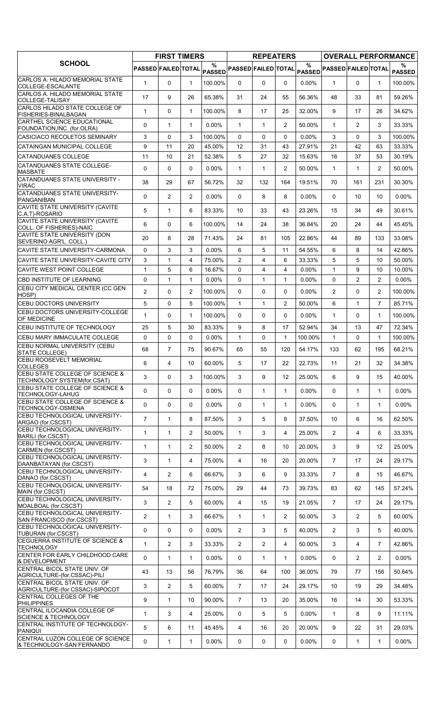|                                                                    |                            | <b>FIRST TIMERS</b> |                 |                    |                            | <b>REPEATERS</b> |                |          |                            |                |                   | <b>OVERALL PERFORMANCE</b> |
|--------------------------------------------------------------------|----------------------------|---------------------|-----------------|--------------------|----------------------------|------------------|----------------|----------|----------------------------|----------------|-------------------|----------------------------|
| <b>SCHOOL</b>                                                      | <b>PASSED FAILED TOTAL</b> |                     |                 | %<br><b>PASSED</b> | <b>PASSED FAILED TOTAL</b> |                  |                | $\%$     | PASSED PASSED FAILED TOTAL |                |                   | %<br><b>PASSED</b>         |
| CARLOS A. HILADO MEMORIAL STATE<br>COLLEGE-ESCALANTE               | $\mathbf{1}$               | $\Omega$            | $\mathbf{1}$    | 100.00%            | $\Omega$                   | $\Omega$         | $\Omega$       | 0.00%    | $\mathbf{1}$               | $\Omega$       | $\mathbf{1}$      | 100.00%                    |
| CARLOS A. HILADO MEMORIAL STATE<br>COLLEGE-TALISAY                 | 17                         | 9                   | 26              | 65.38%             | 31                         | 24               | 55             | 56.36%   | 48                         | 33             | 81                | 59.26%                     |
| CARLOS HILADO STATE COLLEGE OF<br>FISHERIES-BINALBAGAN             | $\mathbf{1}$               | 0                   | $\mathbf{1}$    | 100.00%            | 8                          | 17               | 25             | 32.00%   | 9                          | 17             | 26                | 34.62%                     |
| CARTHEL SCIENCE EDUCATIONAL<br>FOUNDATION, INC. (for.OLRA)         | 0                          | $\mathbf{1}$        | $\mathbf{1}$    | $0.00\%$           | $\mathbf{1}$               | $\mathbf{1}$     | $\overline{2}$ | 50.00%   | $\mathbf{1}$               | $\overline{2}$ | 3                 | 33.33%                     |
| CASICIACO RECOLETOS SEMINARY                                       | 3                          | 0                   | 3               | 100.00%            | $\mathbf{0}$               | 0                | 0              | $0.00\%$ | 3                          | 0              | 3                 | 100.00%                    |
| CATAINGAN MUNICIPAL COLLEGE                                        | 9                          | 11                  | 20              | 45.00%             | 12                         | 31               | 43             | 27.91%   | 21                         | 42             | 63                | 33.33%                     |
| <b>CATANDUANES COLLEGE</b>                                         | 11                         | 10                  | 21              | 52.38%             | 5                          | 27               | 32             | 15.63%   | 16                         | 37             | 53                | 30.19%                     |
| CATANDUANES STATE COLLEGE-<br><b>MASBATE</b>                       | 0                          | 0                   | $\mathbf{0}$    | $0.00\%$           | $\mathbf{1}$               | $\mathbf{1}$     | $\overline{2}$ | 50.00%   | $\mathbf{1}$               | $\mathbf{1}$   | $\overline{2}$    | 50.00%                     |
| CATANDUANES STATE UNIVERSITY -<br><b>VIRAC</b>                     | 38                         | 29                  | 67              | 56.72%             | 32                         | 132              | 164            | 19.51%   | 70                         | 161            | 231               | 30.30%                     |
| CATANDUANES STATE UNIVERSITY-<br>PANGANIBAN                        | 0                          | $\overline{2}$      | 2               | $0.00\%$           | $\mathbf{0}$               | 8                | 8              | $0.00\%$ | $\Omega$                   | 10             | 10                | $0.00\%$                   |
| CAVITE STATE UNIVERSITY (CAVITE<br>C.A.T)-ROSARIO                  | 5                          | $\mathbf{1}$        | 6               | 83.33%             | 10                         | 33               | 43             | 23.26%   | 15                         | 34             | 49                | 30.61%                     |
| CAVITE STATE UNIVERSITY (CAVITE<br>COLL. OF FISHERIES)-NAIC        | 6                          | 0                   | 6               | 100.00%            | 14                         | 24               | 38             | 36.84%   | 20                         | 24             | 44                | 45.45%                     |
| CAVITE STATE UNIVERSITY (DON<br>SEVERINO AGR'L. COLL.)             | 20                         | 8                   | 28              | 71.43%             | 24                         | 81               | 105            | 22.86%   | 44                         | 89             | 133               | 33.08%                     |
| CAVITE STATE UNIVERSITY-CARMONA                                    | $\mathbf 0$                | 3                   | 3               | $0.00\%$           | 6                          | 5                | 11             | 54.55%   | 6                          | 8              | 14                | 42.86%                     |
| CAVITE STATE UNIVERSITY-CAVITE CITY                                | 3                          | $\mathbf{1}$        | 4               | 75.00%             | $\overline{2}$             | 4                | 6              | 33.33%   | 5                          | 5              | 10                | 50.00%                     |
| CAVITE WEST POINT COLLEGE                                          | $\mathbf{1}$               | 5                   | 6               | 16.67%             | $\Omega$                   | 4                | 4              | 0.00%    | $\mathbf{1}$               | 9              | 10                | 10.00%                     |
| <b>CBD INSTITUTE OF LEARNING</b>                                   | 0                          | $\mathbf{1}$        | $\mathbf{1}$    | 0.00%              | $\Omega$                   | 1                | $\mathbf{1}$   | 0.00%    | $\Omega$                   | $\overline{2}$ | $\overline{2}$    | $0.00\%$                   |
| CEBU CITY MEDICAL CENTER (CC GEN<br>HOSP)                          | $\overline{2}$             | 0                   | $\overline{2}$  | 100.00%            | $\Omega$                   | 0                | 0              | $0.00\%$ | 2                          | $\Omega$       | $\overline{2}$    | 100.00%                    |
| CEBU DOCTORS UNIVERSITY                                            | 5                          | 0                   | 5               | 100.00%            | $\mathbf{1}$               | 1                | $\overline{2}$ | 50.00%   | 6                          | $\mathbf{1}$   | $\overline{7}$    | 85.71%                     |
| CEBU DOCTORS UNIVERSITY-COLLEGE<br>OF MEDICINE                     | $\mathbf{1}$               | 0                   | $\mathbf{1}$    | 100.00%            | $\mathbf{0}$               | 0                | 0              | 0.00%    | $\mathbf{1}$               | 0              | $\mathbf{1}$      | 100.00%                    |
| CEBU INSTITUTE OF TECHNOLOGY                                       | 25                         | 5                   | 30              | 83.33%             | 9                          | 8                | 17             | 52.94%   | 34                         | 13             | 47                | 72.34%                     |
| CEBU MARY IMMACULATE COLLEGE                                       | $\Omega$                   | 0                   | $\Omega$        | $0.00\%$           | $\mathbf{1}$               | 0                | $\mathbf{1}$   | 100.00%  | $\mathbf{1}$               | $\Omega$       | $\mathbf{1}$      | 100.00%                    |
| CEBU NORMAL UNIVERSITY (CEBU<br>STATE COLLEGE)                     | 68                         | $\overline{7}$      | 75              | 90.67%             | 65                         | 55               | 120            | 54.17%   | 133                        | 62             | 195               | 68.21%                     |
| CEBU ROOSEVELT MEMORIAL<br><b>COLLEGES</b>                         | 6                          | $\overline{4}$      | 10 <sup>1</sup> | 60.00%             | 5                          | 17               | 22             | 22.73%   | 11                         | 21             | 32                | 34.38%                     |
| CEBU STATE COLLEGE OF SCIENCE &<br>TECHNOLOGY SYSTEM(for.CSAT)     | 3                          | 0                   | 3               | 100.00%            | 3                          | 9                | 12             | 25.00%   | 6                          | 9              | 15                | 40.00%                     |
| <b>CEBU STATE COLLEGE OF SCIENCE &amp;</b><br>TECHNOLOGY-LAHUG     | 0                          | 0                   | 0               | $0.00\%$           | 0                          | 1                | $\mathbf{1}$   | 0.00%    | 0                          | $\mathbf{1}$   | $\mathbf{1}$      | $0.00\%$                   |
| CEBU STATE COLLEGE OF SCIENCE &<br>TECHNOLOGY-OSMENA               | 0                          | 0                   | 0               | $0.00\%$           | 0                          | 1                | $\mathbf{1}$   | $0.00\%$ | $\Omega$                   | 1              | $\mathbf{1}$      | $0.00\%$                   |
| CEBU TECHNOLOGICAL UNIVERSITY-<br>ARGAO (for.CSCST)                | $\overline{7}$             | $\mathbf{1}$        | 8               | 87.50%             | 3                          | 5                | 8              | 37.50%   | 10                         | 6              | 16                | 62.50%                     |
| CEBU TECHNOLOGICAL UNIVERSITY-<br><b>BARILI (for.CSCST)</b>        | $\mathbf{1}$               | $\mathbf{1}$        | $\overline{2}$  | 50.00%             | $\mathbf{1}$               | 3                | 4              | 25.00%   | $\overline{2}$             | 4              | 6                 | 33.33%                     |
| CEBU TECHNOLOGICAL UNIVERSITY-<br>CARMEN (for.CSCST)               | $\mathbf{1}$               | $\mathbf{1}$        | $\overline{2}$  | 50.00%             | $\overline{2}$             | 8                | 10             | 20.00%   | 3                          | 9              | $12 \overline{ }$ | 25.00%                     |
| CEBU TECHNOLOGICAL UNIVERSITY-<br>DAANBATAYAN (for.CSCST)          | 3                          | $\mathbf{1}$        | 4               | 75.00%             | 4                          | 16               | 20             | 20.00%   | $\overline{7}$             | 17             | 24                | 29.17%                     |
| CEBU TECHNOLOGICAL UNIVERSITY-<br>DANAO (for.CSCST)                | 4                          | $\overline{2}$      | 6               | 66.67%             | 3                          | 6                | 9              | 33.33%   | $\overline{7}$             | 8              | 15                | 46.67%                     |
| <b>CEBU TECHNOLOGICAL UNIVERSITY-</b><br>MAIN (for.CSCST)          | 54                         | 18                  | 72              | 75.00%             | 29                         | 44               | 73             | 39.73%   | 83                         | 62             | 145               | 57.24%                     |
| <b>CEBU TECHNOLOGICAL UNIVERSITY-</b><br>MOALBOAL (for.CSCST)      | 3                          | $\overline{2}$      | 5               | 60.00%             | 4                          | 15               | 19             | 21.05%   | $\overline{7}$             | 17             | 24                | 29.17%                     |
| <b>CEBU TECHNOLOGICAL UNIVERSITY-</b><br>SAN FRANCISCO (for.CSCST) | $\overline{2}$             | $\mathbf{1}$        | 3               | 66.67%             | $\mathbf{1}$               | 1                | 2              | 50.00%   | 3                          | $\overline{2}$ | 5                 | 60.00%                     |
| CEBU TECHNOLOGICAL UNIVERSITY-<br>TUBURAN (for.CSCST)              | 0                          | 0                   | 0               | $0.00\%$           | $\overline{2}$             | 3                | 5              | 40.00%   | $\overline{2}$             | 3              | 5                 | 40.00%                     |
| CEGUERRA INSTITUTE OF SCIENCE &<br><b>TECHNOLOGY</b>               | $\mathbf{1}$               | $\overline{2}$      | 3               | 33.33%             | $\overline{2}$             | $\overline{2}$   | 4              | 50.00%   | 3                          | 4              | $\overline{7}$    | 42.86%                     |
| CENTER FOR EARLY CHILDHOOD CARE<br><b>&amp; DEVELOPMENT</b>        | $\Omega$                   | $\mathbf{1}$        | $\mathbf{1}$    | $0.00\%$           | $\mathbf{0}$               | $\mathbf 1$      | $\mathbf{1}$   | 0.00%    | $\Omega$                   | $\overline{2}$ | $\overline{2}$    | $0.00\%$                   |
| CENTRAL BICOL STATE UNIV. OF<br>AGRICULTURE-(for.CSSAC)-PILI       | 43                         | 13                  | 56              | 76.79%             | 36                         | 64               | 100            | 36.00%   | 79                         | 77             | 156               | 50.64%                     |
| CENTRAL BICOL STATE UNIV. OF<br>AGRICULTURE-(for.CSSAC)-SIPOCOT    | 3                          | $\overline{2}$      | 5               | 60.00%             | $\overline{7}$             | 17               | 24             | 29.17%   | 10                         | 19             | 29                | 34.48%                     |
| <b>CENTRAL COLLEGES OF THE</b><br><b>PHILIPPINES</b>               | 9                          | $\mathbf{1}$        | 10              | 90.00%             | $\overline{7}$             | 13               | 20             | 35.00%   | 16                         | 14             | 30                | 53.33%                     |
| CENTRAL ILOCANDIA COLLEGE OF<br><b>SCIENCE &amp; TECHNOLOGY</b>    | $\mathbf{1}$               | 3                   | 4               | 25.00%             | 0                          | 5                | 5              | 0.00%    | $\mathbf{1}$               | 8              | 9                 | 11.11%                     |
| CENTRAL INSTITUTE OF TECHNOLOGY-<br><b>PANIQUI</b>                 | 5                          | 6                   | 11              | 45.45%             | 4                          | 16               | 20             | 20.00%   | 9                          | 22             | 31                | 29.03%                     |
| CENTRAL LUZON COLLEGE OF SCIENCE<br>& TECHNOLOGY-SAN FERNANDO      | 0                          | $\mathbf{1}$        | $\mathbf{1}$    | $0.00\%$           | 0                          | 0                | 0              | $0.00\%$ | 0                          | $\mathbf{1}$   | $\mathbf{1}$      | $0.00\%$                   |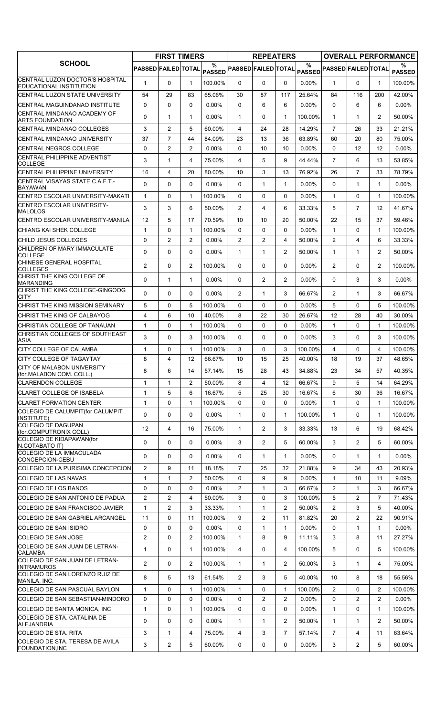|                                                                  |                                | <b>FIRST TIMERS</b> |                      |                    |                            | <b>REPEATERS</b> |                |                    |                                |                |                | <b>OVERALL PERFORMANCE</b> |
|------------------------------------------------------------------|--------------------------------|---------------------|----------------------|--------------------|----------------------------|------------------|----------------|--------------------|--------------------------------|----------------|----------------|----------------------------|
| <b>SCHOOL</b>                                                    | PASSED FAILED TOTAL            |                     |                      | %<br><b>PASSED</b> | <b>PASSED FAILED TOTAL</b> |                  |                | $\frac{0}{0}$      | PASSED PASSED FAILED TOTAL     |                |                | %<br><b>PASSED</b>         |
| CENTRAL LUZON DOCTOR'S HOSPITAL<br>EDUCATIONAL INSTITUTION       | $\mathbf{1}$                   | $\Omega$            | $\mathbf{1}$         | 100.00%            | $\Omega$                   | $\Omega$         | $\Omega$       | 0.00%              | $\mathbf{1}$                   | $\Omega$       | $\mathbf 1$    | 100.00%                    |
| CENTRAL LUZON STATE UNIVERSITY                                   | 54                             | 29                  | 83                   | 65.06%             | 30                         | 87               | 117            | 25.64%             | 84                             | 116            | 200            | 42.00%                     |
| CENTRAL MAGUINDANAO INSTITUTE                                    | $\mathbf{0}$                   | 0                   | $\Omega$             | $0.00\%$           | $\mathbf{0}$               | 6                | 6              | 0.00%              | $\Omega$                       | 6              | 6              | $0.00\%$                   |
| CENTRAL MINDANAO ACADEMY OF                                      | 0                              | $\mathbf{1}$        | $\mathbf{1}$         | $0.00\%$           | $\mathbf{1}$               | 0                | $\mathbf{1}$   | 100.00%            | $\mathbf{1}$                   | 1              | 2              | 50.00%                     |
| <b>ARTS FOUNDATION</b><br><b>CENTRAL MINDANAO COLLEGES</b>       | 3                              | $\overline{c}$      | 5                    | 60.00%             | 4                          | 24               | 28             | 14.29%             | $\overline{7}$                 | 26             | 33             | 21.21%                     |
| <b>CENTRAL MINDANAO UNIVERSITY</b>                               | 37                             | $\overline{7}$      | 44                   | 84.09%             | 23                         | 13               | 36             | 63.89%             | 60                             | 20             | 80             | 75.00%                     |
| CENTRAL NEGROS COLLEGE                                           | 0                              | $\overline{2}$      | 2                    | $0.00\%$           | $\Omega$                   | 10               | 10             | 0.00%              | $\Omega$                       | 12             | 12             | $0.00\%$                   |
| CENTRAL PHILIPPINE ADVENTIST<br><b>COLLEGE</b>                   | 3                              | $\mathbf{1}$        | 4                    | 75.00%             | 4                          | 5                | 9              | 44.44%             | $\overline{7}$                 | 6              | 13             | 53.85%                     |
| <b>CENTRAL PHILIPPINE UNIVERSITY</b>                             | 16                             | $\overline{4}$      | 20                   | 80.00%             | 10                         | 3                | 13             | 76.92%             | 26                             | $\overline{7}$ | 33             | 78.79%                     |
| CENTRAL VISAYAS STATE C.A.F.T.-                                  | $\Omega$                       | 0                   | $\mathbf{0}$         | 0.00%              | $\mathbf{0}$               | 1                | $\mathbf{1}$   | 0.00%              | $\Omega$                       | $\mathbf{1}$   | $\mathbf{1}$   | $0.00\%$                   |
| <b>BAYAWAN</b><br>CENTRO ESCOLAR UNIVERSITY-MAKATI               | 1                              | 0                   | $\mathbf{1}$         | 100.00%            | 0                          | 0                | 0              | $0.00\%$           | $\mathbf{1}$                   | 0              | 1              | 100.00%                    |
| <b>CENTRO ESCOLAR UNIVERSITY-</b>                                | 3                              | 3                   | 6                    | 50.00%             | 2                          | 4                | 6              | 33.33%             | 5                              | $\overline{7}$ | 12             | 41.67%                     |
| <b>MALOLOS</b>                                                   |                                |                     |                      |                    |                            |                  |                |                    |                                |                |                |                            |
| <b>CENTRO ESCOLAR UNIVERSITY-MANILA</b>                          | $12 \,$                        | 5                   | 17                   | 70.59%             | 10                         | 10               | 20             | 50.00%             | 22                             | 15             | 37             | 59.46%                     |
| CHIANG KAI SHEK COLLEGE<br>CHILD JESUS COLLEGES                  | $\mathbf{1}$                   | 0                   | $\mathbf{1}$<br>2    | 100.00%            | $\Omega$                   | 0                | $\Omega$       | 0.00%              | $\mathbf{1}$<br>$\overline{2}$ | $\Omega$       | $\mathbf{1}$   | 100.00%                    |
| CHILDREN OF MARY IMMACULATE                                      | 0                              | $\overline{c}$      |                      | 0.00%              | $\overline{2}$             | $\overline{2}$   | 4              | 50.00%             |                                | $\overline{4}$ | 6              | 33.33%                     |
| <b>COLLEGE</b>                                                   | $\Omega$                       | 0                   | 0                    | $0.00\%$           | $\mathbf{1}$               | $\mathbf{1}$     | $\overline{2}$ | 50.00%             | $\mathbf{1}$                   | $\mathbf 1$    | $\overline{2}$ | 50.00%                     |
| CHINESE GENERAL HOSPITAL<br><b>COLLEGES</b>                      | $\overline{2}$                 | 0                   | $\overline{2}$       | 100.00%            | 0                          | 0                | 0              | $0.00\%$           | $\overline{2}$                 | 0              | $\overline{2}$ | 100.00%                    |
| CHRIST THE KING COLLEGE OF<br><b>MARANDING</b>                   | 0                              | $\mathbf{1}$        | $\mathbf{1}$         | $0.00\%$           | $\mathbf{0}$               | $\overline{c}$   | $\overline{2}$ | 0.00%              | $\Omega$                       | 3              | 3              | $0.00\%$                   |
| CHRIST THE KING COLLEGE-GINGOOG<br><b>CITY</b>                   | $\Omega$                       | $\Omega$            | $\mathbf{0}$         | $0.00\%$           | 2                          | $\mathbf 1$      | 3              | 66.67%             | 2                              | $\mathbf{1}$   | 3              | 66.67%                     |
| CHRIST THE KING MISSION SEMINARY                                 | 5                              | 0                   | 5                    | 100.00%            | $\Omega$                   | 0                | $\Omega$       | $0.00\%$           | 5                              | $\Omega$       | 5              | 100.00%                    |
| CHRIST THE KING OF CALBAYOG                                      | $\overline{4}$                 | 6                   | 10                   | 40.00%             | 8                          | 22               | 30             | 26.67%             | 12                             | 28             | 40             | 30.00%                     |
| CHRISTIAN COLLEGE OF TANAUAN                                     | $\mathbf{1}$                   | 0                   | $\mathbf{1}$         | 100.00%            | 0                          | 0                | 0              | 0.00%              | $\mathbf{1}$                   | 0              | $\mathbf{1}$   | 100.00%                    |
| CHRISTIAN COLLEGES OF SOUTHEAST<br>ASIA                          | 3                              | 0                   | 3                    | 100.00%            | $\mathbf{0}$               | 0                | $\Omega$       | $0.00\%$           | 3                              | 0              | 3              | 100.00%                    |
| <b>CITY COLLEGE OF CALAMBA</b>                                   | $\mathbf{1}$                   | 0                   | $\mathbf{1}$         | 100.00%            | 3                          | $\Omega$         | 3              | 100.00%            | 4                              | $\Omega$       | 4              | 100.00%                    |
| CITY COLLEGE OF TAGAYTAY                                         | 8                              | $\overline{4}$      | 12                   | 66.67%             | 10                         | 15               | 25             | 40.00%             | 18                             | 19             | 37             | 48.65%                     |
| <b>CITY OF MALABON UNIVERSITY</b><br>(for.MALABON COM. COLL.)    | 8                              | 6                   | 14                   | 57.14%             | 15                         | 28               | 43             | 34.88%             | 23                             | 34             | 57             | 40.35%                     |
| <b>CLARENDON COLLEGE</b>                                         | $\mathbf{1}$                   | $\mathbf{1}$        | 2                    | 50.00%             | 8                          | $\overline{4}$   | 12             | 66.67%             | 9                              | 5              | 14             | 64.29%                     |
| CLARET COLLEGE OF ISABELA                                        | $\mathbf{1}$                   | 5                   | 6                    | 16.67%             | 5                          | 25               | 30             | 16.67%             | 6                              | 30             | 36             | 16.67%                     |
| <b>CLARET FORMATION CENTER</b>                                   | $\mathbf{1}$                   | 0                   | $\mathbf{1}$         | 100.00%            | $\Omega$                   | 0                | 0              | 0.00%              | $\mathbf{1}$                   | $\Omega$       | $\mathbf{1}$   | 100.00%                    |
| COLEGIO DE CALUMPIT(for.CALUMPIT<br>INSTITUTE)                   | 0                              | 0                   | $\mathbf 0$          | $0.00\%$           | 1                          | 0                | 1              | 100.00%            | $\mathbf{1}$                   | 0              | $\mathbf 1$    | 100.00%                    |
| COLEGIO DE DAGUPAN<br>(for.COMPUTRONIX COLL)                     | 12                             | 4                   | 16                   | 75.00%             | $\mathbf{1}$               | $\overline{2}$   | 3              | 33.33%             | 13                             | 6              | 19             | 68.42%                     |
| COLEGIO DE KIDAPAWAN(for<br>N.COTABATO IT)                       | 0                              | 0                   | 0                    | $0.00\%$           | 3                          | $\overline{2}$   | 5              | 60.00%             | 3                              | $\overline{2}$ | 5              | 60.00%                     |
| COLEGIO DE LA IMMACULADA                                         | 0                              | 0                   | 0                    | $0.00\%$           | $\mathbf{0}$               | 1                | $\mathbf{1}$   | $0.00\%$           | $\mathbf{0}$                   | $\mathbf 1$    | 1              | $0.00\%$                   |
| CONCEPCION-CEBU<br>COLEGIO DE LA PURISIMA CONCEPCION             |                                |                     |                      |                    | $\overline{7}$             |                  |                |                    | 9                              |                |                |                            |
| COLEGIO DE LAS NAVAS                                             | $\overline{2}$<br>$\mathbf{1}$ | 9<br>1              | 11<br>$\overline{2}$ | 18.18%<br>50.00%   | 0                          | 25<br>9          | 32<br>9        | 21.88%<br>$0.00\%$ | $\mathbf{1}$                   | 34<br>10       | 43<br>11       | 20.93%<br>$9.09\%$         |
| COLEGIO DE LOS BANOS                                             | $\mathbf 0$                    | 0                   | $\mathbf 0$          | $0.00\%$           | $\mathbf{2}^{\prime}$      | 1                | 3              | 66.67%             | $\overline{2}$                 | $\mathbf 1$    | 3              | 66.67%                     |
| COLEGIO DE SAN ANTONIO DE PADUA                                  | $\overline{2}$                 | $\overline{c}$      | $\overline{4}$       | 50.00%             | 3                          | 0                | 3              | 100.00%            | 5                              | $\overline{c}$ | $\overline{7}$ | 71.43%                     |
| COLEGIO DE SAN FRANCISCO JAVIER                                  | $\mathbf 1$                    | $\overline{c}$      | 3                    | 33.33%             | 1                          | 1                | 2              | 50.00%             | 2                              | 3              | 5              | 40.00%                     |
| COLEGIO DE SAN GABRIEL ARCANGEL                                  | 11                             | 0                   | 11                   | 100.00%            | 9                          | $\overline{2}$   | 11             | 81.82%             | 20                             | 2              | 22             | 90.91%                     |
| COLEGIO DE SAN ISIDRO                                            | $\mathbf 0$                    | 0                   | $\mathbf 0$          | $0.00\%$           | 0                          | 1                | $\mathbf{1}$   | 0.00%              | $\Omega$                       | $\mathbf{1}$   | $\mathbf{1}$   | $0.00\%$                   |
| COLEGIO DE SAN JOSE                                              | $\overline{2}$                 | 0                   | $\overline{2}$       | 100.00%            | 1                          | 8                | 9              | 11.11%             | 3                              | 8              | 11             | 27.27%                     |
| COLEGIO DE SAN JUAN DE LETRAN-                                   | $\mathbf{1}$                   | 0                   | $\mathbf{1}$         | 100.00%            | 4                          | 0                | 4              | 100.00%            | 5                              | 0              | 5              | 100.00%                    |
| <b>CALAMBA</b><br>COLEGIO DE SAN JUAN DE LETRAN-                 | $\mathbf{2}$                   | 0                   | $\overline{2}$       | 100.00%            | $\mathbf{1}$               | 1                | 2              | 50.00%             | 3                              | $\mathbf 1$    | 4              | 75.00%                     |
| <b>INTRAMUROS</b><br>COLEGIO DE SAN LORENZO RUIZ DE              | 8                              | 5                   | 13                   | 61.54%             | $\overline{2}$             | 3                | 5              | 40.00%             | 10                             | 8              | 18             | 55.56%                     |
| MANILA, INC.                                                     |                                |                     |                      |                    |                            |                  |                |                    |                                |                |                |                            |
| COLEGIO DE SAN PASCUAL BAYLON                                    | $\mathbf{1}$                   | 0                   | $\mathbf{1}$         | 100.00%            | 1                          | 0                | $\mathbf{1}$   | 100.00%            | $\overline{2}$                 | 0              | $\overline{2}$ | 100.00%                    |
| COLEGIO DE SAN SEBASTIAN-MINDORO<br>COLEGIO DE SANTA MONICA, INC | 0                              | 0                   | $\mathbf 0$          | $0.00\%$           | 0                          | $\overline{c}$   | $\overline{2}$ | 0.00%              | 0<br>$\mathbf{1}$              | $\overline{2}$ | $\overline{2}$ | $0.00\%$                   |
| COLEGIO DE STA. CATALINA DE                                      | $\mathbf{1}$                   | 0                   | $\mathbf{1}$         | 100.00%            | 0                          | 0                | 0              | $0.00\%$           |                                | 0              | 1              | 100.00%                    |
| <b>ALEJANDRIA</b>                                                | 0                              | 0                   | $\mathbf 0$          | 0.00%              | $\mathbf{1}$               | 1                | $\overline{2}$ | 50.00%             | $\mathbf{1}$                   | $\mathbf{1}$   | $\overline{2}$ | 50.00%                     |
| COLEGIO DE STA. RITA<br>COLEGIO DE STA. TERESA DE AVILA          | 3                              | $\mathbf{1}$        | 4                    | 75.00%             | 4                          | 3                | $\overline{7}$ | 57.14%             | $\overline{7}$                 | 4              | 11             | 63.64%                     |
| <b>FOUNDATION, INC</b>                                           | 3                              | $\overline{c}$      | 5                    | 60.00%             | 0                          | 0                | 0              | $0.00\%$           | 3                              | 2              | 5              | 60.00%                     |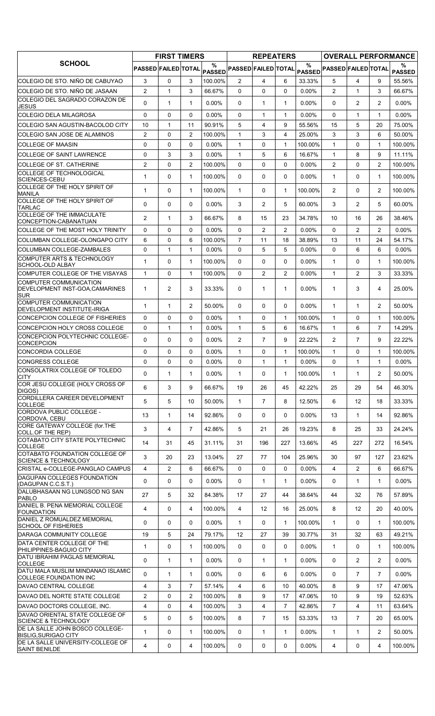|                                                                                                       |                            | <b>FIRST TIMERS</b> |                |                    |                            | <b>REPEATERS</b> |                |               |                            |                   |                | <b>OVERALL PERFORMANCE</b> |
|-------------------------------------------------------------------------------------------------------|----------------------------|---------------------|----------------|--------------------|----------------------------|------------------|----------------|---------------|----------------------------|-------------------|----------------|----------------------------|
| <b>SCHOOL</b>                                                                                         | <b>PASSED FAILED TOTAL</b> |                     |                | %<br><b>PASSED</b> | <b>PASSED FAILED TOTAL</b> |                  |                | $\frac{0}{0}$ | PASSED PASSED FAILED TOTAL |                   |                | %<br><b>PASSED</b>         |
| COLEGIO DE STO. NIÑO DE CABUYAO                                                                       | 3                          | 0                   | 3              | 100.00%            | $\overline{2}$             | 4                | 6              | 33.33%        | 5                          | 4                 | 9              | 55.56%                     |
| ICOLEGIO DE STO. NIÑO DE JASAAN                                                                       | $\overline{2}$             | $\mathbf{1}$        | 3              | 66.67%             | $\Omega$                   | 0                | $\Omega$       | 0.00%         | $\overline{2}$             | $\mathbf{1}$      | 3              | 66.67%                     |
| COLEGIO DEL SAGRADO CORAZON DE<br><b>JESUS</b>                                                        | $\Omega$                   | $\mathbf{1}$        | $\mathbf{1}$   | $0.00\%$           | $\mathbf{0}$               | 1                | $\mathbf{1}$   | 0.00%         | $\Omega$                   | $\overline{c}$    | $\overline{2}$ | 0.00%                      |
| <b>COLEGIO DELA MILAGROSA</b>                                                                         | 0                          | $\Omega$            | $\mathbf{0}$   | $0.00\%$           | $\Omega$                   | $\mathbf{1}$     | $\mathbf{1}$   | 0.00%         | $\Omega$                   | $\mathbf{1}$      | $\mathbf{1}$   | $0.00\%$                   |
| COLEGIO SAN AGUSTIN-BACOLOD CITY                                                                      | 10                         | $\mathbf{1}$        | 11             | 90.91%             | 5                          | 4                | 9              | 55.56%        | 15                         | 5                 | 20             | 75.00%                     |
| COLEGIO SAN JOSE DE ALAMINOS                                                                          | $\overline{2}$             | 0                   | $\overline{2}$ | 100.00%            | $\mathbf{1}$               | 3                | 4              | 25.00%        | 3                          | 3                 | 6              | 50.00%                     |
| <b>COLLEGE OF MAASIN</b>                                                                              | 0                          | 0                   | $\mathbf{0}$   | $0.00\%$           | 1                          | 0                | $\mathbf{1}$   | 100.00%       | $\mathbf{1}$               | 0                 | 1              | 100.00%                    |
| <b>COLLEGE OF SAINT LAWRENCE</b>                                                                      | 0                          | 3                   | 3              | $0.00\%$           | $\mathbf{1}$               | 5                | 6              | 16.67%        | $\mathbf{1}$               | 8                 | 9              | 11.11%                     |
| COLLEGE OF ST. CATHERINE                                                                              | $\overline{2}$             | 0                   | 2              | 100.00%            | $\mathbf{0}$               | 0                | $\Omega$       | 0.00%         | $\overline{2}$             | $\Omega$          | $\overline{2}$ | 100.00%                    |
| <b>COLLEGE OF TECHNOLOGICAL</b><br>SCIENCES-CEBU<br>COLLEGE OF THE HOLY SPIRIT OF                     | 1                          | 0                   | $\mathbf{1}$   | 100.00%            | $\mathbf{0}$               | 0                | 0              | $0.00\%$      | $\mathbf{1}$               | $\Omega$          | $\mathbf 1$    | 100.00%                    |
| <b>MANILA</b>                                                                                         | $\mathbf{1}$               | 0                   | $\mathbf{1}$   | 100.00%            | $\mathbf{1}$               | 0                | $\mathbf{1}$   | 100.00%       | $\overline{2}$             | $\Omega$          | $\overline{2}$ | 100.00%                    |
| COLLEGE OF THE HOLY SPIRIT OF<br><b>TARLAC</b>                                                        | $\Omega$                   | $\Omega$            | $\mathbf{0}$   | $0.00\%$           | 3                          | 2                | 5              | 60.00%        | 3                          | $\overline{2}$    | 5              | 60.00%                     |
| COLLEGE OF THE IMMACULATE<br>CONCEPTION-CABANATUAN                                                    | 2                          | $\mathbf{1}$        | 3              | 66.67%             | 8                          | 15               | 23             | 34.78%        | 10                         | 16                | 26             | 38.46%                     |
| COLLEGE OF THE MOST HOLY TRINITY                                                                      | 0                          | $\Omega$            | $\mathbf{0}$   | $0.00\%$           | $\Omega$                   | $\overline{2}$   | $\overline{2}$ | $0.00\%$      | $\Omega$                   | $\overline{c}$    | $\overline{2}$ | $0.00\%$                   |
| COLUMBAN COLLEGE-OLONGAPO CITY                                                                        | 6                          | 0                   | 6              | 100.00%            | $\overline{7}$             | 11               | 18             | 38.89%        | 13                         | 11                | 24             | 54.17%                     |
| <b>COLUMBAN COLLEGE-ZAMBALES</b><br><b>COMPUTER ARTS &amp; TECHNOLOGY</b>                             | 0                          | $\mathbf{1}$        | $\mathbf{1}$   | $0.00\%$           | 0                          | 5                | 5              | $0.00\%$      | $\Omega$                   | 6                 | 6              | $0.00\%$                   |
| SCHOOL-OLD ALBAY                                                                                      | $\mathbf{1}$               | 0                   | $\mathbf{1}$   | 100.00%            | $\Omega$                   | 0                | 0              | 0.00%         | $\mathbf{1}$               | $\Omega$          | 1              | 100.00%                    |
| COMPUTER COLLEGE OF THE VISAYAS<br>COMPUTER COMMUNICATION                                             | $\mathbf{1}$               | 0                   | $\mathbf{1}$   | 100.00%            | $\Omega$                   | 2                | $\overline{2}$ | $0.00\%$      | $\mathbf{1}$               | $\overline{c}$    | 3              | 33.33%                     |
| DEVELOPMENT INST-GOA, CAMARINES<br><b>SUR</b>                                                         | $\mathbf{1}$               | $\overline{c}$      | 3              | 33.33%             | $\mathbf{0}$               | 1                | $\mathbf{1}$   | $0.00\%$      | $\mathbf{1}$               | 3                 | 4              | 25.00%                     |
| COMPUTER COMMUNICATION<br>DEVELOPMENT INSTITUTE-IRIGA                                                 | $\mathbf{1}$               | $\mathbf{1}$        | 2              | 50.00%             | $\Omega$                   | 0                | $\Omega$       | 0.00%         | $\mathbf{1}$               | 1                 | $\overline{2}$ | 50.00%                     |
| CONCEPCION COLLEGE OF FISHERIES                                                                       | 0                          | 0                   | $\mathbf{0}$   | $0.00\%$           | $\mathbf{1}$               | 0                | $\mathbf{1}$   | 100.00%       | $\mathbf{1}$               | 0                 | $\mathbf{1}$   | 100.00%                    |
| CONCEPCION HOLY CROSS COLLEGE                                                                         | $\mathbf 0$                | $\mathbf{1}$        | $\mathbf{1}$   | $0.00\%$           | $\mathbf{1}$               | 5                | 6              | 16.67%        | $\mathbf{1}$               | 6                 | $\overline{7}$ | 14.29%                     |
| CONCEPCION POLYTECHNIC COLLEGE-<br><b>CONCEPCION</b>                                                  | $\Omega$                   | 0                   | $\mathbf{0}$   | 0.00%              | $\overline{2}$             | $\overline{7}$   | 9              | 22.22%        | 2                          | $\overline{7}$    | 9              | 22.22%                     |
| <b>CONCORDIA COLLEGE</b>                                                                              | 0                          | 0                   | $\mathbf 0$    | 0.00%              | $\mathbf{1}$               | 0                | $\mathbf{1}$   | 100.00%       | $\mathbf{1}$               | $\Omega$          | $\mathbf{1}$   | 100.00%                    |
| <b>CONGRESS COLLEGE</b>                                                                               | 0                          | 0                   | $\Omega$       | 0.00%              | 0                          | $\mathbf{1}$     | $\mathbf{1}$   | $0.00\%$      | $\Omega$                   | $\mathbf{1}$      | $\mathbf{1}$   | $0.00\%$                   |
| CONSOLATRIX COLLEGE OF TOLEDO<br><b>CITY</b>                                                          | 0                          | $\mathbf{1}$        | $\mathbf{1}$   | 0.00%              | $\mathbf{1}$               | 0                | $\mathbf{1}$   | 100.00%       | $\mathbf{1}$               | 1                 | $\overline{2}$ | 50.00%                     |
| COR JESU COLLEGE (HOLY CROSS OF<br>DIGOS)                                                             | 6                          | 3                   | 9              | 66.67%             | 19                         | 26               | 45             | 42.22%        | 25                         | 29                | 54             | 46.30%                     |
| CORDILLERA CAREER DEVELOPMENT<br><b>COLLEGE</b>                                                       | 5                          | 5                   | 10             | 50.00%             | $\mathbf{1}$               | $\overline{7}$   | 8              | 12.50%        | 6                          | $12 \overline{ }$ | 18             | 33.33%                     |
| CORDOVA PUBLIC COLLEGE -<br>CORDOVA, CEBU                                                             | 13                         | $\mathbf{1}$        | 14             | 92.86%             | 0                          | 0                | 0              | $0.00\%$      | 13                         | $\mathbf{1}$      | 14             | 92.86%                     |
| CORE GATEWAY COLLEGE (for.THE<br>COLL.OF THE REP)                                                     | 3                          | $\overline{4}$      | $\overline{7}$ | 42.86%             | 5                          | 21               | 26             | 19.23%        | 8                          | 25                | 33             | 24.24%                     |
| COTABATO CITY STATE POLYTECHNIC<br><b>COLLEGE</b>                                                     | 14                         | 31                  | 45             | 31.11%             | 31                         | 196              | 227            | 13.66%        | 45                         | 227               | 272            | 16.54%                     |
| COTABATO FOUNDATION COLLEGE OF<br><b>SCIENCE &amp; TECHNOLOGY</b>                                     | 3                          | 20                  | 23             | 13.04%             | 27                         | 77               | 104            | 25.96%        | 30                         | 97                | 127            | 23.62%                     |
| CRISTAL e-COLLEGE-PANGLAO CAMPUS                                                                      | 4                          | $\overline{2}$      | 6              | 66.67%             | 0                          | 0                | 0              | 0.00%         | $\overline{4}$             | $\overline{2}$    | 6              | 66.67%                     |
| DAGUPAN COLLEGES FOUNDATION<br>(DAGUPAN C.C.S.T.)                                                     | $\mathbf 0$                | 0                   | $\mathbf{0}$   | $0.00\%$           | $\mathbf{0}$               | $\mathbf{1}$     | $\mathbf{1}$   | $0.00\%$      | $\Omega$                   | 1                 | $\mathbf{1}$   | $0.00\%$                   |
| DALUBHASAAN NG LUNGSOD NG SAN<br><b>PABLO</b>                                                         | 27                         | 5                   | 32             | 84.38%             | 17                         | 27               | 44             | 38.64%        | 44                         | 32                | 76             | 57.89%                     |
| DANIEL B. PENA MEMORIAL COLLEGE<br><b>FOUNDATION</b>                                                  | 4                          | 0                   | $\overline{4}$ | 100.00%            | 4                          | 12               | 16             | 25.00%        | 8                          | 12                | 20             | 40.00%                     |
| DANIEL Z ROMUALDEZ MEMORIAL<br><b>SCHOOL OF FISHERIES</b>                                             | 0                          | 0                   | $\mathbf 0$    | $0.00\%$           | $\mathbf{1}$               | 0                | $\mathbf{1}$   | 100.00%       | $\mathbf{1}$               | 0                 | $\mathbf 1$    | 100.00%                    |
| DARAGA COMMUNITY COLLEGE                                                                              | 19                         | 5                   | 24             | 79.17%             | 12                         | 27               | 39             | 30.77%        | 31                         | 32                | 63             | 49.21%                     |
| DATA CENTER COLLEGE OF THE<br><b>PHILIPPINES-BAGUIO CITY</b>                                          | $\mathbf{1}$               | 0                   | 1              | 100.00%            | 0                          | 0                | 0              | 0.00%         | $\mathbf{1}$               | 0                 | 1              | 100.00%                    |
| DATU IBRAHIM PAGLAS MEMORIAL<br><b>COLLEGE</b>                                                        | 0                          | $\mathbf{1}$        | $\mathbf{1}$   | $0.00\%$           | 0                          | 1                | $\mathbf{1}$   | 0.00%         | $\Omega$                   | $\overline{2}$    | $\overline{2}$ | $0.00\%$                   |
| DATU MALA MUSLIM MINDANAO ISLAMIC<br><b>COLLEGE FOUNDATION INC</b>                                    | 0                          | $\mathbf{1}$        | $\mathbf{1}$   | 0.00%              | 0                          | 6                | 6              | 0.00%         | $\Omega$                   | $\overline{7}$    | $\overline{7}$ | $0.00\%$                   |
| DAVAO CENTRAL COLLEGE                                                                                 | $\overline{4}$             | 3                   | $\overline{7}$ | 57.14%             | 4                          | 6                | 10             | 40.00%        | 8                          | 9                 | 17             | 47.06%                     |
| DAVAO DEL NORTE STATE COLLEGE                                                                         | $\overline{2}$             | 0                   | 2              | 100.00%            | 8                          | 9                | 17             | 47.06%        | 10                         | 9                 | 19             | 52.63%                     |
| DAVAO DOCTORS COLLEGE, INC.                                                                           | 4                          | 0                   | 4              | 100.00%            | 3                          | 4                | 7              | 42.86%        | $\overline{7}$             | 4                 | 11             | 63.64%                     |
| DAVAO ORIENTAL STATE COLLEGE OF<br><b>SCIENCE &amp; TECHNOLOGY</b><br>DE LA SALLE JOHN BOSCO COLLEGE- | 5                          | $\Omega$            | 5              | 100.00%            | 8                          | $\overline{7}$   | 15             | 53.33%        | 13                         | $\overline{7}$    | 20             | 65.00%                     |
| <b>BISLIG, SURIGAO CITY</b>                                                                           | 1                          | 0                   | 1              | 100.00%            | 0                          | 1                | $\mathbf{1}$   | 0.00%         | $\mathbf{1}$               | 1                 | $\overline{2}$ | 50.00%                     |
| DE LA SALLE UNIVERSITY-COLLEGE OF<br><b>SAINT BENILDE</b>                                             | 4                          | 0                   | $\overline{4}$ | 100.00%            | 0                          | 0                | 0              | 0.00%         | 4                          | 0                 | 4              | 100.00%                    |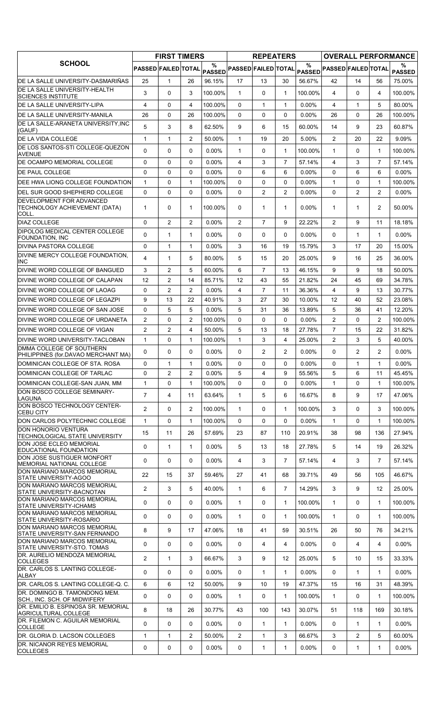|                                                                       |                     | <b>FIRST TIMERS</b> |                |                    |                            | <b>REPEATERS</b> |                |                  |                            |                |                | <b>OVERALL PERFORMANCE</b> |
|-----------------------------------------------------------------------|---------------------|---------------------|----------------|--------------------|----------------------------|------------------|----------------|------------------|----------------------------|----------------|----------------|----------------------------|
| <b>SCHOOL</b>                                                         | PASSED FAILED TOTAL |                     |                | %<br><b>PASSED</b> | <b>PASSED FAILED TOTAL</b> |                  |                | $\frac{0}{0}$    | PASSED PASSED FAILED TOTAL |                |                | %<br><b>PASSED</b>         |
| DE LA SALLE UNIVERSITY-DASMARIÑAS                                     | 25                  | $\mathbf{1}$        | 26             | 96.15%             | 17                         | 13               | 30             | 56.67%           | 42                         | 14             | 56             | 75.00%                     |
| DE LA SALLE UNIVERSITY-HEALTH<br>SCIENCES INSTITUTE                   | 3                   | 0                   | 3              | 100.00%            | $\mathbf{1}$               | $\mathbf{0}$     | $\mathbf{1}$   | 100.00%          | 4                          | $\Omega$       | 4              | 100.00%                    |
| IDE LA SALLE UNIVERSITY-LIPA                                          | 4                   | 0                   | 4              | 100.00%            | $\mathbf{0}$               | $\mathbf{1}$     | $\mathbf{1}$   | $0.00\%$         | 4                          | $\mathbf 1$    | 5              | 80.00%                     |
| DE LA SALLE UNIVERSITY-MANILA                                         | 26                  | 0                   | 26             | 100.00%            | $\Omega$                   | 0                | $\Omega$       | $0.00\%$         | 26                         | $\Omega$       | 26             | 100.00%                    |
| DE LA SALLE-ARANETA UNIVERSITY, INC                                   | 5                   | 3                   | 8              | 62.50%             | 9                          | 6                | 15             | 60.00%           | 14                         | 9              | 23             | 60.87%                     |
| (GAUF)<br><b>DE LA VIDA COLLEGE</b>                                   | $\mathbf{1}$        | $\mathbf{1}$        | 2              | 50.00%             | $\mathbf{1}$               | 19               | 20             | 5.00%            | $\overline{2}$             | 20             | 22             | 9.09%                      |
| DE LOS SANTOS-STI COLLEGE-QUEZON                                      |                     |                     |                |                    |                            |                  |                |                  |                            |                |                |                            |
| <b>AVENUE</b>                                                         | $\Omega$            | 0                   | $\mathbf{0}$   | $0.00\%$           | $\mathbf{1}$               | 0                | $\mathbf{1}$   | 100.00%          | $\mathbf{1}$               | 0              | $\mathbf 1$    | 100.00%                    |
| DE OCAMPO MEMORIAL COLLEGE                                            | 0                   | 0                   | $\Omega$       | $0.00\%$           | 4                          | 3                | 7              | 57.14%           | 4                          | 3              | 7              | 57.14%                     |
| <b>DE PAUL COLLEGE</b>                                                | $\Omega$            | 0                   | $\mathbf{0}$   | $0.00\%$           | $\Omega$                   | 6                | 6              | 0.00%            | $\Omega$                   | 6              | 6              | $0.00\%$                   |
| DEE HWA LIONG COLLEGE FOUNDATION                                      | $\mathbf{1}$        | 0                   | $\mathbf{1}$   | 100.00%            | $\Omega$                   | 0                | 0              | 0.00%            | $\mathbf{1}$               | $\Omega$       | $\mathbf{1}$   | 100.00%                    |
| DEL SUR GOOD SHEPHERD COLLEGE                                         | 0                   | 0                   | $\Omega$       | $0.00\%$           | $\mathbf{0}$               | $\overline{c}$   | $\overline{2}$ | $0.00\%$         | $\Omega$                   | $\overline{c}$ | 2              | $0.00\%$                   |
| DEVELOPMENT FOR ADVANCED<br>TECHNOLOGY ACHIEVEMENT (DATA)<br>COLL.    | $\mathbf{1}$        | 0                   | $\mathbf{1}$   | 100.00%            | 0                          | $\mathbf{1}$     | $\mathbf{1}$   | $0.00\%$         | $\mathbf{1}$               | 1              | $\overline{2}$ | 50.00%                     |
| <b>DIAZ COLLEGE</b>                                                   | $\Omega$            | $\overline{c}$      | $\overline{2}$ | 0.00%              | 2                          | $\overline{7}$   | 9              | 22.22%           | 2                          | 9              | 11             | 18.18%                     |
| <b>DIPOLOG MEDICAL CENTER COLLEGE</b><br><b>FOUNDATION, INC</b>       | $\Omega$            | $\mathbf{1}$        | $\mathbf{1}$   | $0.00\%$           | 0                          | 0                | 0              | 0.00%            | 0                          | $\mathbf{1}$   | $\mathbf{1}$   | $0.00\%$                   |
| <b>DIVINA PASTORA COLLEGE</b>                                         | $\Omega$            | $\mathbf{1}$        | $\mathbf{1}$   | $0.00\%$           | 3                          | 16               | 19             | 15.79%           | 3                          | 17             | 20             | 15.00%                     |
| DIVINE MERCY COLLEGE FOUNDATION.                                      | 4                   | $\mathbf{1}$        | 5              | 80.00%             | 5                          | 15               | 20             | 25.00%           | 9                          | 16             | 25             | 36.00%                     |
| <b>INC</b>                                                            |                     |                     |                |                    |                            |                  |                |                  |                            |                |                |                            |
| DIVINE WORD COLLEGE OF BANGUED                                        | 3                   | $\overline{c}$      | 5              | 60.00%             | 6                          | $\overline{7}$   | 13             | 46.15%           | 9                          | 9              | 18             | 50.00%                     |
| DIVINE WORD COLLEGE OF CALAPAN                                        | 12                  | $\overline{c}$      | 14             | 85.71%             | 12                         | 43               | 55             | 21.82%           | 24                         | 45             | 69             | 34.78%                     |
| DIVINE WORD COLLEGE OF LAOAG<br><b>DIVINE WORD COLLEGE OF LEGAZPI</b> | 0                   | $\overline{c}$      | 2              | $0.00\%$           | 4                          | 7                | 11             | 36.36%           | 4                          | 9              | 13             | 30.77%                     |
| <b>IDIVINE WORD COLLEGE OF SAN JOSE</b>                               | 9<br>$\Omega$       | 13<br>5             | 22<br>5        | 40.91%<br>$0.00\%$ | 3<br>5                     | 27<br>31         | 30<br>36       | 10.00%<br>13.89% | 12<br>5                    | 40<br>36       | 52<br>41       | 23.08%<br>12.20%           |
| DIVINE WORD COLLEGE OF URDANETA                                       | $\overline{2}$      | 0                   | $\overline{2}$ | 100.00%            | $\Omega$                   | 0                | 0              | $0.00\%$         | 2                          | 0              | $\overline{2}$ | 100.00%                    |
| <b>IDIVINE WORD COLLEGE OF VIGAN</b>                                  | $\overline{2}$      | $\overline{c}$      | 4              | 50.00%             | 5                          | 13               | 18             | 27.78%           | $\overline{7}$             | 15             | 22             | 31.82%                     |
| DIVINE WORD UNIVERSITY-TACLOBAN                                       | $\mathbf{1}$        | 0                   | $\mathbf{1}$   | 100.00%            | $\mathbf{1}$               | 3                | 4              | 25.00%           | $\overline{2}$             | 3              | 5              | 40.00%                     |
| <b>DMMA COLLEGE OF SOUTHERN</b>                                       |                     |                     |                |                    |                            |                  |                |                  |                            |                |                |                            |
| PHILIPPINES (for.DAVAO MERCHANT MA)                                   | 0                   | 0                   | $\Omega$       | 0.00%              | $\mathbf{0}$               | $\overline{2}$   | $\overline{2}$ | 0.00%            | 0                          | $\overline{2}$ | $\overline{2}$ | 0.00%                      |
| DOMINICAN COLLEGE OF STA. ROSA                                        | $\Omega$            | $\mathbf{1}$        | 1              | $0.00\%$           | $\Omega$                   | 0                | 0              | $0.00\%$         | $\Omega$                   | 1              | $\mathbf 1$    | $0.00\%$                   |
| DOMINICAN COLLEGE OF TARLAC                                           | 0                   | $\overline{c}$      | $\overline{2}$ | $0.00\%$           | 5                          | 4                | 9              | 55.56%           | 5                          | 6              | 11             | 45.45%                     |
| DOMINICAN COLLEGE-SAN JUAN, MM                                        | $\mathbf{1}$        | 0                   | $\mathbf{1}$   | 100.00%            | $\Omega$                   | 0                | $\Omega$       | $0.00\%$         | $\mathbf{1}$               | $\Omega$       | $\mathbf{1}$   | 100.00%                    |
| DON BOSCO COLLEGE SEMINARY-<br><b>LAGUNA</b>                          | $\overline{7}$      | $\overline{4}$      | 11             | 63.64%             | $\mathbf{1}$               | 5                | 6              | 16.67%           | 8                          | 9              | 17             | 47.06%                     |
| DON BOSCO TECHNOLOGY CENTER-<br><b>CEBU CITY</b>                      | 2                   | 0                   | $\overline{2}$ | 100.00%            | $\mathbf{1}$               | 0                | $\mathbf{1}$   | 100.00%          | 3                          | 0              | 3              | 100.00%                    |
| DON CARLOS POLYTECHNIC COLLEGE                                        | $\mathbf{1}$        | 0                   | $\mathbf{1}$   | 100.00%            | $\Omega$                   | 0                | 0              | 0.00%            | $\mathbf{1}$               | 0              | $\mathbf{1}$   | 100.00%                    |
| <b>DON HONORIO VENTURA</b>                                            | 15                  | 11                  | 26             | 57.69%             | 23                         | 87               | 110            | 20.91%           | 38                         | 98             | 136            | 27.94%                     |
| TECHNOLOGICAL STATE UNIVERSITY<br>DON JOSE ECLEO MEMORIAL             |                     |                     |                |                    |                            |                  |                |                  |                            |                |                |                            |
| EDUCATIONAL FOUNDATION                                                | 0                   | $\mathbf{1}$        | $\mathbf{1}$   | $0.00\%$           | 5                          | 13               | 18             | 27.78%           | 5                          | 14             | 19             | 26.32%                     |
| DON JOSE SUSTIGUER MONFORT<br>MEMORIAL NATIONAL COLLEGE               | 0                   | 0                   | 0              | $0.00\%$           | 4                          | 3                | $\overline{7}$ | 57.14%           | 4                          | 3              | $\overline{7}$ | 57.14%                     |
| DON MARIANO MARCOS MEMORIAL<br><b>STATE UNIVERSITY-AGOO</b>           | 22                  | 15                  | 37             | 59.46%             | 27                         | 41               | 68             | 39.71%           | 49                         | 56             | 105            | 46.67%                     |
| DON MARIANO MARCOS MEMORIAL<br><b>STATE UNIVERSITY-BACNOTAN</b>       | $\overline{2}$      | 3                   | 5              | 40.00%             | $\mathbf{1}$               | 6                | $\overline{7}$ | 14.29%           | 3                          | 9              | 12             | 25.00%                     |
| DON MARIANO MARCOS MEMORIAL<br><b>STATE UNIVERSITY-ICHAMS</b>         | 0                   | 0                   | 0              | $0.00\%$           | $\mathbf{1}$               | 0                | $\mathbf{1}$   | 100.00%          | $\mathbf{1}$               | 0              | $\mathbf{1}$   | 100.00%                    |
| DON MARIANO MARCOS MEMORIAL<br>STATE UNIVERSITY-ROSARIO               | 0                   | 0                   | $\mathbf 0$    | 0.00%              | $\mathbf{1}$               | 0                | $\mathbf{1}$   | 100.00%          | $\mathbf{1}$               | 0              | $\mathbf{1}$   | 100.00%                    |
| DON MARIANO MARCOS MEMORIAL<br>STATE UNIVERSITY-SAN FERNANDO          | 8                   | 9                   | 17             | 47.06%             | 18                         | 41               | 59             | 30.51%           | 26                         | 50             | 76             | 34.21%                     |
| DON MARIANO MARCOS MEMORIAL<br>STATE UNIVERSITY-STO. TOMAS            | 0                   | 0                   | 0              | 0.00%              | 0                          | 4                | 4              | 0.00%            | 0                          | 4              | 4              | $0.00\%$                   |
| DR. AURELIO MENDOZA MEMORIAL<br><b>COLLEGES</b>                       | 2                   | $\mathbf{1}$        | 3              | 66.67%             | 3                          | 9                | 12             | 25.00%           | 5                          | 10             | 15             | 33.33%                     |
| DR. CARLOS S. LANTING COLLEGE-                                        | 0                   | 0                   | $\mathbf 0$    | $0.00\%$           | 0                          | 1                | $\mathbf{1}$   | 0.00%            | 0                          | 1              | $\mathbf 1$    | $0.00\%$                   |
| ALBAY<br>DR. CARLOS S. LANTING COLLEGE-Q. C.                          | 6                   | 6                   | 12             | 50.00%             | 9                          | 10               | 19             | 47.37%           | 15                         | 16             | 31             | 48.39%                     |
| DR. DOMINGO B. TAMONDONG MEM.                                         |                     |                     |                |                    |                            |                  |                |                  |                            |                |                |                            |
| SCH., INC. SCH. OF MIDWIFERY<br>DR. EMILIO B. ESPINOSA SR. MEMORIAL   | $\mathbf 0$         | 0                   | 0              | $0.00\%$           | $\mathbf{1}$               | 0                | $\mathbf{1}$   | 100.00%          | $\mathbf{1}$               | 0              | $\mathbf{1}$   | 100.00%                    |
| <b>AGRICULTURAL COLLEGE</b><br>DR. FILEMON C. AGUILAR MEMORIAL        | 8                   | 18                  | 26             | 30.77%             | 43                         | 100              | 143            | 30.07%           | 51                         | 118            | 169            | 30.18%                     |
| <b>COLLEGE</b>                                                        | 0                   | 0                   | $\mathbf 0$    | $0.00\%$           | 0                          | 1                | $\mathbf{1}$   | $0.00\%$         | 0                          | 1              | $\mathbf 1$    | $0.00\%$                   |
| DR. GLORIA D. LACSON COLLEGES                                         | $\mathbf{1}$        | 1                   | $\overline{2}$ | 50.00%             | 2                          | 1                | 3              | 66.67%           | 3                          | 2              | 5              | 60.00%                     |
| DR. NICANOR REYES MEMORIAL<br><b>COLLEGES</b>                         | 0                   | 0                   | 0              | $0.00\%$           | 0                          | 1                | $\mathbf{1}$   | 0.00%            | 0                          | $\mathbf{1}$   | $\mathbf{1}$   | $0.00\%$                   |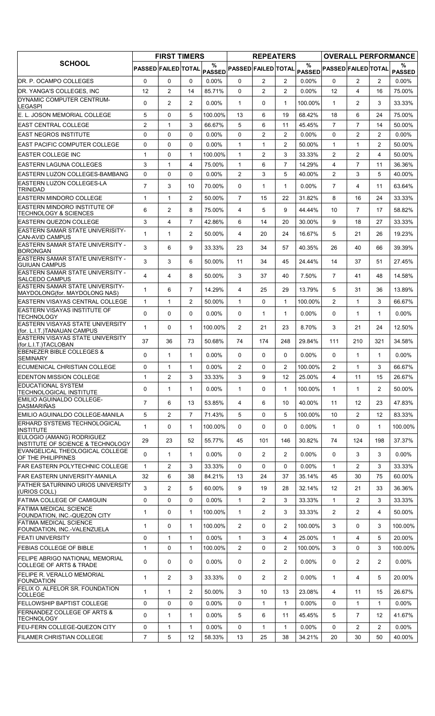| <b>SCHOOL</b>                                                           |                     | <b>FIRST TIMERS</b> |                |                |                            | <b>REPEATERS</b> |                |          |                            |                |                       | <b>OVERALL PERFORMANCE</b> |
|-------------------------------------------------------------------------|---------------------|---------------------|----------------|----------------|----------------------------|------------------|----------------|----------|----------------------------|----------------|-----------------------|----------------------------|
|                                                                         | PASSED FAILED TOTAL |                     |                | $\%$<br>PASSED | <b>PASSED FAILED TOTAL</b> |                  |                | $\%$     | PASSED PASSED FAILED TOTAL |                |                       | ℅<br><b>PASSED</b>         |
| DR. P. OCAMPO COLLEGES                                                  | $\Omega$            | $\Omega$            | $\Omega$       | $0.00\%$       | 0                          | $\overline{2}$   | $\overline{2}$ | $0.00\%$ | $\Omega$                   | $\overline{2}$ | $\overline{2}$        | $0.00\%$                   |
| DR. YANGA'S COLLEGES. INC                                               | 12                  | $\overline{2}$      | 14             | 85.71%         | $\Omega$                   | $\overline{2}$   | $\overline{2}$ | 0.00%    | 12                         | 4              | 16                    | 75.00%                     |
| DYNAMIC COMPUTER CENTRUM-<br><b>LEGASPI</b>                             | 0                   | $\overline{2}$      | $\overline{2}$ | $0.00\%$       | $\mathbf{1}$               | 0                | $\mathbf{1}$   | 100.00%  | $\mathbf 1$                | $\overline{2}$ | 3                     | 33.33%                     |
| E. L. JOSON MEMORIAL COLLEGE                                            | 5                   | 0                   | 5              | 100.00%        | 13                         | 6                | 19             | 68.42%   | 18                         | 6              | 24                    | 75.00%                     |
| <b>EAST CENTRAL COLLEGE</b>                                             | $\overline{2}$      | $\mathbf{1}$        | 3              | 66.67%         | 5                          | 6                | 11             | 45.45%   | $\overline{7}$             | $\overline{7}$ | 14                    | 50.00%                     |
| <b>EAST NEGROS INSTITUTE</b>                                            | 0                   | 0                   | 0              | $0.00\%$       | $\Omega$                   | $\overline{2}$   | $\overline{2}$ | 0.00%    | $\Omega$                   | $\overline{2}$ | $\overline{2}$        | 0.00%                      |
| <b>EAST PACIFIC COMPUTER COLLEGE</b>                                    | 0                   | $\mathbf 0$         | $\Omega$       | $0.00\%$       | $\mathbf{1}$               | $\mathbf{1}$     | $\overline{2}$ | 50.00%   | $\mathbf{1}$               | $\mathbf{1}$   | $\overline{2}$        | 50.00%                     |
| <b>EASTER COLLEGE INC</b>                                               | 1                   | 0                   | 1              | 100.00%        | 1                          | 2                | 3              | 33.33%   | 2                          | $\overline{2}$ | 4                     | 50.00%                     |
| <b>EASTERN LAGUNA COLLEGES</b>                                          | 3                   | $\mathbf{1}$        | 4              | 75.00%         | $\mathbf{1}$               | 6                | $\overline{7}$ | 14.29%   | 4                          | $\overline{7}$ | 11                    | 36.36%                     |
| EASTERN LUZON COLLEGES-BAMBANG<br>EASTERN LUZON COLLEGES-LA             | 0                   | $\mathbf 0$         | $\Omega$       | $0.00\%$       | $\overline{2}$             | 3                | 5              | 40.00%   | $\overline{2}$             | 3              | 5                     | 40.00%                     |
| <b>TRINIDAD</b>                                                         | $\overline{7}$      | 3                   | 10             | 70.00%         | 0                          | $\mathbf{1}$     | $\mathbf{1}$   | $0.00\%$ | $\overline{7}$             | 4              | 11                    | 63.64%                     |
| <b>EASTERN MINDORO COLLEGE</b>                                          | 1                   | $\mathbf{1}$        | $\overline{2}$ | 50.00%         | $\overline{7}$             | 15               | 22             | 31.82%   | 8                          | 16             | 24                    | 33.33%                     |
| EASTERN MINDORO INSTITUTE OF<br><b>TECHNOLOGY &amp; SCIENCES</b>        | 6                   | $\overline{2}$      | 8              | 75.00%         | 4                          | 5                | 9              | 44.44%   | 10                         | $\overline{7}$ | 17                    | 58.82%                     |
| <b>EASTERN QUEZON COLLEGE</b>                                           | 3                   | $\overline{4}$      | $\overline{7}$ | 42.86%         | 6                          | 14               | 20             | 30.00%   | 9                          | 18             | 27                    | 33.33%                     |
| <b>EASTERN SAMAR STATE UNIVERISITY-</b><br><b>CAN-AVID CAMPUS</b>       | 1                   | $\mathbf{1}$        | $\overline{2}$ | 50.00%         | 4                          | 20               | 24             | 16.67%   | 5                          | 21             | 26                    | 19.23%                     |
| <b>EASTERN SAMAR STATE UNIVERSITY -</b><br><b>BORONGAN</b>              | 3                   | 6                   | 9              | 33.33%         | 23                         | 34               | 57             | 40.35%   | 26                         | 40             | 66                    | 39.39%                     |
| <b>EASTERN SAMAR STATE UNIVERSITY -</b><br><b>GUIUAN CAMPUS</b>         | 3                   | 3                   | 6              | 50.00%         | 11                         | 34               | 45             | 24.44%   | 14                         | 37             | 51                    | 27.45%                     |
| <b>EASTERN SAMAR STATE UNIVERSITY -</b><br><b>SALCEDO CAMPUS</b>        | 4                   | 4                   | 8              | 50.00%         | 3                          | 37               | 40             | 7.50%    | $\overline{7}$             | 41             | 48                    | 14.58%                     |
| <b>EASTERN SAMAR STATE UNIVERSITY-</b><br>MAYDOLONG(for. MAYDOLONG NAS) | 1                   | 6                   | $\overline{7}$ | 14.29%         | 4                          | 25               | 29             | 13.79%   | 5                          | 31             | 36                    | 13.89%                     |
| <b>EASTERN VISAYAS CENTRAL COLLEGE</b>                                  | 1                   | $\mathbf{1}$        | $\mathbf{2}$   | 50.00%         | $\mathbf{1}$               | 0                | $\mathbf{1}$   | 100.00%  | $\overline{2}$             | $\mathbf{1}$   | 3                     | 66.67%                     |
| EASTERN VISAYAS INSTITUTE OF<br><b>TECHNOLOGY</b>                       | 0                   | 0                   | $\Omega$       | $0.00\%$       | $\Omega$                   | $\mathbf{1}$     | $\mathbf{1}$   | 0.00%    | $\Omega$                   | $\mathbf{1}$   | $\mathbf{1}$          | 0.00%                      |
| EASTERN VISAYAS STATE UNIVERSITY<br>(for. L.I.T.)TANAUAN CAMPUS         | 1                   | 0                   | $\mathbf{1}$   | 100.00%        | $\overline{2}$             | 21               | 23             | 8.70%    | 3                          | 21             | 24                    | 12.50%                     |
| EASTERN VISAYAS STATE UNIVERSITY<br>(for.L.I.T.)TACLOBAN                | 37                  | 36                  | 73             | 50.68%         | 74                         | 174              | 248            | 29.84%   | 111                        | 210            | 321                   | 34.58%                     |
| <b>EBENEZER BIBLE COLLEGES &amp;</b><br><b>SEMINARY</b>                 | 0                   | $\mathbf{1}$        | 1              | 0.00%          | 0                          | 0                | 0              | 0.00%    | 0                          | $\mathbf{1}$   | 1                     | 0.00%                      |
| ECUMENICAL CHRISTIAN COLLEGE                                            | 0                   | $\mathbf 1$         | 1              | $0.00\%$       | $\overline{c}$             | 0                | $\overline{2}$ | 100.00%  | $\overline{2}$             | 1              | 3                     | 66.67%                     |
| <b>EDENTON MISSION COLLEGE</b>                                          | $\mathbf{1}$        | $\overline{2}$      | 3              | 33.33%         | 3                          | 9                | 12             | 25.00%   | 4                          | 11             | 15                    | 26.67%                     |
| <b>EDUCATIONAL SYSTEM</b><br>TECHNOLOGICAL INSTITUTE                    | 0                   | $\mathbf{1}$        | 1              | $0.00\%$       | $\mathbf{1}$               | 0                | $\mathbf{1}$   | 100.00%  | $\mathbf{1}$               | $\mathbf{1}$   | $\mathbf{2}^{\prime}$ | 50.00%                     |
| EMILIO AGUINALDO COLLEGE-<br>DASMARIÑAS                                 | $\overline{7}$      | 6                   | 13             | 53.85%         | 4                          | 6                | 10             | 40.00%   | 11                         | 12             | 23                    | 47.83%                     |
| EMILIO AGUINALDO COLLEGE-MANILA                                         | 5                   | 2                   | $\overline{7}$ | 71.43%         | 5                          | 0                | 5              | 100.00%  | 10                         | $\overline{2}$ | 12                    | 83.33%                     |
| <b>ERHARD SYSTEMS TECHNOLOGICAL</b>                                     | 1                   | 0                   | 1              | 100.00%        | 0                          | 0                | 0              | 0.00%    | $\mathbf{1}$               | $\mathbf{0}$   | $\mathbf 1$           | 100.00%                    |
| <b>INSTITUTE</b><br>EULOGIO (AMANG) RODRIGUEZ                           | 29                  | 23                  | 52             | 55.77%         | 45                         | 101              | 146            | 30.82%   | 74                         | 124            | 198                   | 37.37%                     |
| INSTITUTE OF SCIENCE & TECHNOLOGY<br>EVANGELICAL THEOLOGICAL COLLEGE    | 0                   | $\mathbf{1}$        | $\mathbf{1}$   | $0.00\%$       | 0                          | $\overline{2}$   | $\overline{2}$ | 0.00%    | $\Omega$                   | 3              | 3                     | 0.00%                      |
| OF THE PHILIPPINES<br><b>FAR EASTERN POLYTECHNIC COLLEGE</b>            | $\mathbf{1}$        | 2                   | 3              | 33.33%         | 0                          | 0                | 0              | $0.00\%$ | $\mathbf{1}$               | $\overline{2}$ | 3                     | 33.33%                     |
| FAR EASTERN UNIVERSITY-MANILA                                           | 32                  | 6                   | 38             | 84.21%         | 13                         | 24               | 37             | 35.14%   | 45                         | 30             | 75                    | 60.00%                     |
| <b>FATHER SATURNINO URIOS UNIVERSITY</b>                                | 3                   | $\overline{2}$      | 5              | 60.00%         | 9                          | 19               | 28             | 32.14%   | $12 \overline{ }$          | 21             | 33                    | 36.36%                     |
| (URIOS COLL)<br>FATIMA COLLEGE OF CAMIGUIN                              | 0                   | $\mathbf 0$         | 0              | 0.00%          | 1                          | $\mathbf{2}$     | 3              | 33.33%   | $\mathbf{1}$               | $\overline{2}$ | 3                     | 33.33%                     |
| FATIMA MEDICAL SCIENCE<br>FOUNDATION, INC.-QUEZON CITY                  | 1                   | 0                   | 1              | 100.00%        | $\mathbf{1}$               | 2                | 3              | 33.33%   | $\overline{2}$             | $\overline{2}$ | 4                     | 50.00%                     |
| <b>FATIMA MEDICAL SCIENCE</b><br>FOUNDATION, INC.-VALENZUELA            | 1                   | 0                   | 1              | 100.00%        | $\overline{2}$             | 0                | $\overline{2}$ | 100.00%  | 3                          | 0              | 3                     | 100.00%                    |
| <b>FEATI UNIVERSITY</b>                                                 | 0                   | $\mathbf{1}$        | 1              | $0.00\%$       | $\mathbf{1}$               | 3                | 4              | 25.00%   | $\mathbf{1}$               | 4              | 5                     | 20.00%                     |
| <b>FEBIAS COLLEGE OF BIBLE</b>                                          | 1                   | 0                   | $\mathbf{1}$   | 100.00%        | $\overline{2}$             | 0                | $\overline{2}$ | 100.00%  | 3                          | $\Omega$       | 3                     | 100.00%                    |
| FELIPE ABRIGO NATIONAL MEMORIAL<br><b>COLLEGE OF ARTS &amp; TRADE</b>   | 0                   | 0                   | 0              | 0.00%          | 0                          | $\mathbf{2}$     | $\overline{2}$ | $0.00\%$ | 0                          | 2              | 2                     | 0.00%                      |
| FELIPE R. VERALLO MEMORIAL<br><b>FOUNDATION</b>                         | 1                   | $\overline{2}$      | 3              | 33.33%         | 0                          | $\overline{2}$   | $\overline{2}$ | 0.00%    | $\mathbf{1}$               | 4              | 5                     | 20.00%                     |
| FELIX O. ALFELOR SR. FOUNDATION<br><b>COLLEGE</b>                       | 1                   | $\mathbf{1}$        | $\overline{2}$ | 50.00%         | 3                          | 10               | 13             | 23.08%   | 4                          | 11             | 15                    | 26.67%                     |
| <b>FELLOWSHIP BAPTIST COLLEGE</b>                                       | 0                   | 0                   | 0              | 0.00%          | $\Omega$                   | $\mathbf{1}$     | $\mathbf{1}$   | 0.00%    | $\Omega$                   | $\mathbf{1}$   | $\mathbf{1}$          | $0.00\%$                   |
| <b>FERNANDEZ COLLEGE OF ARTS &amp;</b><br><b>TECHNOLOGY</b>             | 0                   | $\mathbf{1}$        | 1              | $0.00\%$       | 5                          | 6                | 11             | 45.45%   | 5                          | $\overline{7}$ | $12 \overline{ }$     | 41.67%                     |
| FEU-FERN COLLEGE-QUEZON CITY                                            | 0                   | $\mathbf{1}$        | 1              | $0.00\%$       | 0                          | 1                | $\mathbf{1}$   | $0.00\%$ | 0                          | $\overline{2}$ | $\overline{2}$        | $0.00\%$                   |
| <b>FILAMER CHRISTIAN COLLEGE</b>                                        | $\overline{7}$      | 5                   | 12             | 58.33%         | 13                         | 25               | 38             | 34.21%   | 20                         | 30             | 50                    | 40.00%                     |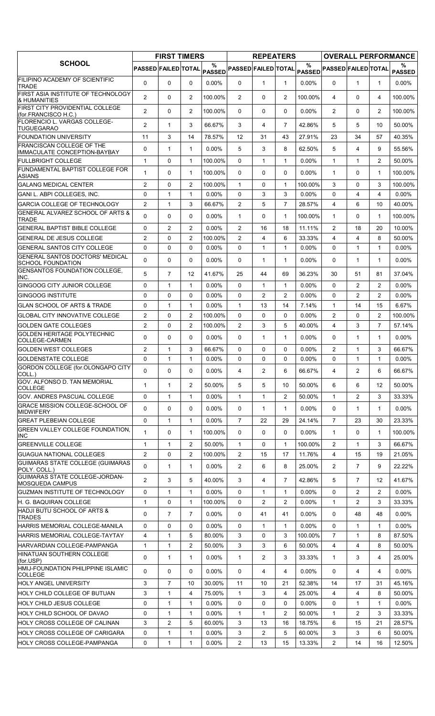|                                                                    |                            | <b>FIRST TIMERS</b> |                |                    |                            | <b>REPEATERS</b> |                |               |                            |                |                   | <b>OVERALL PERFORMANCE</b> |
|--------------------------------------------------------------------|----------------------------|---------------------|----------------|--------------------|----------------------------|------------------|----------------|---------------|----------------------------|----------------|-------------------|----------------------------|
| <b>SCHOOL</b>                                                      | <b>PASSED FAILED TOTAL</b> |                     |                | %<br><b>PASSED</b> | <b>PASSED FAILED TOTAL</b> |                  |                | $\frac{0}{0}$ | PASSED PASSED FAILED TOTAL |                |                   | ℅<br><b>PASSED</b>         |
| FILIPINO ACADEMY OF SCIENTIFIC<br><b>TRADE</b>                     | $\Omega$                   | $\Omega$            | $\mathbf{0}$   | $0.00\%$           | $\Omega$                   | $\mathbf{1}$     | $\mathbf{1}$   | $0.00\%$      | $\Omega$                   | $\mathbf{1}$   | $\mathbf 1$       | $0.00\%$                   |
| FIRST ASIA INSTITUTE OF TECHNOLOGY<br>& HUMANITIES                 | 2                          | 0                   | $\overline{2}$ | 100.00%            | $\overline{2}$             | 0                | $\overline{2}$ | 100.00%       | 4                          | $\Omega$       | 4                 | 100.00%                    |
| FIRST CITY PROVIDENTIAL COLLEGE<br>(for.FRANCISCO H.C.)            | 2                          | 0                   | 2              | 100.00%            | 0                          | 0                | 0              | 0.00%         | $\overline{2}$             | 0              | $\overline{2}$    | 100.00%                    |
| FLORENCIO L. VARGAS COLLEGE-                                       | $\overline{2}$             | $\mathbf{1}$        | 3              | 66.67%             | 3                          | 4                | $\overline{7}$ | 42.86%        | 5                          | 5              | 10                | 50.00%                     |
| <b>TUGUEGARAO</b><br><b>FOUNDATION UNIVERSITY</b>                  | 11                         | 3                   | 14             | 78.57%             | 12                         | 31               | 43             | 27.91%        | 23                         | 34             | 57                | 40.35%                     |
| <b>FRANCISCAN COLLEGE OF THE</b>                                   | 0                          | $\mathbf{1}$        | $\mathbf{1}$   | $0.00\%$           | 5                          | 3                | 8              | 62.50%        | 5                          | 4              | 9                 | 55.56%                     |
| IMMACULATE CONCEPTION-BAYBAY                                       |                            |                     |                |                    |                            |                  |                |               |                            |                |                   |                            |
| <b>FULLBRIGHT COLLEGE</b><br>FUNDAMENTAL BAPTIST COLLEGE FOR       | $\mathbf{1}$               | $\Omega$            | $\mathbf{1}$   | 100.00%            | $\Omega$                   | $\mathbf{1}$     | $\mathbf{1}$   | $0.00\%$      | $\mathbf{1}$               | $\mathbf{1}$   | 2                 | 50.00%                     |
| <b>ASIANS</b>                                                      | $\mathbf{1}$               | 0                   | $\mathbf{1}$   | 100.00%            | $\mathbf{0}$               | 0                | $\Omega$       | $0.00\%$      | $\mathbf{1}$               | $\Omega$       | $\mathbf{1}$      | 100.00%                    |
| <b>GALANG MEDICAL CENTER</b>                                       | $\overline{2}$             | 0                   | $\overline{2}$ | 100.00%            | $\mathbf{1}$               | 0                | $\mathbf{1}$   | 100.00%       | 3                          | 0              | 3                 | 100.00%                    |
| GANI L. ABPI COLLEGES, INC.                                        | $\Omega$                   | $\mathbf{1}$        | $\mathbf{1}$   | $0.00\%$           | 0                          | 3                | 3              | $0.00\%$      | $\Omega$                   | 4              | 4                 | $0.00\%$                   |
| <b>GARCIA COLLEGE OF TECHNOLOGY</b>                                | 2                          | $\mathbf{1}$        | 3              | 66.67%             | $\overline{2}$             | 5                | $\overline{7}$ | 28.57%        | 4                          | 6              | 10                | 40.00%                     |
| GENERAL ALVAREZ SCHOOL OF ARTS &<br><b>TRADE</b>                   | $\Omega$                   | 0                   | $\mathbf{0}$   | $0.00\%$           | $\mathbf{1}$               | 0                | $\mathbf{1}$   | 100.00%       | $\mathbf{1}$               | 0              | $\mathbf{1}$      | 100.00%                    |
| <b>GENERAL BAPTIST BIBLE COLLEGE</b>                               | 0                          | $\overline{2}$      | $\overline{2}$ | 0.00%              | $\overline{2}$             | 16               | 18             | 11.11%        | $\overline{2}$             | 18             | 20                | 10.00%                     |
| <b>IGENERAL DE JESUS COLLEGE</b>                                   | $\overline{2}$             | 0                   | $\overline{2}$ | 100.00%            | $\overline{2}$             | 4                | 6              | 33.33%        | $\overline{\mathbf{4}}$    | 4              | 8                 | 50.00%                     |
| <b>GENERAL SANTOS CITY COLLEGE</b>                                 | $\Omega$                   | 0                   | $\Omega$       | $0.00\%$           | 0                          | 1                | $\mathbf{1}$   | $0.00\%$      | $\Omega$                   | 1              | $\mathbf{1}$      | $0.00\%$                   |
| <b>GENERAL SANTOS DOCTORS' MEDICAL</b><br><b>SCHOOL FOUNDATION</b> | $\Omega$                   | 0                   | $\mathbf{0}$   | $0.00\%$           | $\mathbf{0}$               | 1                | $\mathbf{1}$   | 0.00%         | $\Omega$                   | $\mathbf{1}$   | $\mathbf{1}$      | $0.00\%$                   |
| GENSANTOS FOUNDATION COLLEGE,<br>INC.                              | 5                          | $\overline{7}$      | 12             | 41.67%             | 25                         | 44               | 69             | 36.23%        | 30                         | 51             | 81                | 37.04%                     |
| GINGOOG CITY JUNIOR COLLEGE                                        | 0                          | $\mathbf{1}$        | $\mathbf{1}$   | $0.00\%$           | $\mathbf{0}$               | 1                | $\mathbf{1}$   | 0.00%         | $\Omega$                   | $\overline{c}$ | 2                 | $0.00\%$                   |
| <b>GINGOOG INSTITUTE</b>                                           | $\Omega$                   | 0                   | $\mathbf{0}$   | $0.00\%$           | $\Omega$                   | $\overline{2}$   | $\overline{2}$ | 0.00%         | $\Omega$                   | $\overline{2}$ | $\overline{2}$    | $0.00\%$                   |
| <b>GLAN SCHOOL OF ARTS &amp; TRADE</b>                             | $\Omega$                   | $\mathbf{1}$        | $\mathbf{1}$   | $0.00\%$           | $\mathbf{1}$               | 13               | 14             | 7.14%         | $\mathbf{1}$               | 14             | 15                | 6.67%                      |
| <b>GLOBAL CITY INNOVATIVE COLLEGE</b>                              | 2                          | 0                   | $\overline{2}$ | 100.00%            | $\Omega$                   | 0                | $\Omega$       | $0.00\%$      | 2                          | $\Omega$       | $\overline{c}$    | 100.00%                    |
| <b>GOLDEN GATE COLLEGES</b>                                        | $\overline{2}$             | 0                   | 2              | 100.00%            | $\overline{2}$             | 3                | 5              | 40.00%        | $\overline{4}$             | 3              | $\overline{7}$    | 57.14%                     |
| <b>GOLDEN HERITAGE POLYTECHNIC</b><br><b>COLLEGE-CARMEN</b>        | $\Omega$                   | 0                   | $\Omega$       | $0.00\%$           | $\mathbf{0}$               | 1                | $\mathbf{1}$   | 0.00%         | 0                          | $\mathbf{1}$   | $\mathbf{1}$      | $0.00\%$                   |
| <b>GOLDEN WEST COLLEGES</b>                                        | $\overline{2}$             | $\mathbf{1}$        | 3              | 66.67%             | $\mathbf{0}$               | $\mathbf{0}$     | 0              | $0.00\%$      | 2                          | $\mathbf{1}$   | 3                 | 66.67%                     |
| <b>GOLDENSTATE COLLEGE</b>                                         | $\Omega$                   | $\mathbf{1}$        | 1              | 0.00%              | $\Omega$                   | 0                | 0              | 0.00%         | $\Omega$                   | 1              | 1                 | $0.00\%$                   |
| GORDON COLLEGE (for OLONGAPO CITY<br>COLL.)                        | 0                          | 0                   | 0              | $0.00\%$           | 4                          | 2                | 6              | 66.67%        | 4                          | 2              | 6                 | 66.67%                     |
| GOV. ALFONSO D. TAN MEMORIAL<br><b>COLLEGE</b>                     | 1                          | 1                   | $\overline{2}$ | 50.00%             | 5                          | 5                | 10             | 50.00%        | 6                          | 6              | 12                | 50.00%                     |
| GOV. ANDRES PASCUAL COLLEGE                                        | 0                          | 1                   | 1              | $0.00\%$           | 1                          | 1                | 2              | 50.00%        | $\mathbf{1}$               | 2              | 3                 | 33.33%                     |
| GRACE MISSION COLLEGE-SCHOOL OF<br><b>MIDWIFERY</b>                | $\Omega$                   | 0                   | $\mathbf{0}$   | $0.00\%$           | 0                          | $\mathbf{1}$     | $\mathbf{1}$   | $0.00\%$      | 0                          | $\mathbf{1}$   | $\mathbf 1$       | $0.00\%$                   |
| <b>GREAT PLEBEIAN COLLEGE</b>                                      | 0                          | $\mathbf{1}$        | $\mathbf{1}$   | $0.00\%$           | $\overline{7}$             | 22               | 29             | 24.14%        | $\overline{7}$             | 23             | 30                | 23.33%                     |
| GREEN VALLEY COLLEGE FOUNDATION,<br><b>INC</b>                     | $\mathbf{1}$               | 0                   | $\mathbf{1}$   | 100.00%            | $\mathbf{0}$               | 0                | 0              | 0.00%         | $\mathbf{1}$               | 0              | $\mathbf 1$       | 100.00%                    |
| <b>GREENVILLE COLLEGE</b>                                          | $\mathbf{1}$               | $\mathbf{1}$        | $\overline{2}$ | 50.00%             | $\mathbf{1}$               | 0                | $\mathbf{1}$   | 100.00%       | $\overline{2}$             | 1              | 3                 | 66.67%                     |
| <b>GUAGUA NATIONAL COLLEGES</b>                                    | $\overline{2}$             | 0                   | $\overline{2}$ | 100.00%            | $\overline{2}$             | 15               | 17             | 11.76%        | $\overline{4}$             | 15             | 19                | 21.05%                     |
| <b>GUIMARAS STATE COLLEGE (GUIMARAS</b><br>POLY. COLL.)            | 0                          | $\mathbf{1}$        | $\mathbf{1}$   | $0.00\%$           | $\overline{2}$             | 6                | 8              | 25.00%        | $\overline{2}$             | $\overline{7}$ | 9                 | 22.22%                     |
| GUIMARAS STATE COLLEGE-JORDAN-<br><b>MOSQUEDA CAMPUS</b>           | $\overline{2}$             | 3                   | 5              | 40.00%             | 3                          | 4                | $\overline{7}$ | 42.86%        | 5                          | $\overline{7}$ | $12 \overline{ }$ | 41.67%                     |
| <b>GUZMAN INSTITUTE OF TECHNOLOGY</b>                              | $\mathbf 0$                | $\mathbf{1}$        | $\mathbf{1}$   | $0.00\%$           | 0                          | $\mathbf{1}$     | $\mathbf{1}$   | $0.00\%$      | 0                          | $\overline{2}$ | $\overline{2}$    | $0.00\%$                   |
| H. G. BAQUIRAN COLLEGE                                             | $\mathbf{1}$               | 0                   | $\mathbf{1}$   | 100.00%            | $\Omega$                   | $\overline{2}$   | $\overline{2}$ | $0.00\%$      | $\mathbf{1}$               | $\overline{2}$ | 3                 | 33.33%                     |
| HADJI BUTU SCHOOL OF ARTS &<br><b>TRADES</b>                       | 0                          | $\overline{7}$      | $\overline{7}$ | $0.00\%$           | 0                          | 41               | 41             | $0.00\%$      | 0                          | 48             | 48                | $0.00\%$                   |
| HARRIS MEMORIAL COLLEGE-MANILA                                     | 0                          | 0                   | 0              | $0.00\%$           | 0                          | $\mathbf{1}$     | $\mathbf{1}$   | $0.00\%$      | 0                          | 1              | 1                 | $0.00\%$                   |
| HARRIS MEMORIAL COLLEGE-TAYTAY                                     | 4                          | $\mathbf{1}$        | 5              | 80.00%             | 3                          | 0                | 3              | 100.00%       | $\overline{7}$             | $\mathbf{1}$   | 8                 | 87.50%                     |
| HARVARDIAN COLLEGE-PAMPANGA                                        | 1                          | 1                   | $\overline{c}$ | 50.00%             | 3                          | 3                | 6              | 50.00%        | 4                          | 4              | 8                 | 50.00%                     |
| HINATUAN SOUTHERN COLLEGE<br>(for.USP)                             | 0                          | $\mathbf{1}$        | $\mathbf{1}$   | $0.00\%$           | $\mathbf{1}$               | 2                | 3              | 33.33%        | $\mathbf{1}$               | 3              | 4                 | 25.00%                     |
| HMIJ-FOUNDATION PHILIPPINE ISLAMIC<br><b>COLLEGE</b>               | $\Omega$                   | 0                   | 0              | $0.00\%$           | 0                          | 4                | 4              | $0.00\%$      | 0                          | 4              | 4                 | $0.00\%$                   |
| <b>HOLY ANGEL UNIVERSITY</b>                                       | 3                          | $\overline{7}$      | 10             | 30.00%             | 11                         | 10               | 21             | 52.38%        | 14                         | 17             | 31                | 45.16%                     |
| HOLY CHILD COLLEGE OF BUTUAN                                       | 3                          | $\mathbf{1}$        | 4              | 75.00%             | $\mathbf{1}$               | 3                | 4              | 25.00%        | 4                          | 4              | 8                 | 50.00%                     |
| <b>HOLY CHILD JESUS COLLEGE</b>                                    | 0                          | $\mathbf{1}$        | $\mathbf{1}$   | $0.00\%$           | 0                          | 0                | 0              | 0.00%         | 0                          | 1              | $\mathbf{1}$      | $0.00\%$                   |
| HOLY CHILD SCHOOL OF DAVAO                                         | $\mathbf 0$                | $\mathbf{1}$        | $\mathbf{1}$   | $0.00\%$           | $\mathbf{1}$               | $\mathbf{1}$     | $\overline{2}$ | 50.00%        | $\mathbf{1}$               | $\overline{2}$ | 3                 | 33.33%                     |
| HOLY CROSS COLLEGE OF CALINAN                                      | 3                          | $\overline{c}$      | 5              | 60.00%             | 3                          | 13               | 16             | 18.75%        | 6                          | 15             | 21                | 28.57%                     |
| HOLY CROSS COLLEGE OF CARIGARA                                     | $\mathbf 0$                | $\mathbf{1}$        | $\mathbf{1}$   | $0.00\%$           | 3                          | $\overline{2}$   | 5              | 60.00%        | 3                          | 3              | 6                 | 50.00%                     |
| HOLY CROSS COLLEGE-PAMPANGA                                        | 0                          | 1                   | $\mathbf{1}$   | $0.00\%$           | $\mathbf{2}^{\prime}$      | 13               | 15             | 13.33%        | 2                          | 14             | 16                | 12.50%                     |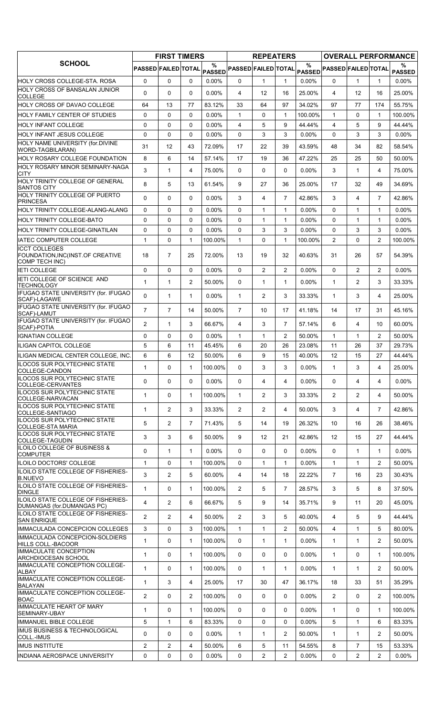|                                                                         |                     | <b>FIRST TIMERS</b> |                |                     |                            | <b>REPEATERS</b> |                   |                       |                            |                |                     | <b>OVERALL PERFORMANCE</b> |
|-------------------------------------------------------------------------|---------------------|---------------------|----------------|---------------------|----------------------------|------------------|-------------------|-----------------------|----------------------------|----------------|---------------------|----------------------------|
| <b>SCHOOL</b>                                                           | PASSED FAILED TOTAL |                     |                | %<br><b>PASSED</b>  | <b>PASSED FAILED TOTAL</b> |                  |                   | $\%$<br><b>PASSED</b> | <b>PASSED FAILED TOTAL</b> |                |                     | %<br><b>PASSED</b>         |
| HOLY CROSS COLLEGE-STA. ROSA                                            | $\mathbf 0$         | $\Omega$            | $\mathbf{0}$   | 0.00%               | 0                          | $\mathbf{1}$     | $\mathbf{1}$      | 0.00%                 | $\Omega$                   | 1              | $\mathbf 1$         | $0.00\%$                   |
| HOLY CROSS OF BANSALAN JUNIOR<br><b>COLLEGE</b>                         | 0                   | $\mathbf 0$         | $\Omega$       | 0.00%               | 4                          | 12               | 16                | 25.00%                | 4                          | 12             | 16                  | 25.00%                     |
| <b>HOLY CROSS OF DAVAO COLLEGE</b>                                      | 64                  | 13                  | 77             | 83.12%              | 33                         | 64               | 97                | 34.02%                | 97                         | 77             | 174                 | 55.75%                     |
| IHOLY FAMILY CENTER OF STUDIES                                          | 0                   | 0                   | $\Omega$       | $0.00\%$            | $\mathbf{1}$               | 0                | $\mathbf{1}$      | 100.00%               | $\mathbf{1}$               | $\Omega$       | $\mathbf{1}$        | 100.00%                    |
| <b>HOLY INFANT COLLEGE</b>                                              | $\Omega$            | $\mathbf 0$         | $\Omega$       | 0.00%               | $\overline{4}$             | 5                | 9                 | 44.44%                | $\overline{4}$             | 5              | 9                   | 44.44%                     |
| <b>HOLY INFANT JESUS COLLEGE</b>                                        | 0                   | $\mathbf 0$         | $\Omega$       | 0.00%               | $\Omega$                   | 3                | 3                 | 0.00%                 | $\Omega$                   | 3              | 3                   | $0.00\%$                   |
| HOLY NAME UNIVERSITY (for.DIVINE<br>WORD-TAGBILARAN)                    | 31                  | 12                  | 43             | 72.09%              | 17                         | 22               | 39                | 43.59%                | 48                         | 34             | 82                  | 58.54%                     |
| <b>HOLY ROSARY COLLEGE FOUNDATION</b>                                   | 8                   | 6                   | 14             | 57.14%              | 17                         | 19               | 36                | 47.22%                | 25                         | 25             | 50                  | 50.00%                     |
| HOLY ROSARY MINOR SEMINARY-NAGA<br><b>CITY</b>                          | 3                   | $\mathbf{1}$        | 4              | 75.00%              | $\Omega$                   | 0                | 0                 | $0.00\%$              | 3                          | 1              | 4                   | 75.00%                     |
| HOLY TRINITY COLLEGE OF GENERAL<br><b>SANTOS CITY</b>                   | 8                   | 5                   | 13             | 61.54%              | 9                          | 27               | 36                | 25.00%                | 17                         | 32             | 49                  | 34.69%                     |
| <b>HOLY TRINITY COLLEGE OF PUERTO</b><br><b>PRINCESA</b>                | 0                   | 0                   | $\Omega$       | 0.00%               | 3                          | 4                | $\overline{7}$    | 42.86%                | 3                          | 4              | $\overline{7}$      | 42.86%                     |
| HOLY TRINITY COLLEGE-ALANG-ALANG                                        | $\Omega$            | $\mathbf 0$         | 0              | $0.00\%$            | $\Omega$                   | $\mathbf{1}$     | $\mathbf{1}$      | 0.00%                 | $\Omega$                   | 1              | 1                   | $0.00\%$                   |
| <b>HOLY TRINITY COLLEGE-BATO</b>                                        | 0                   | $\mathbf 0$         | $\Omega$       | 0.00%               | $\Omega$                   | $\mathbf{1}$     | $\mathbf{1}$      | 0.00%                 | $\Omega$                   | $\mathbf{1}$   | $\mathbf{1}$        | $0.00\%$                   |
| IHOLY TRINITY COLLEGE-GINATILAN<br><b>IATEC COMPUTER COLLEGE</b>        | 0<br>1              | 0<br>$\mathbf 0$    | $\Omega$<br>1  | $0.00\%$<br>100.00% | $\Omega$<br>$\mathbf{1}$   | 3<br>0           | 3<br>$\mathbf{1}$ | $0.00\%$<br>100.00%   | $\Omega$<br>2              | 3<br>$\Omega$  | 3<br>$\overline{c}$ | $0.00\%$<br>100.00%        |
| <b>ICCT COLLEGES</b><br>FOUNDATION, INC(INST.OF CREATIVE                | 18                  | $\overline{7}$      | 25             | 72.00%              | 13                         | 19               | 32                | 40.63%                | 31                         | 26             | 57                  | 54.39%                     |
| COMP TECH INC)<br><b>IETI COLLEGE</b>                                   | 0                   | 0                   | $\Omega$       | $0.00\%$            | 0                          | $\overline{2}$   | $\overline{2}$    | $0.00\%$              | $\Omega$                   | $\overline{2}$ | $\overline{2}$      | $0.00\%$                   |
| IETI COLLEGE OF SCIENCE AND                                             | $\mathbf{1}$        | $\mathbf{1}$        | $\overline{2}$ | 50.00%              | 0                          | $\mathbf{1}$     | $\mathbf{1}$      | $0.00\%$              | $\mathbf{1}$               | $\overline{2}$ | 3                   | 33.33%                     |
| <b>TECHNOLOGY</b><br>IFUGAO STATE UNIVERSITY (for. IFUGAO               | 0                   | $\mathbf{1}$        | $\mathbf{1}$   | $0.00\%$            | 1                          | $\overline{2}$   | 3                 | 33.33%                | $\mathbf{1}$               | 3              | 4                   | 25.00%                     |
| SCAF)-LAGAWE<br>IFUGAO STATE UNIVERSITY (for. IFUGAO<br>SCAF)-LAMUT     | $\overline{7}$      | $\overline{7}$      | 14             | 50.00%              | $\overline{7}$             | 10               | 17                | 41.18%                | 14                         | 17             | 31                  | 45.16%                     |
| IFUGAO STATE UNIVERSITY (for. IFUGAO<br>SCAF)-POTIA                     | $\overline{2}$      | $\mathbf{1}$        | 3              | 66.67%              | 4                          | 3                | $\overline{7}$    | 57.14%                | 6                          | 4              | 10                  | 60.00%                     |
| <b>IGNATIAN COLLEGE</b>                                                 | $\Omega$            | $\Omega$            | $\Omega$       | $0.00\%$            | $\mathbf{1}$               | $\mathbf{1}$     | $\overline{2}$    | 50.00%                | $\mathbf{1}$               | $\mathbf{1}$   | $\overline{2}$      | 50.00%                     |
| IILIGAN CAPITOL COLLEGE                                                 | 5                   | 6                   | 11             | 45.45%              | 6                          | 20               | 26                | 23.08%                | 11                         | 26             | 37                  | 29.73%                     |
| ILIGAN MEDICAL CENTER COLLEGE, INC.                                     | 6                   | 6                   | 12             | 50.00%              | 6                          | 9                | 15                | 40.00%                | 12                         | 15             | 27                  | 44.44%                     |
| ILOCOS SUR POLYTECHNIC STATE<br> COLLEGE-CANDON                         | 1                   | $\Omega$            | 1              | 100.00%             | 0                          | 3                | 3                 | 0.00%                 | 1                          | 3              | 4                   | 25.00%                     |
| <b>ILOCOS SUR POLYTECHNIC STATE</b><br>COLLEGE-CERVANTES                | 0                   | $\Omega$            | $\Omega$       | $0.00\%$            | $\Omega$                   | 4                | 4                 | 0.00%                 | $\Omega$                   | 4              | 4                   | $0.00\%$                   |
| ILOCOS SUR POLYTECHNIC STATE<br>COLLEGE-NARVACAN                        | $\mathbf{1}$        | $\mathbf 0$         | $\mathbf{1}$   | 100.00%             | $\mathbf{1}$               | $\overline{2}$   | 3                 | 33.33%                | $\overline{2}$             | $\overline{2}$ | 4                   | 50.00%                     |
| <b>ILOCOS SUR POLYTECHNIC STATE</b><br>COLLEGE-SANTIAGO                 | 1                   | 2                   | 3              | 33.33%              | $\overline{2}$             | $\overline{2}$   | 4                 | 50.00%                | 3                          | 4              | $\overline{7}$      | 42.86%                     |
| <b>ILOCOS SUR POLYTECHNIC STATE</b><br><b>COLLEGE-STA MARIA</b>         | 5                   | 2                   | $\overline{7}$ | 71.43%              | 5                          | 14               | 19                | 26.32%                | 10                         | 16             | 26                  | 38.46%                     |
| <b>ILOCOS SUR POLYTECHNIC STATE</b><br>COLLEGE-TAGUDIN                  | 3                   | 3                   | 6              | 50.00%              | 9                          | 12               | 21                | 42.86%                | 12                         | 15             | 27                  | 44.44%                     |
| ILOILO COLLEGE OF BUSINESS &<br><b>COMPUTER</b>                         | 0                   | $\mathbf{1}$        | $\mathbf{1}$   | $0.00\%$            | 0                          | 0                | 0                 | 0.00%                 | $\Omega$                   | $\mathbf{1}$   | $\mathbf{1}$        | $0.00\%$                   |
| ILOILO DOCTORS' COLLEGE                                                 | $\mathbf{1}$        | $\mathbf 0$         | 1              | 100.00%             | $\Omega$                   | $\mathbf{1}$     | $\mathbf{1}$      | 0.00%                 | $\mathbf{1}$               | $\mathbf{1}$   | $\overline{2}$      | 50.00%                     |
| ILOILO STATE COLLEGE OF FISHERIES-<br><b>B.NUEVO</b>                    | 3                   | 2                   | 5              | 60.00%              | 4                          | 14               | 18                | 22.22%                | $\overline{7}$             | 16             | 23                  | 30.43%                     |
| ILOILO STATE COLLEGE OF FISHERIES-<br><b>DINGLE</b>                     | $\mathbf{1}$        | $\mathbf 0$         | $\mathbf{1}$   | 100.00%             | $\overline{2}$             | 5                | $\overline{7}$    | 28.57%                | 3                          | 5              | 8                   | 37.50%                     |
| <b>ILOILO STATE COLLEGE OF FISHERIES-</b><br>DUMANGAS (for.DUMANGAS PC) | 4                   | $\overline{2}$      | 6              | 66.67%              | 5                          | 9                | 14                | 35.71%                | 9                          | 11             | 20                  | 45.00%                     |
| ILOILO STATE COLLEGE OF FISHERIES-<br><b>SAN ENRIQUE</b>                | $\overline{2}$      | 2                   | 4              | 50.00%              | $\overline{2}$             | 3                | 5                 | 40.00%                | 4                          | 5              | 9                   | 44.44%                     |
| IMMACULADA CONCEPCION COLLEGES                                          | 3                   | 0                   | 3              | 100.00%             | $\mathbf{1}$               | 1                | $\overline{2}$    | 50.00%                | $\overline{4}$             | $\mathbf{1}$   | 5                   | 80.00%                     |
| IMMACULADA CONCEPCION-SOLDIERS<br>HILLS COLL.-BACOOR                    | 1                   | $\mathbf 0$         | 1              | 100.00%             | 0                          | $\mathbf{1}$     | $\mathbf{1}$      | 0.00%                 | $\mathbf{1}$               | 1              | $\overline{2}$      | 50.00%                     |
| IMMACULATE CONCEPTION<br>ARCHDIOCESAN SCHOOL                            | $\mathbf{1}$        | 0                   | 1              | 100.00%             | 0                          | 0                | 0                 | 0.00%                 | $\mathbf{1}$               | 0              | 1                   | 100.00%                    |
| IMMACULATE CONCEPTION COLLEGE-<br>ALBAY                                 | 1                   | 0                   | 1              | 100.00%             | 0                          | $\mathbf{1}$     | $\mathbf{1}$      | 0.00%                 | $\mathbf{1}$               | 1              | $\overline{2}$      | 50.00%                     |
| IMMACULATE CONCEPTION COLLEGE-<br><b>BALAYAN</b>                        | $\mathbf{1}$        | 3                   | 4              | 25.00%              | 17                         | 30               | 47                | 36.17%                | 18                         | 33             | 51                  | 35.29%                     |
| IMMACULATE CONCEPTION COLLEGE-<br><b>BOAC</b>                           | $\overline{2}$      | 0                   | $\overline{2}$ | 100.00%             | 0                          | 0                | 0                 | $0.00\%$              | $\overline{2}$             | $\Omega$       | $\overline{2}$      | 100.00%                    |
| <b>IMMACULATE HEART OF MARY</b><br><b>ISEMINARY-UBAY</b>                | 1                   | 0                   | 1              | 100.00%             | 0                          | 0                | 0                 | $0.00\%$              | $\mathbf{1}$               | $\Omega$       | 1                   | 100.00%                    |
| IIMMANUEL BIBLE COLLEGE                                                 | 5                   | $\mathbf{1}$        | 6              | 83.33%              | $\Omega$                   | 0                | 0                 | $0.00\%$              | 5                          | $\mathbf{1}$   | 6                   | 83.33%                     |
| <b>IMUS BUSINESS &amp; TECHNOLOGICAL</b><br>COLL.-IMUS                  | 0                   | $\mathbf 0$         | $\Omega$       | $0.00\%$            | $\mathbf{1}$               | $\mathbf{1}$     | $\overline{2}$    | 50.00%                | $\mathbf{1}$               | $\mathbf{1}$   | $\overline{2}$      | 50.00%                     |
| <b>IMUS INSTITUTE</b>                                                   | $\overline{2}$      | $\overline{2}$      | 4              | 50.00%              | 6                          | 5                | 11                | 54.55%                | 8                          | $\overline{7}$ | 15                  | 53.33%                     |
| <b>INDIANA AEROSPACE UNIVERSITY</b>                                     | 0                   | 0                   | 0              | $0.00\%$            | 0                          | $\overline{2}$   | $\overline{2}$    | 0.00%                 | 0                          | $\overline{2}$ | $\overline{2}$      | $0.00\%$                   |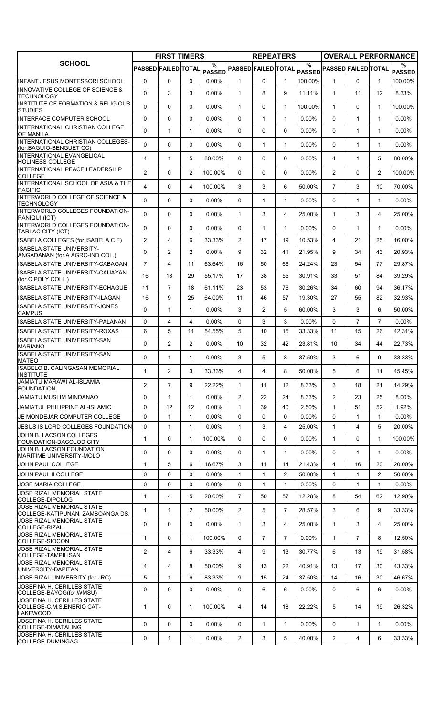|                                                                                    |                     | <b>FIRST TIMERS</b> |                |             |                            | <b>REPEATERS</b> |                   |          |                            |                |                | <b>OVERALL PERFORMANCE</b> |
|------------------------------------------------------------------------------------|---------------------|---------------------|----------------|-------------|----------------------------|------------------|-------------------|----------|----------------------------|----------------|----------------|----------------------------|
| <b>SCHOOL</b>                                                                      | PASSED FAILED TOTAL |                     |                | %<br>PASSED | <b>PASSED FAILED TOTAL</b> |                  |                   | $\%$     | PASSED PASSED FAILED TOTAL |                |                | %<br><b>PASSED</b>         |
| <b>INFANT JESUS MONTESSORI SCHOOL</b>                                              | 0                   | 0                   | $\Omega$       | $0.00\%$    | 1                          | 0                | $\mathbf{1}$      | 100.00%  | 1                          | $\Omega$       | 1              | 100.00%                    |
| IINNOVATIVE COLLEGE OF SCIENCE &<br><b>TECHNOLOGY</b>                              | $\mathbf{0}$        | 3                   | 3              | $0.00\%$    | $\mathbf{1}$               | 8                | 9                 | 11.11%   | $\mathbf{1}$               | 11             | 12             | 8.33%                      |
| <b>INSTITUTE OF FORMATION &amp; RELIGIOUS</b>                                      | $\Omega$            | 0                   | $\mathbf{0}$   | $0.00\%$    | 1                          | 0                | $\mathbf{1}$      | 100.00%  | $\mathbf{1}$               | $\Omega$       | $\mathbf{1}$   | 100.00%                    |
| <b>STUDIES</b><br>IINTERFACE COMPUTER SCHOOL                                       | 0                   | 0                   | $\mathbf{0}$   | $0.00\%$    | $\Omega$                   | $\mathbf{1}$     | $\mathbf{1}$      | $0.00\%$ | $\Omega$                   | 1              | $\mathbf{1}$   | $0.00\%$                   |
| <b>INTERNATIONAL CHRISTIAN COLLEGE</b>                                             | $\mathbf 0$         | $\mathbf{1}$        | $\mathbf{1}$   | $0.00\%$    | 0                          | 0                | $\Omega$          | 0.00%    | $\Omega$                   | $\mathbf{1}$   | $\mathbf{1}$   | $0.00\%$                   |
| <b>OF MANILA</b><br><b>INTERNATIONAL CHRISTIAN COLLEGES-</b>                       |                     |                     |                |             |                            |                  |                   |          |                            |                |                |                            |
| (for.BAGUIO-BENGUET CC)<br><b>INTERNATIONAL EVANGELICAL</b>                        | $\Omega$            | $\Omega$            | $\Omega$       | 0.00%       | 0                          | $\mathbf 1$      | $\mathbf{1}$      | 0.00%    | $\Omega$                   | $\mathbf{1}$   | $\mathbf{1}$   | $0.00\%$                   |
| <b>HOLINESS COLLEGE</b>                                                            | 4                   | 1                   | 5              | 80.00%      | 0                          | 0                | 0                 | 0.00%    | 4                          | 1              | 5              | 80.00%                     |
| INTERNATIONAL PEACE LEADERSHIP<br><b>COLLEGE</b>                                   | $\overline{2}$      | 0                   | 2              | 100.00%     | 0                          | 0                | 0                 | 0.00%    | $\overline{2}$             | $\Omega$       | $\overline{2}$ | 100.00%                    |
| INTERNATIONAL SCHOOL OF ASIA & THE<br><b>PACIFIC</b>                               | 4                   | $\Omega$            | 4              | 100.00%     | 3                          | 3                | 6                 | 50.00%   | $\overline{7}$             | 3              | 10             | 70.00%                     |
| INTERWORLD COLLEGE OF SCIENCE &<br><b>TECHNOLOGY</b>                               | 0                   | 0                   | $\mathbf{0}$   | 0.00%       | 0                          | $\mathbf{1}$     | $\mathbf{1}$      | 0.00%    | $\Omega$                   | $\mathbf 1$    | $\mathbf{1}$   | $0.00\%$                   |
| INTERWORLD COLLEGES FOUNDATION-<br>PANIQUI (ICT)                                   | 0                   | 0                   | $\Omega$       | 0.00%       | 1                          | 3                | 4                 | 25.00%   | $\mathbf{1}$               | 3              | 4              | 25.00%                     |
| INTERWORLD COLLEGES FOUNDATION-                                                    | 0                   | $\mathbf 0$         | $\Omega$       | 0.00%       | 0                          | $\mathbf{1}$     | $\mathbf{1}$      | 0.00%    | $\Omega$                   | $\mathbf{1}$   | $\mathbf 1$    | $0.00\%$                   |
| TARLAC CITY (ICT)<br>ISABELA COLLEGES (for.ISABELA C.F)                            | $\overline{2}$      | $\overline{4}$      | 6              | 33.33%      | $\overline{2}$             | 17               | 19                | 10.53%   | $\overline{4}$             | 21             | 25             | 16.00%                     |
| <b>ISABELA STATE UNIVERSITY-</b>                                                   | $\mathbf 0$         | $\overline{2}$      | $\overline{2}$ | $0.00\%$    | 9                          | 32               |                   | 21.95%   | 9                          |                |                | 20.93%                     |
| ANGADANAN (for.A AGRO-IND COL.)                                                    |                     |                     |                |             |                            |                  | 41                |          |                            | 34             | 43             |                            |
| <b>ISABELA STATE UNIVERSITY-CABAGAN</b><br><b>ISABELA STATE UNIVERSITY-CAUAYAN</b> | $\overline{7}$      | $\overline{4}$      | 11             | 63.64%      | 16                         | 50               | 66                | 24.24%   | 23                         | 54             | 77             | 29.87%                     |
| (for.C.POLY.COLL.)                                                                 | 16                  | 13                  | 29             | 55.17%      | 17                         | 38               | 55                | 30.91%   | 33                         | 51             | 84             | 39.29%                     |
| <b>ISABELA STATE UNIVERSITY-ECHAGUE</b>                                            | 11                  | $\overline{7}$      | 18             | 61.11%      | 23                         | 53               | 76                | 30.26%   | 34                         | 60             | 94             | 36.17%                     |
| IISABELA STATE UNIVERSITY-ILAGAN<br>IISABELA STATE UNIVERSITY-JONES                | 16                  | 9                   | 25             | 64.00%      | 11                         | 46               | 57                | 19.30%   | 27                         | 55             | 82             | 32.93%                     |
| <b>CAMPUS</b>                                                                      | 0                   | $\mathbf{1}$        | $\mathbf{1}$   | $0.00\%$    | 3                          | $\overline{2}$   | 5                 | 60.00%   | 3                          | 3              | 6              | 50.00%                     |
| IISABELA STATE UNIVERSITY-PALANAN                                                  | $\mathbf 0$         | 4                   | $\overline{4}$ | $0.00\%$    | $\Omega$                   | 3                | 3                 | 0.00%    | $\Omega$                   | $\overline{7}$ | $\overline{7}$ | $0.00\%$                   |
| IISABELA STATE UNIVERSITY-ROXAS<br>ISABELA STATE UNIVERSITY-SAN                    | 6                   | 5                   | 11             | 54.55%      | 5                          | 10               | 15                | 33.33%   | 11                         | 15             | 26             | 42.31%                     |
| <b>MARIANO</b>                                                                     | 0                   | $\overline{2}$      | $\overline{2}$ | 0.00%       | 10                         | 32               | 42                | 23.81%   | 10                         | 34             | 44             | 22.73%                     |
| ISABELA STATE UNIVERSITY-SAN<br><b>MATEO</b>                                       | 0                   | $\mathbf{1}$        | $\mathbf{1}$   | $0.00\%$    | 3                          | 5                | 8                 | 37.50%   | 3                          | 6              | 9              | 33.33%                     |
| <b>ISABELO B. CALINGASAN MEMORIAL</b><br><b>INSTITUTE</b>                          | 1                   | 2                   | 3              | 33.33%      | 4                          | 4                | 8                 | 50.00%   | 5                          | 6              | 11             | 45.45%                     |
| JAMIATU MARAWI AL-ISLAMIA<br><b>FOUNDATION</b>                                     | $\overline{2}$      | $\overline{7}$      | 9              | 22.22%      | 1                          | 11               | $12 \overline{ }$ | 8.33%    | 3                          | 18             | 21             | 14.29%                     |
| JAMIATU MUSLIM MINDANAO                                                            | 0                   | $\mathbf{1}$        | 1              | $0.00\%$    | 2                          | 22               | 24                | 8.33%    | $\overline{2}$             | 23             | 25             | 8.00%                      |
| JAMIATUL PHILIPPINE AL-ISLAMIC                                                     | 0                   | 12                  | 12             | $0.00\%$    | $\mathbf{1}$               | 39               | 40                | 2.50%    | $\mathbf{1}$               | 51             | 52             | 1.92%                      |
| JE MONDEJAR COMPUTER COLLEGE                                                       | 0                   | $\mathbf{1}$        | $\mathbf{1}$   | $0.00\%$    | 0                          | 0                | 0                 | 0.00%    | $\Omega$                   | 1              | $\mathbf{1}$   | $0.00\%$                   |
| JESUS IS LORD COLLEGES FOUNDATION                                                  | 0                   | 1                   | 1              | $0.00\%$    | 1                          | 3                | 4                 | 25.00%   | $\mathbf{1}$               | 4              | 5              | 20.00%                     |
| JOHN B. LACSON COLLEGES<br><b>FOUNDATION-BACOLOD CITY</b>                          | $\mathbf{1}$        | 0                   | $\mathbf{1}$   | 100.00%     | $\Omega$                   | 0                | 0                 | $0.00\%$ | $\mathbf{1}$               | $\Omega$       | $\mathbf{1}$   | 100.00%                    |
| JOHN B. LACSON FOUNDATION<br>MARITIME UNIVERSITY-MOLO                              | 0                   | 0                   | 0              | $0.00\%$    | 0                          | $\mathbf{1}$     | $\mathbf{1}$      | $0.00\%$ | 0                          | $\mathbf 1$    | $\mathbf{1}$   | $0.00\%$                   |
| JOHN PAUL COLLEGE                                                                  | 1                   | 5                   | 6              | 16.67%      | 3                          | 11               | 14                | 21.43%   | $\overline{4}$             | 16             | 20             | 20.00%                     |
| JOHN PAUL II COLLEGE                                                               | 0                   | 0                   | 0              | 0.00%       | 1                          | $\mathbf{1}$     | 2                 | 50.00%   | $\mathbf{1}$               | 1              | $\overline{2}$ | 50.00%                     |
| JOSE MARIA COLLEGE                                                                 | 0                   | $\mathbf 0$         | $\Omega$       | $0.00\%$    | 0                          | $\mathbf{1}$     | $\mathbf{1}$      | $0.00\%$ | $\Omega$                   | $\mathbf{1}$   | $\mathbf{1}$   | $0.00\%$                   |
| JOSE RIZAL MEMORIAL STATE<br>COLLEGE-DIPOLOG                                       | 1                   | $\overline{4}$      | 5              | 20.00%      | $\overline{7}$             | 50               | 57                | 12.28%   | 8                          | 54             | 62             | 12.90%                     |
| JOSE RIZAL MEMORIAL STATE<br>COLLEGE-KATIPUNAN, ZAMBOANGA DS.                      | 1                   | $\mathbf{1}$        | $\overline{2}$ | 50.00%      | $\mathbf{2}^{\prime}$      | 5                | $\overline{7}$    | 28.57%   | 3                          | 6              | 9              | 33.33%                     |
| JOSE RIZAL MEMORIAL STATE<br>COLLEGE-RIZAL                                         | 0                   | $\Omega$            | $\Omega$       | $0.00\%$    | $\mathbf 1$                | 3                | 4                 | 25.00%   | $\mathbf{1}$               | 3              | 4              | 25.00%                     |
| <b>JOSE RIZAL MEMORIAL STATE</b><br>COLLEGE-SIOCON                                 | 1                   | 0                   | 1              | 100.00%     | 0                          | $\overline{7}$   | $\overline{7}$    | 0.00%    | $\mathbf{1}$               | $\overline{7}$ | 8              | 12.50%                     |
| JOSE RIZAL MEMORIAL STATE                                                          | $\overline{2}$      | $\overline{4}$      | 6              | 33.33%      | 4                          | 9                | 13                | 30.77%   | 6                          | 13             | 19             | 31.58%                     |
| COLLEGE-TAMPILISAN<br>JOSE RIZAL MEMORIAL STATE                                    | 4                   | 4                   | 8              | 50.00%      | 9                          | 13               | 22                | 40.91%   | 13                         | 17             | 30             | 43.33%                     |
| UNIVERSITY-DAPITAN<br>JOSE RIZAL UNIVERSITY (for.JRC)                              | 5                   | $\mathbf{1}$        | 6              | 83.33%      | 9                          | 15               | 24                | 37.50%   | 14                         | 16             | 30             | 46.67%                     |
| JOSEFINA H. CERILLES STATE                                                         |                     |                     |                |             |                            |                  |                   |          |                            |                |                |                            |
| COLLEGE-BAYOG(for.WMSU)<br>JOSEFINA H. CERILLES STATE                              | 0                   | 0                   | 0              | $0.00\%$    | 0                          | 6                | 6                 | $0.00\%$ | 0                          | 6              | 6              | $0.00\%$                   |
| COLLEGE-C.M.S.ENERIO CAT-<br><b>LAKEWOOD</b>                                       | 1                   | 0                   | 1              | 100.00%     | 4                          | 14               | 18                | 22.22%   | 5                          | 14             | 19             | 26.32%                     |
| JOSEFINA H. CERILLES STATE<br> COLLEGE-DIMATALING                                  | 0                   | 0                   | 0              | $0.00\%$    | 0                          | $\mathbf{1}$     | $\mathbf{1}$      | 0.00%    | 0                          | $\mathbf{1}$   | $\mathbf 1$    | $0.00\%$                   |
| JOSEFINA H. CERILLES STATE<br>COLLEGE-DUMINGAG                                     | 0                   | $\mathbf{1}$        | $\mathbf{1}$   | 0.00%       | $\overline{2}$             | 3                | 5                 | 40.00%   | $\overline{2}$             | 4              | 6              | 33.33%                     |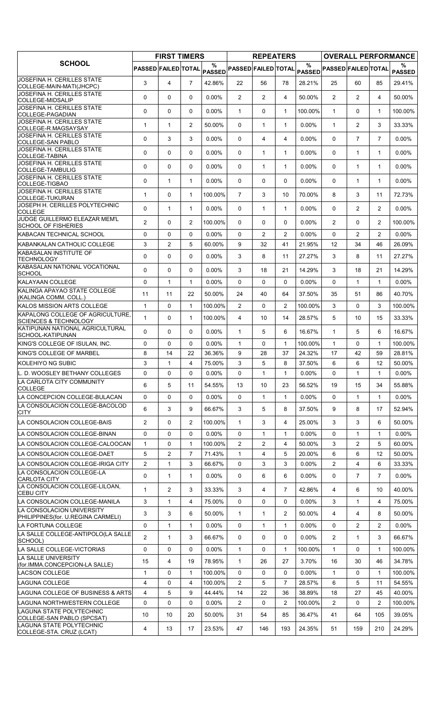| $\%$<br>%<br>%<br>PASSED FAILED TOTAL<br>PASSED FAILED TOTAL <sub>PASSED</sub> PASSED FAILED TOTAL<br><b>PASSED</b><br><b>PASSED</b><br>JOSEFINA H. CERILLES STATE<br>3<br>$\overline{7}$<br>4<br>42.86%<br>22<br>56<br>78<br>25<br>60<br>85<br>29.41%<br>28.21%<br>COLLEGE-MAIN-MATI(JHCPC)<br>JOSEFINA H. CERILLES STATE<br>0<br>0<br>$\mathbf 0$<br>0.00%<br>$\overline{2}$<br>$\overline{2}$<br>50.00%<br>$\overline{2}$<br>$\overline{2}$<br>4<br>4<br>50.00%<br><b>COLLEGE-MIDSALIP</b><br>JOSEFINA H. CERILLES STATE<br>0<br>$\mathbf 0$<br>0.00%<br>$\mathbf{1}$<br>100.00%<br>$\mathbf{1}$<br>$\Omega$<br>100.00%<br>$\mathbf{0}$<br>0<br>$\mathbf{1}$<br>1<br>COLLEGE-PAGADIAN<br>JOSEFINA H. CERILLES STATE<br>2<br>50.00%<br>0<br>0.00%<br>$\mathbf{1}$<br>$\overline{2}$<br>3<br>33.33%<br>1<br>$\mathbf{1}$<br>$\mathbf{1}$<br>$\mathbf{1}$<br>COLLEGE-R.MAGSAYSAY<br>JOSEFINA H. CERILLES STATE<br>3<br>3<br>$\overline{7}$<br>$\overline{7}$<br>0<br>0.00%<br>$0.00\%$<br>$\Omega$<br>$0.00\%$<br>$\mathbf{0}$<br>4<br>4<br>COLLEGE-SAN PABLO<br>JOSEFINA H. CERILLES STATE<br>0<br>0<br>$\Omega$<br>$0.00\%$<br>$0.00\%$<br>$\Omega$<br>$\mathbf{1}$<br>$0.00\%$<br>$\mathbf{0}$<br>$\mathbf{1}$<br>$\mathbf{1}$<br>$\mathbf{1}$<br><b>COLLEGE-TABINA</b><br>JOSEFINA H. CERILLES STATE<br>0<br>0<br>0<br>$0.00\%$<br>$\mathbf{0}$<br>$\mathbf{1}$<br>$\mathbf{1}$<br>$0.00\%$<br>0<br>$\mathbf 1$<br>$\mathbf{1}$<br>$0.00\%$<br>COLLEGE-TAMBULIG<br>JOSEFINA H. CERILLES STATE<br>0<br>0.00%<br>0<br>$0.00\%$<br>$\mathbf{1}$<br>$\mathbf{1}$<br>$0.00\%$<br>$\mathbf{0}$<br>0<br>0<br>1<br>$\mathbf{1}$<br>COLLEGE-TIGBAO<br>JOSEFINA H. CERILLES STATE<br>$\overline{7}$<br>3<br>70.00%<br>8<br>3<br>11<br>72.73%<br>$\mathbf{1}$<br>$\mathbf 0$<br>$\mathbf{1}$<br>100.00%<br>10<br>COLLEGE-TUKURAN<br>JOSEPH H. CERILLES POLYTECHNIC<br>0<br>$\mathbf{1}$<br>$0.00\%$<br>0.00%<br>2<br>$\overline{2}$<br>$0.00\%$<br>$\mathbf{1}$<br>$\mathbf{0}$<br>$\mathbf{1}$<br>$\mathbf{1}$<br>$\mathbf{0}$<br><b>COLLEGE</b><br>JUDGE GUILLERMO ELEAZAR MEM'L<br>$\overline{2}$<br>$\Omega$<br>2<br>$0.00\%$<br>$\overline{2}$<br>$\mathbf{0}$<br>$\overline{2}$<br>100.00%<br>100.00%<br>$\mathbf{0}$<br>0<br>0<br><b>SCHOOL OF FISHERIES</b><br>0<br>$\overline{2}$<br>$\overline{2}$<br>2<br>$\overline{2}$<br>KABACAN TECHNICAL SCHOOL<br>$\Omega$<br>$\mathbf{0}$<br>$0.00\%$<br>$\mathbf{0}$<br>$0.00\%$<br>$\Omega$<br>$0.00\%$<br>3<br>$\overline{2}$<br>KABANKALAN CATHOLIC COLLEGE<br>5<br>60.00%<br>9<br>12<br>34<br>26.09%<br>32<br>41<br>21.95%<br>46<br><b>KABASALAN INSTITUTE OF</b><br>0<br>8<br>27.27%<br>3<br>8<br>27.27%<br>0<br>0<br>$0.00\%$<br>3<br>11<br>11<br>TECHNOLOGY<br>KABASALAN NATIONAL VOCATIONAL<br>0<br>0<br>0<br>14.29%<br>3<br>14.29%<br>$0.00\%$<br>3<br>18<br>21<br>18<br>21<br><b>SCHOOL</b><br>KALAYAAN COLLEGE<br>$\Omega$<br>$0.00\%$<br>0<br>$\mathbf{1}$<br>$\mathbf{1}$<br>$0.00\%$<br>0<br>0<br>0<br>$0.00\%$<br>1<br>1<br>KALINGA APAYAO STATE COLLEGE<br>11<br>11<br>22<br>40.70%<br>50.00%<br>24<br>40<br>64<br>37.50%<br>35<br>51<br>86<br>(KALINGA COMM. COLL.)<br>$\mathbf{1}$<br>$\mathbf{1}$<br>3<br>$\Omega$<br>KALOS MISSION ARTS COLLEGE<br>$\Omega$<br>100.00%<br>$\overline{2}$<br>0<br>$\overline{2}$<br>100.00%<br>3<br>100.00%<br>KAPALONG COLLEGE OF AGRICULTURE,<br>$\mathbf{1}$<br>0<br>$\mathbf{1}$<br>100.00%<br>28.57%<br>5<br>33.33%<br>4<br>10<br>14<br>15<br>10<br><b>SCIENCES &amp; TECHNOLOGY</b><br>KATIPUNAN NATIONAL AGRICULTURAL<br>0<br>0<br>$\mathbf{0}$<br>$\mathbf{1}$<br>5<br>16.67%<br>$\mathbf{1}$<br>5<br>6<br>16.67%<br>$0.00\%$<br>6<br>SCHOOL-KATIPUNAN<br>KING'S COLLEGE OF ISULAN, INC.<br>0<br>0<br>$\mathbf{0}$<br>$\Omega$<br>$\mathbf{1}$<br>100.00%<br>$\mathbf{1}$<br>$\Omega$<br>100.00%<br>$0.00\%$<br>$\mathbf{1}$<br>$\mathbf{1}$<br>KING'S COLLEGE OF MARBEL<br>8<br>14<br>22<br>36.36%<br>9<br>28<br>24.32%<br>42<br>28.81%<br>37<br>17<br>59<br>3<br><b>KOLEHIYO NG SUBIC</b><br>$\mathbf{1}$<br>4<br>75.00%<br>3<br>5<br>8<br>37.50%<br>6<br>6<br>12<br>50.00%<br>0<br>$\mathbf 0$<br>$\mathbf 0$<br>0.00%<br>0<br>$0.00\%$<br>0<br>$\mathbf{1}$<br>$\mathbf{1}$<br>$\mathbf{1}$<br>$\mathbf{1}$<br>$0.00\%$<br>55.88%<br>6<br>5<br>11<br>54.55%<br>13<br>10<br>23<br>56.52%<br>19<br>15<br>34<br><b>COLLEGE</b><br>LA CONCEPCION COLLEGE-BULACAN<br>0<br>0<br>$\mathbf{0}$<br>$0.00\%$<br>0<br>$\mathbf{1}$<br>$0.00\%$<br>0<br>1<br>$0.00\%$<br>1<br>1<br>LA CONSOLACION COLLEGE-BACOLOD<br>6<br>3<br>9<br>9<br>66.67%<br>3<br>5<br>8<br>37.50%<br>8<br>52.94%<br>17<br>CITY<br>LA CONSOLACION COLLEGE-BAIS<br>$\overline{2}$<br>3<br>0<br>2<br>100.00%<br>$\mathbf{1}$<br>3<br>4<br>25.00%<br>3<br>6<br>50.00%<br>$\mathbf 0$<br>0<br>LA CONSOLACION COLLEGE-BINAN<br>0<br>0<br>$0.00\%$<br>0<br>$\mathbf{1}$<br>$0.00\%$<br>$\mathbf{1}$<br>$0.00\%$<br>$\mathbf{1}$<br>$\mathbf{1}$<br>LA CONSOLACION COLLEGE-CALOOCAN<br>$\overline{2}$<br>3<br>2<br>1<br>0<br>100.00%<br>2<br>4<br>50.00%<br>5<br>60.00%<br>1<br>LA CONSOLACION COLLEGE-DAET<br>5<br>2<br>$\overline{7}$<br>71.43%<br>$\mathbf{1}$<br>4<br>5<br>20.00%<br>6<br>6<br>12<br>50.00%<br>$\overline{2}$<br>$\overline{2}$<br>$\mathbf{1}$<br>3<br>0<br>3<br>3<br>$\overline{4}$<br>6<br>LA CONSOLACION COLLEGE-IRIGA CITY<br>66.67%<br>$0.00\%$<br>33.33%<br>LA CONSOLACION COLLEGE-LA<br>0<br>$\mathbf{1}$<br>6<br>$\overline{7}$<br>$\overline{7}$<br>$\mathbf{1}$<br>$0.00\%$<br>0<br>6<br>$0.00\%$<br>0<br>$0.00\%$<br><b>CARLOTA CITY</b><br>LA CONSOLACION COLLEGE-LILOAN,<br>2<br>$\mathbf{1}$<br>3<br>33.33%<br>3<br>4<br>$\overline{7}$<br>42.86%<br>4<br>6<br>10<br>40.00%<br><b>CEBU CITY</b><br>3<br>$\mathbf{1}$<br>$\overline{4}$<br>75.00%<br>$0.00\%$<br>3<br>$\mathbf{0}$<br>0<br>0<br>1<br>4<br>75.00%<br>LA CONSOLACION UNIVERSITY<br>3<br>3<br>6<br>50.00%<br>4<br>4<br>8<br>$\mathbf{1}$<br>$\mathbf{1}$<br>$\overline{2}$<br>50.00%<br>50.00%<br>PHILIPPINES (for. U.REGINA CARMELI)<br>0<br>$0.00\%$<br>0.00%<br>2<br>$\overline{c}$<br>$\mathbf{1}$<br>1<br>0<br>1<br>1<br>0<br>$0.00\%$<br>LA SALLE COLLEGE-ANTIPOLO(LA SALLE<br>$\overline{2}$<br>$\overline{2}$<br>$\mathbf{1}$<br>3<br>66.67%<br>0<br>0<br>0<br>$0.00\%$<br>$\mathbf 1$<br>3<br>66.67%<br>SCHOOL)<br>0<br>$\mathbf{1}$<br>LA SALLE COLLEGE-VICTORIAS<br>0<br>$\mathbf{0}$<br>$\mathbf{1}$<br>0<br>$\mathbf{1}$<br>100.00%<br>$\mathbf{0}$<br>$\mathbf{1}$<br>$0.00\%$<br>100.00%<br><b>LA SALLE UNIVERSITY</b><br>3.70%<br>15<br>4<br>19<br>78.95%<br>$\mathbf{1}$<br>26<br>27<br>16<br>30<br>46<br>34.78%<br>(for.IMMA.CONCEPCION-LA SALLE)<br><b>LACSON COLLEGE</b><br>$\mathbf{1}$<br>0<br>$\mathbf{1}$<br>100.00%<br>0<br>0<br>0.00%<br>$\mathbf{1}$<br>$\mathbf 0$<br>0<br>$\mathbf{1}$<br>100.00%<br>$\overline{2}$<br>6<br>4<br>0<br>$\overline{4}$<br>100.00%<br>5<br>$\overline{7}$<br>5<br>11<br>LAGUNA COLLEGE<br>28.57%<br>54.55%<br>LAGUNA COLLEGE OF BUSINESS & ARTS<br>9<br>27<br>4<br>5<br>44.44%<br>14<br>22<br>36<br>38.89%<br>18<br>45<br>40.00%<br>LAGUNA NORTHWESTERN COLLEGE<br>0<br>0<br>0<br>$0.00\%$<br>100.00%<br>$\overline{2}$<br>$\overline{2}$<br>0<br>$\overline{2}$<br>0<br>$\overline{2}$<br>100.00%<br>LAGUNA STATE POLYTECHNIC<br>20<br>50.00%<br>31<br>85<br>41<br>39.05%<br>10<br>10<br>54<br>36.47%<br>64<br>105<br>COLLEGE-SAN PABLO (SPCSAT)<br>LAGUNA STATE POLYTECHNIC<br>17<br>23.53%<br>51<br>24.29%<br>13<br>47<br>146<br>193<br>24.35%<br>159<br>210<br>4<br>COLLEGE-STA. CRUZ (LCAT) |                                | <b>FIRST TIMERS</b> |  | <b>REPEATERS</b> |  |  | <b>OVERALL PERFORMANCE</b> |
|-------------------------------------------------------------------------------------------------------------------------------------------------------------------------------------------------------------------------------------------------------------------------------------------------------------------------------------------------------------------------------------------------------------------------------------------------------------------------------------------------------------------------------------------------------------------------------------------------------------------------------------------------------------------------------------------------------------------------------------------------------------------------------------------------------------------------------------------------------------------------------------------------------------------------------------------------------------------------------------------------------------------------------------------------------------------------------------------------------------------------------------------------------------------------------------------------------------------------------------------------------------------------------------------------------------------------------------------------------------------------------------------------------------------------------------------------------------------------------------------------------------------------------------------------------------------------------------------------------------------------------------------------------------------------------------------------------------------------------------------------------------------------------------------------------------------------------------------------------------------------------------------------------------------------------------------------------------------------------------------------------------------------------------------------------------------------------------------------------------------------------------------------------------------------------------------------------------------------------------------------------------------------------------------------------------------------------------------------------------------------------------------------------------------------------------------------------------------------------------------------------------------------------------------------------------------------------------------------------------------------------------------------------------------------------------------------------------------------------------------------------------------------------------------------------------------------------------------------------------------------------------------------------------------------------------------------------------------------------------------------------------------------------------------------------------------------------------------------------------------------------------------------------------------------------------------------------------------------------------------------------------------------------------------------------------------------------------------------------------------------------------------------------------------------------------------------------------------------------------------------------------------------------------------------------------------------------------------------------------------------------------------------------------------------------------------------------------------------------------------------------------------------------------------------------------------------------------------------------------------------------------------------------------------------------------------------------------------------------------------------------------------------------------------------------------------------------------------------------------------------------------------------------------------------------------------------------------------------------------------------------------------------------------------------------------------------------------------------------------------------------------------------------------------------------------------------------------------------------------------------------------------------------------------------------------------------------------------------------------------------------------------------------------------------------------------------------------------------------------------------------------------------------------------------------------------------------------------------------------------------------------------------------------------------------------------------------------------------------------------------------------------------------------------------------------------------------------------------------------------------------------------------------------------------------------------------------------------------------------------------------------------------------------------------------------------------------------------------------------------------------------------------------------------------------------------------------------------------------------------------------------------------------------------------------------------------------------------------------------------------------------------------------------------------------------------------------------------------------------------------------------------------------------------------------------------------------------------------------------------------------------------------------------------------------------------------------------------------------------------------------------------------------------------------------------------------------------------------------------------------------------------------------------------------------------------------------------------------------------------------------------------------------------------------------------------------------------------------------------------------------------------------------------------------------------------------------------------------------------------------------------------------------------------------------------------------------------------------------------------------------------------------------------------------------------------------------------------------------------------------------------------------------------------------------------------------------------------------------------------------------------------------------------------------------------------------------------------------------------------------------------------------------------------------------------------------------------------------------------------------------------------------------------------------------------------------------------------------------------------------------------------------------------------------------------------------------------------------------------------------------------------------------------------------------------------------------------------------------------------------------------------------|--------------------------------|---------------------|--|------------------|--|--|----------------------------|
|                                                                                                                                                                                                                                                                                                                                                                                                                                                                                                                                                                                                                                                                                                                                                                                                                                                                                                                                                                                                                                                                                                                                                                                                                                                                                                                                                                                                                                                                                                                                                                                                                                                                                                                                                                                                                                                                                                                                                                                                                                                                                                                                                                                                                                                                                                                                                                                                                                                                                                                                                                                                                                                                                                                                                                                                                                                                                                                                                                                                                                                                                                                                                                                                                                                                                                                                                                                                                                                                                                                                                                                                                                                                                                                                                                                                                                                                                                                                                                                                                                                                                                                                                                                                                                                                                                                                                                                                                                                                                                                                                                                                                                                                                                                                                                                                                                                                                                                                                                                                                                                                                                                                                                                                                                                                                                                                                                                                                                                                                                                                                                                                                                                                                                                                                                                                                                                                                                                                                                                                                                                                                                                                                                                                                                                                                                                                                                                                                                                                                                                                                                                                                                                                                                                                                                                                                                                                                                                                                                                                                                                                                                                                                                                                                                                                                                                                                                                                                                                                                                                         | <b>SCHOOL</b>                  |                     |  |                  |  |  |                            |
|                                                                                                                                                                                                                                                                                                                                                                                                                                                                                                                                                                                                                                                                                                                                                                                                                                                                                                                                                                                                                                                                                                                                                                                                                                                                                                                                                                                                                                                                                                                                                                                                                                                                                                                                                                                                                                                                                                                                                                                                                                                                                                                                                                                                                                                                                                                                                                                                                                                                                                                                                                                                                                                                                                                                                                                                                                                                                                                                                                                                                                                                                                                                                                                                                                                                                                                                                                                                                                                                                                                                                                                                                                                                                                                                                                                                                                                                                                                                                                                                                                                                                                                                                                                                                                                                                                                                                                                                                                                                                                                                                                                                                                                                                                                                                                                                                                                                                                                                                                                                                                                                                                                                                                                                                                                                                                                                                                                                                                                                                                                                                                                                                                                                                                                                                                                                                                                                                                                                                                                                                                                                                                                                                                                                                                                                                                                                                                                                                                                                                                                                                                                                                                                                                                                                                                                                                                                                                                                                                                                                                                                                                                                                                                                                                                                                                                                                                                                                                                                                                                                         |                                |                     |  |                  |  |  |                            |
|                                                                                                                                                                                                                                                                                                                                                                                                                                                                                                                                                                                                                                                                                                                                                                                                                                                                                                                                                                                                                                                                                                                                                                                                                                                                                                                                                                                                                                                                                                                                                                                                                                                                                                                                                                                                                                                                                                                                                                                                                                                                                                                                                                                                                                                                                                                                                                                                                                                                                                                                                                                                                                                                                                                                                                                                                                                                                                                                                                                                                                                                                                                                                                                                                                                                                                                                                                                                                                                                                                                                                                                                                                                                                                                                                                                                                                                                                                                                                                                                                                                                                                                                                                                                                                                                                                                                                                                                                                                                                                                                                                                                                                                                                                                                                                                                                                                                                                                                                                                                                                                                                                                                                                                                                                                                                                                                                                                                                                                                                                                                                                                                                                                                                                                                                                                                                                                                                                                                                                                                                                                                                                                                                                                                                                                                                                                                                                                                                                                                                                                                                                                                                                                                                                                                                                                                                                                                                                                                                                                                                                                                                                                                                                                                                                                                                                                                                                                                                                                                                                                         |                                |                     |  |                  |  |  |                            |
|                                                                                                                                                                                                                                                                                                                                                                                                                                                                                                                                                                                                                                                                                                                                                                                                                                                                                                                                                                                                                                                                                                                                                                                                                                                                                                                                                                                                                                                                                                                                                                                                                                                                                                                                                                                                                                                                                                                                                                                                                                                                                                                                                                                                                                                                                                                                                                                                                                                                                                                                                                                                                                                                                                                                                                                                                                                                                                                                                                                                                                                                                                                                                                                                                                                                                                                                                                                                                                                                                                                                                                                                                                                                                                                                                                                                                                                                                                                                                                                                                                                                                                                                                                                                                                                                                                                                                                                                                                                                                                                                                                                                                                                                                                                                                                                                                                                                                                                                                                                                                                                                                                                                                                                                                                                                                                                                                                                                                                                                                                                                                                                                                                                                                                                                                                                                                                                                                                                                                                                                                                                                                                                                                                                                                                                                                                                                                                                                                                                                                                                                                                                                                                                                                                                                                                                                                                                                                                                                                                                                                                                                                                                                                                                                                                                                                                                                                                                                                                                                                                                         |                                |                     |  |                  |  |  |                            |
|                                                                                                                                                                                                                                                                                                                                                                                                                                                                                                                                                                                                                                                                                                                                                                                                                                                                                                                                                                                                                                                                                                                                                                                                                                                                                                                                                                                                                                                                                                                                                                                                                                                                                                                                                                                                                                                                                                                                                                                                                                                                                                                                                                                                                                                                                                                                                                                                                                                                                                                                                                                                                                                                                                                                                                                                                                                                                                                                                                                                                                                                                                                                                                                                                                                                                                                                                                                                                                                                                                                                                                                                                                                                                                                                                                                                                                                                                                                                                                                                                                                                                                                                                                                                                                                                                                                                                                                                                                                                                                                                                                                                                                                                                                                                                                                                                                                                                                                                                                                                                                                                                                                                                                                                                                                                                                                                                                                                                                                                                                                                                                                                                                                                                                                                                                                                                                                                                                                                                                                                                                                                                                                                                                                                                                                                                                                                                                                                                                                                                                                                                                                                                                                                                                                                                                                                                                                                                                                                                                                                                                                                                                                                                                                                                                                                                                                                                                                                                                                                                                                         |                                |                     |  |                  |  |  |                            |
|                                                                                                                                                                                                                                                                                                                                                                                                                                                                                                                                                                                                                                                                                                                                                                                                                                                                                                                                                                                                                                                                                                                                                                                                                                                                                                                                                                                                                                                                                                                                                                                                                                                                                                                                                                                                                                                                                                                                                                                                                                                                                                                                                                                                                                                                                                                                                                                                                                                                                                                                                                                                                                                                                                                                                                                                                                                                                                                                                                                                                                                                                                                                                                                                                                                                                                                                                                                                                                                                                                                                                                                                                                                                                                                                                                                                                                                                                                                                                                                                                                                                                                                                                                                                                                                                                                                                                                                                                                                                                                                                                                                                                                                                                                                                                                                                                                                                                                                                                                                                                                                                                                                                                                                                                                                                                                                                                                                                                                                                                                                                                                                                                                                                                                                                                                                                                                                                                                                                                                                                                                                                                                                                                                                                                                                                                                                                                                                                                                                                                                                                                                                                                                                                                                                                                                                                                                                                                                                                                                                                                                                                                                                                                                                                                                                                                                                                                                                                                                                                                                                         |                                |                     |  |                  |  |  |                            |
|                                                                                                                                                                                                                                                                                                                                                                                                                                                                                                                                                                                                                                                                                                                                                                                                                                                                                                                                                                                                                                                                                                                                                                                                                                                                                                                                                                                                                                                                                                                                                                                                                                                                                                                                                                                                                                                                                                                                                                                                                                                                                                                                                                                                                                                                                                                                                                                                                                                                                                                                                                                                                                                                                                                                                                                                                                                                                                                                                                                                                                                                                                                                                                                                                                                                                                                                                                                                                                                                                                                                                                                                                                                                                                                                                                                                                                                                                                                                                                                                                                                                                                                                                                                                                                                                                                                                                                                                                                                                                                                                                                                                                                                                                                                                                                                                                                                                                                                                                                                                                                                                                                                                                                                                                                                                                                                                                                                                                                                                                                                                                                                                                                                                                                                                                                                                                                                                                                                                                                                                                                                                                                                                                                                                                                                                                                                                                                                                                                                                                                                                                                                                                                                                                                                                                                                                                                                                                                                                                                                                                                                                                                                                                                                                                                                                                                                                                                                                                                                                                                                         |                                |                     |  |                  |  |  |                            |
|                                                                                                                                                                                                                                                                                                                                                                                                                                                                                                                                                                                                                                                                                                                                                                                                                                                                                                                                                                                                                                                                                                                                                                                                                                                                                                                                                                                                                                                                                                                                                                                                                                                                                                                                                                                                                                                                                                                                                                                                                                                                                                                                                                                                                                                                                                                                                                                                                                                                                                                                                                                                                                                                                                                                                                                                                                                                                                                                                                                                                                                                                                                                                                                                                                                                                                                                                                                                                                                                                                                                                                                                                                                                                                                                                                                                                                                                                                                                                                                                                                                                                                                                                                                                                                                                                                                                                                                                                                                                                                                                                                                                                                                                                                                                                                                                                                                                                                                                                                                                                                                                                                                                                                                                                                                                                                                                                                                                                                                                                                                                                                                                                                                                                                                                                                                                                                                                                                                                                                                                                                                                                                                                                                                                                                                                                                                                                                                                                                                                                                                                                                                                                                                                                                                                                                                                                                                                                                                                                                                                                                                                                                                                                                                                                                                                                                                                                                                                                                                                                                                         |                                |                     |  |                  |  |  |                            |
|                                                                                                                                                                                                                                                                                                                                                                                                                                                                                                                                                                                                                                                                                                                                                                                                                                                                                                                                                                                                                                                                                                                                                                                                                                                                                                                                                                                                                                                                                                                                                                                                                                                                                                                                                                                                                                                                                                                                                                                                                                                                                                                                                                                                                                                                                                                                                                                                                                                                                                                                                                                                                                                                                                                                                                                                                                                                                                                                                                                                                                                                                                                                                                                                                                                                                                                                                                                                                                                                                                                                                                                                                                                                                                                                                                                                                                                                                                                                                                                                                                                                                                                                                                                                                                                                                                                                                                                                                                                                                                                                                                                                                                                                                                                                                                                                                                                                                                                                                                                                                                                                                                                                                                                                                                                                                                                                                                                                                                                                                                                                                                                                                                                                                                                                                                                                                                                                                                                                                                                                                                                                                                                                                                                                                                                                                                                                                                                                                                                                                                                                                                                                                                                                                                                                                                                                                                                                                                                                                                                                                                                                                                                                                                                                                                                                                                                                                                                                                                                                                                                         |                                |                     |  |                  |  |  |                            |
|                                                                                                                                                                                                                                                                                                                                                                                                                                                                                                                                                                                                                                                                                                                                                                                                                                                                                                                                                                                                                                                                                                                                                                                                                                                                                                                                                                                                                                                                                                                                                                                                                                                                                                                                                                                                                                                                                                                                                                                                                                                                                                                                                                                                                                                                                                                                                                                                                                                                                                                                                                                                                                                                                                                                                                                                                                                                                                                                                                                                                                                                                                                                                                                                                                                                                                                                                                                                                                                                                                                                                                                                                                                                                                                                                                                                                                                                                                                                                                                                                                                                                                                                                                                                                                                                                                                                                                                                                                                                                                                                                                                                                                                                                                                                                                                                                                                                                                                                                                                                                                                                                                                                                                                                                                                                                                                                                                                                                                                                                                                                                                                                                                                                                                                                                                                                                                                                                                                                                                                                                                                                                                                                                                                                                                                                                                                                                                                                                                                                                                                                                                                                                                                                                                                                                                                                                                                                                                                                                                                                                                                                                                                                                                                                                                                                                                                                                                                                                                                                                                                         |                                |                     |  |                  |  |  |                            |
|                                                                                                                                                                                                                                                                                                                                                                                                                                                                                                                                                                                                                                                                                                                                                                                                                                                                                                                                                                                                                                                                                                                                                                                                                                                                                                                                                                                                                                                                                                                                                                                                                                                                                                                                                                                                                                                                                                                                                                                                                                                                                                                                                                                                                                                                                                                                                                                                                                                                                                                                                                                                                                                                                                                                                                                                                                                                                                                                                                                                                                                                                                                                                                                                                                                                                                                                                                                                                                                                                                                                                                                                                                                                                                                                                                                                                                                                                                                                                                                                                                                                                                                                                                                                                                                                                                                                                                                                                                                                                                                                                                                                                                                                                                                                                                                                                                                                                                                                                                                                                                                                                                                                                                                                                                                                                                                                                                                                                                                                                                                                                                                                                                                                                                                                                                                                                                                                                                                                                                                                                                                                                                                                                                                                                                                                                                                                                                                                                                                                                                                                                                                                                                                                                                                                                                                                                                                                                                                                                                                                                                                                                                                                                                                                                                                                                                                                                                                                                                                                                                                         |                                |                     |  |                  |  |  |                            |
|                                                                                                                                                                                                                                                                                                                                                                                                                                                                                                                                                                                                                                                                                                                                                                                                                                                                                                                                                                                                                                                                                                                                                                                                                                                                                                                                                                                                                                                                                                                                                                                                                                                                                                                                                                                                                                                                                                                                                                                                                                                                                                                                                                                                                                                                                                                                                                                                                                                                                                                                                                                                                                                                                                                                                                                                                                                                                                                                                                                                                                                                                                                                                                                                                                                                                                                                                                                                                                                                                                                                                                                                                                                                                                                                                                                                                                                                                                                                                                                                                                                                                                                                                                                                                                                                                                                                                                                                                                                                                                                                                                                                                                                                                                                                                                                                                                                                                                                                                                                                                                                                                                                                                                                                                                                                                                                                                                                                                                                                                                                                                                                                                                                                                                                                                                                                                                                                                                                                                                                                                                                                                                                                                                                                                                                                                                                                                                                                                                                                                                                                                                                                                                                                                                                                                                                                                                                                                                                                                                                                                                                                                                                                                                                                                                                                                                                                                                                                                                                                                                                         |                                |                     |  |                  |  |  |                            |
|                                                                                                                                                                                                                                                                                                                                                                                                                                                                                                                                                                                                                                                                                                                                                                                                                                                                                                                                                                                                                                                                                                                                                                                                                                                                                                                                                                                                                                                                                                                                                                                                                                                                                                                                                                                                                                                                                                                                                                                                                                                                                                                                                                                                                                                                                                                                                                                                                                                                                                                                                                                                                                                                                                                                                                                                                                                                                                                                                                                                                                                                                                                                                                                                                                                                                                                                                                                                                                                                                                                                                                                                                                                                                                                                                                                                                                                                                                                                                                                                                                                                                                                                                                                                                                                                                                                                                                                                                                                                                                                                                                                                                                                                                                                                                                                                                                                                                                                                                                                                                                                                                                                                                                                                                                                                                                                                                                                                                                                                                                                                                                                                                                                                                                                                                                                                                                                                                                                                                                                                                                                                                                                                                                                                                                                                                                                                                                                                                                                                                                                                                                                                                                                                                                                                                                                                                                                                                                                                                                                                                                                                                                                                                                                                                                                                                                                                                                                                                                                                                                                         |                                |                     |  |                  |  |  |                            |
|                                                                                                                                                                                                                                                                                                                                                                                                                                                                                                                                                                                                                                                                                                                                                                                                                                                                                                                                                                                                                                                                                                                                                                                                                                                                                                                                                                                                                                                                                                                                                                                                                                                                                                                                                                                                                                                                                                                                                                                                                                                                                                                                                                                                                                                                                                                                                                                                                                                                                                                                                                                                                                                                                                                                                                                                                                                                                                                                                                                                                                                                                                                                                                                                                                                                                                                                                                                                                                                                                                                                                                                                                                                                                                                                                                                                                                                                                                                                                                                                                                                                                                                                                                                                                                                                                                                                                                                                                                                                                                                                                                                                                                                                                                                                                                                                                                                                                                                                                                                                                                                                                                                                                                                                                                                                                                                                                                                                                                                                                                                                                                                                                                                                                                                                                                                                                                                                                                                                                                                                                                                                                                                                                                                                                                                                                                                                                                                                                                                                                                                                                                                                                                                                                                                                                                                                                                                                                                                                                                                                                                                                                                                                                                                                                                                                                                                                                                                                                                                                                                                         |                                |                     |  |                  |  |  |                            |
|                                                                                                                                                                                                                                                                                                                                                                                                                                                                                                                                                                                                                                                                                                                                                                                                                                                                                                                                                                                                                                                                                                                                                                                                                                                                                                                                                                                                                                                                                                                                                                                                                                                                                                                                                                                                                                                                                                                                                                                                                                                                                                                                                                                                                                                                                                                                                                                                                                                                                                                                                                                                                                                                                                                                                                                                                                                                                                                                                                                                                                                                                                                                                                                                                                                                                                                                                                                                                                                                                                                                                                                                                                                                                                                                                                                                                                                                                                                                                                                                                                                                                                                                                                                                                                                                                                                                                                                                                                                                                                                                                                                                                                                                                                                                                                                                                                                                                                                                                                                                                                                                                                                                                                                                                                                                                                                                                                                                                                                                                                                                                                                                                                                                                                                                                                                                                                                                                                                                                                                                                                                                                                                                                                                                                                                                                                                                                                                                                                                                                                                                                                                                                                                                                                                                                                                                                                                                                                                                                                                                                                                                                                                                                                                                                                                                                                                                                                                                                                                                                                                         |                                |                     |  |                  |  |  |                            |
|                                                                                                                                                                                                                                                                                                                                                                                                                                                                                                                                                                                                                                                                                                                                                                                                                                                                                                                                                                                                                                                                                                                                                                                                                                                                                                                                                                                                                                                                                                                                                                                                                                                                                                                                                                                                                                                                                                                                                                                                                                                                                                                                                                                                                                                                                                                                                                                                                                                                                                                                                                                                                                                                                                                                                                                                                                                                                                                                                                                                                                                                                                                                                                                                                                                                                                                                                                                                                                                                                                                                                                                                                                                                                                                                                                                                                                                                                                                                                                                                                                                                                                                                                                                                                                                                                                                                                                                                                                                                                                                                                                                                                                                                                                                                                                                                                                                                                                                                                                                                                                                                                                                                                                                                                                                                                                                                                                                                                                                                                                                                                                                                                                                                                                                                                                                                                                                                                                                                                                                                                                                                                                                                                                                                                                                                                                                                                                                                                                                                                                                                                                                                                                                                                                                                                                                                                                                                                                                                                                                                                                                                                                                                                                                                                                                                                                                                                                                                                                                                                                                         |                                |                     |  |                  |  |  |                            |
|                                                                                                                                                                                                                                                                                                                                                                                                                                                                                                                                                                                                                                                                                                                                                                                                                                                                                                                                                                                                                                                                                                                                                                                                                                                                                                                                                                                                                                                                                                                                                                                                                                                                                                                                                                                                                                                                                                                                                                                                                                                                                                                                                                                                                                                                                                                                                                                                                                                                                                                                                                                                                                                                                                                                                                                                                                                                                                                                                                                                                                                                                                                                                                                                                                                                                                                                                                                                                                                                                                                                                                                                                                                                                                                                                                                                                                                                                                                                                                                                                                                                                                                                                                                                                                                                                                                                                                                                                                                                                                                                                                                                                                                                                                                                                                                                                                                                                                                                                                                                                                                                                                                                                                                                                                                                                                                                                                                                                                                                                                                                                                                                                                                                                                                                                                                                                                                                                                                                                                                                                                                                                                                                                                                                                                                                                                                                                                                                                                                                                                                                                                                                                                                                                                                                                                                                                                                                                                                                                                                                                                                                                                                                                                                                                                                                                                                                                                                                                                                                                                                         |                                |                     |  |                  |  |  |                            |
|                                                                                                                                                                                                                                                                                                                                                                                                                                                                                                                                                                                                                                                                                                                                                                                                                                                                                                                                                                                                                                                                                                                                                                                                                                                                                                                                                                                                                                                                                                                                                                                                                                                                                                                                                                                                                                                                                                                                                                                                                                                                                                                                                                                                                                                                                                                                                                                                                                                                                                                                                                                                                                                                                                                                                                                                                                                                                                                                                                                                                                                                                                                                                                                                                                                                                                                                                                                                                                                                                                                                                                                                                                                                                                                                                                                                                                                                                                                                                                                                                                                                                                                                                                                                                                                                                                                                                                                                                                                                                                                                                                                                                                                                                                                                                                                                                                                                                                                                                                                                                                                                                                                                                                                                                                                                                                                                                                                                                                                                                                                                                                                                                                                                                                                                                                                                                                                                                                                                                                                                                                                                                                                                                                                                                                                                                                                                                                                                                                                                                                                                                                                                                                                                                                                                                                                                                                                                                                                                                                                                                                                                                                                                                                                                                                                                                                                                                                                                                                                                                                                         |                                |                     |  |                  |  |  |                            |
|                                                                                                                                                                                                                                                                                                                                                                                                                                                                                                                                                                                                                                                                                                                                                                                                                                                                                                                                                                                                                                                                                                                                                                                                                                                                                                                                                                                                                                                                                                                                                                                                                                                                                                                                                                                                                                                                                                                                                                                                                                                                                                                                                                                                                                                                                                                                                                                                                                                                                                                                                                                                                                                                                                                                                                                                                                                                                                                                                                                                                                                                                                                                                                                                                                                                                                                                                                                                                                                                                                                                                                                                                                                                                                                                                                                                                                                                                                                                                                                                                                                                                                                                                                                                                                                                                                                                                                                                                                                                                                                                                                                                                                                                                                                                                                                                                                                                                                                                                                                                                                                                                                                                                                                                                                                                                                                                                                                                                                                                                                                                                                                                                                                                                                                                                                                                                                                                                                                                                                                                                                                                                                                                                                                                                                                                                                                                                                                                                                                                                                                                                                                                                                                                                                                                                                                                                                                                                                                                                                                                                                                                                                                                                                                                                                                                                                                                                                                                                                                                                                                         |                                |                     |  |                  |  |  |                            |
|                                                                                                                                                                                                                                                                                                                                                                                                                                                                                                                                                                                                                                                                                                                                                                                                                                                                                                                                                                                                                                                                                                                                                                                                                                                                                                                                                                                                                                                                                                                                                                                                                                                                                                                                                                                                                                                                                                                                                                                                                                                                                                                                                                                                                                                                                                                                                                                                                                                                                                                                                                                                                                                                                                                                                                                                                                                                                                                                                                                                                                                                                                                                                                                                                                                                                                                                                                                                                                                                                                                                                                                                                                                                                                                                                                                                                                                                                                                                                                                                                                                                                                                                                                                                                                                                                                                                                                                                                                                                                                                                                                                                                                                                                                                                                                                                                                                                                                                                                                                                                                                                                                                                                                                                                                                                                                                                                                                                                                                                                                                                                                                                                                                                                                                                                                                                                                                                                                                                                                                                                                                                                                                                                                                                                                                                                                                                                                                                                                                                                                                                                                                                                                                                                                                                                                                                                                                                                                                                                                                                                                                                                                                                                                                                                                                                                                                                                                                                                                                                                                                         |                                |                     |  |                  |  |  |                            |
|                                                                                                                                                                                                                                                                                                                                                                                                                                                                                                                                                                                                                                                                                                                                                                                                                                                                                                                                                                                                                                                                                                                                                                                                                                                                                                                                                                                                                                                                                                                                                                                                                                                                                                                                                                                                                                                                                                                                                                                                                                                                                                                                                                                                                                                                                                                                                                                                                                                                                                                                                                                                                                                                                                                                                                                                                                                                                                                                                                                                                                                                                                                                                                                                                                                                                                                                                                                                                                                                                                                                                                                                                                                                                                                                                                                                                                                                                                                                                                                                                                                                                                                                                                                                                                                                                                                                                                                                                                                                                                                                                                                                                                                                                                                                                                                                                                                                                                                                                                                                                                                                                                                                                                                                                                                                                                                                                                                                                                                                                                                                                                                                                                                                                                                                                                                                                                                                                                                                                                                                                                                                                                                                                                                                                                                                                                                                                                                                                                                                                                                                                                                                                                                                                                                                                                                                                                                                                                                                                                                                                                                                                                                                                                                                                                                                                                                                                                                                                                                                                                                         |                                |                     |  |                  |  |  |                            |
|                                                                                                                                                                                                                                                                                                                                                                                                                                                                                                                                                                                                                                                                                                                                                                                                                                                                                                                                                                                                                                                                                                                                                                                                                                                                                                                                                                                                                                                                                                                                                                                                                                                                                                                                                                                                                                                                                                                                                                                                                                                                                                                                                                                                                                                                                                                                                                                                                                                                                                                                                                                                                                                                                                                                                                                                                                                                                                                                                                                                                                                                                                                                                                                                                                                                                                                                                                                                                                                                                                                                                                                                                                                                                                                                                                                                                                                                                                                                                                                                                                                                                                                                                                                                                                                                                                                                                                                                                                                                                                                                                                                                                                                                                                                                                                                                                                                                                                                                                                                                                                                                                                                                                                                                                                                                                                                                                                                                                                                                                                                                                                                                                                                                                                                                                                                                                                                                                                                                                                                                                                                                                                                                                                                                                                                                                                                                                                                                                                                                                                                                                                                                                                                                                                                                                                                                                                                                                                                                                                                                                                                                                                                                                                                                                                                                                                                                                                                                                                                                                                                         |                                |                     |  |                  |  |  |                            |
|                                                                                                                                                                                                                                                                                                                                                                                                                                                                                                                                                                                                                                                                                                                                                                                                                                                                                                                                                                                                                                                                                                                                                                                                                                                                                                                                                                                                                                                                                                                                                                                                                                                                                                                                                                                                                                                                                                                                                                                                                                                                                                                                                                                                                                                                                                                                                                                                                                                                                                                                                                                                                                                                                                                                                                                                                                                                                                                                                                                                                                                                                                                                                                                                                                                                                                                                                                                                                                                                                                                                                                                                                                                                                                                                                                                                                                                                                                                                                                                                                                                                                                                                                                                                                                                                                                                                                                                                                                                                                                                                                                                                                                                                                                                                                                                                                                                                                                                                                                                                                                                                                                                                                                                                                                                                                                                                                                                                                                                                                                                                                                                                                                                                                                                                                                                                                                                                                                                                                                                                                                                                                                                                                                                                                                                                                                                                                                                                                                                                                                                                                                                                                                                                                                                                                                                                                                                                                                                                                                                                                                                                                                                                                                                                                                                                                                                                                                                                                                                                                                                         |                                |                     |  |                  |  |  |                            |
|                                                                                                                                                                                                                                                                                                                                                                                                                                                                                                                                                                                                                                                                                                                                                                                                                                                                                                                                                                                                                                                                                                                                                                                                                                                                                                                                                                                                                                                                                                                                                                                                                                                                                                                                                                                                                                                                                                                                                                                                                                                                                                                                                                                                                                                                                                                                                                                                                                                                                                                                                                                                                                                                                                                                                                                                                                                                                                                                                                                                                                                                                                                                                                                                                                                                                                                                                                                                                                                                                                                                                                                                                                                                                                                                                                                                                                                                                                                                                                                                                                                                                                                                                                                                                                                                                                                                                                                                                                                                                                                                                                                                                                                                                                                                                                                                                                                                                                                                                                                                                                                                                                                                                                                                                                                                                                                                                                                                                                                                                                                                                                                                                                                                                                                                                                                                                                                                                                                                                                                                                                                                                                                                                                                                                                                                                                                                                                                                                                                                                                                                                                                                                                                                                                                                                                                                                                                                                                                                                                                                                                                                                                                                                                                                                                                                                                                                                                                                                                                                                                                         |                                |                     |  |                  |  |  |                            |
|                                                                                                                                                                                                                                                                                                                                                                                                                                                                                                                                                                                                                                                                                                                                                                                                                                                                                                                                                                                                                                                                                                                                                                                                                                                                                                                                                                                                                                                                                                                                                                                                                                                                                                                                                                                                                                                                                                                                                                                                                                                                                                                                                                                                                                                                                                                                                                                                                                                                                                                                                                                                                                                                                                                                                                                                                                                                                                                                                                                                                                                                                                                                                                                                                                                                                                                                                                                                                                                                                                                                                                                                                                                                                                                                                                                                                                                                                                                                                                                                                                                                                                                                                                                                                                                                                                                                                                                                                                                                                                                                                                                                                                                                                                                                                                                                                                                                                                                                                                                                                                                                                                                                                                                                                                                                                                                                                                                                                                                                                                                                                                                                                                                                                                                                                                                                                                                                                                                                                                                                                                                                                                                                                                                                                                                                                                                                                                                                                                                                                                                                                                                                                                                                                                                                                                                                                                                                                                                                                                                                                                                                                                                                                                                                                                                                                                                                                                                                                                                                                                                         |                                |                     |  |                  |  |  |                            |
|                                                                                                                                                                                                                                                                                                                                                                                                                                                                                                                                                                                                                                                                                                                                                                                                                                                                                                                                                                                                                                                                                                                                                                                                                                                                                                                                                                                                                                                                                                                                                                                                                                                                                                                                                                                                                                                                                                                                                                                                                                                                                                                                                                                                                                                                                                                                                                                                                                                                                                                                                                                                                                                                                                                                                                                                                                                                                                                                                                                                                                                                                                                                                                                                                                                                                                                                                                                                                                                                                                                                                                                                                                                                                                                                                                                                                                                                                                                                                                                                                                                                                                                                                                                                                                                                                                                                                                                                                                                                                                                                                                                                                                                                                                                                                                                                                                                                                                                                                                                                                                                                                                                                                                                                                                                                                                                                                                                                                                                                                                                                                                                                                                                                                                                                                                                                                                                                                                                                                                                                                                                                                                                                                                                                                                                                                                                                                                                                                                                                                                                                                                                                                                                                                                                                                                                                                                                                                                                                                                                                                                                                                                                                                                                                                                                                                                                                                                                                                                                                                                                         | L. D. WOOSLEY BETHANY COLLEGES |                     |  |                  |  |  |                            |
|                                                                                                                                                                                                                                                                                                                                                                                                                                                                                                                                                                                                                                                                                                                                                                                                                                                                                                                                                                                                                                                                                                                                                                                                                                                                                                                                                                                                                                                                                                                                                                                                                                                                                                                                                                                                                                                                                                                                                                                                                                                                                                                                                                                                                                                                                                                                                                                                                                                                                                                                                                                                                                                                                                                                                                                                                                                                                                                                                                                                                                                                                                                                                                                                                                                                                                                                                                                                                                                                                                                                                                                                                                                                                                                                                                                                                                                                                                                                                                                                                                                                                                                                                                                                                                                                                                                                                                                                                                                                                                                                                                                                                                                                                                                                                                                                                                                                                                                                                                                                                                                                                                                                                                                                                                                                                                                                                                                                                                                                                                                                                                                                                                                                                                                                                                                                                                                                                                                                                                                                                                                                                                                                                                                                                                                                                                                                                                                                                                                                                                                                                                                                                                                                                                                                                                                                                                                                                                                                                                                                                                                                                                                                                                                                                                                                                                                                                                                                                                                                                                                         | LA CARLOTA CITY COMMUNITY      |                     |  |                  |  |  |                            |
|                                                                                                                                                                                                                                                                                                                                                                                                                                                                                                                                                                                                                                                                                                                                                                                                                                                                                                                                                                                                                                                                                                                                                                                                                                                                                                                                                                                                                                                                                                                                                                                                                                                                                                                                                                                                                                                                                                                                                                                                                                                                                                                                                                                                                                                                                                                                                                                                                                                                                                                                                                                                                                                                                                                                                                                                                                                                                                                                                                                                                                                                                                                                                                                                                                                                                                                                                                                                                                                                                                                                                                                                                                                                                                                                                                                                                                                                                                                                                                                                                                                                                                                                                                                                                                                                                                                                                                                                                                                                                                                                                                                                                                                                                                                                                                                                                                                                                                                                                                                                                                                                                                                                                                                                                                                                                                                                                                                                                                                                                                                                                                                                                                                                                                                                                                                                                                                                                                                                                                                                                                                                                                                                                                                                                                                                                                                                                                                                                                                                                                                                                                                                                                                                                                                                                                                                                                                                                                                                                                                                                                                                                                                                                                                                                                                                                                                                                                                                                                                                                                                         |                                |                     |  |                  |  |  |                            |
|                                                                                                                                                                                                                                                                                                                                                                                                                                                                                                                                                                                                                                                                                                                                                                                                                                                                                                                                                                                                                                                                                                                                                                                                                                                                                                                                                                                                                                                                                                                                                                                                                                                                                                                                                                                                                                                                                                                                                                                                                                                                                                                                                                                                                                                                                                                                                                                                                                                                                                                                                                                                                                                                                                                                                                                                                                                                                                                                                                                                                                                                                                                                                                                                                                                                                                                                                                                                                                                                                                                                                                                                                                                                                                                                                                                                                                                                                                                                                                                                                                                                                                                                                                                                                                                                                                                                                                                                                                                                                                                                                                                                                                                                                                                                                                                                                                                                                                                                                                                                                                                                                                                                                                                                                                                                                                                                                                                                                                                                                                                                                                                                                                                                                                                                                                                                                                                                                                                                                                                                                                                                                                                                                                                                                                                                                                                                                                                                                                                                                                                                                                                                                                                                                                                                                                                                                                                                                                                                                                                                                                                                                                                                                                                                                                                                                                                                                                                                                                                                                                                         |                                |                     |  |                  |  |  |                            |
|                                                                                                                                                                                                                                                                                                                                                                                                                                                                                                                                                                                                                                                                                                                                                                                                                                                                                                                                                                                                                                                                                                                                                                                                                                                                                                                                                                                                                                                                                                                                                                                                                                                                                                                                                                                                                                                                                                                                                                                                                                                                                                                                                                                                                                                                                                                                                                                                                                                                                                                                                                                                                                                                                                                                                                                                                                                                                                                                                                                                                                                                                                                                                                                                                                                                                                                                                                                                                                                                                                                                                                                                                                                                                                                                                                                                                                                                                                                                                                                                                                                                                                                                                                                                                                                                                                                                                                                                                                                                                                                                                                                                                                                                                                                                                                                                                                                                                                                                                                                                                                                                                                                                                                                                                                                                                                                                                                                                                                                                                                                                                                                                                                                                                                                                                                                                                                                                                                                                                                                                                                                                                                                                                                                                                                                                                                                                                                                                                                                                                                                                                                                                                                                                                                                                                                                                                                                                                                                                                                                                                                                                                                                                                                                                                                                                                                                                                                                                                                                                                                                         |                                |                     |  |                  |  |  |                            |
|                                                                                                                                                                                                                                                                                                                                                                                                                                                                                                                                                                                                                                                                                                                                                                                                                                                                                                                                                                                                                                                                                                                                                                                                                                                                                                                                                                                                                                                                                                                                                                                                                                                                                                                                                                                                                                                                                                                                                                                                                                                                                                                                                                                                                                                                                                                                                                                                                                                                                                                                                                                                                                                                                                                                                                                                                                                                                                                                                                                                                                                                                                                                                                                                                                                                                                                                                                                                                                                                                                                                                                                                                                                                                                                                                                                                                                                                                                                                                                                                                                                                                                                                                                                                                                                                                                                                                                                                                                                                                                                                                                                                                                                                                                                                                                                                                                                                                                                                                                                                                                                                                                                                                                                                                                                                                                                                                                                                                                                                                                                                                                                                                                                                                                                                                                                                                                                                                                                                                                                                                                                                                                                                                                                                                                                                                                                                                                                                                                                                                                                                                                                                                                                                                                                                                                                                                                                                                                                                                                                                                                                                                                                                                                                                                                                                                                                                                                                                                                                                                                                         |                                |                     |  |                  |  |  |                            |
|                                                                                                                                                                                                                                                                                                                                                                                                                                                                                                                                                                                                                                                                                                                                                                                                                                                                                                                                                                                                                                                                                                                                                                                                                                                                                                                                                                                                                                                                                                                                                                                                                                                                                                                                                                                                                                                                                                                                                                                                                                                                                                                                                                                                                                                                                                                                                                                                                                                                                                                                                                                                                                                                                                                                                                                                                                                                                                                                                                                                                                                                                                                                                                                                                                                                                                                                                                                                                                                                                                                                                                                                                                                                                                                                                                                                                                                                                                                                                                                                                                                                                                                                                                                                                                                                                                                                                                                                                                                                                                                                                                                                                                                                                                                                                                                                                                                                                                                                                                                                                                                                                                                                                                                                                                                                                                                                                                                                                                                                                                                                                                                                                                                                                                                                                                                                                                                                                                                                                                                                                                                                                                                                                                                                                                                                                                                                                                                                                                                                                                                                                                                                                                                                                                                                                                                                                                                                                                                                                                                                                                                                                                                                                                                                                                                                                                                                                                                                                                                                                                                         |                                |                     |  |                  |  |  |                            |
|                                                                                                                                                                                                                                                                                                                                                                                                                                                                                                                                                                                                                                                                                                                                                                                                                                                                                                                                                                                                                                                                                                                                                                                                                                                                                                                                                                                                                                                                                                                                                                                                                                                                                                                                                                                                                                                                                                                                                                                                                                                                                                                                                                                                                                                                                                                                                                                                                                                                                                                                                                                                                                                                                                                                                                                                                                                                                                                                                                                                                                                                                                                                                                                                                                                                                                                                                                                                                                                                                                                                                                                                                                                                                                                                                                                                                                                                                                                                                                                                                                                                                                                                                                                                                                                                                                                                                                                                                                                                                                                                                                                                                                                                                                                                                                                                                                                                                                                                                                                                                                                                                                                                                                                                                                                                                                                                                                                                                                                                                                                                                                                                                                                                                                                                                                                                                                                                                                                                                                                                                                                                                                                                                                                                                                                                                                                                                                                                                                                                                                                                                                                                                                                                                                                                                                                                                                                                                                                                                                                                                                                                                                                                                                                                                                                                                                                                                                                                                                                                                                                         |                                |                     |  |                  |  |  |                            |
|                                                                                                                                                                                                                                                                                                                                                                                                                                                                                                                                                                                                                                                                                                                                                                                                                                                                                                                                                                                                                                                                                                                                                                                                                                                                                                                                                                                                                                                                                                                                                                                                                                                                                                                                                                                                                                                                                                                                                                                                                                                                                                                                                                                                                                                                                                                                                                                                                                                                                                                                                                                                                                                                                                                                                                                                                                                                                                                                                                                                                                                                                                                                                                                                                                                                                                                                                                                                                                                                                                                                                                                                                                                                                                                                                                                                                                                                                                                                                                                                                                                                                                                                                                                                                                                                                                                                                                                                                                                                                                                                                                                                                                                                                                                                                                                                                                                                                                                                                                                                                                                                                                                                                                                                                                                                                                                                                                                                                                                                                                                                                                                                                                                                                                                                                                                                                                                                                                                                                                                                                                                                                                                                                                                                                                                                                                                                                                                                                                                                                                                                                                                                                                                                                                                                                                                                                                                                                                                                                                                                                                                                                                                                                                                                                                                                                                                                                                                                                                                                                                                         |                                |                     |  |                  |  |  |                            |
|                                                                                                                                                                                                                                                                                                                                                                                                                                                                                                                                                                                                                                                                                                                                                                                                                                                                                                                                                                                                                                                                                                                                                                                                                                                                                                                                                                                                                                                                                                                                                                                                                                                                                                                                                                                                                                                                                                                                                                                                                                                                                                                                                                                                                                                                                                                                                                                                                                                                                                                                                                                                                                                                                                                                                                                                                                                                                                                                                                                                                                                                                                                                                                                                                                                                                                                                                                                                                                                                                                                                                                                                                                                                                                                                                                                                                                                                                                                                                                                                                                                                                                                                                                                                                                                                                                                                                                                                                                                                                                                                                                                                                                                                                                                                                                                                                                                                                                                                                                                                                                                                                                                                                                                                                                                                                                                                                                                                                                                                                                                                                                                                                                                                                                                                                                                                                                                                                                                                                                                                                                                                                                                                                                                                                                                                                                                                                                                                                                                                                                                                                                                                                                                                                                                                                                                                                                                                                                                                                                                                                                                                                                                                                                                                                                                                                                                                                                                                                                                                                                                         |                                |                     |  |                  |  |  |                            |
|                                                                                                                                                                                                                                                                                                                                                                                                                                                                                                                                                                                                                                                                                                                                                                                                                                                                                                                                                                                                                                                                                                                                                                                                                                                                                                                                                                                                                                                                                                                                                                                                                                                                                                                                                                                                                                                                                                                                                                                                                                                                                                                                                                                                                                                                                                                                                                                                                                                                                                                                                                                                                                                                                                                                                                                                                                                                                                                                                                                                                                                                                                                                                                                                                                                                                                                                                                                                                                                                                                                                                                                                                                                                                                                                                                                                                                                                                                                                                                                                                                                                                                                                                                                                                                                                                                                                                                                                                                                                                                                                                                                                                                                                                                                                                                                                                                                                                                                                                                                                                                                                                                                                                                                                                                                                                                                                                                                                                                                                                                                                                                                                                                                                                                                                                                                                                                                                                                                                                                                                                                                                                                                                                                                                                                                                                                                                                                                                                                                                                                                                                                                                                                                                                                                                                                                                                                                                                                                                                                                                                                                                                                                                                                                                                                                                                                                                                                                                                                                                                                                         |                                |                     |  |                  |  |  |                            |
|                                                                                                                                                                                                                                                                                                                                                                                                                                                                                                                                                                                                                                                                                                                                                                                                                                                                                                                                                                                                                                                                                                                                                                                                                                                                                                                                                                                                                                                                                                                                                                                                                                                                                                                                                                                                                                                                                                                                                                                                                                                                                                                                                                                                                                                                                                                                                                                                                                                                                                                                                                                                                                                                                                                                                                                                                                                                                                                                                                                                                                                                                                                                                                                                                                                                                                                                                                                                                                                                                                                                                                                                                                                                                                                                                                                                                                                                                                                                                                                                                                                                                                                                                                                                                                                                                                                                                                                                                                                                                                                                                                                                                                                                                                                                                                                                                                                                                                                                                                                                                                                                                                                                                                                                                                                                                                                                                                                                                                                                                                                                                                                                                                                                                                                                                                                                                                                                                                                                                                                                                                                                                                                                                                                                                                                                                                                                                                                                                                                                                                                                                                                                                                                                                                                                                                                                                                                                                                                                                                                                                                                                                                                                                                                                                                                                                                                                                                                                                                                                                                                         | LA CONSOLACION COLLEGE-MANILA  |                     |  |                  |  |  |                            |
|                                                                                                                                                                                                                                                                                                                                                                                                                                                                                                                                                                                                                                                                                                                                                                                                                                                                                                                                                                                                                                                                                                                                                                                                                                                                                                                                                                                                                                                                                                                                                                                                                                                                                                                                                                                                                                                                                                                                                                                                                                                                                                                                                                                                                                                                                                                                                                                                                                                                                                                                                                                                                                                                                                                                                                                                                                                                                                                                                                                                                                                                                                                                                                                                                                                                                                                                                                                                                                                                                                                                                                                                                                                                                                                                                                                                                                                                                                                                                                                                                                                                                                                                                                                                                                                                                                                                                                                                                                                                                                                                                                                                                                                                                                                                                                                                                                                                                                                                                                                                                                                                                                                                                                                                                                                                                                                                                                                                                                                                                                                                                                                                                                                                                                                                                                                                                                                                                                                                                                                                                                                                                                                                                                                                                                                                                                                                                                                                                                                                                                                                                                                                                                                                                                                                                                                                                                                                                                                                                                                                                                                                                                                                                                                                                                                                                                                                                                                                                                                                                                                         |                                |                     |  |                  |  |  |                            |
|                                                                                                                                                                                                                                                                                                                                                                                                                                                                                                                                                                                                                                                                                                                                                                                                                                                                                                                                                                                                                                                                                                                                                                                                                                                                                                                                                                                                                                                                                                                                                                                                                                                                                                                                                                                                                                                                                                                                                                                                                                                                                                                                                                                                                                                                                                                                                                                                                                                                                                                                                                                                                                                                                                                                                                                                                                                                                                                                                                                                                                                                                                                                                                                                                                                                                                                                                                                                                                                                                                                                                                                                                                                                                                                                                                                                                                                                                                                                                                                                                                                                                                                                                                                                                                                                                                                                                                                                                                                                                                                                                                                                                                                                                                                                                                                                                                                                                                                                                                                                                                                                                                                                                                                                                                                                                                                                                                                                                                                                                                                                                                                                                                                                                                                                                                                                                                                                                                                                                                                                                                                                                                                                                                                                                                                                                                                                                                                                                                                                                                                                                                                                                                                                                                                                                                                                                                                                                                                                                                                                                                                                                                                                                                                                                                                                                                                                                                                                                                                                                                                         | LA FORTUNA COLLEGE             |                     |  |                  |  |  |                            |
|                                                                                                                                                                                                                                                                                                                                                                                                                                                                                                                                                                                                                                                                                                                                                                                                                                                                                                                                                                                                                                                                                                                                                                                                                                                                                                                                                                                                                                                                                                                                                                                                                                                                                                                                                                                                                                                                                                                                                                                                                                                                                                                                                                                                                                                                                                                                                                                                                                                                                                                                                                                                                                                                                                                                                                                                                                                                                                                                                                                                                                                                                                                                                                                                                                                                                                                                                                                                                                                                                                                                                                                                                                                                                                                                                                                                                                                                                                                                                                                                                                                                                                                                                                                                                                                                                                                                                                                                                                                                                                                                                                                                                                                                                                                                                                                                                                                                                                                                                                                                                                                                                                                                                                                                                                                                                                                                                                                                                                                                                                                                                                                                                                                                                                                                                                                                                                                                                                                                                                                                                                                                                                                                                                                                                                                                                                                                                                                                                                                                                                                                                                                                                                                                                                                                                                                                                                                                                                                                                                                                                                                                                                                                                                                                                                                                                                                                                                                                                                                                                                                         |                                |                     |  |                  |  |  |                            |
|                                                                                                                                                                                                                                                                                                                                                                                                                                                                                                                                                                                                                                                                                                                                                                                                                                                                                                                                                                                                                                                                                                                                                                                                                                                                                                                                                                                                                                                                                                                                                                                                                                                                                                                                                                                                                                                                                                                                                                                                                                                                                                                                                                                                                                                                                                                                                                                                                                                                                                                                                                                                                                                                                                                                                                                                                                                                                                                                                                                                                                                                                                                                                                                                                                                                                                                                                                                                                                                                                                                                                                                                                                                                                                                                                                                                                                                                                                                                                                                                                                                                                                                                                                                                                                                                                                                                                                                                                                                                                                                                                                                                                                                                                                                                                                                                                                                                                                                                                                                                                                                                                                                                                                                                                                                                                                                                                                                                                                                                                                                                                                                                                                                                                                                                                                                                                                                                                                                                                                                                                                                                                                                                                                                                                                                                                                                                                                                                                                                                                                                                                                                                                                                                                                                                                                                                                                                                                                                                                                                                                                                                                                                                                                                                                                                                                                                                                                                                                                                                                                                         |                                |                     |  |                  |  |  |                            |
|                                                                                                                                                                                                                                                                                                                                                                                                                                                                                                                                                                                                                                                                                                                                                                                                                                                                                                                                                                                                                                                                                                                                                                                                                                                                                                                                                                                                                                                                                                                                                                                                                                                                                                                                                                                                                                                                                                                                                                                                                                                                                                                                                                                                                                                                                                                                                                                                                                                                                                                                                                                                                                                                                                                                                                                                                                                                                                                                                                                                                                                                                                                                                                                                                                                                                                                                                                                                                                                                                                                                                                                                                                                                                                                                                                                                                                                                                                                                                                                                                                                                                                                                                                                                                                                                                                                                                                                                                                                                                                                                                                                                                                                                                                                                                                                                                                                                                                                                                                                                                                                                                                                                                                                                                                                                                                                                                                                                                                                                                                                                                                                                                                                                                                                                                                                                                                                                                                                                                                                                                                                                                                                                                                                                                                                                                                                                                                                                                                                                                                                                                                                                                                                                                                                                                                                                                                                                                                                                                                                                                                                                                                                                                                                                                                                                                                                                                                                                                                                                                                                         |                                |                     |  |                  |  |  |                            |
|                                                                                                                                                                                                                                                                                                                                                                                                                                                                                                                                                                                                                                                                                                                                                                                                                                                                                                                                                                                                                                                                                                                                                                                                                                                                                                                                                                                                                                                                                                                                                                                                                                                                                                                                                                                                                                                                                                                                                                                                                                                                                                                                                                                                                                                                                                                                                                                                                                                                                                                                                                                                                                                                                                                                                                                                                                                                                                                                                                                                                                                                                                                                                                                                                                                                                                                                                                                                                                                                                                                                                                                                                                                                                                                                                                                                                                                                                                                                                                                                                                                                                                                                                                                                                                                                                                                                                                                                                                                                                                                                                                                                                                                                                                                                                                                                                                                                                                                                                                                                                                                                                                                                                                                                                                                                                                                                                                                                                                                                                                                                                                                                                                                                                                                                                                                                                                                                                                                                                                                                                                                                                                                                                                                                                                                                                                                                                                                                                                                                                                                                                                                                                                                                                                                                                                                                                                                                                                                                                                                                                                                                                                                                                                                                                                                                                                                                                                                                                                                                                                                         |                                |                     |  |                  |  |  |                            |
|                                                                                                                                                                                                                                                                                                                                                                                                                                                                                                                                                                                                                                                                                                                                                                                                                                                                                                                                                                                                                                                                                                                                                                                                                                                                                                                                                                                                                                                                                                                                                                                                                                                                                                                                                                                                                                                                                                                                                                                                                                                                                                                                                                                                                                                                                                                                                                                                                                                                                                                                                                                                                                                                                                                                                                                                                                                                                                                                                                                                                                                                                                                                                                                                                                                                                                                                                                                                                                                                                                                                                                                                                                                                                                                                                                                                                                                                                                                                                                                                                                                                                                                                                                                                                                                                                                                                                                                                                                                                                                                                                                                                                                                                                                                                                                                                                                                                                                                                                                                                                                                                                                                                                                                                                                                                                                                                                                                                                                                                                                                                                                                                                                                                                                                                                                                                                                                                                                                                                                                                                                                                                                                                                                                                                                                                                                                                                                                                                                                                                                                                                                                                                                                                                                                                                                                                                                                                                                                                                                                                                                                                                                                                                                                                                                                                                                                                                                                                                                                                                                                         |                                |                     |  |                  |  |  |                            |
|                                                                                                                                                                                                                                                                                                                                                                                                                                                                                                                                                                                                                                                                                                                                                                                                                                                                                                                                                                                                                                                                                                                                                                                                                                                                                                                                                                                                                                                                                                                                                                                                                                                                                                                                                                                                                                                                                                                                                                                                                                                                                                                                                                                                                                                                                                                                                                                                                                                                                                                                                                                                                                                                                                                                                                                                                                                                                                                                                                                                                                                                                                                                                                                                                                                                                                                                                                                                                                                                                                                                                                                                                                                                                                                                                                                                                                                                                                                                                                                                                                                                                                                                                                                                                                                                                                                                                                                                                                                                                                                                                                                                                                                                                                                                                                                                                                                                                                                                                                                                                                                                                                                                                                                                                                                                                                                                                                                                                                                                                                                                                                                                                                                                                                                                                                                                                                                                                                                                                                                                                                                                                                                                                                                                                                                                                                                                                                                                                                                                                                                                                                                                                                                                                                                                                                                                                                                                                                                                                                                                                                                                                                                                                                                                                                                                                                                                                                                                                                                                                                                         |                                |                     |  |                  |  |  |                            |
|                                                                                                                                                                                                                                                                                                                                                                                                                                                                                                                                                                                                                                                                                                                                                                                                                                                                                                                                                                                                                                                                                                                                                                                                                                                                                                                                                                                                                                                                                                                                                                                                                                                                                                                                                                                                                                                                                                                                                                                                                                                                                                                                                                                                                                                                                                                                                                                                                                                                                                                                                                                                                                                                                                                                                                                                                                                                                                                                                                                                                                                                                                                                                                                                                                                                                                                                                                                                                                                                                                                                                                                                                                                                                                                                                                                                                                                                                                                                                                                                                                                                                                                                                                                                                                                                                                                                                                                                                                                                                                                                                                                                                                                                                                                                                                                                                                                                                                                                                                                                                                                                                                                                                                                                                                                                                                                                                                                                                                                                                                                                                                                                                                                                                                                                                                                                                                                                                                                                                                                                                                                                                                                                                                                                                                                                                                                                                                                                                                                                                                                                                                                                                                                                                                                                                                                                                                                                                                                                                                                                                                                                                                                                                                                                                                                                                                                                                                                                                                                                                                                         |                                |                     |  |                  |  |  |                            |
|                                                                                                                                                                                                                                                                                                                                                                                                                                                                                                                                                                                                                                                                                                                                                                                                                                                                                                                                                                                                                                                                                                                                                                                                                                                                                                                                                                                                                                                                                                                                                                                                                                                                                                                                                                                                                                                                                                                                                                                                                                                                                                                                                                                                                                                                                                                                                                                                                                                                                                                                                                                                                                                                                                                                                                                                                                                                                                                                                                                                                                                                                                                                                                                                                                                                                                                                                                                                                                                                                                                                                                                                                                                                                                                                                                                                                                                                                                                                                                                                                                                                                                                                                                                                                                                                                                                                                                                                                                                                                                                                                                                                                                                                                                                                                                                                                                                                                                                                                                                                                                                                                                                                                                                                                                                                                                                                                                                                                                                                                                                                                                                                                                                                                                                                                                                                                                                                                                                                                                                                                                                                                                                                                                                                                                                                                                                                                                                                                                                                                                                                                                                                                                                                                                                                                                                                                                                                                                                                                                                                                                                                                                                                                                                                                                                                                                                                                                                                                                                                                                                         |                                |                     |  |                  |  |  |                            |
|                                                                                                                                                                                                                                                                                                                                                                                                                                                                                                                                                                                                                                                                                                                                                                                                                                                                                                                                                                                                                                                                                                                                                                                                                                                                                                                                                                                                                                                                                                                                                                                                                                                                                                                                                                                                                                                                                                                                                                                                                                                                                                                                                                                                                                                                                                                                                                                                                                                                                                                                                                                                                                                                                                                                                                                                                                                                                                                                                                                                                                                                                                                                                                                                                                                                                                                                                                                                                                                                                                                                                                                                                                                                                                                                                                                                                                                                                                                                                                                                                                                                                                                                                                                                                                                                                                                                                                                                                                                                                                                                                                                                                                                                                                                                                                                                                                                                                                                                                                                                                                                                                                                                                                                                                                                                                                                                                                                                                                                                                                                                                                                                                                                                                                                                                                                                                                                                                                                                                                                                                                                                                                                                                                                                                                                                                                                                                                                                                                                                                                                                                                                                                                                                                                                                                                                                                                                                                                                                                                                                                                                                                                                                                                                                                                                                                                                                                                                                                                                                                                                         |                                |                     |  |                  |  |  |                            |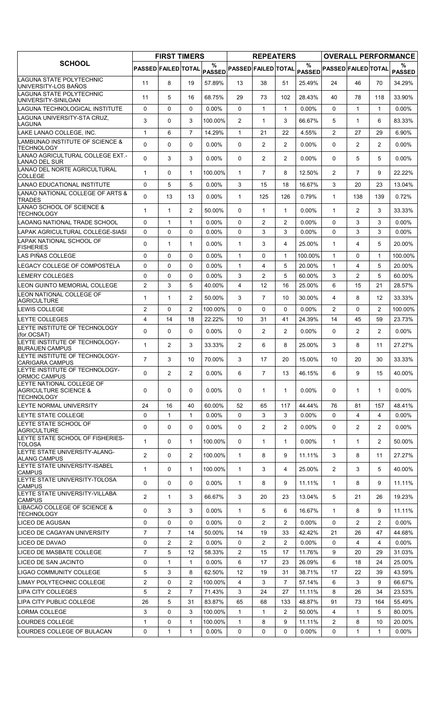|                                                                                    |                     | <b>FIRST TIMERS</b> |                |                    |                   | <b>REPEATERS</b> |                |                                                        |                       |                |                | <b>OVERALL PERFORMANCE</b> |
|------------------------------------------------------------------------------------|---------------------|---------------------|----------------|--------------------|-------------------|------------------|----------------|--------------------------------------------------------|-----------------------|----------------|----------------|----------------------------|
| <b>SCHOOL</b>                                                                      | PASSED FAILED TOTAL |                     |                | %<br><b>PASSED</b> |                   |                  |                | $\%$<br>PASSED FAILED TOTAL PASSED PASSED FAILED TOTAL |                       |                |                | %<br><b>PASSED</b>         |
| LAGUNA STATE POLYTECHNIC<br>UNIVERSITY-LOS BAÑOS                                   | 11                  | 8                   | 19             | 57.89%             | 13                | 38               | 51             | 25.49%                                                 | 24                    | 46             | 70             | 34.29%                     |
| LAGUNA STATE POLYTECHNIC<br>UNIVERSITY-SINILOAN                                    | 11                  | 5                   | 16             | 68.75%             | 29                | 73               | 102            | 28.43%                                                 | 40                    | 78             | 118            | 33.90%                     |
| LAGUNA TECHNOLOGICAL INSTITUTE                                                     | 0                   | 0                   | $\mathbf{0}$   | 0.00%              | $\Omega$          | $\mathbf{1}$     | $\mathbf{1}$   | 0.00%                                                  | $\Omega$              | $\mathbf{1}$   | $\mathbf{1}$   | 0.00%                      |
| LAGUNA UNIVERSITY-STA CRUZ,<br>LAGUNA                                              | 3                   | 0                   | 3              | 100.00%            | $\overline{2}$    | 1                | 3              | 66.67%                                                 | 5                     | $\mathbf{1}$   | 6              | 83.33%                     |
| LAKE LANAO COLLEGE, INC.                                                           | 1                   | 6                   | $\overline{7}$ | 14.29%             | $\mathbf{1}$      | 21               | 22             | 4.55%                                                  | $\overline{2}$        | 27             | 29             | 6.90%                      |
| LAMBUNAO INSTITUTE OF SCIENCE &<br><b>TECHNOLOGY</b>                               | $\Omega$            | $\Omega$            | $\mathbf{0}$   | 0.00%              | $\Omega$          | $\overline{2}$   | $\overline{2}$ | 0.00%                                                  | $\Omega$              | $\overline{2}$ | $\overline{2}$ | 0.00%                      |
| LANAO AGRICULTURAL COLLEGE EXT.-<br><b>LANAO DEL SUR</b>                           | $\mathbf 0$         | 3                   | 3              | 0.00%              | $\Omega$          | $\overline{2}$   | $\overline{2}$ | 0.00%                                                  | $\Omega$              | 5              | 5              | 0.00%                      |
| LANAO DEL NORTE AGRICULTURAL<br><b>COLLEGE</b>                                     | 1                   | 0                   | $\mathbf{1}$   | 100.00%            | $\mathbf{1}$      | $\overline{7}$   | 8              | 12.50%                                                 | 2                     | $\overline{7}$ | 9              | 22.22%                     |
| LANAO EDUCATIONAL INSTITUTE                                                        | 0                   | 5                   | 5              | $0.00\%$           | 3                 | 15               | 18             | 16.67%                                                 | 3                     | 20             | 23             | 13.04%                     |
| LANAO NATIONAL COLLEGE OF ARTS &<br><b>TRADES</b>                                  | 0                   | 13                  | 13             | $0.00\%$           | $\mathbf{1}$      | 125              | 126            | 0.79%                                                  | $\mathbf{1}$          | 138            | 139            | 0.72%                      |
| LANAO SCHOOL OF SCIENCE &<br><b>TECHNOLOGY</b>                                     | $\mathbf 1$         | $\mathbf{1}$        | $\overline{2}$ | 50.00%             | $\mathbf{0}$      | $\mathbf{1}$     | $\mathbf{1}$   | $0.00\%$                                               | $\mathbf{1}$          | $\overline{2}$ | 3              | 33.33%                     |
| <b>LAOANG NATIONAL TRADE SCHOOL</b>                                                | 0                   | $\mathbf{1}$        | 1              | $0.00\%$           | 0                 | $\overline{c}$   | $\overline{2}$ | $0.00\%$                                               | $\Omega$              | 3              | 3              | $0.00\%$                   |
| LAPAK AGRICULTURAL COLLEGE-SIASI                                                   | $\mathbf 0$         | 0                   | $\Omega$       | 0.00%              | $\Omega$          | 3                | 3              | 0.00%                                                  | $\Omega$              | 3              | 3              | $0.00\%$                   |
| LAPAK NATIONAL SCHOOL OF<br><b>FISHERIES</b>                                       | 0                   | $\mathbf{1}$        | $\mathbf{1}$   | 0.00%              | $\mathbf{1}$      | 3                | 4              | 25.00%                                                 | $\mathbf{1}$          | 4              | 5              | 20.00%                     |
| LAS PIÑAS COLLEGE                                                                  | 0                   | 0                   | $\mathbf{0}$   | $0.00\%$           | $\mathbf{1}$      | 0                | $\mathbf{1}$   | 100.00%                                                | $\mathbf 1$           | $\Omega$       | 1              | 100.00%                    |
| LEGACY COLLEGE OF COMPOSTELA                                                       | 0                   | 0                   | 0              | $0.00\%$           | $\mathbf{1}$      | 4                | 5              | 20.00%                                                 | $\mathbf{1}$          | 4              | 5              | 20.00%                     |
| <b>LEMERY COLLEGES</b>                                                             | $\Omega$            | $\Omega$            | $\mathbf{0}$   | $0.00\%$           | 3                 | $\overline{2}$   | 5              | 60.00%                                                 | 3                     | 2              | 5              | 60.00%                     |
| LEON GUINTO MEMORIAL COLLEGE                                                       | $\overline{2}$      | 3                   | 5              | 40.00%             | 4                 | 12               | 16             | 25.00%                                                 | 6                     | 15             | 21             | 28.57%                     |
| LEON NATIONAL COLLEGE OF<br><b>AGRICULTURE</b>                                     | $\mathbf 1$         | $\mathbf{1}$        | 2              | 50.00%             | 3                 | $\overline{7}$   | 10             | 30.00%                                                 | 4                     | 8              | 12             | 33.33%                     |
| LEWIS COLLEGE                                                                      | $\overline{2}$      | $\Omega$            | 2              | 100.00%            | $\mathbf{0}$      | $\Omega$         | $\Omega$       | $0.00\%$                                               | 2                     | $\Omega$       | $\overline{2}$ | 100.00%                    |
| <b>LEYTE COLLEGES</b>                                                              | 4                   | 14                  | 18             | 22.22%             | 10                | 31               | 41             | 24.39%                                                 | 14                    | 45             | 59             | 23.73%                     |
| <b>LEYTE INSTITUTE OF TECHNOLOGY</b><br>(for.OCSAT)                                | $\Omega$            | $\Omega$            | $\mathbf{0}$   | $0.00\%$           | $\Omega$          | $\overline{2}$   | $\overline{2}$ | 0.00%                                                  | $\Omega$              | 2              | $\overline{2}$ | 0.00%                      |
| LEYTE INSTITUTE OF TECHNOLOGY-<br><b>BURAUEN CAMPUS</b>                            | $\mathbf{1}$        | $\overline{2}$      | 3              | 33.33%             | $\overline{2}$    | 6                | 8              | 25.00%                                                 | 3                     | 8              | 11             | 27.27%                     |
| LEYTE INSTITUTE OF TECHNOLOGY-<br><b>CARIGARA CAMPUS</b>                           | $\overline{7}$      | 3                   | 10             | 70.00%             | 3                 | 17               | 20             | 15.00%                                                 | 10                    | 20             | 30             | 33.33%                     |
| LEYTE INSTITUTE OF TECHNOLOGY-<br>ORMOC CAMPUS                                     | 0                   | $\overline{2}$      | $\overline{2}$ | $0.00\%$           | 6                 | $\overline{7}$   | 13             | 46.15%                                                 | 6                     | 9              | 15             | 40.00%                     |
| LEYTE NATIONAL COLLEGE OF<br><b>AGRICULTURE SCIENCE &amp;</b><br><b>TECHNOLOGY</b> | 0                   | 0                   | 0              | $0.00\%$           | 0                 | 1                | $\mathbf{1}$   | $0.00\%$                                               | 0                     | 1              | 1              | $0.00\%$                   |
| LEYTE NORMAL UNIVERSITY                                                            | 24                  | 16                  | 40             | 60.00%             | 52                | 65               | 117            | 44.44%                                                 | 76                    | 81             | 157            | 48.41%                     |
| LEYTE STATE COLLEGE                                                                | 0                   | $\mathbf{1}$        | $\mathbf{1}$   | $0.00\%$           | $\Omega$          | 3                | 3              | 0.00%                                                  | $\Omega$              | 4              | 4              | $0.00\%$                   |
| LEYTE STATE SCHOOL OF<br><b>AGRICULTURE</b>                                        | 0                   | 0                   | $\mathbf 0$    | $0.00\%$           | 0                 | 2                | 2              | $0.00\%$                                               | 0                     | $\overline{2}$ | 2              | $0.00\%$                   |
| LEYTE STATE SCHOOL OF FISHERIES-<br><b>TOLOSA</b>                                  | 1                   | 0                   | $\mathbf{1}$   | 100.00%            | 0                 | $\mathbf{1}$     | $\mathbf{1}$   | 0.00%                                                  | $\mathbf{1}$          | 1              | $\overline{2}$ | 50.00%                     |
| LEYTE STATE UNIVERSITY-ALANG-<br><b>ALANG CAMPUS</b>                               | $\overline{2}$      | 0                   | $\overline{2}$ | 100.00%            | $\mathbf{1}$      | 8                | 9              | 11.11%                                                 | 3                     | 8              | 11             | 27.27%                     |
| LEYTE STATE UNIVERSITY-ISABEL<br><b>CAMPUS</b>                                     | 1                   | 0                   | $\mathbf{1}$   | 100.00%            | 1                 | 3                | 4              | 25.00%                                                 | $\mathbf{2}^{\prime}$ | 3              | 5              | 40.00%                     |
| LEYTE STATE UNIVERSITY-TOLOSA<br><b>CAMPUS</b>                                     | 0                   | 0                   | 0              | $0.00\%$           | 1                 | 8                | 9              | 11.11%                                                 | 1                     | 8              | 9              | 11.11%                     |
| LEYTE STATE UNIVERSITY-VILLABA<br><b>CAMPUS</b>                                    | $\overline{2}$      | $\mathbf{1}$        | 3              | 66.67%             | 3                 | 20               | 23             | 13.04%                                                 | 5                     | 21             | 26             | 19.23%                     |
| LIBACAO COLLEGE OF SCIENCE &<br><b>TECHNOLOGY</b>                                  | 0                   | 3                   | 3              | $0.00\%$           | $\mathbf{1}$      | 5                | 6              | 16.67%                                                 | 1                     | 8              | 9              | 11.11%                     |
| LICEO DE AGUSAN                                                                    | 0                   | 0                   | 0              | $0.00\%$           | $\mathbf{0}$      | $\overline{2}$   | 2              | $0.00\%$                                               | 0                     | $\overline{2}$ | $\overline{2}$ | $0.00\%$                   |
| LICEO DE CAGAYAN UNIVERSITY                                                        | $\overline{7}$      | $\overline{7}$      | 14             | 50.00%             | 14                | 19               | 33             | 42.42%                                                 | 21                    | 26             | 47             | 44.68%                     |
| LICEO DE DAVAO                                                                     | 0                   | 2                   | $\overline{2}$ | $0.00\%$           | 0                 | 2                | $\overline{2}$ | $0.00\%$                                               | 0                     | 4              | 4              | $0.00\%$                   |
| LICEO DE MASBATE COLLEGE                                                           | $\overline{7}$      | 5                   | 12             | 58.33%             | 2                 | 15               | 17             | 11.76%                                                 | 9                     | 20             | 29             | 31.03%                     |
| LICEO DE SAN JACINTO                                                               | 0                   | $\mathbf{1}$        | $\mathbf{1}$   | $0.00\%$           | 6                 | 17               | 23             | 26.09%                                                 | 6                     | 18             | 24             | 25.00%                     |
| LIGAO COMMUNITY COLLEGE                                                            | 5                   | 3                   | 8              | 62.50%             | $12 \overline{ }$ | 19               | 31             | 38.71%                                                 | 17                    | 22             | 39             | 43.59%                     |
| LIMAY POLYTECHNIC COLLEGE                                                          | $\overline{2}$      | 0                   | $\overline{2}$ | 100.00%            | 4                 | 3                | $\overline{7}$ | 57.14%                                                 | 6                     | 3              | 9              | 66.67%                     |
| LIPA CITY COLLEGES                                                                 | 5                   | 2                   | 7              | 71.43%             | 3                 | 24               | 27             | 11.11%                                                 | 8                     | 26             | 34             | 23.53%                     |
| LIPA CITY PUBLIC COLLEGE                                                           | 26                  | 5                   | 31             | 83.87%             | 65                | 68               | 133            | 48.87%                                                 | 91                    | 73             | 164            | 55.49%                     |
| LORMA COLLEGE                                                                      | 3                   | 0                   | 3              | 100.00%            | $\mathbf{1}$      | $\mathbf 1$      | $\overline{2}$ | 50.00%                                                 | 4                     | $\mathbf{1}$   | 5              | 80.00%                     |
| LOURDES COLLEGE                                                                    | 1                   | 0                   | $\mathbf{1}$   | 100.00%            | $\mathbf{1}$      | 8                | 9              | 11.11%                                                 | $\overline{2}$        | 8              | 10             | 20.00%                     |
| LOURDES COLLEGE OF BULACAN                                                         | 0                   | $\mathbf{1}$        | $\mathbf{1}$   | $0.00\%$           | 0                 | 0                | 0              | 0.00%                                                  | 0                     | $\mathbf{1}$   | 1              | $0.00\%$                   |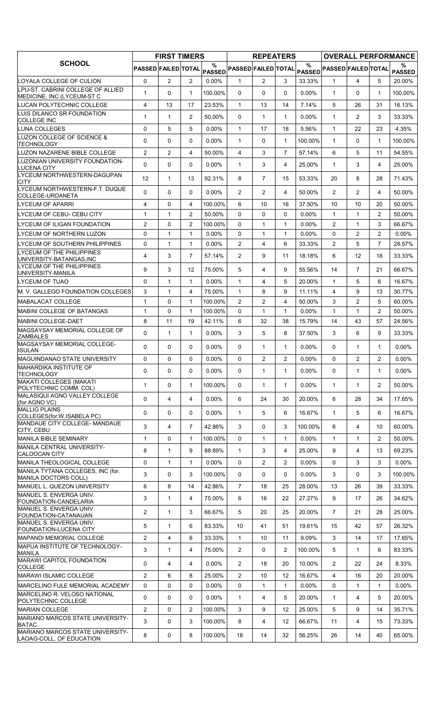|                                                                 |                            | <b>FIRST TIMERS</b> |                |                    |                            | <b>REPEATERS</b> |                |          |                            |                |                | <b>OVERALL PERFORMANCE</b> |
|-----------------------------------------------------------------|----------------------------|---------------------|----------------|--------------------|----------------------------|------------------|----------------|----------|----------------------------|----------------|----------------|----------------------------|
| <b>SCHOOL</b>                                                   | <b>PASSED FAILED TOTAL</b> |                     |                | %<br><b>PASSED</b> | <b>PASSED FAILED TOTAL</b> |                  |                | $\%$     | PASSED PASSED FAILED TOTAL |                |                | ℅<br><b>PASSED</b>         |
| LOYALA COLLEGE OF CULION                                        | 0                          | $\overline{2}$      | 2              | $0.00\%$           | 1                          | $\overline{2}$   | 3              | 33.33%   | $\mathbf 1$                | 4              | 5              | 20.00%                     |
| LPU-ST. CABRINI COLLEGE OF ALLIED<br>MEDICINE, INC.(LYCEUM-ST C | 1                          | $\Omega$            | $\mathbf{1}$   | 100.00%            | $\Omega$                   | $\Omega$         | 0              | $0.00\%$ | $\mathbf{1}$               | $\Omega$       | $\mathbf{1}$   | 100.00%                    |
| LUCAN POLYTECHNIC COLLEGE                                       | 4                          | 13                  | 17             | 23.53%             | $\mathbf{1}$               | 13               | 14             | 7.14%    | 5                          | 26             | 31             | 16.13%                     |
| LUIS DILANCO SR FOUNDATION<br><b>COLLEGE INC</b>                | 1                          | $\mathbf{1}$        | $\overline{2}$ | 50.00%             | $\Omega$                   | $\mathbf{1}$     | $\mathbf{1}$   | $0.00\%$ | $\mathbf{1}$               | $\overline{2}$ | 3              | 33.33%                     |
| LUNA COLLEGES                                                   | 0                          | 5                   | 5              | $0.00\%$           | $\mathbf{1}$               | 17               | 18             | 5.56%    | $\mathbf{1}$               | 22             | 23             | 4.35%                      |
| LUZON COLLEGE OF SCIENCE &<br>TECHNOLOGY                        | $\Omega$                   | $\mathbf 0$         | $\Omega$       | 0.00%              | 1                          | 0                | $\mathbf{1}$   | 100.00%  | $\mathbf{1}$               | $\Omega$       | $\mathbf 1$    | 100.00%                    |
| LUZON NAZARENE BIBLE COLLEGE                                    | $\overline{2}$             | 2                   | $\overline{4}$ | 50.00%             | 4                          | 3                | $\overline{7}$ | 57.14%   | 6                          | 5              | 11             | 54.55%                     |
| LUZONIAN UNIVERSITY FOUNDATION-<br><b>LUCENA CITY</b>           | 0                          | $\mathbf 0$         | $\mathbf{0}$   | $0.00\%$           | $\mathbf{1}$               | 3                | 4              | 25.00%   | $\mathbf{1}$               | 3              | 4              | 25.00%                     |
| LYCEUM NORTHWESTERN-DAGUPAN<br><b>CITY</b>                      | 12                         | $\mathbf{1}$        | 13             | 92.31%             | 8                          | $\overline{7}$   | 15             | 53.33%   | 20                         | 8              | 28             | 71.43%                     |
| LYCEUM NORTHWESTERN-F.T. DUQUE<br>COLLEGE-URDANETA              | $\Omega$                   | $\mathbf 0$         | $\mathbf{0}$   | $0.00\%$           | 2                          | $\overline{2}$   | 4              | 50.00%   | $\overline{2}$             | 2              | 4              | 50.00%                     |
| <b>LYCEUM OF APARRI</b>                                         | 4                          | $\mathbf 0$         | 4              | 100.00%            | 6                          | 10               | 16             | 37.50%   | 10                         | 10             | 20             | 50.00%                     |
| LYCEUM OF CEBU- CEBU CITY                                       | 1                          | $\mathbf{1}$        | 2              | 50.00%             | $\Omega$                   | 0                | 0              | $0.00\%$ | $\mathbf{1}$               | $\mathbf{1}$   | $\overline{2}$ | 50.00%                     |
| LYCEUM OF ILIGAN FOUNDATION                                     | $\overline{2}$             | $\Omega$            | $\overline{2}$ | 100.00%            | $\Omega$                   | $\mathbf{1}$     | $\mathbf{1}$   | $0.00\%$ | $\overline{2}$             | $\mathbf{1}$   | 3              | 66.67%                     |
| LYCEUM OF NORTHERN LUZON                                        | $\mathbf 0$                | $\mathbf{1}$        | $\mathbf{1}$   | $0.00\%$           | $\Omega$                   | $\mathbf{1}$     | 1              | $0.00\%$ | $\Omega$                   | 2              | 2              | $0.00\%$                   |
| LYCEUM OF SOUTHERN PHILIPPINES                                  | 0                          | $\mathbf{1}$        | 1              | 0.00%              | $\overline{2}$             | 4                | 6              | 33.33%   | $\overline{2}$             | 5              | $\overline{7}$ | 28.57%                     |
| LYCEUM OF THE PHILIPPINES<br>UNIVERSITY-BATANGAS, INC           | 4                          | 3                   | $\overline{7}$ | 57.14%             | $\overline{2}$             | 9                | 11             | 18.18%   | 6                          | 12             | 18             | 33.33%                     |
| LYCEUM OF THE PHILIPPINES<br>UNIVERSITY-MANILA                  | 9                          | 3                   | 12             | 75.00%             | 5                          | 4                | 9              | 55.56%   | 14                         | $\overline{7}$ | 21             | 66.67%                     |
| <b>LYCEUM OF TUAO</b>                                           | 0                          | $\mathbf{1}$        | 1              | $0.00\%$           | 1                          | 4                | 5              | 20.00%   | $\mathbf{1}$               | 5              | 6              | 16.67%                     |
| M. V. GALLEGO FOUNDATION COLLEGES                               | 3                          | $\mathbf{1}$        | 4              | 75.00%             | $\mathbf{1}$               | 8                | 9              | 11.11%   | $\overline{4}$             | 9              | 13             | 30.77%                     |
| <b>MABALACAT COLLEGE</b>                                        | 1                          | $\Omega$            | 1              | 100.00%            | 2                          | $\overline{2}$   | 4              | 50.00%   | 3                          | 2              | 5              | 60.00%                     |
| <b>MABINI COLLEGE OF BATANGAS</b>                               | 1                          | $\mathbf 0$         | $\mathbf{1}$   | 100.00%            | 0                          | $\mathbf{1}$     | $\mathbf{1}$   | 0.00%    | $\mathbf{1}$               | 1              | $\overline{2}$ | 50.00%                     |
| <b>MABINI COLLEGE-DAET</b>                                      | 8                          | 11                  | 19             | 42.11%             | 6                          | 32               | 38             | 15.79%   | 14                         | 43             | 57             | 24.56%                     |
| MAGSAYSAY MEMORIAL COLLEGE OF<br><b>ZAMBALES</b>                | 0                          | 1                   | 1              | $0.00\%$           | 3                          | 5                | 8              | 37.50%   | 3                          | 6              | 9              | 33.33%                     |
| MAGSAYSAY MEMORIAL COLLEGE-<br><b>ISULAN</b>                    | $\Omega$                   | $\mathbf{0}$        | $\mathbf{0}$   | 0.00%              | $\Omega$                   | $\mathbf{1}$     | $\mathbf{1}$   | 0.00%    | $\Omega$                   | $\mathbf 1$    | $\mathbf{1}$   | $0.00\%$                   |
| <b>MAGUINDANAO STATE UNIVERSITY</b>                             | $\Omega$                   | 0                   | $\Omega$       | 0.00%              | $\Omega$                   | 2                | 2              | 0.00%    | $\Omega$                   | $\overline{c}$ | $\overline{2}$ | $0.00\%$                   |
| <b>MAHARDIKA INSTITUTE OF</b><br><b>TECHNOLOGY</b>              | 0                          | 0                   | 0              | $0.00\%$           | 0                          | 1                | 1              | $0.00\%$ | 0                          | 1              | 1              | $0.00\%$                   |
| <b>MAKATI COLLEGES (MAKATI</b><br>POLYTECHNIC COMM. COL)        | 1                          | $\mathbf 0$         | 1              | 100.00%            | 0                          | $\mathbf{1}$     | 1              | 0.00%    | $\mathbf{1}$               | $\mathbf 1$    | $\overline{2}$ | 50.00%                     |
| MALASIQUI AGNO VALLEY COLLEGE<br>(for.AGNO VC)                  | 0                          | $\overline{4}$      | $\overline{4}$ | $0.00\%$           | 6                          | 24               | 30             | 20.00%   | 6                          | 28             | 34             | 17.65%                     |
| <b>MALLIG PLAINS</b><br>COLLEGES(for.W.ISABELA PC)              | 0                          | $\mathbf 0$         | 0              | $0.00\%$           | $\mathbf{1}$               | 5                | 6              | 16.67%   | $\mathbf{1}$               | 5              | 6              | 16.67%                     |
| MANDAUE CITY COLLEGE- MANDAUE<br>CITY, CEBU                     | 3                          | $\overline{4}$      | $\overline{7}$ | 42.86%             | 3                          | 0                | 3              | 100.00%  | 6                          | 4              | 10             | 60.00%                     |
| <b>MANILA BIBLE SEMINARY</b>                                    | 1                          | $\mathbf 0$         | 1              | 100.00%            | 0                          | $\mathbf{1}$     | $\mathbf{1}$   | $0.00\%$ | $\mathbf{1}$               | 1              | $\overline{2}$ | 50.00%                     |
| MANILA CENTRAL UNIVERSITY-                                      | 8                          | $\mathbf{1}$        | 9              | 88.89%             | $\mathbf{1}$               | 3                | 4              | 25.00%   | 9                          | 4              | 13             | 69.23%                     |
| <b>CALOOCAN CITY</b><br>MANILA THEOLOGICAL COLLEGE              | 0                          | $\mathbf{1}$        | 1              | $0.00\%$           | 0                          | $\overline{2}$   | $\overline{2}$ | 0.00%    | $\Omega$                   | 3              | 3              | $0.00\%$                   |
| MANILA TYTANA COLLEGES, INC (for.                               |                            |                     |                |                    |                            |                  |                |          |                            |                |                |                            |
| <b>MANILA DOCTORS COLL)</b>                                     | 3                          | $\mathbf 0$         | 3              | 100.00%            | 0                          | 0                | 0              | 0.00%    | 3                          | 0              | 3              | 100.00%                    |
| MANUEL L. QUEZON UNIVERSITY<br>MANUEL S. ENVERGA UNIV.          | 6                          | 8                   | 14             | 42.86%             | $\overline{7}$             | 18               | 25             | 28.00%   | 13                         | 26             | 39             | 33.33%                     |
| FOUNDATION-CANDELARIA<br>MANUEL S. ENVERGA UNIV.                | 3                          | $\mathbf{1}$        | 4              | 75.00%             | 6                          | 16               | 22             | 27.27%   | 9                          | 17             | 26             | 34.62%                     |
| FOUNDATION-CATANAUAN                                            | 2                          | 1                   | 3              | 66.67%             | 5                          | 20               | 25             | 20.00%   | $\overline{7}$             | 21             | 28             | 25.00%                     |
| MANUEL S. ENVERGA UNIV.<br><b>FOUNDATION-LUCENA CITY</b>        | 5                          | $\mathbf{1}$        | 6              | 83.33%             | 10                         | 41               | 51             | 19.61%   | 15                         | 42             | 57             | 26.32%                     |
| <b>MAPANDI MEMORIAL COLLEGE</b>                                 | $\overline{2}$             | 4                   | 6              | 33.33%             | $\mathbf{1}$               | 10               | 11             | 9.09%    | 3                          | 14             | 17             | 17.65%                     |
| MAPUA INSTITUTE OF TECHNOLOGY-<br><b>MANILA</b>                 | 3                          | $\mathbf{1}$        | 4              | 75.00%             | $\overline{2}$             | 0                | $\overline{c}$ | 100.00%  | 5                          | 1              | 6              | 83.33%                     |
| MARAWI CAPITOL FOUNDATION<br><b>COLLEGE</b>                     | 0                          | 4                   | 4              | 0.00%              | 2                          | 18               | 20             | 10.00%   | $\overline{2}$             | 22             | 24             | 8.33%                      |
| <b>MARAWI ISLAMIC COLLEGE</b>                                   | $\overline{2}$             | 6                   | 8              | 25.00%             | 2                          | 10               | 12             | 16.67%   | $\overline{4}$             | 16             | 20             | 20.00%                     |
| <b>MARCELINO FULE MEMORIAL ACADEMY</b>                          | $\mathbf 0$                | $\mathbf 0$         | $\mathbf 0$    | $0.00\%$           | 0                          | $\mathbf{1}$     | $\mathbf{1}$   | 0.00%    | 0                          | 1              | $\mathbf{1}$   | $0.00\%$                   |
| <b>MARCELINO R. VELOSO NATIONAL</b><br>POLYTECHNIC COLLEGE      | 0                          | $\mathbf 0$         | $\mathbf 0$    | $0.00\%$           | $\mathbf{1}$               | 4                | 5              | 20.00%   | $\mathbf{1}$               | 4              | 5              | 20.00%                     |
| <b>MARIAN COLLEGE</b>                                           | $\overline{2}$             | $\mathbf 0$         | 2              | 100.00%            | 3                          | 9                | 12             | 25.00%   | 5                          | 9              | 14             | 35.71%                     |
| MARIANO MARCOS STATE UNIVERSITY-<br><b>BATAC</b>                | 3                          | 0                   | 3              | 100.00%            | 8                          | 4                | 12             | 66.67%   | 11                         | 4              | 15             | 73.33%                     |
| MARIANO MARCOS STATE UNIVERSITY-<br>LAOAG-COLL. OF EDUCATION    | 8                          | 0                   | 8              | 100.00%            | 18                         | 14               | 32             | 56.25%   | 26                         | 14             | 40             | 65.00%                     |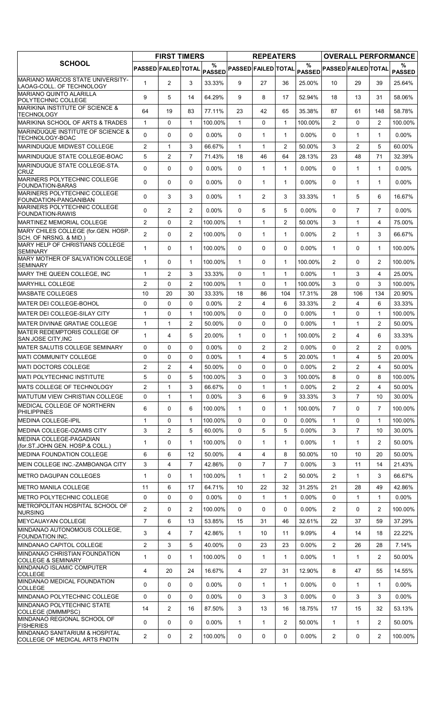| $\%$<br>%<br>%<br><b>PASSED FAILED TOTAL</b><br><b>PASSED FAILED TOTAL</b><br>PASSED PASSED FAILED TOTAL<br><b>PASSED</b><br><b>PASSED</b><br>2<br>3<br>29<br>$\mathbf{1}$<br>33.33%<br>9<br>27<br>36<br>25.00%<br>10<br>39<br>25.64%<br>LAOAG-COLL. OF TECHNOLOGY<br>5<br>9<br>64.29%<br>9<br>8<br>17<br>52.94%<br>13<br>14<br>18<br>31<br>58.06%<br>35.38%<br>58.78%<br>64<br>19<br>83<br>77.11%<br>23<br>42<br>65<br>87<br>61<br>148<br><b>TECHNOLOGY</b><br>$\mathbf 0$<br>$\mathbf{1}$<br>$\mathbf{1}$<br>$\overline{2}$<br>$\Omega$<br>$\overline{2}$<br>$\mathbf{1}$<br>$\mathbf{1}$<br>100.00%<br>0<br>100.00%<br>100.00%<br>MARINDUQUE INSTITUTE OF SCIENCE &<br>0<br>$\mathbf 0$<br>$\Omega$<br>0.00%<br>$\Omega$<br>$\mathbf{1}$<br>$\mathbf{1}$<br>0.00%<br>$\Omega$<br>$\mathbf{1}$<br>$0.00\%$<br>$\mathbf 1$<br>TECHNOLOGY-BOAC<br><b>IMARINDUQUE MIDWEST COLLEGE</b><br>$\overline{2}$<br>3<br>66.67%<br>$\overline{2}$<br>50.00%<br>3<br>$\overline{2}$<br>5<br>60.00%<br>$\mathbf{1}$<br>$\mathbf{1}$<br>$\mathbf{1}$<br>$\overline{7}$<br>5<br>$\overline{2}$<br>71<br>71.43%<br>18<br>46<br>64<br>28.13%<br>23<br>48<br>32.39%<br>0<br>0<br>$\Omega$<br>0.00%<br>$\Omega$<br>$\mathbf{1}$<br>$\mathbf{1}$<br>0.00%<br>$\Omega$<br>$\mathbf{1}$<br>$0.00\%$<br>$\mathbf{1}$<br><b>CRUZ</b><br>0<br>0<br>0<br>0.00%<br>$\Omega$<br>$\mathbf{1}$<br>$\mathbf{1}$<br>0.00%<br>$\Omega$<br>$\mathbf{1}$<br>$0.00\%$<br>$\mathbf{1}$<br><b>FOUNDATION-BARAS</b><br>0<br>3<br>$0.00\%$<br>33.33%<br>$\mathbf{1}$<br>5<br>3<br>1<br>2<br>3<br>6<br>16.67%<br>FOUNDATION-PANGANIBAN<br>IMARINERS POLYTECHNIC COLLEGE<br>0<br>$\overline{2}$<br>$\overline{2}$<br>$0.00\%$<br>5<br>5<br>0.00%<br>$\Omega$<br>$\overline{7}$<br>$0.00\%$<br>0<br>7<br><b>FOUNDATION-RAWIS</b><br><b>MARTINEZ MEMORIAL COLLEGE</b><br>$\overline{2}$<br>2<br>$\overline{2}$<br>3<br>0<br>100.00%<br>1<br>$\mathbf{1}$<br>50.00%<br>1<br>4<br>75.00%<br>$\overline{2}$<br>0<br>$\overline{2}$<br>0.00%<br>2<br>3<br>100.00%<br>0<br>$\mathbf{1}$<br>$\mathbf{1}$<br>1<br>66.67%<br>SCH. OF NRSNG. & MID.)<br>1<br>$\Omega$<br>100.00%<br>0<br>$0.00\%$<br>$\mathbf{1}$<br>100.00%<br>$\mathbf{1}$<br>0<br>0<br>$\Omega$<br>$\mathbf{1}$<br>MARY MOTHER OF SALVATION COLLEGE<br>1<br>0<br>$\mathbf{1}$<br>100.00%<br>$\mathbf{1}$<br>0<br>$\mathbf{1}$<br>100.00%<br>$\overline{2}$<br>$\Omega$<br>$\overline{2}$<br>100.00%<br>1<br>$\overline{2}$<br>3<br>33.33%<br>$\Omega$<br>$\mathbf{1}$<br>$\mathbf{1}$<br>$0.00\%$<br>$\mathbf{1}$<br>3<br>4<br>25.00%<br>$\overline{2}$<br>$\overline{2}$<br>3<br>$\mathbf 0$<br>100.00%<br>$\mathbf{1}$<br>$\Omega$<br>$\mathbf{1}$<br>100.00%<br>$\Omega$<br>3<br>100.00%<br>10<br>20<br>30<br>18<br>104<br>17.31%<br>IMASBATE COLLEGES<br>33.33%<br>86<br>28<br>106<br>134<br>20.90%<br>2<br>IMATER DEI COLLEGE-BOHOL<br>$\Omega$<br>$\Omega$<br>$\Omega$<br>$0.00\%$<br>$\overline{2}$<br>4<br>6<br>33.33%<br>4<br>6<br>33.33%<br>$\mathbf{1}$<br>$\mathbf{1}$<br>$\mathbf 0$<br>100.00%<br>$\Omega$<br>0<br>0<br>0.00%<br>$\Omega$<br>100.00%<br>$\mathbf{1}$<br>$\mathbf{1}$<br>$\overline{2}$<br>$\Omega$<br>$\mathbf{1}$<br>$\overline{2}$<br>$\mathbf{1}$<br>$\mathbf{1}$<br>50.00%<br>0<br>0<br>$0.00\%$<br>1<br>50.00%<br>MATER REDEMPTORIS COLLEGE OF<br>$\mathbf{1}$<br>$\overline{4}$<br>5<br>20.00%<br>$\mathbf{1}$<br>$\Omega$<br>$\mathbf{1}$<br>100.00%<br>$\overline{2}$<br>6<br>33.33%<br>4<br>MATER SALUTIS COLLEGE SEMINARY<br>0<br>0<br>0<br>0.00%<br>$\Omega$<br>$\overline{2}$<br>$\overline{2}$<br>0.00%<br>$\mathbf{0}$<br>$\overline{2}$<br>$\overline{2}$<br>$0.00\%$<br>0<br>0<br>0<br>$\mathbf{1}$<br>4<br>5<br>$\mathbf{1}$<br>4<br>5<br>0.00%<br>20.00%<br>20.00%<br>2<br>$\overline{c}$<br>0<br>0.00%<br>2<br>$\overline{2}$<br>MATI DOCTORS COLLEGE<br>4<br>50.00%<br>0<br>0<br>4<br>50.00%<br><b>MATI POLYTECHNIC INSTITUTE</b><br>5<br>$\Omega$<br>5<br>100.00%<br>3<br>$\Omega$<br>3<br>100.00%<br>8<br>0<br>8<br>100.00%<br>$\overline{2}$<br>2<br>$\overline{2}$<br>$\mathbf{1}$<br>3<br>0<br>$\mathbf{1}$<br>$\mathbf{1}$<br>$0.00\%$<br>4<br>MATS COLLEGE OF TECHNOLOGY<br>66.67%<br>50.00%<br>0.00%<br>IMATUTUM VIEW CHRISTIAN COLLEGE<br>0<br>1<br>1<br>3<br>6<br>9<br>33.33%<br>3<br>7<br>10<br>30.00%<br><b>IMEDICAL COLLEGE OF NORTHERN</b><br>6<br>0<br>6<br>100.00%<br>$\mathbf{1}$<br>0<br>$\mathbf{1}$<br>100.00%<br>$\overline{7}$<br>$\Omega$<br>7<br>100.00%<br><b>MEDINA COLLEGE-IPIL</b><br>1<br>$\Omega$<br>$\mathbf{1}$<br>100.00%<br>$\Omega$<br>0<br>$0.00\%$<br>$\mathbf{1}$<br>$\Omega$<br>0<br>$\mathbf{1}$<br>100.00%<br>3<br>2<br>5<br>5<br>5<br>3<br>$\overline{7}$<br>IMEDINA COLLEGE-OZAMIS CITY<br>60.00%<br>0<br>$0.00\%$<br>10<br>30.00%<br>MEDINA COLLEGE-PAGADIAN<br>1<br>0<br>1<br>100.00%<br>0<br>$\mathbf{1}$<br>$\mathbf{1}$<br>$0.00\%$<br>$\mathbf{1}$<br>1<br>$\overline{2}$<br>50.00%<br>l(for.ST.JOHN GEN. HOSP.& COLL.)<br>6<br>6<br>12<br>50.00%<br>4<br>4<br>8<br>50.00%<br>10<br>10<br>20<br>50.00%<br>$\overline{7}$<br>$\overline{7}$<br>IMEIN COLLEGE INC.-ZAMBOANGA CITY<br>3<br>$\overline{4}$<br>0<br>$\overline{7}$<br>3<br>42.86%<br>$0.00\%$<br>11<br>14<br>21.43%<br>$\overline{2}$<br>$\overline{2}$<br>1<br>0<br>1<br>100.00%<br>$\mathbf{1}$<br>$\mathbf{1}$<br>50.00%<br>1<br>3<br>66.67%<br>64.71%<br>31.25%<br>IMETRO MANILA COLLEGE<br>11<br>6<br>17<br>10<br>22<br>32<br>21<br>28<br>49<br>42.86%<br>0<br>0.00%<br>$0.00\%$<br>$\Omega$<br>0<br>0<br>0<br>$\mathbf{1}$<br>$\mathbf{1}$<br>$\mathbf{1}$<br>$\mathbf{1}$<br>$0.00\%$<br>IMETROPOLITAN HOSPITAL SCHOOL OF<br>$\overline{2}$<br>$\mathbf 0$<br>$\overline{2}$<br>100.00%<br>0.00%<br>2<br>$\overline{2}$<br>0<br>0<br>0<br>$\Omega$<br>100.00%<br><b>NURSING</b><br>$\overline{7}$<br>6<br>13<br>53.85%<br>15<br>31<br>46<br>32.61%<br>22<br>37<br>59<br>37.29%<br>3<br>$\overline{7}$<br>9.09%<br>42.86%<br>1<br>11<br>22.22%<br>4<br>10<br>4<br>14<br>18<br>$\overline{2}$<br>3<br>5<br>$\overline{2}$<br>40.00%<br>0<br>23<br>23<br>$0.00\%$<br>26<br>28<br>7.14%<br>$\mathbf{1}$<br>$\mathbf{1}$<br>$0.00\%$<br>$\mathbf{1}$<br>$\overline{2}$<br>0<br>1<br>100.00%<br>0<br>$\mathbf{1}$<br>$\mathbf{1}$<br>50.00%<br><b>COLLEGE &amp; SEMINARY</b><br>8<br>4<br>20<br>24<br>16.67%<br>4<br>27<br>31<br>12.90%<br>47<br>14.55%<br>55<br>0<br>0<br>$0.00\%$<br>$0.00\%$<br>0<br>0<br>$\mathbf{1}$<br>$\mathbf{1}$<br>0<br>1<br>$0.00\%$<br>$\mathbf 1$<br>0<br>0<br>$\Omega$<br>0<br>3<br>3<br>0.00%<br>$\Omega$<br>3<br>3<br>$0.00\%$<br>$0.00\%$<br>IMINDANAO POLYTECHNIC STATE<br>2<br>14<br>16<br>87.50%<br>3<br>18.75%<br>17<br>53.13%<br>13<br>16<br>15<br>32<br>0<br>$\overline{2}$<br>0<br>0<br>$0.00\%$<br>1<br>$\mathbf{1}$<br>50.00%<br>$\mathbf{1}$<br>$\mathbf{1}$<br>$\overline{2}$<br>50.00%<br>2<br>2<br>100.00%<br>$\overline{2}$<br>0<br>0<br>0<br>0<br>$0.00\%$<br>0<br>2<br>100.00% |                                                                 | <b>FIRST TIMERS</b> |  | <b>REPEATERS</b> |  |  | <b>OVERALL PERFORMANCE</b> |
|---------------------------------------------------------------------------------------------------------------------------------------------------------------------------------------------------------------------------------------------------------------------------------------------------------------------------------------------------------------------------------------------------------------------------------------------------------------------------------------------------------------------------------------------------------------------------------------------------------------------------------------------------------------------------------------------------------------------------------------------------------------------------------------------------------------------------------------------------------------------------------------------------------------------------------------------------------------------------------------------------------------------------------------------------------------------------------------------------------------------------------------------------------------------------------------------------------------------------------------------------------------------------------------------------------------------------------------------------------------------------------------------------------------------------------------------------------------------------------------------------------------------------------------------------------------------------------------------------------------------------------------------------------------------------------------------------------------------------------------------------------------------------------------------------------------------------------------------------------------------------------------------------------------------------------------------------------------------------------------------------------------------------------------------------------------------------------------------------------------------------------------------------------------------------------------------------------------------------------------------------------------------------------------------------------------------------------------------------------------------------------------------------------------------------------------------------------------------------------------------------------------------------------------------------------------------------------------------------------------------------------------------------------------------------------------------------------------------------------------------------------------------------------------------------------------------------------------------------------------------------------------------------------------------------------------------------------------------------------------------------------------------------------------------------------------------------------------------------------------------------------------------------------------------------------------------------------------------------------------------------------------------------------------------------------------------------------------------------------------------------------------------------------------------------------------------------------------------------------------------------------------------------------------------------------------------------------------------------------------------------------------------------------------------------------------------------------------------------------------------------------------------------------------------------------------------------------------------------------------------------------------------------------------------------------------------------------------------------------------------------------------------------------------------------------------------------------------------------------------------------------------------------------------------------------------------------------------------------------------------------------------------------------------------------------------------------------------------------------------------------------------------------------------------------------------------------------------------------------------------------------------------------------------------------------------------------------------------------------------------------------------------------------------------------------------------------------------------------------------------------------------------------------------------------------------------------------------------------------------------------------------------------------------------------------------------------------------------------------------------------------------------------------------------------------------------------------------------------------------------------------------------------------------------------------------------------------------------------------------------------------------------------------------------------------------------------------------------------------------------------------------------------------------------------------------------------------------------------------------------------------------------------------------------------------------------------------------------------------------------------------------------------------------------------------------------------------------------------------------------------------------------------------------------------------------------------------------------------------------------------------------------------------------------------------------------------------------------------------------------------------------------------------------------------------------------------------------------------------------------------------------------------------------------------------------------------------------------------------------------------------------------------------------------------------------------------------------------------------------------------------------------------------------------------------------------------------------------------------------------------------------------------------------------------------------------------------------------------------------------------------------------------------------------------------------------------------------------------------------------------------------------------------------------------------------------------------------------------------------------------------------------------------------|-----------------------------------------------------------------|---------------------|--|------------------|--|--|----------------------------|
|                                                                                                                                                                                                                                                                                                                                                                                                                                                                                                                                                                                                                                                                                                                                                                                                                                                                                                                                                                                                                                                                                                                                                                                                                                                                                                                                                                                                                                                                                                                                                                                                                                                                                                                                                                                                                                                                                                                                                                                                                                                                                                                                                                                                                                                                                                                                                                                                                                                                                                                                                                                                                                                                                                                                                                                                                                                                                                                                                                                                                                                                                                                                                                                                                                                                                                                                                                                                                                                                                                                                                                                                                                                                                                                                                                                                                                                                                                                                                                                                                                                                                                                                                                                                                                                                                                                                                                                                                                                                                                                                                                                                                                                                                                                                                                                                                                                                                                                                                                                                                                                                                                                                                                                                                                                                                                                                                                                                                                                                                                                                                                                                                                                                                                                                                                                                                                                                                                                                                                                                                                                                                                                                                                                                                                                                                                                                                                                                                                                                                                                                                                                                                                                                                                                                                                                                                                                                                                               | <b>SCHOOL</b>                                                   |                     |  |                  |  |  |                            |
|                                                                                                                                                                                                                                                                                                                                                                                                                                                                                                                                                                                                                                                                                                                                                                                                                                                                                                                                                                                                                                                                                                                                                                                                                                                                                                                                                                                                                                                                                                                                                                                                                                                                                                                                                                                                                                                                                                                                                                                                                                                                                                                                                                                                                                                                                                                                                                                                                                                                                                                                                                                                                                                                                                                                                                                                                                                                                                                                                                                                                                                                                                                                                                                                                                                                                                                                                                                                                                                                                                                                                                                                                                                                                                                                                                                                                                                                                                                                                                                                                                                                                                                                                                                                                                                                                                                                                                                                                                                                                                                                                                                                                                                                                                                                                                                                                                                                                                                                                                                                                                                                                                                                                                                                                                                                                                                                                                                                                                                                                                                                                                                                                                                                                                                                                                                                                                                                                                                                                                                                                                                                                                                                                                                                                                                                                                                                                                                                                                                                                                                                                                                                                                                                                                                                                                                                                                                                                                               | <b>MARIANO MARCOS STATE UNIVERSITY-</b>                         |                     |  |                  |  |  |                            |
|                                                                                                                                                                                                                                                                                                                                                                                                                                                                                                                                                                                                                                                                                                                                                                                                                                                                                                                                                                                                                                                                                                                                                                                                                                                                                                                                                                                                                                                                                                                                                                                                                                                                                                                                                                                                                                                                                                                                                                                                                                                                                                                                                                                                                                                                                                                                                                                                                                                                                                                                                                                                                                                                                                                                                                                                                                                                                                                                                                                                                                                                                                                                                                                                                                                                                                                                                                                                                                                                                                                                                                                                                                                                                                                                                                                                                                                                                                                                                                                                                                                                                                                                                                                                                                                                                                                                                                                                                                                                                                                                                                                                                                                                                                                                                                                                                                                                                                                                                                                                                                                                                                                                                                                                                                                                                                                                                                                                                                                                                                                                                                                                                                                                                                                                                                                                                                                                                                                                                                                                                                                                                                                                                                                                                                                                                                                                                                                                                                                                                                                                                                                                                                                                                                                                                                                                                                                                                                               | <b>MARIANO QUINTO ALARILLA</b><br>POLYTECHNIC COLLEGE           |                     |  |                  |  |  |                            |
|                                                                                                                                                                                                                                                                                                                                                                                                                                                                                                                                                                                                                                                                                                                                                                                                                                                                                                                                                                                                                                                                                                                                                                                                                                                                                                                                                                                                                                                                                                                                                                                                                                                                                                                                                                                                                                                                                                                                                                                                                                                                                                                                                                                                                                                                                                                                                                                                                                                                                                                                                                                                                                                                                                                                                                                                                                                                                                                                                                                                                                                                                                                                                                                                                                                                                                                                                                                                                                                                                                                                                                                                                                                                                                                                                                                                                                                                                                                                                                                                                                                                                                                                                                                                                                                                                                                                                                                                                                                                                                                                                                                                                                                                                                                                                                                                                                                                                                                                                                                                                                                                                                                                                                                                                                                                                                                                                                                                                                                                                                                                                                                                                                                                                                                                                                                                                                                                                                                                                                                                                                                                                                                                                                                                                                                                                                                                                                                                                                                                                                                                                                                                                                                                                                                                                                                                                                                                                                               | MARIKINA INSTITUTE OF SCIENCE &                                 |                     |  |                  |  |  |                            |
|                                                                                                                                                                                                                                                                                                                                                                                                                                                                                                                                                                                                                                                                                                                                                                                                                                                                                                                                                                                                                                                                                                                                                                                                                                                                                                                                                                                                                                                                                                                                                                                                                                                                                                                                                                                                                                                                                                                                                                                                                                                                                                                                                                                                                                                                                                                                                                                                                                                                                                                                                                                                                                                                                                                                                                                                                                                                                                                                                                                                                                                                                                                                                                                                                                                                                                                                                                                                                                                                                                                                                                                                                                                                                                                                                                                                                                                                                                                                                                                                                                                                                                                                                                                                                                                                                                                                                                                                                                                                                                                                                                                                                                                                                                                                                                                                                                                                                                                                                                                                                                                                                                                                                                                                                                                                                                                                                                                                                                                                                                                                                                                                                                                                                                                                                                                                                                                                                                                                                                                                                                                                                                                                                                                                                                                                                                                                                                                                                                                                                                                                                                                                                                                                                                                                                                                                                                                                                                               | MARIKINA SCHOOL OF ARTS & TRADES                                |                     |  |                  |  |  |                            |
|                                                                                                                                                                                                                                                                                                                                                                                                                                                                                                                                                                                                                                                                                                                                                                                                                                                                                                                                                                                                                                                                                                                                                                                                                                                                                                                                                                                                                                                                                                                                                                                                                                                                                                                                                                                                                                                                                                                                                                                                                                                                                                                                                                                                                                                                                                                                                                                                                                                                                                                                                                                                                                                                                                                                                                                                                                                                                                                                                                                                                                                                                                                                                                                                                                                                                                                                                                                                                                                                                                                                                                                                                                                                                                                                                                                                                                                                                                                                                                                                                                                                                                                                                                                                                                                                                                                                                                                                                                                                                                                                                                                                                                                                                                                                                                                                                                                                                                                                                                                                                                                                                                                                                                                                                                                                                                                                                                                                                                                                                                                                                                                                                                                                                                                                                                                                                                                                                                                                                                                                                                                                                                                                                                                                                                                                                                                                                                                                                                                                                                                                                                                                                                                                                                                                                                                                                                                                                                               |                                                                 |                     |  |                  |  |  |                            |
|                                                                                                                                                                                                                                                                                                                                                                                                                                                                                                                                                                                                                                                                                                                                                                                                                                                                                                                                                                                                                                                                                                                                                                                                                                                                                                                                                                                                                                                                                                                                                                                                                                                                                                                                                                                                                                                                                                                                                                                                                                                                                                                                                                                                                                                                                                                                                                                                                                                                                                                                                                                                                                                                                                                                                                                                                                                                                                                                                                                                                                                                                                                                                                                                                                                                                                                                                                                                                                                                                                                                                                                                                                                                                                                                                                                                                                                                                                                                                                                                                                                                                                                                                                                                                                                                                                                                                                                                                                                                                                                                                                                                                                                                                                                                                                                                                                                                                                                                                                                                                                                                                                                                                                                                                                                                                                                                                                                                                                                                                                                                                                                                                                                                                                                                                                                                                                                                                                                                                                                                                                                                                                                                                                                                                                                                                                                                                                                                                                                                                                                                                                                                                                                                                                                                                                                                                                                                                                               |                                                                 |                     |  |                  |  |  |                            |
|                                                                                                                                                                                                                                                                                                                                                                                                                                                                                                                                                                                                                                                                                                                                                                                                                                                                                                                                                                                                                                                                                                                                                                                                                                                                                                                                                                                                                                                                                                                                                                                                                                                                                                                                                                                                                                                                                                                                                                                                                                                                                                                                                                                                                                                                                                                                                                                                                                                                                                                                                                                                                                                                                                                                                                                                                                                                                                                                                                                                                                                                                                                                                                                                                                                                                                                                                                                                                                                                                                                                                                                                                                                                                                                                                                                                                                                                                                                                                                                                                                                                                                                                                                                                                                                                                                                                                                                                                                                                                                                                                                                                                                                                                                                                                                                                                                                                                                                                                                                                                                                                                                                                                                                                                                                                                                                                                                                                                                                                                                                                                                                                                                                                                                                                                                                                                                                                                                                                                                                                                                                                                                                                                                                                                                                                                                                                                                                                                                                                                                                                                                                                                                                                                                                                                                                                                                                                                                               | MARINDUQUE STATE COLLEGE-BOAC                                   |                     |  |                  |  |  |                            |
|                                                                                                                                                                                                                                                                                                                                                                                                                                                                                                                                                                                                                                                                                                                                                                                                                                                                                                                                                                                                                                                                                                                                                                                                                                                                                                                                                                                                                                                                                                                                                                                                                                                                                                                                                                                                                                                                                                                                                                                                                                                                                                                                                                                                                                                                                                                                                                                                                                                                                                                                                                                                                                                                                                                                                                                                                                                                                                                                                                                                                                                                                                                                                                                                                                                                                                                                                                                                                                                                                                                                                                                                                                                                                                                                                                                                                                                                                                                                                                                                                                                                                                                                                                                                                                                                                                                                                                                                                                                                                                                                                                                                                                                                                                                                                                                                                                                                                                                                                                                                                                                                                                                                                                                                                                                                                                                                                                                                                                                                                                                                                                                                                                                                                                                                                                                                                                                                                                                                                                                                                                                                                                                                                                                                                                                                                                                                                                                                                                                                                                                                                                                                                                                                                                                                                                                                                                                                                                               | MARINDUQUE STATE COLLEGE-STA.                                   |                     |  |                  |  |  |                            |
|                                                                                                                                                                                                                                                                                                                                                                                                                                                                                                                                                                                                                                                                                                                                                                                                                                                                                                                                                                                                                                                                                                                                                                                                                                                                                                                                                                                                                                                                                                                                                                                                                                                                                                                                                                                                                                                                                                                                                                                                                                                                                                                                                                                                                                                                                                                                                                                                                                                                                                                                                                                                                                                                                                                                                                                                                                                                                                                                                                                                                                                                                                                                                                                                                                                                                                                                                                                                                                                                                                                                                                                                                                                                                                                                                                                                                                                                                                                                                                                                                                                                                                                                                                                                                                                                                                                                                                                                                                                                                                                                                                                                                                                                                                                                                                                                                                                                                                                                                                                                                                                                                                                                                                                                                                                                                                                                                                                                                                                                                                                                                                                                                                                                                                                                                                                                                                                                                                                                                                                                                                                                                                                                                                                                                                                                                                                                                                                                                                                                                                                                                                                                                                                                                                                                                                                                                                                                                                               | MARINERS POLYTECHNIC COLLEGE                                    |                     |  |                  |  |  |                            |
|                                                                                                                                                                                                                                                                                                                                                                                                                                                                                                                                                                                                                                                                                                                                                                                                                                                                                                                                                                                                                                                                                                                                                                                                                                                                                                                                                                                                                                                                                                                                                                                                                                                                                                                                                                                                                                                                                                                                                                                                                                                                                                                                                                                                                                                                                                                                                                                                                                                                                                                                                                                                                                                                                                                                                                                                                                                                                                                                                                                                                                                                                                                                                                                                                                                                                                                                                                                                                                                                                                                                                                                                                                                                                                                                                                                                                                                                                                                                                                                                                                                                                                                                                                                                                                                                                                                                                                                                                                                                                                                                                                                                                                                                                                                                                                                                                                                                                                                                                                                                                                                                                                                                                                                                                                                                                                                                                                                                                                                                                                                                                                                                                                                                                                                                                                                                                                                                                                                                                                                                                                                                                                                                                                                                                                                                                                                                                                                                                                                                                                                                                                                                                                                                                                                                                                                                                                                                                                               | MARINERS POLYTECHNIC COLLEGE                                    |                     |  |                  |  |  |                            |
|                                                                                                                                                                                                                                                                                                                                                                                                                                                                                                                                                                                                                                                                                                                                                                                                                                                                                                                                                                                                                                                                                                                                                                                                                                                                                                                                                                                                                                                                                                                                                                                                                                                                                                                                                                                                                                                                                                                                                                                                                                                                                                                                                                                                                                                                                                                                                                                                                                                                                                                                                                                                                                                                                                                                                                                                                                                                                                                                                                                                                                                                                                                                                                                                                                                                                                                                                                                                                                                                                                                                                                                                                                                                                                                                                                                                                                                                                                                                                                                                                                                                                                                                                                                                                                                                                                                                                                                                                                                                                                                                                                                                                                                                                                                                                                                                                                                                                                                                                                                                                                                                                                                                                                                                                                                                                                                                                                                                                                                                                                                                                                                                                                                                                                                                                                                                                                                                                                                                                                                                                                                                                                                                                                                                                                                                                                                                                                                                                                                                                                                                                                                                                                                                                                                                                                                                                                                                                                               |                                                                 |                     |  |                  |  |  |                            |
|                                                                                                                                                                                                                                                                                                                                                                                                                                                                                                                                                                                                                                                                                                                                                                                                                                                                                                                                                                                                                                                                                                                                                                                                                                                                                                                                                                                                                                                                                                                                                                                                                                                                                                                                                                                                                                                                                                                                                                                                                                                                                                                                                                                                                                                                                                                                                                                                                                                                                                                                                                                                                                                                                                                                                                                                                                                                                                                                                                                                                                                                                                                                                                                                                                                                                                                                                                                                                                                                                                                                                                                                                                                                                                                                                                                                                                                                                                                                                                                                                                                                                                                                                                                                                                                                                                                                                                                                                                                                                                                                                                                                                                                                                                                                                                                                                                                                                                                                                                                                                                                                                                                                                                                                                                                                                                                                                                                                                                                                                                                                                                                                                                                                                                                                                                                                                                                                                                                                                                                                                                                                                                                                                                                                                                                                                                                                                                                                                                                                                                                                                                                                                                                                                                                                                                                                                                                                                                               |                                                                 |                     |  |                  |  |  |                            |
|                                                                                                                                                                                                                                                                                                                                                                                                                                                                                                                                                                                                                                                                                                                                                                                                                                                                                                                                                                                                                                                                                                                                                                                                                                                                                                                                                                                                                                                                                                                                                                                                                                                                                                                                                                                                                                                                                                                                                                                                                                                                                                                                                                                                                                                                                                                                                                                                                                                                                                                                                                                                                                                                                                                                                                                                                                                                                                                                                                                                                                                                                                                                                                                                                                                                                                                                                                                                                                                                                                                                                                                                                                                                                                                                                                                                                                                                                                                                                                                                                                                                                                                                                                                                                                                                                                                                                                                                                                                                                                                                                                                                                                                                                                                                                                                                                                                                                                                                                                                                                                                                                                                                                                                                                                                                                                                                                                                                                                                                                                                                                                                                                                                                                                                                                                                                                                                                                                                                                                                                                                                                                                                                                                                                                                                                                                                                                                                                                                                                                                                                                                                                                                                                                                                                                                                                                                                                                                               | MARY CHILES COLLEGE (for.GEN. HOSP.                             |                     |  |                  |  |  |                            |
|                                                                                                                                                                                                                                                                                                                                                                                                                                                                                                                                                                                                                                                                                                                                                                                                                                                                                                                                                                                                                                                                                                                                                                                                                                                                                                                                                                                                                                                                                                                                                                                                                                                                                                                                                                                                                                                                                                                                                                                                                                                                                                                                                                                                                                                                                                                                                                                                                                                                                                                                                                                                                                                                                                                                                                                                                                                                                                                                                                                                                                                                                                                                                                                                                                                                                                                                                                                                                                                                                                                                                                                                                                                                                                                                                                                                                                                                                                                                                                                                                                                                                                                                                                                                                                                                                                                                                                                                                                                                                                                                                                                                                                                                                                                                                                                                                                                                                                                                                                                                                                                                                                                                                                                                                                                                                                                                                                                                                                                                                                                                                                                                                                                                                                                                                                                                                                                                                                                                                                                                                                                                                                                                                                                                                                                                                                                                                                                                                                                                                                                                                                                                                                                                                                                                                                                                                                                                                                               | MARY HELP OF CHRISTIANS COLLEGE<br><b>SEMINARY</b>              |                     |  |                  |  |  |                            |
|                                                                                                                                                                                                                                                                                                                                                                                                                                                                                                                                                                                                                                                                                                                                                                                                                                                                                                                                                                                                                                                                                                                                                                                                                                                                                                                                                                                                                                                                                                                                                                                                                                                                                                                                                                                                                                                                                                                                                                                                                                                                                                                                                                                                                                                                                                                                                                                                                                                                                                                                                                                                                                                                                                                                                                                                                                                                                                                                                                                                                                                                                                                                                                                                                                                                                                                                                                                                                                                                                                                                                                                                                                                                                                                                                                                                                                                                                                                                                                                                                                                                                                                                                                                                                                                                                                                                                                                                                                                                                                                                                                                                                                                                                                                                                                                                                                                                                                                                                                                                                                                                                                                                                                                                                                                                                                                                                                                                                                                                                                                                                                                                                                                                                                                                                                                                                                                                                                                                                                                                                                                                                                                                                                                                                                                                                                                                                                                                                                                                                                                                                                                                                                                                                                                                                                                                                                                                                                               | <b>SEMINARY</b>                                                 |                     |  |                  |  |  |                            |
|                                                                                                                                                                                                                                                                                                                                                                                                                                                                                                                                                                                                                                                                                                                                                                                                                                                                                                                                                                                                                                                                                                                                                                                                                                                                                                                                                                                                                                                                                                                                                                                                                                                                                                                                                                                                                                                                                                                                                                                                                                                                                                                                                                                                                                                                                                                                                                                                                                                                                                                                                                                                                                                                                                                                                                                                                                                                                                                                                                                                                                                                                                                                                                                                                                                                                                                                                                                                                                                                                                                                                                                                                                                                                                                                                                                                                                                                                                                                                                                                                                                                                                                                                                                                                                                                                                                                                                                                                                                                                                                                                                                                                                                                                                                                                                                                                                                                                                                                                                                                                                                                                                                                                                                                                                                                                                                                                                                                                                                                                                                                                                                                                                                                                                                                                                                                                                                                                                                                                                                                                                                                                                                                                                                                                                                                                                                                                                                                                                                                                                                                                                                                                                                                                                                                                                                                                                                                                                               | MARY THE QUEEN COLLEGE, INC                                     |                     |  |                  |  |  |                            |
|                                                                                                                                                                                                                                                                                                                                                                                                                                                                                                                                                                                                                                                                                                                                                                                                                                                                                                                                                                                                                                                                                                                                                                                                                                                                                                                                                                                                                                                                                                                                                                                                                                                                                                                                                                                                                                                                                                                                                                                                                                                                                                                                                                                                                                                                                                                                                                                                                                                                                                                                                                                                                                                                                                                                                                                                                                                                                                                                                                                                                                                                                                                                                                                                                                                                                                                                                                                                                                                                                                                                                                                                                                                                                                                                                                                                                                                                                                                                                                                                                                                                                                                                                                                                                                                                                                                                                                                                                                                                                                                                                                                                                                                                                                                                                                                                                                                                                                                                                                                                                                                                                                                                                                                                                                                                                                                                                                                                                                                                                                                                                                                                                                                                                                                                                                                                                                                                                                                                                                                                                                                                                                                                                                                                                                                                                                                                                                                                                                                                                                                                                                                                                                                                                                                                                                                                                                                                                                               | <b>MARYHILL COLLEGE</b>                                         |                     |  |                  |  |  |                            |
|                                                                                                                                                                                                                                                                                                                                                                                                                                                                                                                                                                                                                                                                                                                                                                                                                                                                                                                                                                                                                                                                                                                                                                                                                                                                                                                                                                                                                                                                                                                                                                                                                                                                                                                                                                                                                                                                                                                                                                                                                                                                                                                                                                                                                                                                                                                                                                                                                                                                                                                                                                                                                                                                                                                                                                                                                                                                                                                                                                                                                                                                                                                                                                                                                                                                                                                                                                                                                                                                                                                                                                                                                                                                                                                                                                                                                                                                                                                                                                                                                                                                                                                                                                                                                                                                                                                                                                                                                                                                                                                                                                                                                                                                                                                                                                                                                                                                                                                                                                                                                                                                                                                                                                                                                                                                                                                                                                                                                                                                                                                                                                                                                                                                                                                                                                                                                                                                                                                                                                                                                                                                                                                                                                                                                                                                                                                                                                                                                                                                                                                                                                                                                                                                                                                                                                                                                                                                                                               |                                                                 |                     |  |                  |  |  |                            |
|                                                                                                                                                                                                                                                                                                                                                                                                                                                                                                                                                                                                                                                                                                                                                                                                                                                                                                                                                                                                                                                                                                                                                                                                                                                                                                                                                                                                                                                                                                                                                                                                                                                                                                                                                                                                                                                                                                                                                                                                                                                                                                                                                                                                                                                                                                                                                                                                                                                                                                                                                                                                                                                                                                                                                                                                                                                                                                                                                                                                                                                                                                                                                                                                                                                                                                                                                                                                                                                                                                                                                                                                                                                                                                                                                                                                                                                                                                                                                                                                                                                                                                                                                                                                                                                                                                                                                                                                                                                                                                                                                                                                                                                                                                                                                                                                                                                                                                                                                                                                                                                                                                                                                                                                                                                                                                                                                                                                                                                                                                                                                                                                                                                                                                                                                                                                                                                                                                                                                                                                                                                                                                                                                                                                                                                                                                                                                                                                                                                                                                                                                                                                                                                                                                                                                                                                                                                                                                               |                                                                 |                     |  |                  |  |  |                            |
|                                                                                                                                                                                                                                                                                                                                                                                                                                                                                                                                                                                                                                                                                                                                                                                                                                                                                                                                                                                                                                                                                                                                                                                                                                                                                                                                                                                                                                                                                                                                                                                                                                                                                                                                                                                                                                                                                                                                                                                                                                                                                                                                                                                                                                                                                                                                                                                                                                                                                                                                                                                                                                                                                                                                                                                                                                                                                                                                                                                                                                                                                                                                                                                                                                                                                                                                                                                                                                                                                                                                                                                                                                                                                                                                                                                                                                                                                                                                                                                                                                                                                                                                                                                                                                                                                                                                                                                                                                                                                                                                                                                                                                                                                                                                                                                                                                                                                                                                                                                                                                                                                                                                                                                                                                                                                                                                                                                                                                                                                                                                                                                                                                                                                                                                                                                                                                                                                                                                                                                                                                                                                                                                                                                                                                                                                                                                                                                                                                                                                                                                                                                                                                                                                                                                                                                                                                                                                                               | MATER DEI COLLEGE-SILAY CITY                                    |                     |  |                  |  |  |                            |
|                                                                                                                                                                                                                                                                                                                                                                                                                                                                                                                                                                                                                                                                                                                                                                                                                                                                                                                                                                                                                                                                                                                                                                                                                                                                                                                                                                                                                                                                                                                                                                                                                                                                                                                                                                                                                                                                                                                                                                                                                                                                                                                                                                                                                                                                                                                                                                                                                                                                                                                                                                                                                                                                                                                                                                                                                                                                                                                                                                                                                                                                                                                                                                                                                                                                                                                                                                                                                                                                                                                                                                                                                                                                                                                                                                                                                                                                                                                                                                                                                                                                                                                                                                                                                                                                                                                                                                                                                                                                                                                                                                                                                                                                                                                                                                                                                                                                                                                                                                                                                                                                                                                                                                                                                                                                                                                                                                                                                                                                                                                                                                                                                                                                                                                                                                                                                                                                                                                                                                                                                                                                                                                                                                                                                                                                                                                                                                                                                                                                                                                                                                                                                                                                                                                                                                                                                                                                                                               | <b>IMATER DIVINAE GRATIAE COLLEGE</b>                           |                     |  |                  |  |  |                            |
|                                                                                                                                                                                                                                                                                                                                                                                                                                                                                                                                                                                                                                                                                                                                                                                                                                                                                                                                                                                                                                                                                                                                                                                                                                                                                                                                                                                                                                                                                                                                                                                                                                                                                                                                                                                                                                                                                                                                                                                                                                                                                                                                                                                                                                                                                                                                                                                                                                                                                                                                                                                                                                                                                                                                                                                                                                                                                                                                                                                                                                                                                                                                                                                                                                                                                                                                                                                                                                                                                                                                                                                                                                                                                                                                                                                                                                                                                                                                                                                                                                                                                                                                                                                                                                                                                                                                                                                                                                                                                                                                                                                                                                                                                                                                                                                                                                                                                                                                                                                                                                                                                                                                                                                                                                                                                                                                                                                                                                                                                                                                                                                                                                                                                                                                                                                                                                                                                                                                                                                                                                                                                                                                                                                                                                                                                                                                                                                                                                                                                                                                                                                                                                                                                                                                                                                                                                                                                                               | <b>SAN JOSE CITY, INC</b>                                       |                     |  |                  |  |  |                            |
|                                                                                                                                                                                                                                                                                                                                                                                                                                                                                                                                                                                                                                                                                                                                                                                                                                                                                                                                                                                                                                                                                                                                                                                                                                                                                                                                                                                                                                                                                                                                                                                                                                                                                                                                                                                                                                                                                                                                                                                                                                                                                                                                                                                                                                                                                                                                                                                                                                                                                                                                                                                                                                                                                                                                                                                                                                                                                                                                                                                                                                                                                                                                                                                                                                                                                                                                                                                                                                                                                                                                                                                                                                                                                                                                                                                                                                                                                                                                                                                                                                                                                                                                                                                                                                                                                                                                                                                                                                                                                                                                                                                                                                                                                                                                                                                                                                                                                                                                                                                                                                                                                                                                                                                                                                                                                                                                                                                                                                                                                                                                                                                                                                                                                                                                                                                                                                                                                                                                                                                                                                                                                                                                                                                                                                                                                                                                                                                                                                                                                                                                                                                                                                                                                                                                                                                                                                                                                                               |                                                                 |                     |  |                  |  |  |                            |
|                                                                                                                                                                                                                                                                                                                                                                                                                                                                                                                                                                                                                                                                                                                                                                                                                                                                                                                                                                                                                                                                                                                                                                                                                                                                                                                                                                                                                                                                                                                                                                                                                                                                                                                                                                                                                                                                                                                                                                                                                                                                                                                                                                                                                                                                                                                                                                                                                                                                                                                                                                                                                                                                                                                                                                                                                                                                                                                                                                                                                                                                                                                                                                                                                                                                                                                                                                                                                                                                                                                                                                                                                                                                                                                                                                                                                                                                                                                                                                                                                                                                                                                                                                                                                                                                                                                                                                                                                                                                                                                                                                                                                                                                                                                                                                                                                                                                                                                                                                                                                                                                                                                                                                                                                                                                                                                                                                                                                                                                                                                                                                                                                                                                                                                                                                                                                                                                                                                                                                                                                                                                                                                                                                                                                                                                                                                                                                                                                                                                                                                                                                                                                                                                                                                                                                                                                                                                                                               | <b>MATI COMMUNITY COLLEGE</b>                                   |                     |  |                  |  |  |                            |
|                                                                                                                                                                                                                                                                                                                                                                                                                                                                                                                                                                                                                                                                                                                                                                                                                                                                                                                                                                                                                                                                                                                                                                                                                                                                                                                                                                                                                                                                                                                                                                                                                                                                                                                                                                                                                                                                                                                                                                                                                                                                                                                                                                                                                                                                                                                                                                                                                                                                                                                                                                                                                                                                                                                                                                                                                                                                                                                                                                                                                                                                                                                                                                                                                                                                                                                                                                                                                                                                                                                                                                                                                                                                                                                                                                                                                                                                                                                                                                                                                                                                                                                                                                                                                                                                                                                                                                                                                                                                                                                                                                                                                                                                                                                                                                                                                                                                                                                                                                                                                                                                                                                                                                                                                                                                                                                                                                                                                                                                                                                                                                                                                                                                                                                                                                                                                                                                                                                                                                                                                                                                                                                                                                                                                                                                                                                                                                                                                                                                                                                                                                                                                                                                                                                                                                                                                                                                                                               |                                                                 |                     |  |                  |  |  |                            |
|                                                                                                                                                                                                                                                                                                                                                                                                                                                                                                                                                                                                                                                                                                                                                                                                                                                                                                                                                                                                                                                                                                                                                                                                                                                                                                                                                                                                                                                                                                                                                                                                                                                                                                                                                                                                                                                                                                                                                                                                                                                                                                                                                                                                                                                                                                                                                                                                                                                                                                                                                                                                                                                                                                                                                                                                                                                                                                                                                                                                                                                                                                                                                                                                                                                                                                                                                                                                                                                                                                                                                                                                                                                                                                                                                                                                                                                                                                                                                                                                                                                                                                                                                                                                                                                                                                                                                                                                                                                                                                                                                                                                                                                                                                                                                                                                                                                                                                                                                                                                                                                                                                                                                                                                                                                                                                                                                                                                                                                                                                                                                                                                                                                                                                                                                                                                                                                                                                                                                                                                                                                                                                                                                                                                                                                                                                                                                                                                                                                                                                                                                                                                                                                                                                                                                                                                                                                                                                               |                                                                 |                     |  |                  |  |  |                            |
|                                                                                                                                                                                                                                                                                                                                                                                                                                                                                                                                                                                                                                                                                                                                                                                                                                                                                                                                                                                                                                                                                                                                                                                                                                                                                                                                                                                                                                                                                                                                                                                                                                                                                                                                                                                                                                                                                                                                                                                                                                                                                                                                                                                                                                                                                                                                                                                                                                                                                                                                                                                                                                                                                                                                                                                                                                                                                                                                                                                                                                                                                                                                                                                                                                                                                                                                                                                                                                                                                                                                                                                                                                                                                                                                                                                                                                                                                                                                                                                                                                                                                                                                                                                                                                                                                                                                                                                                                                                                                                                                                                                                                                                                                                                                                                                                                                                                                                                                                                                                                                                                                                                                                                                                                                                                                                                                                                                                                                                                                                                                                                                                                                                                                                                                                                                                                                                                                                                                                                                                                                                                                                                                                                                                                                                                                                                                                                                                                                                                                                                                                                                                                                                                                                                                                                                                                                                                                                               |                                                                 |                     |  |                  |  |  |                            |
|                                                                                                                                                                                                                                                                                                                                                                                                                                                                                                                                                                                                                                                                                                                                                                                                                                                                                                                                                                                                                                                                                                                                                                                                                                                                                                                                                                                                                                                                                                                                                                                                                                                                                                                                                                                                                                                                                                                                                                                                                                                                                                                                                                                                                                                                                                                                                                                                                                                                                                                                                                                                                                                                                                                                                                                                                                                                                                                                                                                                                                                                                                                                                                                                                                                                                                                                                                                                                                                                                                                                                                                                                                                                                                                                                                                                                                                                                                                                                                                                                                                                                                                                                                                                                                                                                                                                                                                                                                                                                                                                                                                                                                                                                                                                                                                                                                                                                                                                                                                                                                                                                                                                                                                                                                                                                                                                                                                                                                                                                                                                                                                                                                                                                                                                                                                                                                                                                                                                                                                                                                                                                                                                                                                                                                                                                                                                                                                                                                                                                                                                                                                                                                                                                                                                                                                                                                                                                                               |                                                                 |                     |  |                  |  |  |                            |
|                                                                                                                                                                                                                                                                                                                                                                                                                                                                                                                                                                                                                                                                                                                                                                                                                                                                                                                                                                                                                                                                                                                                                                                                                                                                                                                                                                                                                                                                                                                                                                                                                                                                                                                                                                                                                                                                                                                                                                                                                                                                                                                                                                                                                                                                                                                                                                                                                                                                                                                                                                                                                                                                                                                                                                                                                                                                                                                                                                                                                                                                                                                                                                                                                                                                                                                                                                                                                                                                                                                                                                                                                                                                                                                                                                                                                                                                                                                                                                                                                                                                                                                                                                                                                                                                                                                                                                                                                                                                                                                                                                                                                                                                                                                                                                                                                                                                                                                                                                                                                                                                                                                                                                                                                                                                                                                                                                                                                                                                                                                                                                                                                                                                                                                                                                                                                                                                                                                                                                                                                                                                                                                                                                                                                                                                                                                                                                                                                                                                                                                                                                                                                                                                                                                                                                                                                                                                                                               | <b>PHILIPPINES</b>                                              |                     |  |                  |  |  |                            |
|                                                                                                                                                                                                                                                                                                                                                                                                                                                                                                                                                                                                                                                                                                                                                                                                                                                                                                                                                                                                                                                                                                                                                                                                                                                                                                                                                                                                                                                                                                                                                                                                                                                                                                                                                                                                                                                                                                                                                                                                                                                                                                                                                                                                                                                                                                                                                                                                                                                                                                                                                                                                                                                                                                                                                                                                                                                                                                                                                                                                                                                                                                                                                                                                                                                                                                                                                                                                                                                                                                                                                                                                                                                                                                                                                                                                                                                                                                                                                                                                                                                                                                                                                                                                                                                                                                                                                                                                                                                                                                                                                                                                                                                                                                                                                                                                                                                                                                                                                                                                                                                                                                                                                                                                                                                                                                                                                                                                                                                                                                                                                                                                                                                                                                                                                                                                                                                                                                                                                                                                                                                                                                                                                                                                                                                                                                                                                                                                                                                                                                                                                                                                                                                                                                                                                                                                                                                                                                               |                                                                 |                     |  |                  |  |  |                            |
|                                                                                                                                                                                                                                                                                                                                                                                                                                                                                                                                                                                                                                                                                                                                                                                                                                                                                                                                                                                                                                                                                                                                                                                                                                                                                                                                                                                                                                                                                                                                                                                                                                                                                                                                                                                                                                                                                                                                                                                                                                                                                                                                                                                                                                                                                                                                                                                                                                                                                                                                                                                                                                                                                                                                                                                                                                                                                                                                                                                                                                                                                                                                                                                                                                                                                                                                                                                                                                                                                                                                                                                                                                                                                                                                                                                                                                                                                                                                                                                                                                                                                                                                                                                                                                                                                                                                                                                                                                                                                                                                                                                                                                                                                                                                                                                                                                                                                                                                                                                                                                                                                                                                                                                                                                                                                                                                                                                                                                                                                                                                                                                                                                                                                                                                                                                                                                                                                                                                                                                                                                                                                                                                                                                                                                                                                                                                                                                                                                                                                                                                                                                                                                                                                                                                                                                                                                                                                                               |                                                                 |                     |  |                  |  |  |                            |
|                                                                                                                                                                                                                                                                                                                                                                                                                                                                                                                                                                                                                                                                                                                                                                                                                                                                                                                                                                                                                                                                                                                                                                                                                                                                                                                                                                                                                                                                                                                                                                                                                                                                                                                                                                                                                                                                                                                                                                                                                                                                                                                                                                                                                                                                                                                                                                                                                                                                                                                                                                                                                                                                                                                                                                                                                                                                                                                                                                                                                                                                                                                                                                                                                                                                                                                                                                                                                                                                                                                                                                                                                                                                                                                                                                                                                                                                                                                                                                                                                                                                                                                                                                                                                                                                                                                                                                                                                                                                                                                                                                                                                                                                                                                                                                                                                                                                                                                                                                                                                                                                                                                                                                                                                                                                                                                                                                                                                                                                                                                                                                                                                                                                                                                                                                                                                                                                                                                                                                                                                                                                                                                                                                                                                                                                                                                                                                                                                                                                                                                                                                                                                                                                                                                                                                                                                                                                                                               |                                                                 |                     |  |                  |  |  |                            |
|                                                                                                                                                                                                                                                                                                                                                                                                                                                                                                                                                                                                                                                                                                                                                                                                                                                                                                                                                                                                                                                                                                                                                                                                                                                                                                                                                                                                                                                                                                                                                                                                                                                                                                                                                                                                                                                                                                                                                                                                                                                                                                                                                                                                                                                                                                                                                                                                                                                                                                                                                                                                                                                                                                                                                                                                                                                                                                                                                                                                                                                                                                                                                                                                                                                                                                                                                                                                                                                                                                                                                                                                                                                                                                                                                                                                                                                                                                                                                                                                                                                                                                                                                                                                                                                                                                                                                                                                                                                                                                                                                                                                                                                                                                                                                                                                                                                                                                                                                                                                                                                                                                                                                                                                                                                                                                                                                                                                                                                                                                                                                                                                                                                                                                                                                                                                                                                                                                                                                                                                                                                                                                                                                                                                                                                                                                                                                                                                                                                                                                                                                                                                                                                                                                                                                                                                                                                                                                               | <b>IMEDINA FOUNDATION COLLEGE</b>                               |                     |  |                  |  |  |                            |
|                                                                                                                                                                                                                                                                                                                                                                                                                                                                                                                                                                                                                                                                                                                                                                                                                                                                                                                                                                                                                                                                                                                                                                                                                                                                                                                                                                                                                                                                                                                                                                                                                                                                                                                                                                                                                                                                                                                                                                                                                                                                                                                                                                                                                                                                                                                                                                                                                                                                                                                                                                                                                                                                                                                                                                                                                                                                                                                                                                                                                                                                                                                                                                                                                                                                                                                                                                                                                                                                                                                                                                                                                                                                                                                                                                                                                                                                                                                                                                                                                                                                                                                                                                                                                                                                                                                                                                                                                                                                                                                                                                                                                                                                                                                                                                                                                                                                                                                                                                                                                                                                                                                                                                                                                                                                                                                                                                                                                                                                                                                                                                                                                                                                                                                                                                                                                                                                                                                                                                                                                                                                                                                                                                                                                                                                                                                                                                                                                                                                                                                                                                                                                                                                                                                                                                                                                                                                                                               |                                                                 |                     |  |                  |  |  |                            |
|                                                                                                                                                                                                                                                                                                                                                                                                                                                                                                                                                                                                                                                                                                                                                                                                                                                                                                                                                                                                                                                                                                                                                                                                                                                                                                                                                                                                                                                                                                                                                                                                                                                                                                                                                                                                                                                                                                                                                                                                                                                                                                                                                                                                                                                                                                                                                                                                                                                                                                                                                                                                                                                                                                                                                                                                                                                                                                                                                                                                                                                                                                                                                                                                                                                                                                                                                                                                                                                                                                                                                                                                                                                                                                                                                                                                                                                                                                                                                                                                                                                                                                                                                                                                                                                                                                                                                                                                                                                                                                                                                                                                                                                                                                                                                                                                                                                                                                                                                                                                                                                                                                                                                                                                                                                                                                                                                                                                                                                                                                                                                                                                                                                                                                                                                                                                                                                                                                                                                                                                                                                                                                                                                                                                                                                                                                                                                                                                                                                                                                                                                                                                                                                                                                                                                                                                                                                                                                               | <b>METRO DAGUPAN COLLEGES</b>                                   |                     |  |                  |  |  |                            |
|                                                                                                                                                                                                                                                                                                                                                                                                                                                                                                                                                                                                                                                                                                                                                                                                                                                                                                                                                                                                                                                                                                                                                                                                                                                                                                                                                                                                                                                                                                                                                                                                                                                                                                                                                                                                                                                                                                                                                                                                                                                                                                                                                                                                                                                                                                                                                                                                                                                                                                                                                                                                                                                                                                                                                                                                                                                                                                                                                                                                                                                                                                                                                                                                                                                                                                                                                                                                                                                                                                                                                                                                                                                                                                                                                                                                                                                                                                                                                                                                                                                                                                                                                                                                                                                                                                                                                                                                                                                                                                                                                                                                                                                                                                                                                                                                                                                                                                                                                                                                                                                                                                                                                                                                                                                                                                                                                                                                                                                                                                                                                                                                                                                                                                                                                                                                                                                                                                                                                                                                                                                                                                                                                                                                                                                                                                                                                                                                                                                                                                                                                                                                                                                                                                                                                                                                                                                                                                               |                                                                 |                     |  |                  |  |  |                            |
|                                                                                                                                                                                                                                                                                                                                                                                                                                                                                                                                                                                                                                                                                                                                                                                                                                                                                                                                                                                                                                                                                                                                                                                                                                                                                                                                                                                                                                                                                                                                                                                                                                                                                                                                                                                                                                                                                                                                                                                                                                                                                                                                                                                                                                                                                                                                                                                                                                                                                                                                                                                                                                                                                                                                                                                                                                                                                                                                                                                                                                                                                                                                                                                                                                                                                                                                                                                                                                                                                                                                                                                                                                                                                                                                                                                                                                                                                                                                                                                                                                                                                                                                                                                                                                                                                                                                                                                                                                                                                                                                                                                                                                                                                                                                                                                                                                                                                                                                                                                                                                                                                                                                                                                                                                                                                                                                                                                                                                                                                                                                                                                                                                                                                                                                                                                                                                                                                                                                                                                                                                                                                                                                                                                                                                                                                                                                                                                                                                                                                                                                                                                                                                                                                                                                                                                                                                                                                                               | <b>IMETRO POLYTECHNIC COLLEGE</b>                               |                     |  |                  |  |  |                            |
|                                                                                                                                                                                                                                                                                                                                                                                                                                                                                                                                                                                                                                                                                                                                                                                                                                                                                                                                                                                                                                                                                                                                                                                                                                                                                                                                                                                                                                                                                                                                                                                                                                                                                                                                                                                                                                                                                                                                                                                                                                                                                                                                                                                                                                                                                                                                                                                                                                                                                                                                                                                                                                                                                                                                                                                                                                                                                                                                                                                                                                                                                                                                                                                                                                                                                                                                                                                                                                                                                                                                                                                                                                                                                                                                                                                                                                                                                                                                                                                                                                                                                                                                                                                                                                                                                                                                                                                                                                                                                                                                                                                                                                                                                                                                                                                                                                                                                                                                                                                                                                                                                                                                                                                                                                                                                                                                                                                                                                                                                                                                                                                                                                                                                                                                                                                                                                                                                                                                                                                                                                                                                                                                                                                                                                                                                                                                                                                                                                                                                                                                                                                                                                                                                                                                                                                                                                                                                                               |                                                                 |                     |  |                  |  |  |                            |
|                                                                                                                                                                                                                                                                                                                                                                                                                                                                                                                                                                                                                                                                                                                                                                                                                                                                                                                                                                                                                                                                                                                                                                                                                                                                                                                                                                                                                                                                                                                                                                                                                                                                                                                                                                                                                                                                                                                                                                                                                                                                                                                                                                                                                                                                                                                                                                                                                                                                                                                                                                                                                                                                                                                                                                                                                                                                                                                                                                                                                                                                                                                                                                                                                                                                                                                                                                                                                                                                                                                                                                                                                                                                                                                                                                                                                                                                                                                                                                                                                                                                                                                                                                                                                                                                                                                                                                                                                                                                                                                                                                                                                                                                                                                                                                                                                                                                                                                                                                                                                                                                                                                                                                                                                                                                                                                                                                                                                                                                                                                                                                                                                                                                                                                                                                                                                                                                                                                                                                                                                                                                                                                                                                                                                                                                                                                                                                                                                                                                                                                                                                                                                                                                                                                                                                                                                                                                                                               | <b>MEYCAUAYAN COLLEGE</b>                                       |                     |  |                  |  |  |                            |
|                                                                                                                                                                                                                                                                                                                                                                                                                                                                                                                                                                                                                                                                                                                                                                                                                                                                                                                                                                                                                                                                                                                                                                                                                                                                                                                                                                                                                                                                                                                                                                                                                                                                                                                                                                                                                                                                                                                                                                                                                                                                                                                                                                                                                                                                                                                                                                                                                                                                                                                                                                                                                                                                                                                                                                                                                                                                                                                                                                                                                                                                                                                                                                                                                                                                                                                                                                                                                                                                                                                                                                                                                                                                                                                                                                                                                                                                                                                                                                                                                                                                                                                                                                                                                                                                                                                                                                                                                                                                                                                                                                                                                                                                                                                                                                                                                                                                                                                                                                                                                                                                                                                                                                                                                                                                                                                                                                                                                                                                                                                                                                                                                                                                                                                                                                                                                                                                                                                                                                                                                                                                                                                                                                                                                                                                                                                                                                                                                                                                                                                                                                                                                                                                                                                                                                                                                                                                                                               | MINDANAO AUTONOMOUS COLLEGE,<br><b>FOUNDATION INC.</b>          |                     |  |                  |  |  |                            |
|                                                                                                                                                                                                                                                                                                                                                                                                                                                                                                                                                                                                                                                                                                                                                                                                                                                                                                                                                                                                                                                                                                                                                                                                                                                                                                                                                                                                                                                                                                                                                                                                                                                                                                                                                                                                                                                                                                                                                                                                                                                                                                                                                                                                                                                                                                                                                                                                                                                                                                                                                                                                                                                                                                                                                                                                                                                                                                                                                                                                                                                                                                                                                                                                                                                                                                                                                                                                                                                                                                                                                                                                                                                                                                                                                                                                                                                                                                                                                                                                                                                                                                                                                                                                                                                                                                                                                                                                                                                                                                                                                                                                                                                                                                                                                                                                                                                                                                                                                                                                                                                                                                                                                                                                                                                                                                                                                                                                                                                                                                                                                                                                                                                                                                                                                                                                                                                                                                                                                                                                                                                                                                                                                                                                                                                                                                                                                                                                                                                                                                                                                                                                                                                                                                                                                                                                                                                                                                               | MINDANAO CAPITOL COLLEGE                                        |                     |  |                  |  |  |                            |
|                                                                                                                                                                                                                                                                                                                                                                                                                                                                                                                                                                                                                                                                                                                                                                                                                                                                                                                                                                                                                                                                                                                                                                                                                                                                                                                                                                                                                                                                                                                                                                                                                                                                                                                                                                                                                                                                                                                                                                                                                                                                                                                                                                                                                                                                                                                                                                                                                                                                                                                                                                                                                                                                                                                                                                                                                                                                                                                                                                                                                                                                                                                                                                                                                                                                                                                                                                                                                                                                                                                                                                                                                                                                                                                                                                                                                                                                                                                                                                                                                                                                                                                                                                                                                                                                                                                                                                                                                                                                                                                                                                                                                                                                                                                                                                                                                                                                                                                                                                                                                                                                                                                                                                                                                                                                                                                                                                                                                                                                                                                                                                                                                                                                                                                                                                                                                                                                                                                                                                                                                                                                                                                                                                                                                                                                                                                                                                                                                                                                                                                                                                                                                                                                                                                                                                                                                                                                                                               | MINDANAO CHRISTIAN FOUNDATION                                   |                     |  |                  |  |  |                            |
|                                                                                                                                                                                                                                                                                                                                                                                                                                                                                                                                                                                                                                                                                                                                                                                                                                                                                                                                                                                                                                                                                                                                                                                                                                                                                                                                                                                                                                                                                                                                                                                                                                                                                                                                                                                                                                                                                                                                                                                                                                                                                                                                                                                                                                                                                                                                                                                                                                                                                                                                                                                                                                                                                                                                                                                                                                                                                                                                                                                                                                                                                                                                                                                                                                                                                                                                                                                                                                                                                                                                                                                                                                                                                                                                                                                                                                                                                                                                                                                                                                                                                                                                                                                                                                                                                                                                                                                                                                                                                                                                                                                                                                                                                                                                                                                                                                                                                                                                                                                                                                                                                                                                                                                                                                                                                                                                                                                                                                                                                                                                                                                                                                                                                                                                                                                                                                                                                                                                                                                                                                                                                                                                                                                                                                                                                                                                                                                                                                                                                                                                                                                                                                                                                                                                                                                                                                                                                                               | MINDANAO ISLAMIC COMPUTER<br><b>COLLEGE</b>                     |                     |  |                  |  |  |                            |
|                                                                                                                                                                                                                                                                                                                                                                                                                                                                                                                                                                                                                                                                                                                                                                                                                                                                                                                                                                                                                                                                                                                                                                                                                                                                                                                                                                                                                                                                                                                                                                                                                                                                                                                                                                                                                                                                                                                                                                                                                                                                                                                                                                                                                                                                                                                                                                                                                                                                                                                                                                                                                                                                                                                                                                                                                                                                                                                                                                                                                                                                                                                                                                                                                                                                                                                                                                                                                                                                                                                                                                                                                                                                                                                                                                                                                                                                                                                                                                                                                                                                                                                                                                                                                                                                                                                                                                                                                                                                                                                                                                                                                                                                                                                                                                                                                                                                                                                                                                                                                                                                                                                                                                                                                                                                                                                                                                                                                                                                                                                                                                                                                                                                                                                                                                                                                                                                                                                                                                                                                                                                                                                                                                                                                                                                                                                                                                                                                                                                                                                                                                                                                                                                                                                                                                                                                                                                                                               | MINDANAO MEDICAL FOUNDATION<br><b>COLLEGE</b>                   |                     |  |                  |  |  |                            |
|                                                                                                                                                                                                                                                                                                                                                                                                                                                                                                                                                                                                                                                                                                                                                                                                                                                                                                                                                                                                                                                                                                                                                                                                                                                                                                                                                                                                                                                                                                                                                                                                                                                                                                                                                                                                                                                                                                                                                                                                                                                                                                                                                                                                                                                                                                                                                                                                                                                                                                                                                                                                                                                                                                                                                                                                                                                                                                                                                                                                                                                                                                                                                                                                                                                                                                                                                                                                                                                                                                                                                                                                                                                                                                                                                                                                                                                                                                                                                                                                                                                                                                                                                                                                                                                                                                                                                                                                                                                                                                                                                                                                                                                                                                                                                                                                                                                                                                                                                                                                                                                                                                                                                                                                                                                                                                                                                                                                                                                                                                                                                                                                                                                                                                                                                                                                                                                                                                                                                                                                                                                                                                                                                                                                                                                                                                                                                                                                                                                                                                                                                                                                                                                                                                                                                                                                                                                                                                               | MINDANAO POLYTECHNIC COLLEGE                                    |                     |  |                  |  |  |                            |
|                                                                                                                                                                                                                                                                                                                                                                                                                                                                                                                                                                                                                                                                                                                                                                                                                                                                                                                                                                                                                                                                                                                                                                                                                                                                                                                                                                                                                                                                                                                                                                                                                                                                                                                                                                                                                                                                                                                                                                                                                                                                                                                                                                                                                                                                                                                                                                                                                                                                                                                                                                                                                                                                                                                                                                                                                                                                                                                                                                                                                                                                                                                                                                                                                                                                                                                                                                                                                                                                                                                                                                                                                                                                                                                                                                                                                                                                                                                                                                                                                                                                                                                                                                                                                                                                                                                                                                                                                                                                                                                                                                                                                                                                                                                                                                                                                                                                                                                                                                                                                                                                                                                                                                                                                                                                                                                                                                                                                                                                                                                                                                                                                                                                                                                                                                                                                                                                                                                                                                                                                                                                                                                                                                                                                                                                                                                                                                                                                                                                                                                                                                                                                                                                                                                                                                                                                                                                                                               | COLLEGE (DMMMPSC)                                               |                     |  |                  |  |  |                            |
|                                                                                                                                                                                                                                                                                                                                                                                                                                                                                                                                                                                                                                                                                                                                                                                                                                                                                                                                                                                                                                                                                                                                                                                                                                                                                                                                                                                                                                                                                                                                                                                                                                                                                                                                                                                                                                                                                                                                                                                                                                                                                                                                                                                                                                                                                                                                                                                                                                                                                                                                                                                                                                                                                                                                                                                                                                                                                                                                                                                                                                                                                                                                                                                                                                                                                                                                                                                                                                                                                                                                                                                                                                                                                                                                                                                                                                                                                                                                                                                                                                                                                                                                                                                                                                                                                                                                                                                                                                                                                                                                                                                                                                                                                                                                                                                                                                                                                                                                                                                                                                                                                                                                                                                                                                                                                                                                                                                                                                                                                                                                                                                                                                                                                                                                                                                                                                                                                                                                                                                                                                                                                                                                                                                                                                                                                                                                                                                                                                                                                                                                                                                                                                                                                                                                                                                                                                                                                                               | MINDANAO REGIONAL SCHOOL OF<br><b>FISHERIES</b>                 |                     |  |                  |  |  |                            |
|                                                                                                                                                                                                                                                                                                                                                                                                                                                                                                                                                                                                                                                                                                                                                                                                                                                                                                                                                                                                                                                                                                                                                                                                                                                                                                                                                                                                                                                                                                                                                                                                                                                                                                                                                                                                                                                                                                                                                                                                                                                                                                                                                                                                                                                                                                                                                                                                                                                                                                                                                                                                                                                                                                                                                                                                                                                                                                                                                                                                                                                                                                                                                                                                                                                                                                                                                                                                                                                                                                                                                                                                                                                                                                                                                                                                                                                                                                                                                                                                                                                                                                                                                                                                                                                                                                                                                                                                                                                                                                                                                                                                                                                                                                                                                                                                                                                                                                                                                                                                                                                                                                                                                                                                                                                                                                                                                                                                                                                                                                                                                                                                                                                                                                                                                                                                                                                                                                                                                                                                                                                                                                                                                                                                                                                                                                                                                                                                                                                                                                                                                                                                                                                                                                                                                                                                                                                                                                               | MINDANAO SANITARIUM & HOSPITAL<br>COLLEGE OF MEDICAL ARTS FNDTN |                     |  |                  |  |  |                            |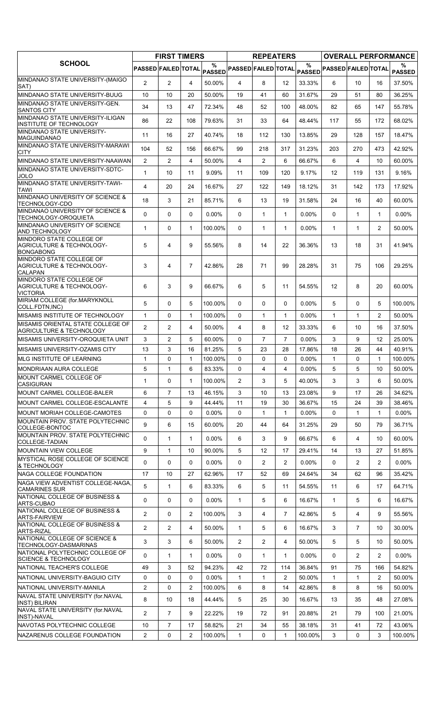|                                                                          |                            | <b>FIRST TIMERS</b> |                |                    |                            | <b>REPEATERS</b>      |                |                    |                            |                |                       | <b>OVERALL PERFORMANCE</b> |
|--------------------------------------------------------------------------|----------------------------|---------------------|----------------|--------------------|----------------------------|-----------------------|----------------|--------------------|----------------------------|----------------|-----------------------|----------------------------|
| <b>SCHOOL</b>                                                            | <b>PASSED FAILED TOTAL</b> |                     |                | %<br><b>PASSED</b> | <b>PASSED FAILED TOTAL</b> |                       |                | %<br><b>PASSED</b> | <b>PASSED FAILED TOTAL</b> |                |                       | ℅<br><b>PASSED</b>         |
| MINDANAO STATE UNIVERSITY-(MAIGO<br>SAT)                                 | $\overline{2}$             | $\overline{2}$      | 4              | 50.00%             | 4                          | 8                     | 12             | 33.33%             | 6                          | 10             | 16                    | 37.50%                     |
| MINDANAO STATE UNIVERSITY-BUUG                                           | 10                         | 10                  | 20             | 50.00%             | 19                         | 41                    | 60             | 31.67%             | 29                         | 51             | 80                    | 36.25%                     |
| MINDANAO STATE UNIVERSITY-GEN.                                           | 34                         | 13                  | 47             | 72.34%             | 48                         | 52                    | 100            | 48.00%             | 82                         | 65             | 147                   | 55.78%                     |
| <b>SANTOS CITY</b><br>MINDANAO STATE UNIVERSITY-ILIGAN                   |                            |                     |                |                    |                            |                       |                |                    |                            |                |                       |                            |
| INSTITUTE OF TECHNOLOGY                                                  | 86                         | 22                  | 108            | 79.63%             | 31                         | 33                    | 64             | 48.44%             | 117                        | 55             | 172                   | 68.02%                     |
| MINDANAO STATE UNIVERSITY-<br>MAGUINDANAO                                | 11                         | 16                  | 27             | 40.74%             | 18                         | 112                   | 130            | 13.85%             | 29                         | 128            | 157                   | 18.47%                     |
| MINDANAO STATE UNIVERSITY-MARAWI<br><b>CITY</b>                          | 104                        | 52                  | 156            | 66.67%             | 99                         | 218                   | 317            | 31.23%             | 203                        | 270            | 473                   | 42.92%                     |
| MINDANAO STATE UNIVERSITY-NAAWAN                                         | $\overline{2}$             | $\overline{2}$      | $\overline{4}$ | 50.00%             | 4                          | $\overline{2}$        | 6              | 66.67%             | 6                          | 4              | 10                    | 60.00%                     |
| MINDANAO STATE UNIVERSITY-SDTC-                                          | 1                          | 10                  | 11             | 9.09%              | 11                         | 109                   | 120            | 9.17%              | 12                         | 119            | 131                   | 9.16%                      |
| JOLO<br>MINDANAO STATE UNIVERSITY-TAWI-                                  | $\overline{4}$             | 20                  | 24             | 16.67%             | 27                         | 122                   | 149            | 18.12%             | 31                         | 142            | 173                   | 17.92%                     |
| <b>TAWI</b><br>MINDANAO UNIVERSITY OF SCIENCE &                          |                            |                     |                |                    |                            |                       |                |                    |                            |                |                       |                            |
| TECHNOLOGY-CDO                                                           | 18                         | 3                   | 21             | 85.71%             | 6                          | 13                    | 19             | 31.58%             | 24                         | 16             | 40                    | 60.00%                     |
| MINDANAO UNIVERSITY OF SCIENCE &<br>TECHNOLOGY-OROQUIETA                 | $\Omega$                   | 0                   | $\mathbf{0}$   | $0.00\%$           | $\mathbf{0}$               | 1                     | $\mathbf{1}$   | 0.00%              | $\Omega$                   | $\mathbf{1}$   | $\mathbf{1}$          | $0.00\%$                   |
| MINDANAO UNIVERSITY OF SCIENCE<br><b>AND TECHNOLOGY</b>                  | $\mathbf{1}$               | 0                   | $\mathbf{1}$   | 100.00%            | $\Omega$                   | $\mathbf{1}$          | $\mathbf{1}$   | $0.00\%$           | $\mathbf{1}$               | $\mathbf{1}$   | $\overline{2}$        | 50.00%                     |
| MINDORO STATE COLLEGE OF                                                 |                            |                     |                |                    |                            |                       |                |                    |                            |                |                       |                            |
| AGRICULTURE & TECHNOLOGY-<br><b>BONGABONG</b>                            | 5                          | $\overline{4}$      | 9              | 55.56%             | 8                          | 14                    | 22             | 36.36%             | 13                         | 18             | 31                    | 41.94%                     |
| MINDORO STATE COLLEGE OF<br><b>AGRICULTURE &amp; TECHNOLOGY-</b>         | 3                          | 4                   | $\overline{7}$ | 42.86%             | 28                         | 71                    | 99             | 28.28%             | 31                         | 75             | 106                   | 29.25%                     |
| <b>CALAPAN</b>                                                           |                            |                     |                |                    |                            |                       |                |                    |                            |                |                       |                            |
| MINDORO STATE COLLEGE OF<br>AGRICULTURE & TECHNOLOGY-<br><b>VICTORIA</b> | 6                          | 3                   | 9              | 66.67%             | 6                          | 5                     | 11             | 54.55%             | 12                         | 8              | 20                    | 60.00%                     |
| MIRIAM COLLEGE (for.MARYKNOLL<br>COLL.FDTN, INC)                         | 5                          | 0                   | 5              | 100.00%            | $\mathbf{0}$               | 0                     | 0              | $0.00\%$           | 5                          | 0              | 5                     | 100.00%                    |
| MISAMIS INSTITUTE OF TECHNOLOGY                                          | $\mathbf{1}$               | 0                   | $\mathbf{1}$   | 100.00%            | $\mathbf{0}$               | $\mathbf{1}$          | $\mathbf{1}$   | $0.00\%$           | $\mathbf{1}$               | 1              | $\overline{2}$        | 50.00%                     |
| MISAMIS ORIENTAL STATE COLLEGE OF                                        | $\overline{2}$             | $\overline{2}$      | $\overline{4}$ | 50.00%             | 4                          | 8                     | 12             | 33.33%             | 6                          | 10             | 16                    | 37.50%                     |
| <b>AGRICULTURE &amp; TECHNOLOGY</b><br>MISAMIS UNIVERSITY-OROQUIETA UNIT | 3                          | $\overline{2}$      | 5              | 60.00%             | $\Omega$                   | $\overline{7}$        | $\overline{7}$ | 0.00%              | 3                          | 9              | 12                    | 25.00%                     |
| MISAMIS UNIVERSITY-OZAMIS CITY                                           | 13                         | 3                   | 16             | 81.25%             | 5                          | 23                    | 28             | 17.86%             | 18                         | 26             | 44                    | 40.91%                     |
| <b>MLG INSTITUTE OF LEARNING</b>                                         | $\mathbf 1$                | 0                   | $\mathbf{1}$   | 100.00%            | $\Omega$                   | 0                     | 0              | $0.00\%$           | $\mathbf{1}$               | 0              | $\mathbf{1}$          | 100.00%                    |
| MONDRIAAN AURA COLLEGE                                                   | 5                          | 1                   | 6              | 83.33%             | 0                          | 4                     | 4              | $0.00\%$           | 5                          | 5              | 10                    | 50.00%                     |
| MOUNT CARMEL COLLEGE OF                                                  | $\mathbf{1}$               | 0                   | 1              | 100.00%            | $\overline{2}$             | 3                     | 5              | 40.00%             | 3                          | 3              | 6                     | 50.00%                     |
| <b>CASIGURAN</b><br><b>MOUNT CARMEL COLLEGE-BALER</b>                    | 6                          | $\overline{7}$      | 13             | 46.15%             | 3                          | 10                    | 13             | 23.08%             | 9                          | 17             | 26                    | 34.62%                     |
| MOUNT CARMEL COLLEGE-ESCALANTE                                           | 4                          | 5                   | 9              | 44.44%             | 11                         | 19                    | 30             | 36.67%             | 15                         | 24             | 39                    | 38.46%                     |
| MOUNT MORIAH COLLEGE-CAMOTES                                             | $\mathbf 0$                | 0                   | $\mathbf 0$    | 0.00%              | 0                          | 1                     | $\mathbf{1}$   | 0.00%              | 0                          | $\mathbf{1}$   | $\mathbf{1}$          | $0.00\%$                   |
| MOUNTAIN PROV. STATE POLYTECHNIC                                         |                            |                     |                |                    |                            |                       |                |                    |                            |                |                       |                            |
| COLLEGE-BONTOC                                                           | 9                          | 6                   | 15             | 60.00%             | 20                         | 44                    | 64             | 31.25%             | 29                         | 50             | 79                    | 36.71%                     |
| MOUNTAIN PROV. STATE POLYTECHNIC<br>COLLEGE-TADIAN                       | 0                          | $\mathbf{1}$        | $\mathbf{1}$   | $0.00\%$           | 6                          | 3                     | 9              | 66.67%             | 6                          | $\overline{4}$ | 10                    | 60.00%                     |
| <b>MOUNTAIN VIEW COLLEGE</b>                                             | 9                          | $\mathbf{1}$        | 10             | 90.00%             | 5                          | 12                    | 17             | 29.41%             | 14                         | 13             | 27                    | 51.85%                     |
| MYSTICAL ROSE COLLEGE OF SCIENCE<br>& TECHNOLOGY                         | 0                          | 0                   | 0              | $0.00\%$           | 0                          | $\mathbf{2}^{\prime}$ | $\overline{2}$ | $0.00\%$           | 0                          | $\overline{2}$ | $\overline{2}$        | $0.00\%$                   |
| NAGA COLLEGE FOUNDATION                                                  | 17                         | 10                  | 27             | 62.96%             | 17                         | 52                    | 69             | 24.64%             | 34                         | 62             | 96                    | 35.42%                     |
| NAGA VIEW ADVENTIST COLLEGE-NAGA,<br><b>CAMARINES SUR</b>                | 5                          | $\mathbf{1}$        | 6              | 83.33%             | 6                          | 5                     | 11             | 54.55%             | 11                         | 6              | 17                    | 64.71%                     |
| NATIONAL COLLEGE OF BUSINESS &<br>ARTS-CUBAO                             | 0                          | 0                   | $\mathbf 0$    | 0.00%              | $\mathbf{1}$               | 5                     | 6              | 16.67%             | $\mathbf{1}$               | 5              | 6                     | 16.67%                     |
| NATIONAL COLLEGE OF BUSINESS &                                           | $\overline{2}$             | 0                   | $\overline{2}$ | 100.00%            | 3                          | 4                     | $\overline{7}$ | 42.86%             | 5                          | 4              | 9                     | 55.56%                     |
| <b>ARTS-FAIRVIEW</b><br>NATIONAL COLLEGE OF BUSINESS &                   | $\overline{2}$             | $\overline{2}$      | 4              | 50.00%             | $\mathbf{1}$               | 5                     | 6              | 16.67%             | 3                          | $\overline{7}$ | 10                    | 30.00%                     |
| <b>ARTS-RIZAL</b><br>NATIONAL COLLEGE OF SCIENCE &                       | 3                          | 3                   | 6              | 50.00%             | $\overline{2}$             | $\overline{2}$        | 4              | 50.00%             | 5                          | 5              | 10                    | 50.00%                     |
| TECHNOLOGY-DASMARINAS<br>NATIONAL POLYTECHNIC COLLEGE OF                 |                            |                     |                |                    |                            |                       |                |                    |                            |                |                       |                            |
| <b>SCIENCE &amp; TECHNOLOGY</b>                                          | 0                          | 1                   | 1              | $0.00\%$           | 0                          | 1                     | 1              | $0.00\%$           | 0                          | 2              | $\overline{2}$        | $0.00\%$                   |
| NATIONAL TEACHER'S COLLEGE                                               | 49                         | 3                   | 52             | 94.23%             | 42                         | 72                    | 114            | 36.84%             | 91                         | 75             | 166                   | 54.82%                     |
| NATIONAL UNIVERSITY-BAGUIO CITY                                          | 0                          | 0                   | 0              | $0.00\%$           | 1                          | 1                     | 2              | 50.00%             | $\mathbf{1}$               | $\mathbf{1}$   | $\mathbf{2}^{\prime}$ | 50.00%                     |
| NATIONAL UNIVERSITY-MANILA<br>NAVAL STATE UNIVERSITY (for.NAVAL          | $\overline{2}$             | 0                   | 2              | 100.00%            | 6                          | 8                     | 14             | 42.86%             | 8                          | 8              | 16                    | 50.00%                     |
| <b>INST) BILIRAN</b>                                                     | 8                          | 10                  | 18             | 44.44%             | 5                          | 25                    | 30             | 16.67%             | 13                         | 35             | 48                    | 27.08%                     |
| NAVAL STATE UNIVERSITY (for.NAVAL<br>INST)-NAVAL                         | $\overline{2}$             | $\overline{7}$      | 9              | 22.22%             | 19                         | 72                    | 91             | 20.88%             | 21                         | 79             | 100                   | 21.00%                     |
| NAVOTAS POLYTECHNIC COLLEGE                                              | 10                         | $\overline{7}$      | 17             | 58.82%             | 21                         | 34                    | 55             | 38.18%             | 31                         | 41             | 72                    | 43.06%                     |
| NAZARENUS COLLEGE FOUNDATION                                             | $\mathbf{2}$               | 0                   | 2              | 100.00%            | 1                          | 0                     | 1              | 100.00%            | 3                          | 0              | 3                     | 100.00%                    |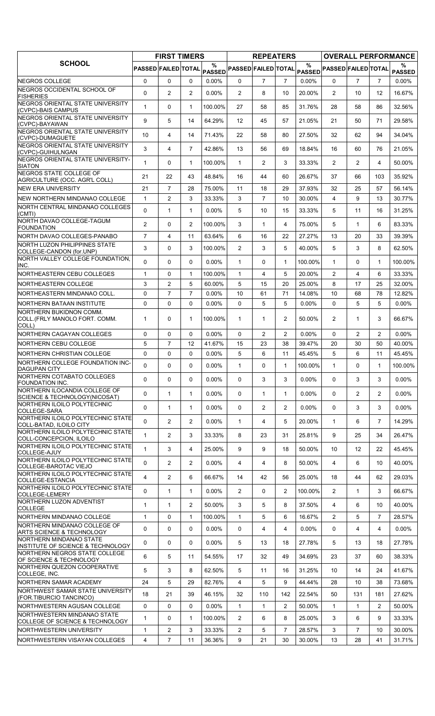|                                                                      |                     | <b>FIRST TIMERS</b> |                |                    |                            | <b>REPEATERS</b> |                |                       |                            |                   |                | <b>OVERALL PERFORMANCE</b> |
|----------------------------------------------------------------------|---------------------|---------------------|----------------|--------------------|----------------------------|------------------|----------------|-----------------------|----------------------------|-------------------|----------------|----------------------------|
| <b>SCHOOL</b>                                                        | PASSED FAILED TOTAL |                     |                | %<br><b>PASSED</b> | <b>PASSED FAILED TOTAL</b> |                  |                | $\%$<br><b>PASSED</b> | <b>PASSED FAILED TOTAL</b> |                   |                | ℅<br><b>PASSED</b>         |
| NEGROS COLLEGE                                                       | 0                   | $\Omega$            | $\mathbf{0}$   | $0.00\%$           | $\mathbf{0}$               | $\overline{7}$   | $\overline{7}$ | 0.00%                 | $\Omega$                   | $\overline{7}$    | $\overline{7}$ | $0.00\%$                   |
| NEGROS OCCIDENTAL SCHOOL OF<br><b>FISHERIES</b>                      | 0                   | $\overline{c}$      | $\overline{2}$ | $0.00\%$           | $\overline{2}$             | 8                | 10             | 20.00%                | $\overline{2}$             | 10                | 12             | 16.67%                     |
| NEGROS ORIENTAL STATE UNIVERSITY<br>(CVPC)-BAIS CAMPUS               | $\mathbf{1}$        | 0                   | $\mathbf{1}$   | 100.00%            | 27                         | 58               | 85             | 31.76%                | 28                         | 58                | 86             | 32.56%                     |
| NEGROS ORIENTAL STATE UNIVERSITY<br>(CVPC)-BAYAWAN                   | 9                   | 5                   | 14             | 64.29%             | $12 \overline{ }$          | 45               | 57             | 21.05%                | 21                         | 50                | 71             | 29.58%                     |
| NEGROS ORIENTAL STATE UNIVERSITY<br>(CVPC)-DUMAGUETE                 | 10                  | $\overline{4}$      | 14             | 71.43%             | 22                         | 58               | 80             | 27.50%                | 32                         | 62                | 94             | 34.04%                     |
| NEGROS ORIENTAL STATE UNIVERSITY<br>(CVPC)-GUIHULNGAN                | 3                   | 4                   | $\overline{7}$ | 42.86%             | 13                         | 56               | 69             | 18.84%                | 16                         | 60                | 76             | 21.05%                     |
| NEGROS ORIENTAL STATE UNIVERSITY-<br><b>SIATON</b>                   | $\mathbf{1}$        | 0                   | $\mathbf{1}$   | 100.00%            | $\mathbf{1}$               | $\overline{2}$   | 3              | 33.33%                | $\overline{2}$             | $\overline{2}$    | 4              | 50.00%                     |
| <b>NEGROS STATE COLLEGE OF</b><br>AGRICULTURE (OCC. AGR'L COLL)      | 21                  | 22                  | 43             | 48.84%             | 16                         | 44               | 60             | 26.67%                | 37                         | 66                | 103            | 35.92%                     |
| <b>NEW ERA UNIVERSITY</b>                                            | 21                  | 7                   | 28             | 75.00%             | 11                         | 18               | 29             | 37.93%                | 32                         | 25                | 57             | 56.14%                     |
| NEW NORTHERN MINDANAO COLLEGE                                        | $\mathbf{1}$        | $\overline{2}$      | 3              | 33.33%             | 3                          | $\overline{7}$   | 10             | 30.00%                | $\overline{4}$             | 9                 | 13             | 30.77%                     |
| NORTH CENTRAL MINDANAO COLLEGES<br>(CMTI)                            | 0                   | $\mathbf{1}$        | $\mathbf{1}$   | $0.00\%$           | 5                          | 10               | 15             | 33.33%                | 5                          | 11                | 16             | 31.25%                     |
| NORTH DAVAO COLLEGE-TAGUM<br><b>FOUNDATION</b>                       | $\overline{2}$      | 0                   | 2              | 100.00%            | 3                          | $\mathbf{1}$     | 4              | 75.00%                | 5                          | $\mathbf{1}$      | 6              | 83.33%                     |
| NORTH DAVAO COLLEGES-PANABO                                          | $\overline{7}$      | 4                   | 11             | 63.64%             | 6                          | 16               | 22             | 27.27%                | 13                         | 20                | 33             | 39.39%                     |
| NORTH LUZON PHILIPPINES STATE<br>COLLEGE-CANDON (for.UNP)            | 3                   | 0                   | 3              | 100.00%            | $\overline{2}$             | 3                | 5              | 40.00%                | 5                          | 3                 | 8              | 62.50%                     |
| NORTH VALLEY COLLEGE FOUNDATION.<br>INC.                             | 0                   | 0                   | $\mathbf{0}$   | $0.00\%$           | $\mathbf{1}$               | 0                | $\mathbf{1}$   | 100.00%               | $\mathbf{1}$               | $\Omega$          | $\mathbf 1$    | 100.00%                    |
| NORTHEASTERN CEBU COLLEGES                                           | $\mathbf{1}$        | 0                   | $\mathbf{1}$   | 100.00%            | $\mathbf{1}$               | 4                | 5              | 20.00%                | 2                          | 4                 | 6              | 33.33%                     |
| NORTHEASTERN COLLEGE                                                 | 3                   | $\overline{2}$      | 5              | 60.00%             | 5                          | 15               | 20             | 25.00%                | 8                          | 17                | 25             | 32.00%                     |
| NORTHEASTERN MINDANAO COLL.                                          | $\mathbf 0$         | $\overline{7}$      | $\overline{7}$ | $0.00\%$           | 10                         | 61               | 71             | 14.08%                | 10                         | 68                | 78             | 12.82%                     |
| NORTHERN BATAAN INSTITUTE                                            | 0                   | 0                   | $\mathbf 0$    | $0.00\%$           | 0                          | 5                | 5              | 0.00%                 | 0                          | 5                 | 5              | $0.00\%$                   |
| NORTHERN BUKIDNON COMM.<br>COLL. (FRLY MANOLO FORT. COMM.<br>COLL)   | 1                   | 0                   | $\mathbf{1}$   | 100.00%            | $\mathbf{1}$               | 1                | $\overline{2}$ | 50.00%                | 2                          | $\mathbf{1}$      | 3              | 66.67%                     |
| <b>NORTHERN CAGAYAN COLLEGES</b>                                     | 0                   | 0                   | $\mathbf 0$    | $0.00\%$           | 0                          | $\overline{2}$   | $\overline{2}$ | $0.00\%$              | $\Omega$                   | $\overline{c}$    | $\overline{2}$ | $0.00\%$                   |
| <b>INORTHERN CEBU COLLEGE</b>                                        | 5                   | $\overline{7}$      | 12             | 41.67%             | 15                         | 23               | 38             | 39.47%                | 20                         | 30                | 50             | 40.00%                     |
| NORTHERN CHRISTIAN COLLEGE                                           | $\mathbf 0$         | 0                   | $\mathbf{0}$   | $0.00\%$           | 5                          | 6                | 11             | 45.45%                | 5                          | 6                 | 11             | 45.45%                     |
| NORTHERN COLLEGE FOUNDATION INC-<br><b>DAGUPAN CITY</b>              | $\Omega$            | 0                   | $\Omega$       | $0.00\%$           | $\mathbf{1}$               | 0                | $\mathbf{1}$   | 100.00%               | $\mathbf{1}$               | 0                 | $\mathbf{1}$   | 100.00%                    |
| NORTHERN COTABATO COLLEGES<br><b>FOUNDATION INC.</b>                 | $\Omega$            | $\Omega$            | $\mathbf{0}$   | $0.00\%$           | $\mathbf{0}$               | 3                | 3              | 0.00%                 | $\Omega$                   | 3                 | 3              | $0.00\%$                   |
| NORTHERN ILOCANDIA COLLEGE OF<br>SCIENCE & TECHNOLOGY(NICOSAT)       | 0                   | 1                   | $\mathbf{1}$   | 0.00%              | 0                          | 1                | $\mathbf{1}$   | 0.00%                 | 0                          | $\overline{2}$    | $\overline{2}$ | $0.00\%$                   |
| NORTHERN ILOILO POLYTECHNIC<br>COLLEGE-SARA                          | 0                   | 1                   | $\mathbf{1}$   | $0.00\%$           | 0                          | $\overline{2}$   | $\overline{2}$ | 0.00%                 | 0                          | 3                 | 3              | $0.00\%$                   |
| NORTHERN ILOILO POLYTECHNIC STATE<br>COLL-BATAD, ILOILO CITY         | 0                   | $\overline{2}$      | $\overline{2}$ | $0.00\%$           | $\mathbf{1}$               | 4                | 5              | 20.00%                | $\mathbf{1}$               | 6                 | $\overline{7}$ | 14.29%                     |
| NORTHERN ILOILO POLYTECHNIC STATE<br>COLL-CONCEPCION, ILOILO         | $\mathbf{1}$        | $\overline{2}$      | 3              | 33.33%             | 8                          | 23               | 31             | 25.81%                | 9                          | 25                | 34             | 26.47%                     |
| NORTHERN ILOILO POLYTECHNIC STATE<br>COLLEGE-AJUY                    | 1                   | 3                   | $\overline{4}$ | 25.00%             | 9                          | 9                | 18             | 50.00%                | 10                         | $12 \overline{ }$ | 22             | 45.45%                     |
| NORTHERN ILOILO POLYTECHNIC STATE<br>COLLEGE-BAROTAC VIEJO           | 0                   | $\overline{2}$      | $\overline{2}$ | $0.00\%$           | 4                          | 4                | 8              | 50.00%                | $\overline{4}$             | 6                 | 10             | 40.00%                     |
| NORTHERN ILOILO POLYTECHNIC STATE<br>COLLEGE-ESTANCIA                | $\overline{4}$      | $\overline{2}$      | 6              | 66.67%             | 14                         | 42               | 56             | 25.00%                | 18                         | 44                | 62             | 29.03%                     |
| NORTHERN ILOILO POLYTECHNIC STATE<br>COLLEGE-LEMERY                  | 0                   | $\mathbf{1}$        | $\mathbf{1}$   | $0.00\%$           | $\overline{2}$             | 0                | $\overline{2}$ | 100.00%               | $\overline{2}$             | 1                 | 3              | 66.67%                     |
| NORTHERN LUZON ADVENTIST<br><b>COLLEGE</b>                           | $\mathbf{1}$        | $\mathbf{1}$        | $\overline{2}$ | 50.00%             | 3                          | 5                | 8              | 37.50%                | 4                          | 6                 | 10             | 40.00%                     |
| NORTHERN MINDANAO COLLEGE                                            | $\mathbf{1}$        | 0                   | $\mathbf{1}$   | 100.00%            | $\mathbf{1}$               | 5                | 6              | 16.67%                | $\overline{2}$             | 5                 | $\overline{7}$ | 28.57%                     |
| NORTHERN MINDANAO COLLEGE OF<br><b>ARTS SCIENCE &amp; TECHNOLOGY</b> | 0                   | 0                   | $\mathbf{0}$   | $0.00\%$           | 0                          | 4                | 4              | 0.00%                 | $\Omega$                   | 4                 | 4              | $0.00\%$                   |
| NORTHERN MINDANAO STATE<br>INSTITUTE OF SCIENCE & TECHNOLOGY         | 0                   | 0                   | 0              | $0.00\%$           | 5                          | 13               | 18             | 27.78%                | 5                          | 13                | 18             | 27.78%                     |
| NORTHERN NEGROS STATE COLLEGE<br>OF SCIENCE & TECHNOLOGY             | 6                   | 5                   | 11             | 54.55%             | 17                         | 32               | 49             | 34.69%                | 23                         | 37                | 60             | 38.33%                     |
| NORTHERN QUEZON COOPERATIVE<br>COLLEGE, INC.                         | 5                   | 3                   | 8              | 62.50%             | 5                          | 11               | 16             | 31.25%                | 10                         | 14                | 24             | 41.67%                     |
| NORTHERN SAMAR ACADEMY                                               | 24                  | 5                   | 29             | 82.76%             | 4                          | 5                | 9              | 44.44%                | 28                         | 10                | 38             | 73.68%                     |
| NORTHWEST SAMAR STATE UNIVERSITY<br>(FOR.TIBURCIO TANCINCO)          | 18                  | 21                  | 39             | 46.15%             | 32                         | 110              | 142            | 22.54%                | 50                         | 131               | 181            | 27.62%                     |
| NORTHWESTERN AGUSAN COLLEGE                                          | 0                   | 0                   | 0              | $0.00\%$           | $\mathbf{1}$               | 1                | 2              | 50.00%                | $\mathbf{1}$               | 1                 | 2              | 50.00%                     |
| NORTHWESTERN MINDANAO STATE<br>COLLEGE OF SCIENCE & TECHNOLOGY       | $\mathbf{1}$        | 0                   | $\mathbf{1}$   | 100.00%            | $\overline{2}$             | 6                | 8              | 25.00%                | 3                          | 6                 | 9              | 33.33%                     |
| NORTHWESTERN UNIVERSITY                                              | $\mathbf{1}$        | $\overline{2}$      | 3              | 33.33%             | $\overline{2}$             | 5                | $\overline{7}$ | 28.57%                | 3                          | $\overline{7}$    | 10             | 30.00%                     |
| NORTHWESTERN VISAYAN COLLEGES                                        | $\overline{4}$      | $\overline{7}$      | 11             | 36.36%             | 9                          | 21               | 30             | 30.00%                | 13                         | 28                | 41             | 31.71%                     |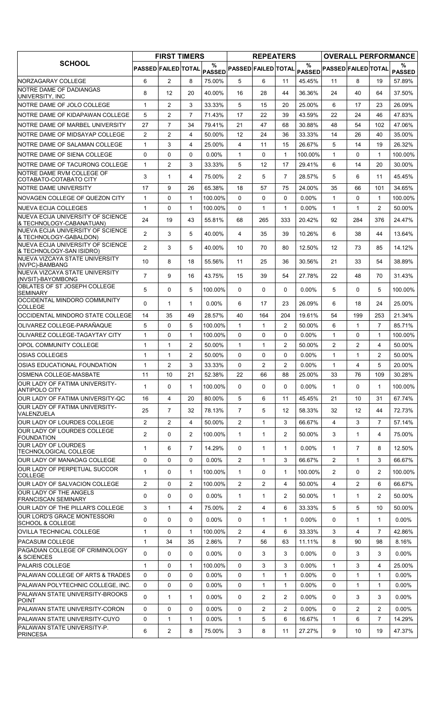|                                                                                                  |                            | <b>FIRST TIMERS</b> |                |                    |                            | <b>REPEATERS</b> |                |          |                            |                   |                | <b>OVERALL PERFORMANCE</b> |
|--------------------------------------------------------------------------------------------------|----------------------------|---------------------|----------------|--------------------|----------------------------|------------------|----------------|----------|----------------------------|-------------------|----------------|----------------------------|
| <b>SCHOOL</b>                                                                                    | <b>PASSED FAILED TOTAL</b> |                     |                | %<br><b>PASSED</b> | <b>PASSED FAILED TOTAL</b> |                  |                | %        | PASSED PASSED FAILED TOTAL |                   |                | ℅<br><b>PASSED</b>         |
| NORZAGARAY COLLEGE                                                                               | 6                          | $\overline{2}$      | 8              | 75.00%             | 5                          | 6                | 11             | 45.45%   | 11                         | 8                 | 19             | 57.89%                     |
| NOTRE DAME OF DADIANGAS                                                                          | 8                          | 12                  | 20             | 40.00%             | 16                         | 28               | 44             | 36.36%   | 24                         | 40                | 64             | 37.50%                     |
| UNIVERSITY, INC<br>NOTRE DAME OF JOLO COLLEGE                                                    | 1                          | $\overline{2}$      | 3              | 33.33%             | 5                          | 15               | 20             | 25.00%   | 6                          | 17                | 23             | 26.09%                     |
| NOTRE DAME OF KIDAPAWAN COLLEGE                                                                  | 5                          | 2                   | $\overline{7}$ | 71.43%             | 17                         | 22               | 39             | 43.59%   | 22                         | 24                | 46             | 47.83%                     |
| NOTRE DAME OF MARBEL UNIVERSITY                                                                  | 27                         | $\overline{7}$      | 34             | 79.41%             | 21                         | 47               | 68             | 30.88%   | 48                         | 54                | 102            | 47.06%                     |
| NOTRE DAME OF MIDSAYAP COLLEGE                                                                   | $\overline{2}$             | $\overline{2}$      | $\overline{4}$ | 50.00%             | 12                         | 24               | 36             | 33.33%   | 14                         | 26                | 40             | 35.00%                     |
| NOTRE DAME OF SALAMAN COLLEGE                                                                    | $\mathbf{1}$               | 3                   | 4              | 25.00%             | 4                          | 11               | 15             | 26.67%   | 5                          | 14                | 19             | 26.32%                     |
| <b>INOTRE DAME OF SIENA COLLEGE</b>                                                              | 0                          | 0                   | 0              | $0.00\%$           | $\mathbf{1}$               | 0                | $\mathbf{1}$   | 100.00%  | $\mathbf{1}$               | 0                 | $\mathbf 1$    | 100.00%                    |
| NOTRE DAME OF TACURONG COLLEGE                                                                   | 1                          | $\overline{2}$      | 3              | 33.33%             | 5                          | 12               | 17             | 29.41%   | 6                          | 14                | 20             | 30.00%                     |
| NOTRE DAME RVM COLLEGE OF                                                                        |                            |                     |                |                    |                            |                  |                |          |                            |                   |                |                            |
| COTABATO-COTABATO CITY                                                                           | 3                          | 1                   | 4              | 75.00%             | 2                          | 5                | $\overline{7}$ | 28.57%   | 5                          | 6                 | 11             | 45.45%                     |
| NOTRE DAME UNIVERSITY                                                                            | 17                         | 9                   | 26             | 65.38%             | 18                         | 57               | 75             | 24.00%   | 35                         | 66                | 101            | 34.65%                     |
| <b>INOVAGEN COLLEGE OF QUEZON CITY</b>                                                           | $\mathbf{1}$               | 0                   | 1              | 100.00%            | 0                          | 0                | 0              | $0.00\%$ | $\mathbf{1}$               | 0                 | $\mathbf{1}$   | 100.00%                    |
| <b>NUEVA ECIJA COLLEGES</b>                                                                      | 1                          | $\Omega$            | $\mathbf{1}$   | 100.00%            | $\Omega$                   | $\mathbf{1}$     | $\mathbf{1}$   | $0.00\%$ | $\mathbf{1}$               | $\mathbf{1}$      | $\overline{2}$ | 50.00%                     |
| <b>INUEVA ECIJA UNIVERSITY OF SCIENCE</b><br>& TECHNOLOGY-CABANATUAN)                            | 24                         | 19                  | 43             | 55.81%             | 68                         | 265              | 333            | 20.42%   | 92                         | 284               | 376            | 24.47%                     |
| NUEVA ECIJA UNIVERSITY OF SCIENCE<br>& TECHNOLOGY-GABALDON)<br>NUEVA ECIJA UNIVERSITY OF SCIENCE | $\overline{2}$             | 3                   | 5              | 40.00%             | 4                          | 35               | 39             | 10.26%   | 6                          | 38                | 44             | 13.64%                     |
| & TECHNOLOGY-SAN ISIDRO)                                                                         | $\overline{2}$             | 3                   | 5              | 40.00%             | 10                         | 70               | 80             | 12.50%   | $12 \overline{ }$          | 73                | 85             | 14.12%                     |
| NUEVA VIZCAYA STATE UNIVERSITY<br>(NVPC)-BAMBANG                                                 | 10                         | 8                   | 18             | 55.56%             | 11                         | 25               | 36             | 30.56%   | 21                         | 33                | 54             | 38.89%                     |
| NUEVA VIZCAYA STATE UNIVERSITY<br>(NVSIT)-BAYOMBONG                                              | $\overline{7}$             | 9                   | 16             | 43.75%             | 15                         | 39               | 54             | 27.78%   | 22                         | 48                | 70             | 31.43%                     |
| OBLATES OF ST JOSEPH COLLEGE<br><b>SEMINARY</b>                                                  | 5                          | 0                   | 5              | 100.00%            | $\Omega$                   | 0                | 0              | 0.00%    | 5                          | $\Omega$          | 5              | 100.00%                    |
| OCCIDENTAL MINDORO COMMUNITY<br><b>COLLEGE</b>                                                   | 0                          | $\mathbf{1}$        | $\mathbf{1}$   | $0.00\%$           | 6                          | 17               | 23             | 26.09%   | 6                          | 18                | 24             | 25.00%                     |
| OCCIDENTAL MINDORO STATE COLLEGE                                                                 | 14                         | 35                  | 49             | 28.57%             | 40                         | 164              | 204            | 19.61%   | 54                         | 199               | 253            | 21.34%                     |
| OLIVAREZ COLLEGE-PARAÑAQUE                                                                       | 5                          | 0                   | 5              | 100.00%            | $\mathbf{1}$               | $\mathbf{1}$     | 2              | 50.00%   | 6                          | 1                 | $\overline{7}$ | 85.71%                     |
| OLIVAREZ COLLEGE-TAGAYTAY CITY                                                                   | 1                          | 0                   | $\mathbf{1}$   | 100.00%            | 0                          | 0                | 0              | 0.00%    | $\mathbf{1}$               | 0                 | $\mathbf{1}$   | 100.00%                    |
| <b>OPOL COMMUNITY COLLEGE</b>                                                                    | $\mathbf{1}$               | $\mathbf{1}$        | $\overline{c}$ | 50.00%             | $\mathbf{1}$               | $\mathbf{1}$     | 2              | 50.00%   | $\overline{2}$             | $\overline{2}$    | $\overline{4}$ | 50.00%                     |
| <b>OSIAS COLLEGES</b>                                                                            | 1                          | 1                   | $\overline{2}$ | 50.00%             | 0                          | 0                | 0              | 0.00%    | $\mathbf{1}$               | $\mathbf{1}$      | 2              | 50.00%                     |
| OSIAS EDUCATIONAL FOUNDATION                                                                     | $\mathbf{1}$               | $\overline{2}$      | 3              | 33.33%             | $\Omega$                   | $\overline{2}$   | 2              | 0.00%    | $\mathbf{1}$               | 4                 | 5              | 20.00%                     |
| IOSMENA COLLEGE-MASBATE                                                                          | 11                         | 10                  | 21             | 52.38%             | 22                         | 66               | 88             | 25.00%   | 33                         | 76                | 109            | 30.28%                     |
| OUR LADY OF FATIMA UNIVERSITY-<br><b>ANTIPOLO CITY</b>                                           | 1                          | 0                   | $\mathbf{1}$   | 100.00%            | $\mathbf{0}$               | 0                | 0              | $0.00\%$ | $\mathbf{1}$               | $\Omega$          | $\mathbf{1}$   | 100.00%                    |
| OUR LADY OF FATIMA UNIVERSITY-QC                                                                 | 16                         | 4                   | 20             | 80.00%             | 5                          | 6                | 11             | 45.45%   | 21                         | 10                | 31             | 67.74%                     |
| <b>OUR LADY OF FATIMA UNIVERSITY-</b>                                                            | 25                         | $\overline{7}$      | 32             | 78.13%             | $\overline{7}$             | 5                | 12             | 58.33%   | 32                         | $12 \overline{ }$ | 44             | 72.73%                     |
| VALENZUELA<br>OUR LADY OF LOURDES COLLEGE                                                        | $\overline{2}$             | $\overline{2}$      | 4              | 50.00%             | 2                          | $\mathbf{1}$     | 3              | 66.67%   | 4                          | 3                 | $\overline{7}$ | 57.14%                     |
| OUR LADY OF LOURDES COLLEGE                                                                      |                            |                     |                |                    |                            |                  |                |          |                            |                   |                |                            |
| FOUNDATION                                                                                       | $\overline{2}$             | 0                   | $\overline{2}$ | 100.00%            | $\mathbf{1}$               | 1                | $\overline{2}$ | 50.00%   | 3                          | $\mathbf{1}$      | 4              | 75.00%                     |
| <b>OUR LADY OF LOURDES</b><br>TECHNOLOGICAL COLLEGE                                              | 1                          | 6                   | $\overline{7}$ | 14.29%             | 0                          | 1                | 1              | $0.00\%$ | $\mathbf{1}$               | 7                 | 8              | 12.50%                     |
| OUR LADY OF MANAOAG COLLEGE                                                                      | 0                          | 0                   | 0              | $0.00\%$           | 2                          | $\mathbf{1}$     | 3              | 66.67%   | $\overline{2}$             | $\mathbf{1}$      | 3              | 66.67%                     |
| OUR LADY OF PERPETUAL SUCCOR                                                                     | 1                          | $\Omega$            | 1              | 100.00%            | $\mathbf{1}$               | 0                | $\mathbf{1}$   | 100.00%  | $\overline{2}$             | $\Omega$          | $\overline{2}$ | 100.00%                    |
| <b>COLLEGE</b><br>OUR LADY OF SALVACION COLLEGE                                                  | $\overline{2}$             | 0                   | $\overline{2}$ | 100.00%            | $\overline{2}$             | $\overline{2}$   | 4              | 50.00%   | 4                          | $\overline{2}$    | 6              | 66.67%                     |
| <b>OUR LADY OF THE ANGELS</b>                                                                    |                            |                     |                |                    |                            |                  |                |          |                            |                   |                |                            |
| FRANCISCAN SEMINARY                                                                              | 0                          | 0                   | 0              | $0.00\%$           | $\mathbf{1}$               | 1                | 2              | 50.00%   | $\mathbf{1}$               | 1                 | $\overline{2}$ | 50.00%                     |
| OUR LADY OF THE PILLAR'S COLLEGE                                                                 | 3                          | 1                   | 4              | 75.00%             | 2                          | 4                | 6              | 33.33%   | 5                          | 5                 | 10             | 50.00%                     |
| OUR LORD'S GRACE MONTESSORI<br><b>SCHOOL &amp; COLLEGE</b>                                       | 0                          | 0                   | 0              | $0.00\%$           | 0                          | $\mathbf{1}$     | 1              | $0.00\%$ | 0                          | 1                 | 1              | $0.00\%$                   |
| <b>OVILLA TECHNICAL COLLEGE</b>                                                                  | 1                          | 0                   | 1              | 100.00%            | $\overline{2}$             | 4                | 6              | 33.33%   | 3                          | 4                 | $\overline{7}$ | 42.86%                     |
| <b>PACASUM COLLEGE</b>                                                                           | 1                          | 34                  | 35             | 2.86%              | $\overline{7}$             | 56               | 63             | 11.11%   | 8                          | 90                | 98             | 8.16%                      |
| PAGADIAN COLLEGE OF CRIMINOLOGY                                                                  | 0                          | 0                   | 0              | $0.00\%$           | 0                          | 3                | 3              | $0.00\%$ | $\Omega$                   | 3                 | 3              | $0.00\%$                   |
| & SCIENCES<br><b>PALARIS COLLEGE</b>                                                             | $\mathbf{1}$               | 0                   | 1              | 100.00%            | $\Omega$                   | 3                | 3              | 0.00%    | $\mathbf{1}$               | 3                 | 4              | 25.00%                     |
| PALAWAN COLLEGE OF ARTS & TRADES                                                                 | 0                          | 0                   | 0              | $0.00\%$           | 0                          | $\mathbf{1}$     | 1              | $0.00\%$ | $\Omega$                   | 1                 | $\mathbf{1}$   | $0.00\%$                   |
| PALAWAN POLYTECHNIC COLLEGE, INC.                                                                | 0                          | $\mathbf 0$         | $\mathbf 0$    | 0.00%              | 0                          | $\mathbf{1}$     | 1              | $0.00\%$ | 0                          | 1                 | $\mathbf{1}$   | $0.00\%$                   |
| <b>PALAWAN STATE UNIVERSITY-BROOKS</b>                                                           |                            |                     |                |                    |                            |                  |                |          |                            |                   |                |                            |
| <b>POINT</b>                                                                                     | $\Omega$                   | $\mathbf 1$         | 1              | $0.00\%$           | 0                          | 2                | 2              | 0.00%    | $\Omega$                   | 3                 | 3              | $0.00\%$                   |
| PALAWAN STATE UNIVERSITY-CORON                                                                   | 0                          | 0                   | $\Omega$       | $0.00\%$           | 0                          | 2                | 2              | 0.00%    | $\mathbf{0}$               | $\overline{2}$    | 2              | $0.00\%$                   |
| IPALAWAN STATE UNIVERSITY-CUYO                                                                   | 0                          | 1                   | 1              | $0.00\%$           | $\mathbf{1}$               | 5                | 6              | 16.67%   | $\mathbf{1}$               | 6                 | $\overline{7}$ | 14.29%                     |
| PALAWAN STATE UNIVERSITY-P.<br><b>PRINCESA</b>                                                   | 6                          | $\overline{2}$      | 8              | 75.00%             | 3                          | 8                | 11             | 27.27%   | 9                          | 10                | 19             | 47.37%                     |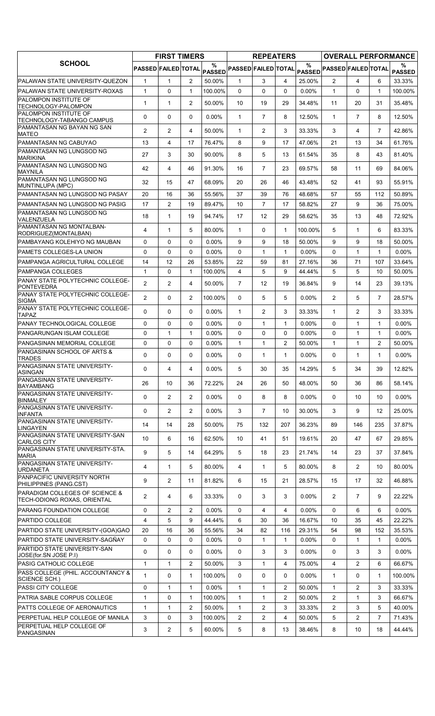|                                                                          |                            | <b>FIRST TIMERS</b> |                |                    |                            | <b>REPEATERS</b> |                |          |                                                        |                |                | <b>OVERALL PERFORMANCE</b> |
|--------------------------------------------------------------------------|----------------------------|---------------------|----------------|--------------------|----------------------------|------------------|----------------|----------|--------------------------------------------------------|----------------|----------------|----------------------------|
| <b>SCHOOL</b>                                                            | <b>PASSED FAILED TOTAL</b> |                     |                | %<br><b>PASSED</b> | <b>PASSED FAILED TOTAL</b> |                  |                | $\%$     | $ {\mathsf{pass}} $ Passed $ {\mathsf{FAILED}} $ total |                |                | ℅<br><b>PASSED</b>         |
| PALAWAN STATE UNIVERSITY-QUEZON                                          | $\mathbf{1}$               | $\mathbf{1}$        | 2              | 50.00%             | $\mathbf 1$                | 3                | 4              | 25.00%   | 2                                                      | 4              | 6              | 33.33%                     |
| <b>PALAWAN STATE UNIVERSITY-ROXAS</b>                                    | $\mathbf{1}$               | 0                   | $\mathbf{1}$   | 100.00%            | $\Omega$                   | $\Omega$         | $\Omega$       | 0.00%    | $\mathbf{1}$                                           | $\Omega$       | $\mathbf{1}$   | 100.00%                    |
| PALOMPON INSTITUTE OF<br>TECHNOLOGY-PALOMPON                             | 1                          | 1                   | $\overline{2}$ | 50.00%             | 10                         | 19               | 29             | 34.48%   | 11                                                     | 20             | 31             | 35.48%                     |
| <b>PALOMPON INSTITUTE OF</b><br>TECHNOLOGY-TABANGO CAMPUS                | 0                          | 0                   | $\Omega$       | 0.00%              | $\mathbf{1}$               | $\overline{7}$   | 8              | 12.50%   | $\mathbf{1}$                                           | $\overline{7}$ | 8              | 12.50%                     |
| <b>PAMANTASAN NG BAYAN NG SAN</b><br><b>MATEO</b>                        | $\overline{2}$             | 2                   | 4              | 50.00%             | $\mathbf{1}$               | $\overline{2}$   | 3              | 33.33%   | 3                                                      | 4              | $\overline{7}$ | 42.86%                     |
| PAMANTASAN NG CABUYAO                                                    | 13                         | $\overline{4}$      | 17             | 76.47%             | 8                          | 9                | 17             | 47.06%   | 21                                                     | 13             | 34             | 61.76%                     |
| PAMANTASAN NG LUNGSOD NG<br><b>MARIKINA</b>                              | 27                         | 3                   | 30             | 90.00%             | 8                          | 5                | 13             | 61.54%   | 35                                                     | 8              | 43             | 81.40%                     |
| PAMANTASAN NG LUNGSOD NG<br><b>MAYNILA</b>                               | 42                         | $\overline{4}$      | 46             | 91.30%             | 16                         | $\overline{7}$   | 23             | 69.57%   | 58                                                     | 11             | 69             | 84.06%                     |
| <b>PAMANTASAN NG LUNGSOD NG</b><br>MUNTINLUPA (MPC)                      | 32                         | 15                  | 47             | 68.09%             | 20                         | 26               | 46             | 43.48%   | 52                                                     | 41             | 93             | 55.91%                     |
| PAMANTASAN NG LUNGSOD NG PASAY                                           | 20                         | 16                  | 36             | 55.56%             | 37                         | 39               | 76             | 48.68%   | 57                                                     | 55             | 112            | 50.89%                     |
| PAMANTASAN NG LUNGSOD NG PASIG                                           | 17                         | 2                   | 19             | 89.47%             | 10                         | $\overline{7}$   | 17             | 58.82%   | 27                                                     | 9              | 36             | 75.00%                     |
| PAMANTASAN NG LUNGSOD NG<br>VALENZUELA                                   | 18                         | $\mathbf{1}$        | 19             | 94.74%             | 17                         | 12               | 29             | 58.62%   | 35                                                     | 13             | 48             | 72.92%                     |
| PAMANTASAN NG MONTALBAN-<br>RODRIGUEZ(MONTALBAN)                         | 4                          | $\mathbf{1}$        | 5              | 80.00%             | 1                          | 0                | $\mathbf{1}$   | 100.00%  | 5                                                      | $\mathbf 1$    | 6              | 83.33%                     |
| IPAMBAYANG KOLEHIYO NG MAUBAN                                            | 0                          | 0                   | $\mathbf{0}$   | 0.00%              | 9                          | 9                | 18             | 50.00%   | 9                                                      | 9              | 18             | 50.00%                     |
| PAMETS COLLEGES-LA UNION                                                 | $\Omega$                   | $\mathbf 0$         | $\Omega$       | $0.00\%$           | $\Omega$                   | $\mathbf{1}$     | $\mathbf{1}$   | 0.00%    | $\Omega$                                               | 1              | $\mathbf{1}$   | $0.00\%$                   |
| PAMPANGA AGRICULTURAL COLLEGE                                            | 14                         | 12                  | 26             | 53.85%             | 22                         | 59               | 81             | 27.16%   | 36                                                     | 71             | 107            | 33.64%                     |
| IPAMPANGA COLLEGES                                                       | $\mathbf{1}$               | 0                   | $\mathbf{1}$   | 100.00%            | 4                          | 5                | 9              | 44.44%   | 5                                                      | 5              | 10             | 50.00%                     |
| PANAY STATE POLYTECHNIC COLLEGE-<br>PONTEVEDRA                           | $\overline{2}$             | 2                   | 4              | 50.00%             | $\overline{7}$             | 12               | 19             | 36.84%   | 9                                                      | 14             | 23             | 39.13%                     |
| PANAY STATE POLYTECHNIC COLLEGE-<br><b>SIGMA</b>                         | $\overline{2}$             | $\Omega$            | $\overline{2}$ | 100.00%            | 0                          | 5                | 5              | 0.00%    | $\overline{2}$                                         | 5              | $\overline{7}$ | 28.57%                     |
| PANAY STATE POLYTECHNIC COLLEGE-<br><b>TAPAZ</b>                         | $\Omega$                   | 0                   | $\Omega$       | 0.00%              | 1                          | $\overline{2}$   | 3              | 33.33%   | $\mathbf{1}$                                           | $\overline{2}$ | 3              | 33.33%                     |
| PANAY TECHNOLOGICAL COLLEGE                                              | 0                          | $\mathbf 0$         | $\mathbf{0}$   | $0.00\%$           | $\Omega$                   | $\mathbf{1}$     | $\mathbf{1}$   | 0.00%    | $\Omega$                                               | 1              | 1              | $0.00\%$                   |
| PANGARUNGAN ISLAM COLLEGE                                                | 0                          | $\mathbf{1}$        | 1              | $0.00\%$           | 0                          | 0                | 0              | 0.00%    | 0                                                      | 1              | $\mathbf{1}$   | $0.00\%$                   |
| PANGASINAN MEMORIAL COLLEGE                                              | 0                          | $\mathbf 0$         | $\Omega$       | 0.00%              | $\mathbf{1}$               | $\mathbf{1}$     | $\overline{2}$ | 50.00%   | $\mathbf{1}$                                           | $\mathbf{1}$   | $\overline{2}$ | 50.00%                     |
| PANGASINAN SCHOOL OF ARTS &<br><b>TRADES</b>                             | 0                          | 0                   | $\Omega$       | 0.00%              | 0                          | $\mathbf{1}$     | $\mathbf{1}$   | 0.00%    | $\Omega$                                               | 1              | $\mathbf 1$    | $0.00\%$                   |
| <b>PANGASINAN STATE UNIVERSITY-</b><br><b>ASINGAN</b>                    | $\mathsf{O}$               | 4                   | 4              | $0.00\%$           | 5                          | 30               | 35             | 14.29%   | 5                                                      | 34             | 39             | 12.82%                     |
| PANGASINAN STATE UNIVERSITY-<br><b>BAYAMBANG</b>                         | 26                         | 10                  | 36             | 72.22%             | 24                         | 26               | 50             | 48.00%   | 50                                                     | 36             | 86             | 58.14%                     |
| PANGASINAN STATE UNIVERSITY-<br><b>BINMALEY</b>                          | 0                          | 2                   | $\overline{2}$ | 0.00%              | 0                          | 8                | 8              | 0.00%    | 0                                                      | 10             | 10             | $0.00\%$                   |
| PANGASINAN STATE UNIVERSITY-<br><b>INFANTA</b>                           | 0                          | $\overline{2}$      | $\overline{2}$ | $0.00\%$           | 3                          | $\overline{7}$   | 10             | 30.00%   | 3                                                      | 9              | 12             | 25.00%                     |
| PANGASINAN STATE UNIVERSITY-<br><b>LINGAYEN</b>                          | 14                         | 14                  | 28             | 50.00%             | 75                         | 132              | 207            | 36.23%   | 89                                                     | 146            | 235            | 37.87%                     |
| PANGASINAN STATE UNIVERSITY-SAN<br><b>CARLOS CITY</b>                    | 10                         | 6                   | 16             | 62.50%             | 10                         | 41               | 51             | 19.61%   | 20                                                     | 47             | 67             | 29.85%                     |
| PANGASINAN STATE UNIVERSITY-STA.<br><b>MARIA</b>                         | 9                          | 5                   | 14             | 64.29%             | 5                          | 18               | 23             | 21.74%   | 14                                                     | 23             | 37             | 37.84%                     |
| PANGASINAN STATE UNIVERSITY-<br><b>URDANETA</b>                          | 4                          | $\mathbf{1}$        | 5              | 80.00%             | 4                          | $\mathbf{1}$     | 5              | 80.00%   | 8                                                      | $\overline{2}$ | 10             | 80.00%                     |
| PANPACIFIC UNIVERSITY NORTH<br>PHILIPPINES (PANG.CST)                    | 9                          | 2                   | 11             | 81.82%             | 6                          | 15               | 21             | 28.57%   | 15                                                     | 17             | 32             | 46.88%                     |
| <b>PARADIGM COLLEGES OF SCIENCE &amp;</b><br>TECH-ODIONG ROXAS, ORIENTAL | $\overline{2}$             | 4                   | 6              | 33.33%             | 0                          | 3                | 3              | $0.00\%$ | $\overline{2}$                                         | $\overline{7}$ | 9              | 22.22%                     |
| PARANG FOUNDATION COLLEGE                                                | 0                          | 2                   | 2              | 0.00%              | $\Omega$                   | 4                | 4              | $0.00\%$ | $\Omega$                                               | 6              | 6              | $0.00\%$                   |
| <b>PARTIDO COLLEGE</b>                                                   | 4                          | 5                   | 9              | 44.44%             | 6                          | 30               | 36             | 16.67%   | 10                                                     | 35             | 45             | 22.22%                     |
| PARTIDO STATE UNIVERSITY-(GOA)GAO                                        | 20                         | 16                  | 36             | 55.56%             | 34                         | 82               | 116            | 29.31%   | 54                                                     | 98             | 152            | 35.53%                     |
| PARTIDO STATE UNIVERSITY-SAGÑAY                                          | 0                          | 0                   | 0              | $0.00\%$           | 0                          | $\mathbf{1}$     | $\mathbf{1}$   | $0.00\%$ | 0                                                      | 1              | $\mathbf{1}$   | $0.00\%$                   |
| <b>PARTIDO STATE UNIVERSITY-SAN</b><br>JOSE(for.SN JOSE P.I)             | 0                          | 0                   | 0              | $0.00\%$           | 0                          | 3                | 3              | $0.00\%$ | 0                                                      | 3              | 3              | $0.00\%$                   |
| <b>PASIG CATHOLIC COLLEGE</b>                                            | 1                          | $\mathbf{1}$        | 2              | 50.00%             | 3                          | $\mathbf{1}$     | 4              | 75.00%   | $\overline{4}$                                         | $\overline{2}$ | 6              | 66.67%                     |
| PASS COLLEGE (PHIL. ACCOUNTANCY &<br>SCIENCE SCH.)                       | 1                          | 0                   | 1              | 100.00%            | 0                          | 0                | 0              | 0.00%    | $\mathbf{1}$                                           | 0              | 1              | 100.00%                    |
| <b>PASSI CITY COLLEGE</b>                                                | 0                          | $\mathbf{1}$        | 1              | $0.00\%$           | $\mathbf{1}$               | $\mathbf{1}$     | $\overline{2}$ | 50.00%   | $\mathbf{1}$                                           | $\overline{c}$ | 3              | 33.33%                     |
| PATRIA SABLE CORPUS COLLEGE                                              | $\mathbf{1}$               | 0                   | 1              | 100.00%            | $\mathbf{1}$               | $\mathbf{1}$     | 2              | 50.00%   | $\overline{2}$                                         | 1              | 3              | 66.67%                     |
| <b>PATTS COLLEGE OF AERONAUTICS</b>                                      | 1                          | $\mathbf{1}$        | 2              | 50.00%             | $\mathbf{1}$               | 2                | 3              | 33.33%   | $\overline{2}$                                         | 3              | 5              | 40.00%                     |
| PERPETUAL HELP COLLEGE OF MANILA                                         | 3                          | $\mathbf 0$         | 3              | 100.00%            | $\mathbf{2}^{\prime}$      | 2                | 4              | 50.00%   | 5                                                      | 2              | $\overline{7}$ | 71.43%                     |
| PERPETUAL HELP COLLEGE OF<br>PANGASINAN                                  | 3                          | $\overline{2}$      | 5              | 60.00%             | 5                          | 8                | 13             | 38.46%   | 8                                                      | 10             | 18             | 44.44%                     |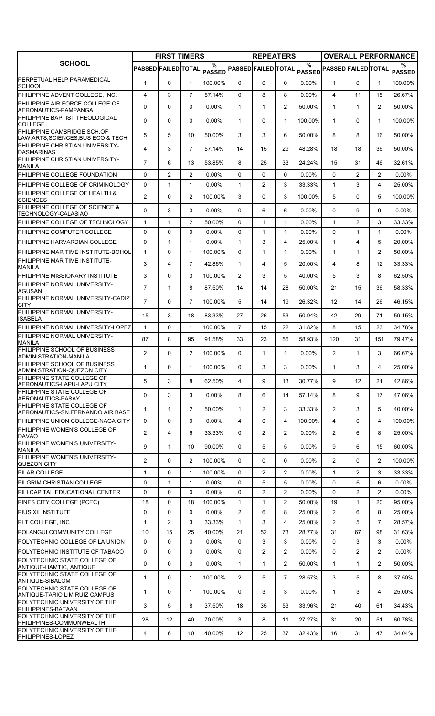|                                                                    |                            | <b>FIRST TIMERS</b> |                |                    |                            | <b>REPEATERS</b>      |                |                    |                            |                |                | <b>OVERALL PERFORMANCE</b> |
|--------------------------------------------------------------------|----------------------------|---------------------|----------------|--------------------|----------------------------|-----------------------|----------------|--------------------|----------------------------|----------------|----------------|----------------------------|
| <b>SCHOOL</b>                                                      | <b>PASSED FAILED TOTAL</b> |                     |                | %<br><b>PASSED</b> | <b>PASSED FAILED TOTAL</b> |                       |                | %<br><b>PASSED</b> | <b>PASSED FAILED TOTAL</b> |                |                | %<br><b>PASSED</b>         |
| PERPETUAL HELP PARAMEDICAL<br><b>SCHOOL</b>                        | $\mathbf{1}$               | 0                   | $\mathbf{1}$   | 100.00%            | $\mathbf{0}$               | 0                     | 0              | 0.00%              | $\mathbf{1}$               | $\Omega$       | 1              | 100.00%                    |
| PHILIPPINE ADVENT COLLEGE, INC.                                    | 4                          | 3                   | $\overline{7}$ | 57.14%             | 0                          | 8                     | 8              | $0.00\%$           | 4                          | 11             | 15             | 26.67%                     |
| PHILIPPINE AIR FORCE COLLEGE OF<br>AERONAUTICS-PAMPANGA            | $\Omega$                   | $\Omega$            | $\mathbf{0}$   | $0.00\%$           | $\mathbf{1}$               | $\mathbf 1$           | $\overline{2}$ | 50.00%             | $\mathbf{1}$               | $\mathbf{1}$   | $\overline{2}$ | 50.00%                     |
| PHILIPPINE BAPTIST THEOLOGICAL<br><b>COLLEGE</b>                   | $\Omega$                   | 0                   | $\mathbf{0}$   | $0.00\%$           | $\mathbf{1}$               | 0                     | $\mathbf{1}$   | 100.00%            | $\mathbf{1}$               | 0              | $\mathbf{1}$   | 100.00%                    |
| PHILIPPINE CAMBRIDGE SCH.OF<br>LAW, ARTS, SCIENCES, BUS ECO & TECH | 5                          | 5                   | 10             | 50.00%             | 3                          | 3                     | 6              | 50.00%             | 8                          | 8              | 16             | 50.00%                     |
| PHILIPPINE CHRISTIAN UNIVERSITY-<br><b>DASMARINAS</b>              | 4                          | 3                   | $\overline{7}$ | 57.14%             | 14                         | 15                    | 29             | 48.28%             | 18                         | 18             | 36             | 50.00%                     |
| PHILIPPINE CHRISTIAN UNIVERSITY-<br>MANILA                         | $\overline{7}$             | 6                   | 13             | 53.85%             | 8                          | 25                    | 33             | 24.24%             | 15                         | 31             | 46             | 32.61%                     |
| PHILIPPINE COLLEGE FOUNDATION                                      | $\Omega$                   | $\overline{2}$      | 2              | $0.00\%$           | $\Omega$                   | 0                     | $\Omega$       | 0.00%              | $\Omega$                   | $\overline{2}$ | $\overline{2}$ | $0.00\%$                   |
| PHILIPPINE COLLEGE OF CRIMINOLOGY                                  | 0                          | 1                   | $\mathbf{1}$   | $0.00\%$           | $\mathbf{1}$               | 2                     | 3              | 33.33%             | $\mathbf{1}$               | 3              | 4              | 25.00%                     |
| PHILIPPINE COLLEGE OF HEALTH &<br><b>SCIENCES</b>                  | 2                          | 0                   | 2              | 100.00%            | 3                          | 0                     | 3              | 100.00%            | 5                          | 0              | 5              | 100.00%                    |
| PHILIPPINE COLLEGE OF SCIENCE &<br>TECHNOLOGY-CALASIAO             | $\Omega$                   | 3                   | 3              | $0.00\%$           | 0                          | 6                     | 6              | 0.00%              | 0                          | 9              | 9              | $0.00\%$                   |
| PHILIPPINE COLLEGE OF TECHNOLOGY                                   | $\mathbf{1}$               | $\mathbf{1}$        | 2              | 50.00%             | $\Omega$                   | $\mathbf{1}$          | $\mathbf{1}$   | $0.00\%$           | $\mathbf{1}$               | $\overline{2}$ | 3              | 33.33%                     |
| PHILIPPINE COMPUTER COLLEGE                                        | 0                          | 0                   | $\mathbf 0$    | $0.00\%$           | 0                          | $\mathbf{1}$          | $\mathbf{1}$   | 0.00%              | $\Omega$                   | 1              | 1              | $0.00\%$                   |
| PHILIPPINE HARVARDIAN COLLEGE                                      | $\Omega$                   | $\mathbf{1}$        | $\mathbf{1}$   | $0.00\%$           | $\mathbf{1}$               | 3                     | 4              | 25.00%             | $\mathbf{1}$               | 4              | 5              | 20.00%                     |
| PHILIPPINE MARITIME INSTITUTE-BOHOL                                | $\mathbf{1}$               | 0                   | $\mathbf{1}$   | 100.00%            | $\Omega$                   | $\mathbf{1}$          | $\mathbf{1}$   | $0.00\%$           | $\mathbf{1}$               | $\mathbf{1}$   | $\overline{2}$ | 50.00%                     |
| PHILIPPINE MARITIME INSTITUTE-<br><b>MANILA</b>                    | 3                          | $\overline{4}$      | $\overline{7}$ | 42.86%             | $\mathbf{1}$               | 4                     | 5              | 20.00%             | $\overline{4}$             | 8              | 12             | 33.33%                     |
| PHILIPPINE MISSIONARY INSTITUTE                                    | 3                          | 0                   | 3              | 100.00%            | $\overline{2}$             | 3                     | 5              | 40.00%             | 5                          | 3              | 8              | 62.50%                     |
| PHILIPPINE NORMAL UNIVERSITY-<br>AGUSAN                            | $\overline{7}$             | $\mathbf{1}$        | 8              | 87.50%             | 14                         | 14                    | 28             | 50.00%             | 21                         | 15             | 36             | 58.33%                     |
| PHILIPPINE NORMAL UNIVERSITY-CADIZ<br>CITY                         | $\overline{7}$             | 0                   | $\overline{7}$ | 100.00%            | 5                          | 14                    | 19             | 26.32%             | 12                         | 14             | 26             | 46.15%                     |
| PHILIPPINE NORMAL UNIVERSITY-<br>ISABELA                           | 15                         | 3                   | 18             | 83.33%             | 27                         | 26                    | 53             | 50.94%             | 42                         | 29             | 71             | 59.15%                     |
| PHILIPPINE NORMAL UNIVERSITY-LOPEZ                                 | $\mathbf{1}$               | 0                   | $\mathbf{1}$   | 100.00%            | $\overline{7}$             | 15                    | 22             | 31.82%             | 8                          | 15             | 23             | 34.78%                     |
| PHILIPPINE NORMAL UNIVERSITY-<br><b>MANILA</b>                     | 87                         | 8                   | 95             | 91.58%             | 33                         | 23                    | 56             | 58.93%             | 120                        | 31             | 151            | 79.47%                     |
| PHILIPPINE SCHOOL OF BUSINESS<br>ADMINISTRATION-MANILA             | $\overline{2}$             | $\Omega$            | 2              | 100.00%            | $\Omega$                   | $\mathbf{1}$          | $\mathbf{1}$   | 0.00%              | 2                          | $\mathbf{1}$   | 3              | 66.67%                     |
| PHILIPPINE SCHOOL OF BUSINESS<br>ADMINISTRATION-QUEZON CITY        | $\mathbf{1}$               | 0                   | 1              | 100.00%            | 0                          | 3                     | 3              | $0.00\%$           | 1                          | 3              | 4              | 25.00%                     |
| PHILIPPINE STATE COLLEGE OF<br>AERONAUTICS-LAPU-LAPU CITY          | 5                          | 3                   | 8              | 62.50%             | 4                          | 9                     | 13             | 30.77%             | 9                          | 12             | 21             | 42.86%                     |
| PHILIPPINE STATE COLLEGE OF<br>AERONAUTICS-PASAY                   | 0                          | 3                   | 3              | 0.00%              | 8                          | 6                     | 14             | 57.14%             | 8                          | 9              | 17             | 47.06%                     |
| PHILIPPINE STATE COLLEGE OF<br>AERONAUTICS-SN.FERNANDO AIR BASE    | 1                          | $\mathbf{1}$        | $\overline{2}$ | 50.00%             | $\mathbf{1}$               | $\overline{c}$        | 3              | 33.33%             | $\overline{2}$             | 3              | 5              | 40.00%                     |
| PHILIPPINE UNION COLLEGE-NAGA CITY                                 | 0                          | 0                   | $\mathbf{0}$   | $0.00\%$           | 4                          | 0                     | 4              | 100.00%            | $\overline{4}$             | $\Omega$       | 4              | 100.00%                    |
| PHILIPPINE WOMEN'S COLLEGE OF<br><b>DAVAO</b>                      | $\overline{2}$             | 4                   | 6              | 33.33%             | 0                          | $\mathbf{2}^{\prime}$ | 2              | $0.00\%$           | $\overline{2}$             | 6              | 8              | 25.00%                     |
| PHILIPPINE WOMEN'S UNIVERSITY-<br><b>MANILA</b>                    | 9                          | $\mathbf{1}$        | 10             | 90.00%             | $\mathbf{0}$               | 5                     | 5              | $0.00\%$           | 9                          | 6              | 15             | 60.00%                     |
| PHILIPPINE WOMEN'S UNIVERSITY-<br>QUEZON CITY                      | $\overline{2}$             | 0                   | $\overline{2}$ | 100.00%            | $\mathbf{0}$               | 0                     | 0              | $0.00\%$           | $\overline{2}$             | 0              | $\overline{2}$ | 100.00%                    |
| PILAR COLLEGE                                                      | $\mathbf{1}$               | 0                   | $\mathbf{1}$   | 100.00%            | $\Omega$                   | $\overline{2}$        | $\overline{2}$ | 0.00%              | $\mathbf{1}$               | $\overline{2}$ | 3              | 33.33%                     |
| PILGRIM CHRISTIAN COLLEGE                                          | 0                          | $\mathbf{1}$        | $\mathbf{1}$   | $0.00\%$           | 0                          | 5                     | 5              | 0.00%              | 0                          | 6              | 6              | $0.00\%$                   |
| PILI CAPITAL EDUCATIONAL CENTER                                    | 0                          | 0                   | $\mathbf 0$    | $0.00\%$           | 0                          | $\overline{2}$        | $\overline{2}$ | 0.00%              | 0                          | $\overline{2}$ | $\overline{2}$ | $0.00\%$                   |
| PINES CITY COLLEGE (PCEC)                                          | 18                         | 0                   | 18             | 100.00%            | $\mathbf{1}$               | 1                     | $\overline{2}$ | 50.00%             | 19                         | $\mathbf 1$    | 20             | 95.00%                     |
| PIUS XII INSTITUTE                                                 | 0                          | 0                   | $\Omega$       | $0.00\%$           | $\overline{2}$             | 6                     | 8              | 25.00%             | $\overline{2}$             | 6              | 8              | 25.00%                     |
| PLT COLLEGE, INC                                                   | $\mathbf{1}$               | $\overline{c}$      | 3              | 33.33%             | $\mathbf{1}$               | 3                     | 4              | 25.00%             | $\overline{2}$             | 5              | $\overline{7}$ | 28.57%                     |
| POLANGUI COMMUNITY COLLEGE                                         | 10                         | 15                  | 25             | 40.00%             | 21                         | 52                    | 73             | 28.77%             | 31                         | 67             | 98             | 31.63%                     |
| POLYTECHNIC COLLEGE OF LA UNION                                    | $\mathbf 0$                | 0                   | 0              | $0.00\%$           | 0                          | 3                     | 3              | $0.00\%$           | 0                          | 3              | 3              | $0.00\%$                   |
| POLYTECHNIC INSTITUTE OF TABACO                                    | 0                          | 0                   | $\mathbf 0$    | $0.00\%$           | 0                          | $\overline{2}$        | $\overline{2}$ | 0.00%              | 0                          | 2              | $\overline{2}$ | $0.00\%$                   |
| POLYTECHNIC STATE COLLEGE OF<br>ANTIQUE-HAMTIC, ANTIQUE            | 0                          | 0                   | 0              | $0.00\%$           | $\mathbf{1}$               | 1                     | $\overline{2}$ | 50.00%             | $\mathbf{1}$               | 1              | $\overline{2}$ | 50.00%                     |
| POLYTECHNIC STATE COLLEGE OF<br>ANTIQUE-SIBALOM                    | 1                          | 0                   | $\mathbf{1}$   | 100.00%            | $\overline{2}$             | 5                     | $\overline{7}$ | 28.57%             | 3                          | 5              | 8              | 37.50%                     |
| POLYTECHNIC STATE COLLEGE OF<br>ANTIQUE-TARIO LIM RUIZ CAMPUS      | $\mathbf{1}$               | 0                   | $\mathbf{1}$   | 100.00%            | $\mathbf{0}$               | 3                     | 3              | $0.00\%$           | $\mathbf{1}$               | 3              | 4              | 25.00%                     |
| POLYTECHNIC UNIVERSITY OF THE<br>PHILIPPINES-BATAAN                | 3                          | 5                   | 8              | 37.50%             | 18                         | 35                    | 53             | 33.96%             | 21                         | 40             | 61             | 34.43%                     |
| POLYTECHNIC UNIVERSITY OF THE<br>PHILIPPINES-COMMONWEALTH          | 28                         | $12 \overline{ }$   | 40             | 70.00%             | 3                          | 8                     | 11             | 27.27%             | 31                         | 20             | 51             | 60.78%                     |
| POLYTECHNIC UNIVERSITY OF THE<br>PHILIPPINES-LOPEZ                 | 4                          | 6                   | 10             | 40.00%             | 12 <sup>°</sup>            | 25                    | 37             | 32.43%             | 16                         | 31             | 47             | 34.04%                     |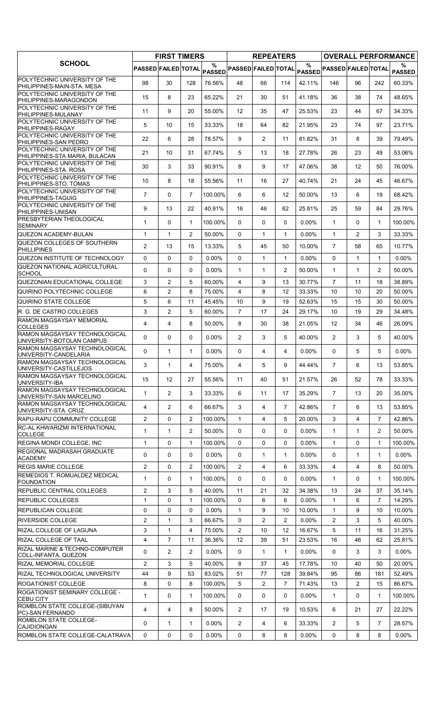|                                                                    |                            | <b>FIRST TIMERS</b> |                |                    |                            | <b>REPEATERS</b> |                |          |                            |                   |                | <b>OVERALL PERFORMANCE</b> |
|--------------------------------------------------------------------|----------------------------|---------------------|----------------|--------------------|----------------------------|------------------|----------------|----------|----------------------------|-------------------|----------------|----------------------------|
| <b>SCHOOL</b>                                                      | <b>PASSED FAILED TOTAL</b> |                     |                | %<br><b>PASSED</b> | <b>PASSED FAILED TOTAL</b> |                  |                | $\%$     | PASSED PASSED FAILED TOTAL |                   |                | %<br><b>PASSED</b>         |
| <b>POLYTECHNIC UNIVERSITY OF THE</b><br>PHILIPPINES-MAIN-STA. MESA | 98                         | 30                  | 128            | 76.56%             | 48                         | 66               | 114            | 42.11%   | 146                        | 96                | 242            | 60.33%                     |
| POLYTECHNIC UNIVERSITY OF THE<br>PHILIPPINES-MARAGONDON            | 15                         | 8                   | 23             | 65.22%             | 21                         | 30               | 51             | 41.18%   | 36                         | 38                | 74             | 48.65%                     |
| POLYTECHNIC UNIVERSITY OF THE<br>PHILIPPINES-MULANAY               | 11                         | 9                   | 20             | 55.00%             | 12                         | 35               | 47             | 25.53%   | 23                         | 44                | 67             | 34.33%                     |
| POLYTECHNIC UNIVERSITY OF THE<br>PHILIPPINES-RAGAY                 | 5                          | 10                  | 15             | 33.33%             | 18                         | 64               | 82             | 21.95%   | 23                         | 74                | 97             | 23.71%                     |
| POLYTECHNIC UNIVERSITY OF THE<br>PHILIPPINES-SAN PEDRO             | 22                         | 6                   | 28             | 78.57%             | 9                          | $\overline{2}$   | 11             | 81.82%   | 31                         | 8                 | 39             | 79.49%                     |
| POLYTECHNIC UNIVERSITY OF THE<br>PHILIPPINES-STA MARIA, BULACAN    | 21                         | 10                  | 31             | 67.74%             | 5                          | 13               | 18             | 27.78%   | 26                         | 23                | 49             | 53.06%                     |
| POLYTECHNIC UNIVERSITY OF THE<br>PHILIPPINES-STA. ROSA             | 30                         | 3                   | 33             | 90.91%             | 8                          | 9                | 17             | 47.06%   | 38                         | $12 \overline{ }$ | 50             | 76.00%                     |
| POLYTECHNIC UNIVERSITY OF THE<br>PHILIPPINES-STO. TOMAS            | 10                         | 8                   | 18             | 55.56%             | 11                         | 16               | 27             | 40.74%   | 21                         | 24                | 45             | 46.67%                     |
| POLYTECHNIC UNIVERSITY OF THE<br>PHILIPPINES-TAGUIG                | $\overline{7}$             | 0                   | $\overline{7}$ | 100.00%            | 6                          | 6                | 12             | 50.00%   | 13                         | 6                 | 19             | 68.42%                     |
| POLYTECHNIC UNIVERSITY OF THE<br>PHILIPPINES-UNISAN                | 9                          | 13                  | 22             | 40.91%             | 16                         | 46               | 62             | 25.81%   | 25                         | 59                | 84             | 29.76%                     |
| <b>PRESBYTERIAN THEOLOGICAL</b><br><b>SEMINARY</b>                 | $\mathbf{1}$               | 0                   | $\mathbf{1}$   | 100.00%            | 0                          | 0                | 0              | 0.00%    | $\mathbf{1}$               | $\Omega$          | $\mathbf{1}$   | 100.00%                    |
| QUEZON ACADEMY-BULAN                                               | $\mathbf{1}$               | $\mathbf{1}$        | $\overline{2}$ | 50.00%             | $\Omega$                   | $\mathbf{1}$     | $\mathbf{1}$   | 0.00%    | $\mathbf{1}$               | $\overline{2}$    | 3              | 33.33%                     |
| QUEZON COLLEGES OF SOUTHERN<br><b>PHILLIPINES</b>                  | $\overline{2}$             | 13                  | 15             | 13.33%             | 5                          | 45               | 50             | 10.00%   | $\overline{7}$             | 58                | 65             | 10.77%                     |
| QUEZON INSTITUTE OF TECHNOLOGY                                     | 0                          | 0                   | $\Omega$       | $0.00\%$           | $\Omega$                   | $\mathbf{1}$     | $\mathbf{1}$   | 0.00%    | $\Omega$                   | $\mathbf{1}$      | $\mathbf{1}$   | $0.00\%$                   |
| QUEZON NATIONAL AGRICULTURAL<br><b>SCHOOL</b>                      | 0                          | 0                   | $\Omega$       | $0.00\%$           | $\mathbf{1}$               | $\mathbf{1}$     | $\overline{2}$ | 50.00%   | $\mathbf{1}$               | 1                 | $\overline{2}$ | 50.00%                     |
| QUEZONIAN EDUCATIONAL COLLEGE                                      | 3                          | 2                   | 5              | 60.00%             | 4                          | 9                | 13             | 30.77%   | $\overline{7}$             | 11                | 18             | 38.89%                     |
| QUIRINO POLYTECHNIC COLLEGE                                        | 6                          | 2                   | 8              | 75.00%             | $\overline{4}$             | 8                | 12             | 33.33%   | 10                         | 10                | 20             | 50.00%                     |
| QUIRINO STATE COLLEGE                                              | 5                          | 6                   | 11             | 45.45%             | 10                         | 9                | 19             | 52.63%   | 15                         | 15                | 30             | 50.00%                     |
| IR. G. DE CASTRO COLLEGES                                          | 3                          | 2                   | 5              | 60.00%             | $\overline{7}$             | 17               | 24             | 29.17%   | 10                         | 19                | 29             | 34.48%                     |
| <b>RAMON MAGSAYSAY MEMORIAL</b><br><b>COLLEGES</b>                 | 4                          | 4                   | 8              | 50.00%             | 8                          | 30               | 38             | 21.05%   | 12                         | 34                | 46             | 26.09%                     |
| RAMON MAGSAYSAY TECHNOLOGICAL<br>UNIVERSITY-BOTOLAN CAMPUS         | $\Omega$                   | 0                   | $\Omega$       | $0.00\%$           | $\overline{2}$             | 3                | 5              | 40.00%   | $\overline{2}$             | 3                 | 5              | 40.00%                     |
| <b>RAMON MAGSAYSAY TECHNOLOGICAL</b><br>UNIVERSITY-CANDELARIA      | 0                          | $\mathbf{1}$        | $\mathbf{1}$   | 0.00%              | 0                          | 4                | 4              | 0.00%    | $\Omega$                   | 5                 | 5              | $0.00\%$                   |
| RAMON MAGSAYSAY TECHNOLOGICAL<br>UNIVERSITY-CASTILLEJOS            | 3                          | $\mathbf{1}$        | 4              | 75.00%             | 4                          | 5                | 9              | 44.44%   | $\overline{7}$             | 6                 | 13             | 53.85%                     |
| RAMON MAGSAYSAY TECHNOLOGICAL<br>UNIVERSITY-IBA                    | 15                         | 12                  | 27             | 55.56%             | 11                         | 40               | 51             | 21.57%   | 26                         | 52                | 78             | 33.33%                     |
| RAMON MAGSAYSAY TECHNOLOGICAL<br>UNIVERSITY-SAN MARCELINO          | $\mathbf{1}$               | $\overline{2}$      | 3              | 33.33%             | 6                          | 11               | 17             | 35.29%   | $\overline{7}$             | 13                | 20             | 35.00%                     |
| RAMON MAGSAYSAY TECHNOLOGICAL<br>UNIVERSITY-STA. CRUZ              | 4                          | $\overline{2}$      | 6              | 66.67%             | 3                          | 4                | $\overline{7}$ | 42.86%   | $\overline{7}$             | 6                 | 13             | 53.85%                     |
| <b>RAPU-RAPU COMMUNITY COLLEGE</b>                                 | $\overline{2}$             | $\mathbf 0$         | $\overline{c}$ | 100.00%            | 1                          | 4                | 5              | 20.00%   | 3                          | $\overline{4}$    | $\overline{7}$ | 42.86%                     |
| <b>RC-AL KHWARIZMI INTERNATIONAL</b><br><b>COLLEGE</b>             | 1                          | $\mathbf{1}$        | 2              | 50.00%             | 0                          | 0                | 0              | $0.00\%$ | $\mathbf{1}$               | $\mathbf 1$       | $\overline{2}$ | 50.00%                     |
| <b>REGINA MONDI COLLEGE, INC</b>                                   | $\mathbf{1}$               | 0                   | $\mathbf{1}$   | 100.00%            | 0                          | 0                | 0              | $0.00\%$ | $\mathbf{1}$               | 0                 | $\mathbf{1}$   | 100.00%                    |
| <b>IREGIONAL MADRASAH GRADUATE</b><br><b>ACADEMY</b>               | 0                          | 0                   | 0              | $0.00\%$           | 0                          | $\mathbf{1}$     | $\mathbf{1}$   | 0.00%    | 0                          | $\mathbf{1}$      | $\mathbf{1}$   | $0.00\%$                   |
| <b>REGIS MARIE COLLEGE</b>                                         | $\overline{2}$             | 0                   | $\overline{2}$ | 100.00%            | $\mathbf{2}$               | 4                | 6              | 33.33%   | $\overline{4}$             | 4                 | 8              | 50.00%                     |
| <b>REMEDIOS T. ROMUALDEZ MEDICAL</b><br>FOUNDATION                 | 1                          | 0                   | 1              | 100.00%            | 0                          | 0                | 0              | $0.00\%$ | $\mathbf{1}$               | 0                 | 1              | 100.00%                    |
| REPUBLIC CENTRAL COLLEGES                                          | $\overline{c}$             | 3                   | 5              | 40.00%             | 11                         | 21               | 32             | 34.38%   | 13                         | 24                | 37             | 35.14%                     |
| <b>REPUBLIC COLLEGES</b>                                           | 1                          | 0                   | 1              | 100.00%            | 0                          | 6                | 6              | 0.00%    | $\mathbf{1}$               | 6                 | $\overline{7}$ | 14.29%                     |
| REPUBLICAN COLLEGE                                                 | 0                          | $\Omega$            | $\Omega$       | $0.00\%$           | $\mathbf{1}$               | 9                | 10             | 10.00%   | $\mathbf{1}$               | 9                 | 10             | 10.00%                     |
| RIVERSIDE COLLEGE                                                  | $\overline{c}$             | 1                   | 3              | 66.67%             | 0                          | 2                | 2              | $0.00\%$ | 2                          | 3                 | 5              | 40.00%                     |
| RIZAL COLLEGE OF LAGUNA                                            | 3                          | $\mathbf{1}$        | 4              | 75.00%             | 2                          | 10               | 12             | 16.67%   | 5                          | 11                | 16             | 31.25%                     |
| RIZAL COLLEGE OF TAAL                                              | 4                          | $\overline{7}$      | 11             | 36.36%             | 12                         | 39               | 51             | 23.53%   | 16                         | 46                | 62             | 25.81%                     |
| RIZAL MARINE & TECHNO-COMPUTER<br>COLL-INFANTA, QUEZON             | 0                          | 2                   | $\overline{2}$ | $0.00\%$           | 0                          | $\mathbf{1}$     | $\mathbf{1}$   | 0.00%    | $\Omega$                   | 3                 | 3              | $0.00\%$                   |
| <b>RIZAL MEMORIAL COLLEGE</b>                                      | $\overline{2}$             | 3                   | 5              | 40.00%             | 8                          | 37               | 45             | 17.78%   | 10                         | 40                | 50             | 20.00%                     |
| RIZAL TECHNOLOGICAL UNIVERSITY                                     | 44                         | 9                   | 53             | 83.02%             | 51                         | 77               | 128            | 39.84%   | 95                         | 86                | 181            | 52.49%                     |
| ROGATIONIST COLLEGE                                                | 8                          | 0                   | 8              | 100.00%            | 5                          | $\overline{2}$   | $\overline{7}$ | 71.43%   | 13                         | $\overline{2}$    | 15             | 86.67%                     |
| ROGATIONIST SEMINARY COLLEGE -<br><b>CEBU CITY</b>                 | 1                          | $\mathbf 0$         | 1              | 100.00%            | 0                          | 0                | 0              | 0.00%    | $\mathbf{1}$               | 0                 | $\mathbf{1}$   | 100.00%                    |
| ROMBLON STATE COLLEGE-(SIBUYAN<br>PC)-SAN FERNANDO                 | 4                          | 4                   | 8              | 50.00%             | $\overline{2}$             | 17               | 19             | 10.53%   | 6                          | 21                | 27             | 22.22%                     |
| <b>ROMBLON STATE COLLEGE-</b><br>CAJIDIONGAN                       | 0                          | 1                   | 1              | $0.00\%$           | 2                          | 4                | 6              | 33.33%   | 2                          | 5                 | $\overline{7}$ | 28.57%                     |
| ROMBLON STATE COLLEGE-CALATRAVA                                    | 0                          | 0                   | 0              | $0.00\%$           | 0                          | 8                | 8              | $0.00\%$ | 0                          | 8                 | 8              | $0.00\%$                   |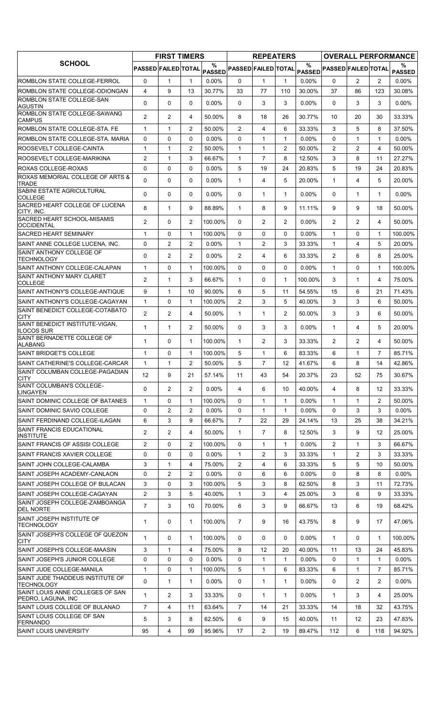|                                                                    |                                | <b>FIRST TIMERS</b> |                |                  |                                                                               | <b>REPEATERS</b> |                |                  |                            |                |                | <b>OVERALL PERFORMANCE</b> |
|--------------------------------------------------------------------|--------------------------------|---------------------|----------------|------------------|-------------------------------------------------------------------------------|------------------|----------------|------------------|----------------------------|----------------|----------------|----------------------------|
| <b>SCHOOL</b>                                                      | PASSED FAILED TOTAL            |                     |                | %                | $\mathsf{PAS\widetilde{SED}} \mathsf{PASSED} \mathsf{FAILED} \mathsf{TOTAL} $ |                  |                | %                | PASSED PASSED FAILED TOTAL |                |                | %<br><b>PASSED</b>         |
| ROMBLON STATE COLLEGE-FERROL                                       | 0                              | 1                   | 1              | $0.00\%$         | 0                                                                             | $\mathbf{1}$     | $\mathbf{1}$   | $0.00\%$         | $\Omega$                   | $\overline{2}$ | $\overline{2}$ | $0.00\%$                   |
| ROMBLON STATE COLLEGE-ODIONGAN                                     | $\overline{4}$                 | 9                   | 13             | 30.77%           | 33                                                                            | 77               | 110            | 30.00%           | 37                         | 86             | 123            | 30.08%                     |
| ROMBLON STATE COLLEGE-SAN<br><b>AGUSTIN</b>                        | 0                              | $\mathbf 0$         | $\Omega$       | $0.00\%$         | $\Omega$                                                                      | 3                | 3              | $0.00\%$         | $\mathbf{0}$               | 3              | 3              | $0.00\%$                   |
| ROMBLON STATE COLLEGE-SAWANG<br><b>CAMPUS</b>                      | $\overline{2}$                 | 2                   | 4              | 50.00%           | 8                                                                             | 18               | 26             | 30.77%           | 10                         | 20             | 30             | 33.33%                     |
| ROMBLON STATE COLLEGE-STA. FE                                      | $\mathbf{1}$                   | 1                   | $\overline{2}$ | 50.00%           | 2                                                                             | $\overline{4}$   | 6              | 33.33%           | 3                          | 5              | 8              | 37.50%                     |
| ROMBLON STATE COLLEGE-STA, MARIA                                   | 0                              | $\mathbf 0$         | 0              | 0.00%            | 0                                                                             | $\mathbf{1}$     | $\mathbf{1}$   | 0.00%            | $\Omega$                   | $\mathbf{1}$   | $\mathbf{1}$   | 0.00%                      |
| ROOSEVELT COLLEGE-CAINTA                                           | $\mathbf{1}$                   | $\mathbf{1}$        | 2              | 50.00%           | $\mathbf{1}$                                                                  | $\mathbf{1}$     | $\overline{2}$ | 50.00%           | $\overline{2}$             | $\overline{2}$ | $\overline{4}$ | 50.00%                     |
| ROOSEVELT COLLEGE-MARIKINA                                         | 2                              | 1                   | 3              | 66.67%           | $\mathbf{1}$                                                                  | $\overline{7}$   | 8              | 12.50%           | 3                          | 8              | 11             | 27.27%                     |
| ROXAS COLLEGE-ROXAS                                                | $\mathbf 0$                    | $\mathbf 0$         | 0              | 0.00%            | 5                                                                             | 19               | 24             | 20.83%           | 5                          | 19             | 24             | 20.83%                     |
| ROXAS MEMORIAL COLLEGE OF ARTS &<br><b>TRADE</b>                   | 0                              | 0                   | 0              | 0.00%            | 1                                                                             | 4                | 5              | 20.00%           | $\mathbf{1}$               | 4              | 5              | 20.00%                     |
| SABINI ESTATE AGRICULTURAL<br><b>COLLEGE</b>                       | $\Omega$                       | 0                   | $\Omega$       | $0.00\%$         | $\Omega$                                                                      | $\mathbf{1}$     | $\mathbf{1}$   | $0.00\%$         | $\mathbf{0}$               | $\mathbf{1}$   | $\mathbf{1}$   | $0.00\%$                   |
| SACRED HEART COLLEGE OF LUCENA<br>CITY, INC.                       | 8                              | $\mathbf{1}$        | 9              | 88.89%           | $\mathbf{1}$                                                                  | 8                | 9              | 11.11%           | 9                          | 9              | 18             | 50.00%                     |
| SACRED HEART SCHOOL-MISAMIS<br>OCCIDENTAL                          | $\overline{c}$                 | $\Omega$            | $\overline{2}$ | 100.00%          | 0                                                                             | $\overline{2}$   | $\overline{2}$ | $0.00\%$         | $\overline{2}$             | $\overline{2}$ | 4              | 50.00%                     |
| <b>SACRED HEART SEMINARY</b>                                       | $\mathbf{1}$                   | $\mathbf 0$         | $\mathbf{1}$   | 100.00%          | $\Omega$                                                                      | 0                | 0              | $0.00\%$         | $\mathbf{1}$               | $\Omega$       | $\mathbf{1}$   | 100.00%                    |
| SAINT ANNE COLLEGE LUCENA, INC.                                    | 0                              | 2                   | $\overline{c}$ | 0.00%            | $\mathbf{1}$                                                                  | 2                | 3              | 33.33%           | $\mathbf{1}$               | 4              | 5              | 20.00%                     |
| SAINT ANTHONY COLLEGE OF<br>TECHNOLOGY                             | 0                              | 2                   | $\overline{2}$ | $0.00\%$         | $\overline{2}$                                                                | 4                | 6              | 33.33%           | $\overline{2}$             | 6              | 8              | 25.00%                     |
| SAINT ANTHONY COLLEGE-CALAPAN                                      | $\mathbf{1}$                   | $\mathbf 0$         | $\mathbf{1}$   | 100.00%          | $\Omega$                                                                      | 0                | 0              | 0.00%            | $\mathbf{1}$               | $\Omega$       | $\mathbf{1}$   | 100.00%                    |
| <b>SAINT ANTHONY MARY CLARET</b><br><b>COLLEGE</b>                 | $\overline{2}$                 | 1                   | 3              | 66.67%           | $\mathbf{1}$                                                                  | 0                | $\mathbf{1}$   | 100.00%          | 3                          | $\mathbf{1}$   | 4              | 75.00%                     |
| SAINT ANTHONY'S COLLEGE-ANTIQUE                                    | 9                              | $\mathbf{1}$        | 10             | 90.00%           | 6                                                                             | 5                | 11             | 54.55%           | 15                         | 6              | 21             | 71.43%                     |
| SAINT ANTHONY'S COLLEGE-CAGAYAN                                    | $\mathbf{1}$                   | $\Omega$            | $\mathbf{1}$   | 100.00%          | $\overline{2}$                                                                | 3                | 5              | 40.00%           | 3                          | 3              | 6              | 50.00%                     |
| SAINT BENEDICT COLLEGE-COTABATO<br><b>CITY</b>                     | $\overline{2}$                 | 2                   | 4              | 50.00%           | $\mathbf{1}$                                                                  | $\mathbf{1}$     | $\overline{2}$ | 50.00%           | 3                          | 3              | 6              | 50.00%                     |
| SAINT BENEDICT INSTITUTE-VIGAN,                                    | 1                              | $\mathbf{1}$        | $\overline{2}$ | 50.00%           | $\Omega$                                                                      | 3                | 3              | $0.00\%$         | $\mathbf{1}$               | 4              | 5              | 20.00%                     |
| <b>ILOCOS SUR</b><br>SAINT BERNADETTE COLLEGE OF                   | 1                              | 0                   | 1              | 100.00%          | 1                                                                             | $\overline{2}$   | 3              | 33.33%           | $\overline{2}$             | $\overline{2}$ | 4              | 50.00%                     |
| <b>ALABANG</b><br>SAINT BRIDGET'S COLLEGE                          | $\mathbf{1}$                   | $\mathbf 0$         | $\mathbf{1}$   | 100.00%          | 5                                                                             | $\mathbf{1}$     | 6              | 83.33%           | 6                          | $\mathbf{1}$   | $\overline{7}$ | 85.71%                     |
| SAINT CATHERINE'S COLLEGE-CARCAR                                   | $\mathbf{1}$                   | 1                   | $\overline{2}$ | 50.00%           | 5                                                                             | $\overline{7}$   | 12             | 41.67%           | 6                          | 8              | 14             | 42.86%                     |
| SAINT COLUMBAN COLLEGE-PAGADIAN                                    | 12                             | 9                   | 21             | 57.14%           | 11                                                                            | 43               | 54             | 20.37%           | 23                         | 52             | 75             | 30.67%                     |
| CITY<br><b>SAINT COLUMBAN'S COLLEGE-</b>                           | 0                              | $\overline{2}$      | 2              | $0.00\%$         | 4                                                                             | 6                | 10             | 40.00%           | 4                          | 8              | 12             | 33.33%                     |
| LINGAYEN                                                           |                                |                     |                |                  |                                                                               |                  |                |                  |                            |                |                |                            |
| SAINT DOMINIC COLLEGE OF BATANES                                   | 1                              | 0                   | 1              | 100.00%          | 0                                                                             | $\mathbf{1}$     | $\mathbf{1}$   | $0.00\%$         | $\mathbf{1}$               | 1              | 2              | 50.00%                     |
| SAINT DOMINIC SAVIO COLLEGE                                        | 0                              | 2                   | 2              | $0.00\%$         | 0                                                                             | $\mathbf{1}$     | 1              | $0.00\%$         | $\mathbf 0$                | 3              | 3              | $0.00\%$                   |
| SAINT FERDINAND COLLEGE-ILAGAN<br><b>SAINT FRANCIS EDUCATIONAL</b> | 6                              | 3                   | 9              | 66.67%           | $\overline{7}$                                                                | 22               | 29             | 24.14%           | 13                         | 25             | 38             | 34.21%                     |
| INSTITUTE                                                          | $\overline{2}$                 | $\overline{2}$      | 4              | 50.00%           | 1                                                                             | $\overline{7}$   | 8              | 12.50%           | 3                          | 9              | 12             | 25.00%                     |
| SAINT FRANCIS OF ASSISI COLLEGE                                    | 2                              | 0                   | $\overline{c}$ | 100.00%          | 0                                                                             | $\mathbf{1}$     | 1              | $0.00\%$         | $\overline{2}$             | 1              | 3              | 66.67%                     |
| SAINT FRANCIS XAVIER COLLEGE                                       | 0                              | $\Omega$            | 0              | $0.00\%$         | $\mathbf{1}$                                                                  | $\overline{2}$   | 3              | 33.33%           | $\mathbf{1}$               | $\overline{2}$ | 3              | 33.33%                     |
| SAINT JOHN COLLEGE-CALAMBA                                         | 3                              | 1                   | 4              | 75.00%           | 2                                                                             | 4                | 6              | 33.33%           | 5                          | 5              | 10             | 50.00%                     |
| SAINT JOSEPH ACADEMY-CANLAON                                       | 0                              | 2                   | $\overline{2}$ | $0.00\%$         | 0                                                                             | 6                | 6              | 0.00%            | 0                          | 8              | 8              | $0.00\%$                   |
| SAINT JOSEPH COLLEGE OF BULACAN                                    | 3                              | 0                   | 3              | 100.00%          | 5                                                                             | 3                | 8              | 62.50%           | 8                          | 3              | 11             | 72.73%                     |
| SAINT JOSEPH COLLEGE-CAGAYAN<br>SAINT JOSEPH COLLEGE-ZAMBOANGA     | $\mathbf{2}$<br>$\overline{7}$ | 3<br>3              | 5<br>10        | 40.00%<br>70.00% | 1<br>6                                                                        | 3<br>3           | 4<br>9         | 25.00%<br>66.67% | 3<br>13                    | 6<br>6         | 9<br>19        | 33.33%<br>68.42%           |
| <b>DEL NORTE</b><br>SAINT JOSEPH INSTITUTE OF<br><b>TECHNOLOGY</b> | $\mathbf{1}$                   | $\mathbf 0$         | $\mathbf{1}$   | 100.00%          | $\overline{7}$                                                                | 9                | 16             | 43.75%           | 8                          | 9              | 17             | 47.06%                     |
| SAINT JOSEPH'S COLLEGE OF QUEZON                                   | $\mathbf{1}$                   | 0                   | 1              | 100.00%          | 0                                                                             | 0                | 0              | $0.00\%$         | $\mathbf{1}$               | 0              | $\mathbf{1}$   | 100.00%                    |
| CITY<br>SAINT JOSEPH'S COLLEGE-MAASIN                              | 3                              | $\mathbf{1}$        | 4              | 75.00%           | 8                                                                             | 12               | 20             | 40.00%           | 11                         | 13             | 24             | 45.83%                     |
| SAINT JOSEPH'S JUNIOR COLLEGE                                      | 0                              | 0                   | 0              | $0.00\%$         | 0                                                                             | $\mathbf{1}$     | 1              | $0.00\%$         | 0                          | 1              | $\mathbf{1}$   | $0.00\%$                   |
| SAINT JUDE COLLEGE-MANILA                                          | $\mathbf{1}$                   | 0                   | $\mathbf{1}$   | 100.00%          | 5                                                                             | $\mathbf{1}$     | 6              | 83.33%           | 6                          | $\mathbf{1}$   | $\overline{7}$ | 85.71%                     |
| SAINT JUDE THADDEUS INSTITUTE OF                                   | 0                              | 1                   | $\mathbf{1}$   | $0.00\%$         | 0                                                                             | 1                | $\mathbf{1}$   | $0.00\%$         | 0                          | $\overline{2}$ | $\overline{2}$ | $0.00\%$                   |
| <b>TECHNOLOGY</b><br>SAINT LOUIS ANNE COLLEGES OF SAN              | 1                              | 2                   | 3              | 33.33%           | 0                                                                             | $\mathbf{1}$     | $\mathbf{1}$   | $0.00\%$         | $\mathbf{1}$               | 3              | 4              | 25.00%                     |
| PEDRO, LAGUNA, INC<br>SAINT LOUIS COLLEGE OF BULANAO               | $\overline{7}$                 | 4                   | 11             | 63.64%           | $\overline{7}$                                                                | 14               | 21             | 33.33%           | 14                         | 18             | 32             | 43.75%                     |
| SAINT LOUIS COLLEGE OF SAN                                         | 5                              | 3                   | 8              | 62.50%           | 6                                                                             | 9                | 15             | 40.00%           | 11                         | 12             | 23             | 47.83%                     |
| <b>FERNANDO</b><br><b>SAINT LOUIS UNIVERSITY</b>                   | 95                             | 4                   | 99             | 95.96%           | 17                                                                            | 2                | 19             | 89.47%           | 112                        | 6              | 118            | 94.92%                     |
|                                                                    |                                |                     |                |                  |                                                                               |                  |                |                  |                            |                |                |                            |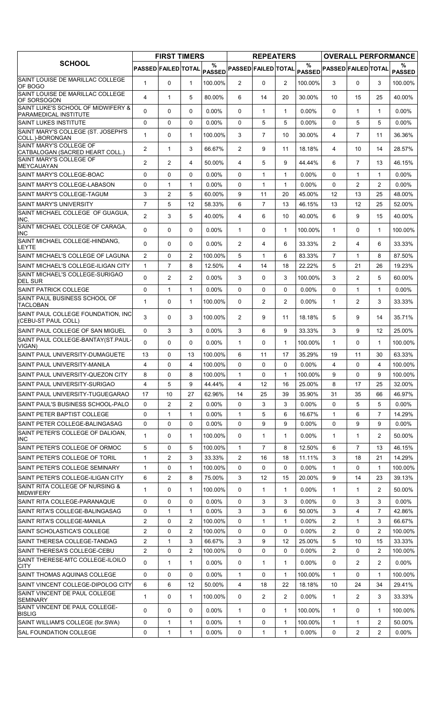|                                                             | <b>FIRST TIMERS</b>        |                |                | <b>REPEATERS</b>   |                            |                |                | <b>OVERALL PERFORMANCE</b> |                            |                |                |                    |
|-------------------------------------------------------------|----------------------------|----------------|----------------|--------------------|----------------------------|----------------|----------------|----------------------------|----------------------------|----------------|----------------|--------------------|
| <b>SCHOOL</b>                                               | <b>PASSED FAILED TOTAL</b> |                |                | %<br><b>PASSED</b> | <b>PASSED FAILED TOTAL</b> |                |                | $\%$                       | PASSED PASSED FAILED TOTAL |                |                | ℅<br><b>PASSED</b> |
| SAINT LOUISE DE MARILLAC COLLEGE<br>OF BOGO                 | $\mathbf{1}$               | $\Omega$       | $\mathbf{1}$   | 100.00%            | $\overline{2}$             | $\Omega$       | 2              | 100.00%                    | 3                          | $\Omega$       | 3              | 100.00%            |
| SAINT LOUISE DE MARILLAC COLLEGE<br>OF SORSOGON             | 4                          | $\mathbf{1}$   | 5              | 80.00%             | 6                          | 14             | 20             | 30.00%                     | 10                         | 15             | 25             | 40.00%             |
| SAINT LUKE'S SCHOOL OF MIDWIFERY &<br>PARAMEDICAL INSTITUTE | $\Omega$                   | 0              | $\Omega$       | 0.00%              | $\mathbf{0}$               | 1              | $\mathbf{1}$   | 0.00%                      | $\Omega$                   | $\mathbf 1$    | 1              | $0.00\%$           |
| <b>SAINT LUKES INSTITUTE</b>                                | 0                          | 0              | $\Omega$       | $0.00\%$           | $\Omega$                   | 5              | 5              | 0.00%                      | $\Omega$                   | 5              | 5              | $0.00\%$           |
| SAINT MARY'S COLLEGE (ST. JOSEPH'S<br>COLL.)-BORONGAN       | $\mathbf{1}$               | 0              | $\mathbf{1}$   | 100.00%            | 3                          | $\overline{7}$ | 10             | 30.00%                     | 4                          | $\overline{7}$ | 11             | 36.36%             |
| SAINT MARY'S COLLEGE OF<br>CATBALOGAN (SACRED HEART COLL.)  | 2                          | $\mathbf{1}$   | 3              | 66.67%             | $\overline{2}$             | 9              | 11             | 18.18%                     | 4                          | 10             | 14             | 28.57%             |
| SAINT MARY'S COLLEGE OF<br><b>MEYCAUAYAN</b>                | 2                          | $\overline{2}$ | 4              | 50.00%             | 4                          | 5              | 9              | 44.44%                     | 6                          | $\overline{7}$ | 13             | 46.15%             |
| SAINT MARY'S COLLEGE-BOAC                                   | $\Omega$                   | 0              | $\mathbf{0}$   | $0.00\%$           | $\Omega$                   | 1              | $\mathbf{1}$   | 0.00%                      | $\Omega$                   | $\mathbf{1}$   | $\mathbf{1}$   | $0.00\%$           |
| SAINT MARY'S COLLEGE-LABASON                                | 0                          | $\mathbf{1}$   | $\mathbf{1}$   | $0.00\%$           | $\Omega$                   | $\mathbf{1}$   | $\mathbf{1}$   | 0.00%                      | $\Omega$                   | $\overline{2}$ | $\overline{c}$ | $0.00\%$           |
| SAINT MARY'S COLLEGE-TAGUM                                  | 3                          | $\overline{c}$ | 5              | 60.00%             | 9                          | 11             | 20             | 45.00%                     | 12                         | 13             | 25             | 48.00%             |
| ISAINT MARY'S UNIVERSITY                                    | $\overline{7}$             | 5              | 12             | 58.33%             | 6                          | $\overline{7}$ | 13             | 46.15%                     | 13                         | 12             | 25             | 52.00%             |
| SAINT MICHAEL COLLEGE OF GUAGUA,                            | 2                          | 3              | 5              | 40.00%             | 4                          | 6              | 10             | 40.00%                     | 6                          | 9              | 15             | 40.00%             |
| INC.<br>SAINT MICHAEL COLLEGE OF CARAGA,                    |                            |                |                |                    |                            |                |                |                            |                            |                |                |                    |
| INC<br>SAINT MICHAEL COLLEGE-HINDANG,                       | $\Omega$                   | $\Omega$       | $\mathbf{0}$   | $0.00\%$           | $\mathbf{1}$               | 0              | $\mathbf{1}$   | 100.00%                    | $\mathbf{1}$               | 0              | $\mathbf{1}$   | 100.00%            |
| LEYTE                                                       | $\Omega$                   | 0              | $\mathbf{0}$   | 0.00%              | $\overline{2}$             | 4              | 6              | 33.33%                     | $\overline{2}$             | 4              | 6              | 33.33%             |
| SAINT MICHAEL'S COLLEGE OF LAGUNA                           | $\overline{2}$             | 0              | $\overline{2}$ | 100.00%            | 5                          | 1              | 6              | 83.33%                     | $\overline{7}$             | 1              | 8              | 87.50%             |
| SAINT MICHAEL'S COLLEGE-ILIGAN CITY                         | $\mathbf{1}$               | $\overline{7}$ | 8              | 12.50%             | 4                          | 14             | 18             | 22.22%                     | 5                          | 21             | 26             | 19.23%             |
| SAINT MICHAEL'S COLLEGE-SURIGAO<br><b>DEL SUR</b>           | $\Omega$                   | $\overline{2}$ | $\overline{2}$ | 0.00%              | 3                          | 0              | 3              | 100.00%                    | 3                          | $\overline{2}$ | 5              | 60.00%             |
| <b>SAINT PATRICK COLLEGE</b>                                | 0                          | $\mathbf{1}$   | $\mathbf{1}$   | $0.00\%$           | $\Omega$                   | $\Omega$       | $\Omega$       | $0.00\%$                   | $\Omega$                   | $\mathbf{1}$   | $\mathbf{1}$   | $0.00\%$           |
| SAINT PAUL BUSINESS SCHOOL OF<br><b>TACLOBAN</b>            | $\mathbf{1}$               | 0              | $\mathbf{1}$   | 100.00%            | 0                          | $\overline{2}$ | $\overline{2}$ | $0.00\%$                   | $\mathbf{1}$               | $\overline{c}$ | 3              | 33.33%             |
| SAINT PAUL COLLEGE FOUNDATION, INC<br>(CEBU-ST PAUL COLL)   | 3                          | 0              | 3              | 100.00%            | $\overline{2}$             | 9              | 11             | 18.18%                     | 5                          | 9              | 14             | 35.71%             |
| SAINT PAUL COLLEGE OF SAN MIGUEL                            | 0                          | 3              | 3              | $0.00\%$           | 3                          | 6              | 9              | 33.33%                     | 3                          | 9              | 12             | 25.00%             |
| SAINT PAUL COLLEGE-BANTAY(ST.PAUL-<br>VIGAN)                | $\Omega$                   | $\Omega$       | $\mathbf{0}$   | $0.00\%$           | $\mathbf{1}$               | 0              | $\mathbf{1}$   | 100.00%                    | $\mathbf{1}$               | 0              | $\mathbf{1}$   | 100.00%            |
| SAINT PAUL UNIVERSITY-DUMAGUETE                             | 13                         | 0              | 13             | 100.00%            | 6                          | 11             | 17             | 35.29%                     | 19                         | 11             | 30             | 63.33%             |
| SAINT PAUL UNIVERSITY-MANILA                                | 4                          | 0              | $\overline{4}$ | 100.00%            | $\Omega$                   | 0              | $\Omega$       | 0.00%                      | $\overline{4}$             | $\Omega$       | 4              | 100.00%            |
| SAINT PAUL UNIVERSITY-QUEZON CITY                           | 8                          | 0              | 8              | 100.00%            | $\mathbf{1}$               | 0              | $\mathbf{1}$   | 100.00%                    | 9                          | $\Omega$       | 9              | 100.00%            |
| SAINT PAUL UNIVERSITY-SURIGAO                               | 4                          | 5              | 9              | 44.44%             | 4                          | 12             | 16             | 25.00%                     | 8                          | 17             | 25             | 32.00%             |
| SAINT PAUL UNIVERSITY-TUGUEGARAO                            | 17                         | 10             | 27             | 62.96%             | 14                         | 25             | 39             | 35.90%                     | 31                         | 35             | 66             | 46.97%             |
| SAINT PAUL'S BUSINESS SCHOOL-PALO                           | 0                          | $\overline{c}$ | $\overline{2}$ | $0.00\%$           | 0                          | 3              | 3              | $0.00\%$                   | $\Omega$                   | 5              | 5              | $0.00\%$           |
| SAINT PETER BAPTIST COLLEGE                                 | 0                          | 1              | 1              | $0.00\%$           | 1                          | 5              | 6              | 16.67%                     | $\mathbf{1}$               | 6              | 7              | 14.29%             |
| SAINT PETER COLLEGE-BALINGASAG                              | $\mathbf 0$                | 0              | $\mathbf 0$    | $0.00\%$           | 0                          | 9              | 9              | $0.00\%$                   | 0                          | 9              | 9              | $0.00\%$           |
| SAINT PETER'S COLLEGE OF DALIOAN,<br><b>INC</b>             | 1                          | 0              | 1              | 100.00%            | 0                          | 1              | 1              | $0.00\%$                   | 1                          | 1              | 2              | 50.00%             |
| SAINT PETER'S COLLEGE OF ORMOC                              | 5                          | 0              | 5              | 100.00%            | 1                          | 7              | 8              | 12.50%                     | 6                          | $\overline{7}$ | 13             | 46.15%             |
| SAINT PETER'S COLLEGE OF TORIL                              | $\mathbf{1}$               | 2              | 3              | 33.33%             | 2                          | 16             | 18             | 11.11%                     | 3                          | 18             | 21             | 14.29%             |
| SAINT PETER'S COLLEGE SEMINARY                              | $\mathbf{1}$               | 0              | $\mathbf{1}$   | 100.00%            | $\Omega$                   | 0              | 0              | $0.00\%$                   | $\mathbf{1}$               | 0              | $\mathbf{1}$   | 100.00%            |
| SAINT PETER'S COLLEGE-ILIGAN CITY                           | 6                          | 2              | 8              | 75.00%             | 3                          | 12             | 15             | 20.00%                     | 9                          | 14             | 23             | 39.13%             |
| SAINT RITA COLLEGE OF NURSING &<br><b>MIDWIFERY</b>         | 1                          | 0              | 1              | 100.00%            | $\mathbf{0}$               | 1              | 1              | $0.00\%$                   | 1                          | 1              | 2              | 50.00%             |
| SAINT RITA COLLEGE-PARANAQUE                                | 0                          | 0              | 0              | $0.00\%$           | 0                          | 3              | 3              | 0.00%                      | 0                          | 3              | 3              | $0.00\%$           |
| SAINT RITA'S COLLEGE-BALINGASAG                             | 0                          | $\mathbf{1}$   | $\mathbf{1}$   | $0.00\%$           | 3                          | 3              | 6              | 50.00%                     | 3                          | 4              | $\overline{7}$ | 42.86%             |
| SAINT RITA'S COLLEGE-MANILA                                 | $\overline{2}$             | 0              | $\overline{2}$ | 100.00%            | 0                          | 1              | 1              | $0.00\%$                   | $\overline{2}$             | 1              | 3              | 66.67%             |
| SAINT SCHOLASTICA'S COLLEGE                                 | 2                          | 0              | $\overline{2}$ | 100.00%            | 0                          | 0              | 0              | $0.00\%$                   | 2                          | 0              | 2              | 100.00%            |
| SAINT THERESA COLLEGE-TANDAG                                | $\overline{2}$             | $\mathbf{1}$   | 3              | 66.67%             | 3                          | 9              | 12             | 25.00%                     | 5                          | 10             | 15             | 33.33%             |
| SAINT THERESA'S COLLEGE-CEBU                                | $\overline{2}$             | 0              | $\overline{2}$ | 100.00%            | 0                          | 0              | 0              | $0.00\%$                   | $\overline{2}$             | 0              | 2              | 100.00%            |
| SAINT THERESE-MTC COLLEGE-ILOILO<br>CITY                    | 0                          | $\mathbf{1}$   | 1              | $0.00\%$           | 0                          | 1              | 1              | $0.00\%$                   | 0                          | 2              | $\overline{2}$ | $0.00\%$           |
| SAINT THOMAS AQUINAS COLLEGE                                | 0                          | 0              | $\mathbf 0$    | $0.00\%$           | $\mathbf{1}$               | 0              | $\mathbf{1}$   | 100.00%                    | $\mathbf{1}$               | 0              | 1              | 100.00%            |
| SAINT VINCENT COLLEGE-DIPOLOG CITY                          | 6                          | 6              | 12             | 50.00%             | 4                          | 18             | 22             | 18.18%                     | 10                         | 24             | 34             | 29.41%             |
| SAINT VINCENT DE PAUL COLLEGE<br><b>SEMINARY</b>            | $\mathbf{1}$               | 0              | $\mathbf{1}$   | 100.00%            | 0                          | $\overline{2}$ | 2              | 0.00%                      | $\mathbf{1}$               | 2              | 3              | 33.33%             |
| SAINT VINCENT DE PAUL COLLEGE-<br><b>BISLIG</b>             | $\Omega$                   | 0              | 0              | $0.00\%$           | 1                          | 0              | $\mathbf{1}$   | 100.00%                    | $\mathbf{1}$               | 0              | 1              | 100.00%            |
| SAINT WILLIAM'S COLLEGE (for.SWA)                           | 0                          | 1              | 1              | $0.00\%$           | 1                          | 0              | 1              | 100.00%                    | $\mathbf{1}$               | 1              | 2              | 50.00%             |
| <b>SAL FOUNDATION COLLEGE</b>                               | 0                          | 1              | $\mathbf{1}$   | $0.00\%$           | 0                          | $\mathbf{1}$   | $\mathbf{1}$   | $0.00\%$                   | 0                          | 2              | 2              | $0.00\%$           |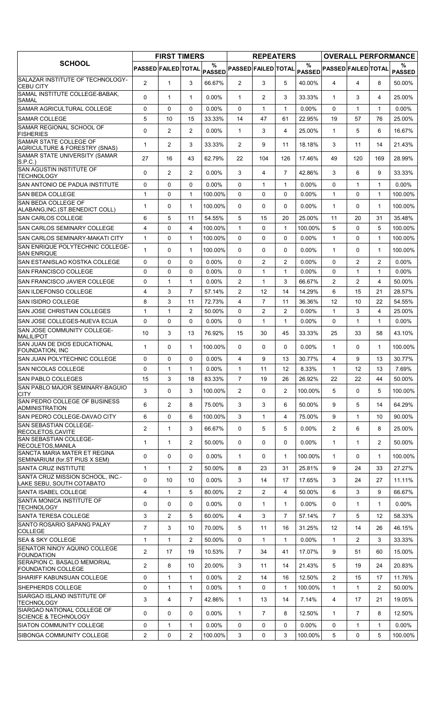|                                                                                           | <b>FIRST TIMERS</b> |                |                | <b>REPEATERS</b>   |                       |                |                | <b>OVERALL PERFORMANCE</b> |                                                |                |                |                    |
|-------------------------------------------------------------------------------------------|---------------------|----------------|----------------|--------------------|-----------------------|----------------|----------------|----------------------------|------------------------------------------------|----------------|----------------|--------------------|
| <b>SCHOOL</b>                                                                             | PASSED FAILED TOTAL |                |                | %<br><b>PASSED</b> |                       |                |                | %                          | PASSED FAILED TOTAL PASSED PASSED FAILED TOTAL |                |                | %<br><b>PASSED</b> |
| SALAZAR INSTITUTE OF TECHNOLOGY-<br><b>CEBU CITY</b>                                      | $\overline{2}$      | $\mathbf{1}$   | 3              | 66.67%             | $\overline{2}$        | 3              | 5              | 40.00%                     | 4                                              | 4              | 8              | 50.00%             |
| SAMAL INSTITUTE COLLEGE-BABAK,<br><b>SAMAL</b>                                            | $\Omega$            | $\mathbf{1}$   | $\mathbf{1}$   | $0.00\%$           | $\mathbf{1}$          | $\overline{2}$ | 3              | 33.33%                     | $\mathbf{1}$                                   | 3              | 4              | 25.00%             |
| <b>SAMAR AGRICULTURAL COLLEGE</b>                                                         | $\Omega$            | 0              | 0              | $0.00\%$           | $\Omega$              | $\mathbf{1}$   | $\mathbf{1}$   | 0.00%                      | $\Omega$                                       | $\mathbf 1$    | 1              | $0.00\%$           |
| <b>SAMAR COLLEGE</b>                                                                      | 5                   | 10             | 15             | 33.33%             | 14                    | 47             | 61             | 22.95%                     | 19                                             | 57             | 76             | 25.00%             |
| SAMAR REGIONAL SCHOOL OF<br><b>FISHERIES</b>                                              | 0                   | $\overline{c}$ | 2              | 0.00%              | $\mathbf{1}$          | 3              | 4              | 25.00%                     | $\mathbf{1}$                                   | 5              | 6              | 16.67%             |
| <b>SAMAR STATE COLLEGE OF</b><br>AGRICULTURE & FORESTRY (SNAS)                            | $\mathbf{1}$        | $\overline{2}$ | 3              | 33.33%             | $\overline{2}$        | 9              | 11             | 18.18%                     | 3                                              | 11             | 14             | 21.43%             |
| SAMAR STATE UNIVERSITY (SAMAR<br>S.P.C.)                                                  | 27                  | 16             | 43             | 62.79%             | 22                    | 104            | 126            | 17.46%                     | 49                                             | 120            | 169            | 28.99%             |
| SAN AGUSTIN INSTITUTE OF<br><b>TECHNOLOGY</b>                                             | 0                   | $\overline{2}$ | 2              | 0.00%              | 3                     | 4              | $\overline{7}$ | 42.86%                     | 3                                              | 6              | 9              | 33.33%             |
| <b>SAN ANTONIO DE PADUA INSTITUTE</b>                                                     | 0                   | 0              | 0              | $0.00\%$           | $\mathbf{0}$          | $\mathbf{1}$   | $\mathbf{1}$   | $0.00\%$                   | $\Omega$                                       | $\mathbf{1}$   | $\mathbf 1$    | $0.00\%$           |
| <b>SAN BEDA COLLEGE</b>                                                                   | $\mathbf{1}$        | 0              | $\mathbf{1}$   | 100.00%            | $\Omega$              | $\Omega$       | 0              | $0.00\%$                   | $\mathbf{1}$                                   | $\Omega$       | 1              | 100.00%            |
| SAN BEDA COLLEGE OF<br>ALABANG, INC. (ST. BENEDICT COLL)                                  | 1                   | 0              | $\mathbf{1}$   | 100.00%            | $\mathbf{0}$          | 0              | 0              | $0.00\%$                   | $\mathbf{1}$                                   | 0              | $\mathbf 1$    | 100.00%            |
| <b>SAN CARLOS COLLEGE</b>                                                                 | 6                   | 5              | 11             | 54.55%             | 5                     | 15             | 20             | 25.00%                     | 11                                             | 20             | 31             | 35.48%             |
| <b>SAN CARLOS SEMINARY COLLEGE</b>                                                        | 4                   | 0              | 4              | 100.00%            | $\mathbf{1}$          | 0              | $\mathbf{1}$   | 100.00%                    | 5                                              | $\Omega$       | 5              | 100.00%            |
| <b>SAN CARLOS SEMINARY-MAKATI CITY</b>                                                    | $\mathbf{1}$        | 0              | $\mathbf{1}$   | 100.00%            | $\mathbf 0$           | 0              | 0              | $0.00\%$                   | $\mathbf{1}$                                   | 0              | 1              | 100.00%            |
| SAN ENRIQUE POLYTECHNIC COLLEGE-<br><b>SAN ENRIQUE</b>                                    | $\mathbf{1}$        | 0              | $\mathbf{1}$   | 100.00%            | $\mathbf{0}$          | $\Omega$       | 0              | $0.00\%$                   | $\mathbf{1}$                                   | 0              | 1              | 100.00%            |
| SAN ESTANISLAO KOSTKA COLLEGE                                                             | 0                   | 0              | $\mathbf 0$    | 0.00%              | $\mathbf{0}$          | $\overline{2}$ | $\overline{c}$ | 0.00%                      | $\Omega$                                       | $\overline{2}$ | 2              | $0.00\%$           |
| <b>SAN FRANCISCO COLLEGE</b>                                                              | 0                   | 0              | 0              | $0.00\%$           | $\mathbf 0$           | 1              | 1              | $0.00\%$                   | $\Omega$                                       | $\mathbf{1}$   | $\mathbf{1}$   | $0.00\%$           |
| <b>SAN FRANCISCO JAVIER COLLEGE</b>                                                       | 0                   | 1              | $\mathbf{1}$   | $0.00\%$           | $\overline{c}$        | 1              | 3              | 66.67%                     | $\overline{2}$                                 | $\overline{2}$ | 4              | 50.00%             |
| <b>SAN ILDEFONSO COLLEGE</b>                                                              | $\overline{4}$      | 3              | $\overline{7}$ | 57.14%             | $\overline{2}$        | 12             | 14             | 14.29%                     | 6                                              | 15             | 21             | 28.57%             |
| <b>SAN ISIDRO COLLEGE</b>                                                                 | 8                   | 3              | 11             | 72.73%             | $\overline{4}$        | $\overline{7}$ | 11             | 36.36%                     | 12                                             | 10             | 22             | 54.55%             |
| SAN JOSE CHRISTIAN COLLEGES                                                               | $\mathbf 1$         | $\mathbf{1}$   | 2              | 50.00%             | $\Omega$              | 2              | $\overline{c}$ | $0.00\%$                   | $\mathbf 1$                                    | 3              | 4              | 25.00%             |
| SAN JOSE COLLEGES-NUEVA ECIJA                                                             | $\Omega$            | 0              | 0              | $0.00\%$           | $\mathbf{0}$          | $\mathbf{1}$   | $\mathbf{1}$   | 0.00%                      | $\Omega$                                       | $\mathbf{1}$   | 1              | $0.00\%$           |
| SAN JOSE COMMUNITY COLLEGE-<br><b>MALILIPOT</b>                                           | 10                  | 3              | 13             | 76.92%             | 15                    | 30             | 45             | 33.33%                     | 25                                             | 33             | 58             | 43.10%             |
| SAN JUAN DE DIOS EDUCATIONAL<br>FOUNDATION, INC                                           | $\mathbf{1}$        | 0              | $\mathbf{1}$   | 100.00%            | $\mathbf{0}$          | 0              | 0              | 0.00%                      | $\mathbf{1}$                                   | $\Omega$       | 1              | 100.00%            |
| SAN JUAN POLYTECHNIC COLLEGE                                                              | 0                   | 0              | 0              | 0.00%              | 4                     | 9              | 13             | 30.77%                     | 4                                              | 9              | 13             | 30.77%             |
| SAN NICOLAS COLLEGE                                                                       | 0                   | 1              | $\mathbf{1}$   | 0.00%              | $\mathbf{1}$          | 11             | 12             | 8.33%                      | $\mathbf{1}$                                   | 12             | 13             | 7.69%              |
| SAN PABLO COLLEGES                                                                        | 15                  | 3              | 18             | 83.33%             | $\overline{7}$        | 19             | 26             | 26.92%                     | 22                                             | 22             | 44             | 50.00%             |
| SAN PABLO MAJOR SEMINARY-BAGUIO<br><b>CITY</b>                                            | 3                   | 0              | 3              | 100.00%            | $\overline{2}$        | 0              | $\overline{2}$ | 100.00%                    | 5                                              | 0              | 5              | 100.00%            |
| SAN PEDRO COLLEGE OF BUSINESS<br>ADMINISTRATION                                           | 6                   | 2              | 8              | 75.00%             | 3                     | 3              | 6              | 50.00%                     | 9                                              | 5              | 14             | 64.29%             |
| SAN PEDRO COLLEGE-DAVAO CITY                                                              | 6                   | 0              | 6              | 100.00%            | 3                     | $\mathbf{1}$   | 4              | 75.00%                     | 9                                              | $\mathbf{1}$   | 10             | 90.00%             |
| ISAN SEBASTIAN COLLEGE-<br><b>RECOLETOS, CAVITE</b>                                       | $\overline{2}$      | $\mathbf{1}$   | 3              | 66.67%             | $\mathbf 0$           | 5              | 5              | $0.00\%$                   | $\overline{2}$                                 | 6              | 8              | 25.00%             |
| <b>SAN SEBASTIAN COLLEGE-</b><br><b>RECOLETOS, MANILA</b><br>SANCTA MARIA MATER ET REGINA | $\mathbf 1$         | $\mathbf{1}$   | 2              | 50.00%             | 0                     | 0              | 0              | $0.00\%$                   | $\mathbf{1}$                                   | 1              | 2              | 50.00%             |
| SEMINARIUM (for.ST PIUS X SEM)                                                            | 0                   | 0              | 0              | $0.00\%$           | 1                     | 0              | 1              | 100.00%                    | $\mathbf 1$                                    | 0              | 1              | 100.00%            |
| <b>SANTA CRUZ INSTITUTE</b>                                                               | $\mathbf{1}$        | $\mathbf{1}$   | 2              | 50.00%             | 8                     | 23             | 31             | 25.81%                     | 9                                              | 24             | 33             | 27.27%             |
| SANTA CRUZ MISSION SCHOOL, INC.-<br>LAKE SEBU, SOUTH COTABATO                             | 0                   | 10             | 10             | $0.00\%$           | 3                     | 14             | 17             | 17.65%                     | 3                                              | 24             | 27             | 11.11%             |
| <b>SANTA ISABEL COLLEGE</b><br>SANTA MONICA INSTITUTE OF                                  | 4                   | $\mathbf{1}$   | 5              | 80.00%             | $\mathbf{2}^{\prime}$ | $\overline{2}$ | 4              | 50.00%                     | 6                                              | 3              | 9              | 66.67%             |
| <b>TECHNOLOGY</b>                                                                         | 0                   | 0              | 0              | $0.00\%$           | 0                     | 1              | $\mathbf{1}$   | $0.00\%$                   | 0                                              | 1              | 1              | $0.00\%$           |
| <b>SANTA TERESA COLLEGE</b>                                                               | 3                   | 2              | 5              | 60.00%             | 4                     | 3              | 7              | 57.14%                     | $\overline{7}$                                 | 5              | 12             | 58.33%             |
| SANTO ROSARIO SAPANG PALAY<br><b>COLLEGE</b>                                              | $\overline{7}$      | 3              | 10             | 70.00%             | 5                     | 11             | 16             | 31.25%                     | $12 \overline{ }$                              | 14             | 26             | 46.15%             |
| <b>SEA &amp; SKY COLLEGE</b>                                                              | $\mathbf{1}$        | $\mathbf{1}$   | $\overline{2}$ | 50.00%             | $\mathbf 0$           | $\mathbf{1}$   | $\mathbf{1}$   | $0.00\%$                   | $\mathbf{1}$                                   | $\overline{2}$ | 3              | 33.33%             |
| SENATOR NINOY AQUINO COLLEGE<br><b>FOUNDATION</b>                                         | 2                   | 17             | 19             | 10.53%             | $\overline{7}$        | 34             | 41             | 17.07%                     | 9                                              | 51             | 60             | 15.00%             |
| SERAPION C. BASALO MEMORIAL<br><b>FOUNDATION COLLEGE</b>                                  | $\overline{c}$      | 8              | 10             | 20.00%             | 3                     | 11             | 14             | 21.43%                     | 5                                              | 19             | 24             | 20.83%             |
| SHARIFF KABUNSUAN COLLEGE                                                                 | 0                   | $\mathbf{1}$   | $\mathbf{1}$   | $0.00\%$           | $\mathbf{2}^{\prime}$ | 14             | 16             | 12.50%                     | $\overline{2}$                                 | 15             | 17             | 11.76%             |
| SHEPHERDS COLLEGE                                                                         | 0                   | $\mathbf{1}$   | $\mathbf{1}$   | $0.00\%$           | 1                     | 0              | $\mathbf{1}$   | 100.00%                    | $\mathbf{1}$                                   | $\mathbf{1}$   | $\overline{2}$ | 50.00%             |
| SIARGAO ISLAND INSTITUTE OF<br><b>TECHNOLOGY</b>                                          | 3                   | $\overline{4}$ | $\overline{7}$ | 42.86%             | 1                     | 13             | 14             | 7.14%                      | 4                                              | 17             | 21             | 19.05%             |
| SIARGAO NATIONAL COLLEGE OF<br><b>SCIENCE &amp; TECHNOLOGY</b>                            | 0                   | 0              | 0              | 0.00%              | $\mathbf{1}$          | $\overline{7}$ | 8              | 12.50%                     | $\mathbf 1$                                    | $\overline{7}$ | 8              | 12.50%             |
| <b>ISIATON COMMUNITY COLLEGE</b>                                                          | 0                   | $\mathbf{1}$   | $\mathbf{1}$   | $0.00\%$           | $\mathbf{0}$          | 0              | 0              | $0.00\%$                   | $\Omega$                                       | $\mathbf{1}$   | 1              | $0.00\%$           |
| SIBONGA COMMUNITY COLLEGE                                                                 | 2                   | 0              | 2              | 100.00%            | 3                     | 0              | 3              | 100.00%                    | 5                                              | 0              | 5              | 100.00%            |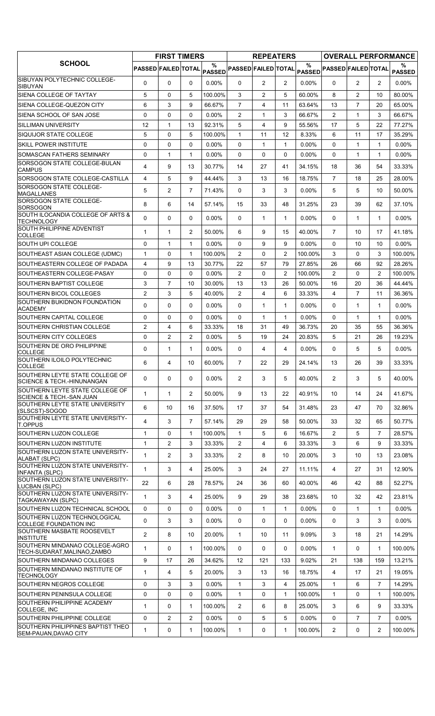|                                                                          | <b>FIRST TIMERS</b>        |                |                | <b>REPEATERS</b>   |                            |                |                | <b>OVERALL PERFORMANCE</b> |                            |                |                |                    |
|--------------------------------------------------------------------------|----------------------------|----------------|----------------|--------------------|----------------------------|----------------|----------------|----------------------------|----------------------------|----------------|----------------|--------------------|
| <b>SCHOOL</b>                                                            | <b>PASSED FAILED TOTAL</b> |                |                | %<br><b>PASSED</b> | <b>PASSED FAILED TOTAL</b> |                |                | %                          | PASSED PASSED FAILED TOTAL |                |                | ℅<br><b>PASSED</b> |
| SIBUYAN POLYTECHNIC COLLEGE-<br><b>SIBUYAN</b>                           | $\Omega$                   | $\Omega$       | $\mathbf{0}$   | $0.00\%$           | $\mathbf{0}$               | $\overline{2}$ | $\overline{2}$ | $0.00\%$                   | $\Omega$                   | $\overline{2}$ | $\overline{2}$ | $0.00\%$           |
| ISIENA COLLEGE OF TAYTAY                                                 | 5                          | 0              | 5              | 100.00%            | 3                          | $\overline{2}$ | 5              | 60.00%                     | 8                          | $\overline{2}$ | 10             | 80.00%             |
| SIENA COLLEGE-QUEZON CITY                                                | 6                          | 3              | 9              | 66.67%             | $\overline{7}$             | 4              | 11             | 63.64%                     | 13                         | $\overline{7}$ | 20             | 65.00%             |
| SIENA SCHOOL OF SAN JOSE                                                 | 0                          | 0              | $\Omega$       | $0.00\%$           | 2                          | $\mathbf{1}$   | 3              | 66.67%                     | $\overline{2}$             | $\mathbf{1}$   | 3              | 66.67%             |
| <b>SILLIMAN UNIVERSITY</b>                                               | 12                         | 1              | 13             | 92.31%             | 5                          | 4              | 9              | 55.56%                     | 17                         | 5              | 22             | 77.27%             |
| <b>ISIQUIJOR STATE COLLEGE</b>                                           | 5                          | $\mathbf 0$    | 5              | 100.00%            | $\mathbf{1}$               | 11             | 12             | 8.33%                      | 6                          | 11             | 17             | 35.29%             |
| <b>SKILL POWER INSTITUTE</b>                                             | 0                          | 0              | 0              | $0.00\%$           | 0                          | $\mathbf{1}$   | 1              | $0.00\%$                   | $\Omega$                   | $\mathbf{1}$   | $\mathbf{1}$   | $0.00\%$           |
| SOMASCAN FATHERS SEMINARY                                                | 0                          | 1              | $\mathbf{1}$   | $0.00\%$           | 0                          | 0              | 0              | $0.00\%$                   | 0                          | 1              | 1              | $0.00\%$           |
| SORSOGON STATE COLLEGE-BULAN<br><b>CAMPUS</b>                            | 4                          | 9              | 13             | 30.77%             | 14                         | 27             | 41             | 34.15%                     | 18                         | 36             | 54             | 33.33%             |
| SORSOGON STATE COLLEGE-CASTILLA                                          | 4                          | 5              | 9              | 44.44%             | 3                          | 13             | 16             | 18.75%                     | $\overline{7}$             | 18             | 25             | 28.00%             |
| <b>SORSOGON STATE COLLEGE-</b><br><b>MAGALLANES</b>                      | 5                          | 2              | $\overline{7}$ | 71.43%             | $\Omega$                   | 3              | 3              | $0.00\%$                   | 5                          | 5              | 10             | 50.00%             |
| SORSOGON STATE COLLEGE-<br><b>SORSOGON</b>                               | 8                          | 6              | 14             | 57.14%             | 15                         | 33             | 48             | 31.25%                     | 23                         | 39             | 62             | 37.10%             |
| SOUTH ILOCANDIA COLLEGE OF ARTS &<br>TECHNOLOGY                          | 0                          | 0              | $\mathbf{0}$   | 0.00%              | $\mathbf{0}$               | $\mathbf{1}$   | $\mathbf{1}$   | 0.00%                      | 0                          | $\mathbf 1$    | $\mathbf{1}$   | 0.00%              |
| SOUTH PHILIPPINE ADVENTIST<br><b>COLLEGE</b>                             | 1                          | 1              | $\overline{2}$ | 50.00%             | 6                          | 9              | 15             | 40.00%                     | $\overline{7}$             | 10             | 17             | 41.18%             |
| SOUTH UPI COLLEGE                                                        | 0                          | $\mathbf{1}$   | $\mathbf{1}$   | $0.00\%$           | 0                          | 9              | 9              | $0.00\%$                   | 0                          | 10             | 10             | $0.00\%$           |
| SOUTHEAST ASIAN COLLEGE (UDMC)                                           | $\mathbf{1}$               | 0              | $\mathbf{1}$   | 100.00%            | $\overline{2}$             | 0              | $\overline{2}$ | 100.00%                    | 3                          | $\Omega$       | 3              | 100.00%            |
| SOUTHEASTERN COLLEGE OF PADADA                                           | 4                          | 9              | 13             | 30.77%             | 22                         | 57             | 79             | 27.85%                     | 26                         | 66             | 92             | 28.26%             |
| SOUTHEASTERN COLLEGE-PASAY                                               | 0                          | 0              | 0              | $0.00\%$           | 2                          | 0              | 2              | 100.00%                    | $\overline{c}$             | 0              | $\overline{c}$ | 100.00%            |
| <b>ISOUTHERN BAPTIST COLLEGE</b>                                         | 3                          | 7              | 10             | 30.00%             | 13                         | 13             | 26             | 50.00%                     | 16                         | 20             | 36             | 44.44%             |
| <b>SOUTHERN BICOL COLLEGES</b>                                           | $\overline{2}$             | 3              | 5              | 40.00%             | 2                          | 4              | 6              | 33.33%                     | 4                          | $\overline{7}$ | 11             | 36.36%             |
| SOUTHERN BUKIDNON FOUNDATION<br><b>ACADEMY</b>                           | 0                          | 0              | 0              | 0.00%              | $\Omega$                   | $\mathbf{1}$   | $\mathbf{1}$   | 0.00%                      | $\Omega$                   | $\mathbf{1}$   | $\mathbf 1$    | 0.00%              |
| SOUTHERN CAPITAL COLLEGE                                                 | 0                          | $\mathbf 0$    | 0              | $0.00\%$           | $\mathbf 0$                | $\mathbf{1}$   | 1              | $0.00\%$                   | 0                          | $\mathbf{1}$   | 1              | $0.00\%$           |
| <b>ISOUTHERN CHRISTIAN COLLEGE</b>                                       | $\overline{2}$             | 4              | 6              | 33.33%             | 18                         | 31             | 49             | 36.73%                     | 20                         | 35             | 55             | 36.36%             |
| SOUTHERN CITY COLLEGES                                                   | 0                          | $\overline{c}$ | $\mathbf{2}$   | 0.00%              | 5                          | 19             | 24             | 20.83%                     | 5                          | 21             | 26             | 19.23%             |
| SOUTHERN DE ORO PHILIPPINE                                               | 0                          | $\mathbf{1}$   | $\mathbf{1}$   | $0.00\%$           | $\mathbf{0}$               | 4              | 4              | $0.00\%$                   | $\Omega$                   | 5              | 5              | $0.00\%$           |
| <b>COLLEGE</b><br>SOUTHERN ILOILO POLYTECHNIC<br>COLLEGE                 | 6                          | 4              | 10             | 60.00%             | $\overline{7}$             | 22             | 29             | 24.14%                     | 13                         | 26             | 39             | 33.33%             |
| SOUTHERN LEYTE STATE COLLEGE OF<br><b>SCIENCE &amp; TECH.-HINUNANGAN</b> | 0                          | 0              | 0              | $0.00\%$           | $\overline{2}$             | 3              | 5              | 40.00%                     | $\overline{2}$             | 3              | 5              | 40.00%             |
| SOUTHERN LEYTE STATE COLLEGE OF<br>SCIENCE & TECH.-SAN JUAN              | 1                          | $\mathbf{1}$   | $\overline{2}$ | 50.00%             | 9                          | 13             | 22             | 40.91%                     | 10                         | 14             | 24             | 41.67%             |
| SOUTHERN LEYTE STATE UNIVERSITY<br>(SLSCST)-SOGOD                        | 6                          | 10             | 16             | 37.50%             | 17                         | 37             | 54             | 31.48%                     | 23                         | 47             | 70             | 32.86%             |
| SOUTHERN LEYTE STATE UNIVERSITY-<br><b>T.OPPUS</b>                       | 4                          | 3              | $\overline{7}$ | 57.14%             | 29                         | 29             | 58             | 50.00%                     | 33                         | 32             | 65             | 50.77%             |
| SOUTHERN LUZON COLLEGE                                                   | $\mathbf{1}$               | 0              | $\mathbf{1}$   | 100.00%            | $\mathbf{1}$               | 5              | 6              | 16.67%                     | $\overline{2}$             | 5              | $\overline{7}$ | 28.57%             |
| SOUTHERN LUZON INSTITUTE                                                 | $\mathbf{1}$               | 2              | 3              | 33.33%             | $\overline{2}$             | 4              | 6              | 33.33%                     | 3                          | 6              | 9              | 33.33%             |
| SOUTHERN LUZON STATE UNIVERSITY-<br>ALABAT (SLPC)                        | $\mathbf{1}$               | $\overline{2}$ | 3              | 33.33%             | $\overline{2}$             | 8              | 10             | 20.00%                     | 3                          | 10             | 13             | 23.08%             |
| SOUTHERN LUZON STATE UNIVERSITY-<br><b>INFANTA (SLPC)</b>                | $\mathbf{1}$               | 3              | 4              | 25.00%             | 3                          | 24             | 27             | 11.11%                     | 4                          | 27             | 31             | 12.90%             |
| SOUTHERN LUZON STATE UNIVERSITY-<br>LUCBAN (SLPC)                        | 22                         | 6              | 28             | 78.57%             | 24                         | 36             | 60             | 40.00%                     | 46                         | 42             | 88             | 52.27%             |
| SOUTHERN LUZON STATE UNIVERSITY-<br>TAGKAWAYAN (SLPC)                    | $\mathbf{1}$               | 3              | 4              | 25.00%             | 9                          | 29             | 38             | 23.68%                     | 10                         | 32             | 42             | 23.81%             |
| SOUTHERN LUZON TECHNICAL SCHOOL                                          | 0                          | 0              | 0              | $0.00\%$           | 0                          | 1              | 1              | 0.00%                      | 0                          | $\mathbf 1$    | $\mathbf{1}$   | $0.00\%$           |
| SOUTHERN LUZON TECHNOLOGICAL<br>COLLEGE FOUNDATION INC                   | 0                          | 3              | 3              | $0.00\%$           | 0                          | 0              | 0              | $0.00\%$                   | 0                          | 3              | 3              | $0.00\%$           |
| SOUTHERN MASBATE ROOSEVELT<br>INSTITUTE                                  | $\overline{2}$             | 8              | 10             | 20.00%             | $\mathbf{1}$               | 10             | 11             | 9.09%                      | 3                          | 18             | 21             | 14.29%             |
| SOUTHERN MINDANAO COLLEGE-AGRO<br>TECH-SUDARAT,MALINAO,ZAMBO             | $\mathbf{1}$               | 0              | $\mathbf{1}$   | 100.00%            | $\mathbf{0}$               | 0              | 0              | $0.00\%$                   | $\mathbf{1}$               | 0              | $\mathbf{1}$   | 100.00%            |
| SOUTHERN MINDANAO COLLEGES                                               | 9                          | 17             | 26             | 34.62%             | 12                         | 121            | 133            | 9.02%                      | 21                         | 138            | 159            | 13.21%             |
| SOUTHERN MINDANAO INSTITUTE OF<br><b>TECHNOLOGY</b>                      | $\mathbf 1$                | 4              | 5              | 20.00%             | 3                          | 13             | 16             | 18.75%                     | 4                          | 17             | 21             | 19.05%             |
| SOUTHERN NEGROS COLLEGE                                                  | 0                          | 3              | 3              | $0.00\%$           | $\mathbf{1}$               | 3              | 4              | 25.00%                     | $\mathbf{1}$               | 6              | $\overline{7}$ | 14.29%             |
| SOUTHERN PENINSULA COLLEGE                                               | 0                          | 0              | 0              | $0.00\%$           | $\mathbf{1}$               | 0              | 1              | 100.00%                    | $\mathbf{1}$               | 0              | 1              | 100.00%            |
| SOUTHERN PHILIPPINE ACADEMY<br>COLLEGE, INC                              | $\mathbf{1}$               | 0              | $\mathbf{1}$   | 100.00%            | 2                          | 6              | 8              | 25.00%                     | 3                          | 6              | 9              | 33.33%             |
| SOUTHERN PHILIPPINE COLLEGE                                              | 0                          | $\overline{2}$ | $\overline{2}$ | $0.00\%$           | 0                          | 5              | 5              | $0.00\%$                   | 0                          | $\overline{7}$ | $\overline{7}$ | $0.00\%$           |
| SOUTHERN PHILIPPINES BAPTIST THEO<br>SEM-PAUAN, DAVAO CITY               | $\mathbf{1}$               | 0              | $\mathbf{1}$   | 100.00%            | $\mathbf{1}$               | 0              | 1              | 100.00%                    | $\overline{2}$             | 0              | $\overline{2}$ | 100.00%            |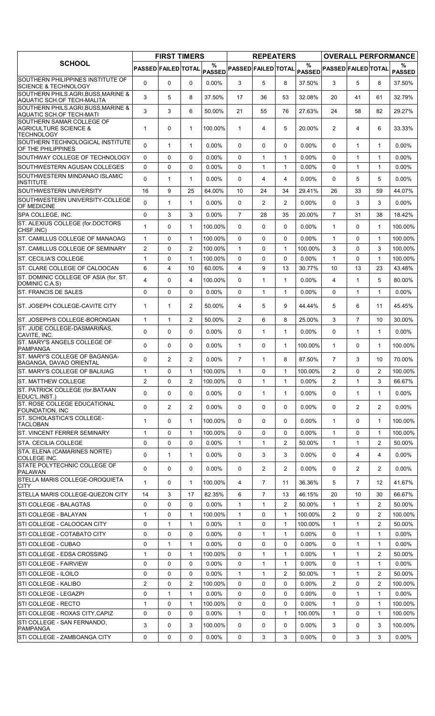|                                                                                    | <b>FIRST TIMERS</b>        |              |                | <b>REPEATERS</b>   |                     |                |                | <b>OVERALL PERFORMANCE</b> |                            |                |                |                    |
|------------------------------------------------------------------------------------|----------------------------|--------------|----------------|--------------------|---------------------|----------------|----------------|----------------------------|----------------------------|----------------|----------------|--------------------|
| <b>SCHOOL</b>                                                                      | <b>PASSED FAILED TOTAL</b> |              |                | %<br><b>PASSED</b> | PASSED FAILED TOTAL |                |                | $\frac{9}{6}$              | PASSED PASSED FAILED TOTAL |                |                | %<br><b>PASSED</b> |
| SOUTHERN PHILIPPINES INSTITUTE OF<br><b>SCIENCE &amp; TECHNOLOGY</b>               | $\Omega$                   | $\Omega$     | $\Omega$       | $0.00\%$           | 3                   | 5              | 8              | 37.50%                     | 3                          | 5              | 8              | 37.50%             |
| SOUTHERN PHILS.AGRI, BUSS, MARINE &<br>AQUATIC SCH.OF TECH-MALITA                  | 3                          | 5            | 8              | 37.50%             | 17                  | 36             | 53             | 32.08%                     | 20                         | 41             | 61             | 32.79%             |
| SOUTHERN PHILS.AGRI, BUSS, MARINE &<br>AQUATIC SCH.OF TECH-MATI                    | 3                          | 3            | 6              | 50.00%             | 21                  | 55             | 76             | 27.63%                     | 24                         | 58             | 82             | 29.27%             |
| SOUTHERN SAMAR COLLEGE OF<br><b>AGRICULTURE SCIENCE &amp;</b><br><b>TECHNOLOGY</b> | $\mathbf{1}$               | 0            | $\mathbf{1}$   | 100.00%            | $\mathbf{1}$        | 4              | 5              | 20.00%                     | $\overline{2}$             | 4              | 6              | 33.33%             |
| SOUTHERN TECHNOLOGICAL INSTITUTE<br>OF THE PHILIPPINES                             | $\Omega$                   | $\mathbf{1}$ | $\mathbf{1}$   | $0.00\%$           | $\mathbf{0}$        | $\mathbf{0}$   | 0              | $0.00\%$                   | 0                          | 1              | $\mathbf 1$    | $0.00\%$           |
| SOUTHWAY COLLEGE OF TECHNOLOGY                                                     | 0                          | $\Omega$     | $\Omega$       | $0.00\%$           | $\Omega$            | $\mathbf{1}$   | $\mathbf{1}$   | 0.00%                      | 0                          | $\mathbf{1}$   | $\mathbf{1}$   | $0.00\%$           |
| SOUTHWESTERN AGUSAN COLLEGES                                                       | 0                          | 0            | 0              | 0.00%              | $\Omega$            | 1              | 1              | 0.00%                      | $\Omega$                   | $\mathbf{1}$   | 1              | 0.00%              |
| SOUTHWESTERN MINDANAO ISLAMIC<br><b>INSTITUTE</b>                                  | 0                          | $\mathbf{1}$ | $\mathbf{1}$   | 0.00%              | $\Omega$            | 4              | 4              | 0.00%                      | $\Omega$                   | 5              | 5              | 0.00%              |
| SOUTHWESTERN UNIVERSITY                                                            | 16                         | 9            | 25             | 64.00%             | 10                  | 24             | 34             | 29.41%                     | 26                         | 33             | 59             | 44.07%             |
| SOUTHWESTERN UNIVERSITY-COLLEGE<br>OF MEDICINE                                     | $\Omega$                   | $\mathbf{1}$ | $\mathbf{1}$   | $0.00\%$           | $\Omega$            | $\overline{2}$ | $\overline{2}$ | $0.00\%$                   | 0                          | 3              | 3              | $0.00\%$           |
| SPA COLLEGE, INC.                                                                  | 0                          | 3            | 3              | $0.00\%$           | $\overline{7}$      | 28             | 35             | 20.00%                     | $\overline{7}$             | 31             | 38             | 18.42%             |
| ST. ALEXIUS COLLEGE (for.DOCTORS<br>CHSF, INC)                                     | $\mathbf{1}$               | 0            | $\mathbf{1}$   | 100.00%            | $\Omega$            | 0              | $\Omega$       | $0.00\%$                   | $\mathbf{1}$               | $\Omega$       | $\mathbf{1}$   | 100.00%            |
| ST. CAMILLUS COLLEGE OF MANAOAG                                                    | $\mathbf{1}$               | 0            | $\mathbf{1}$   | 100.00%            | $\Omega$            | 0              | $\Omega$       | 0.00%                      | $\mathbf{1}$               | $\Omega$       | $\mathbf{1}$   | 100.00%            |
| ST. CAMILLUS COLLEGE OF SEMINARY                                                   | $\overline{2}$             | 0            | $\overline{2}$ | 100.00%            | $\mathbf{1}$        | 0              | $\mathbf{1}$   | 100.00%                    | 3                          | 0              | 3              | 100.00%            |
| ST. CECILIA'S COLLEGE                                                              | $\mathbf{1}$               | 0            | $\mathbf{1}$   | 100.00%            | $\Omega$            | $\Omega$       | $\Omega$       | $0.00\%$                   | $\mathbf{1}$               | $\Omega$       | $\mathbf{1}$   | 100.00%            |
| ST. CLARE COLLEGE OF CALOOCAN                                                      | 6                          | 4            | 10             | 60.00%             | $\overline{4}$      | 9              | 13             | 30.77%                     | 10                         | 13             | 23             | 43.48%             |
| ST. DOMINIC COLLEGE OF ASIA (for. ST.<br>DOMINIC C.A.S)                            | 4                          | 0            | 4              | 100.00%            | $\Omega$            | 1              | $\mathbf{1}$   | 0.00%                      | 4                          | $\mathbf{1}$   | 5              | 80.00%             |
| <b>ST. FRANCIS DE SALES</b>                                                        | 0                          | 0            | 0              | 0.00%              | $\Omega$            | $\mathbf{1}$   | $\mathbf{1}$   | 0.00%                      | $\Omega$                   | $\mathbf{1}$   | $\mathbf{1}$   | 0.00%              |
| ST. JOSEPH COLLEGE-CAVITE CITY                                                     | $\mathbf{1}$               | $\mathbf{1}$ | 2              | 50.00%             | 4                   | 5              | 9              | 44.44%                     | 5                          | 6              | 11             | 45.45%             |
| ST. JOSEPH'S COLLEGE-BORONGAN                                                      | $\mathbf{1}$               | 1            | $\mathbf{2}$   | 50.00%             | $\overline{2}$      | 6              | 8              | 25.00%                     | 3                          | $\overline{7}$ | 10             | 30.00%             |
| ST. JUDE COLLEGE-DASMARIÑAS,                                                       | $\Omega$                   | 0            | $\Omega$       | $0.00\%$           | $\Omega$            | 1              | $\mathbf{1}$   | 0.00%                      | 0                          | $\mathbf{1}$   | $\mathbf{1}$   | $0.00\%$           |
| CAVITE, INC.<br>ST. MARY'S ANGELS COLLEGE OF<br><b>PAMPANGA</b>                    | $\Omega$                   | 0            | 0              | $0.00\%$           | $\mathbf{1}$        | 0              | $\mathbf{1}$   | 100.00%                    | $\mathbf{1}$               | $\Omega$       | $\mathbf 1$    | 100.00%            |
| ST. MARY'S COLLEGE OF BAGANGA-<br><b>BAGANGA, DAVAO ORIENTAL</b>                   | 0                          | 2            | $\overline{2}$ | $0.00\%$           | $\overline{7}$      | $\mathbf{1}$   | 8              | 87.50%                     | $\overline{7}$             | 3              | 10             | 70.00%             |
| ST. MARY'S COLLEGE OF BALIUAG                                                      | 1                          | 0            | 1              | 100.00%            | 1                   | 0              | 1              | 100.00%                    | 2                          | 0              | 2              | 100.00%            |
| <b>ST. MATTHEW COLLEGE</b>                                                         | $\overline{2}$             | $\mathbf 0$  | $\overline{2}$ | 100.00%            | $\Omega$            | $\mathbf{1}$   | $\mathbf{1}$   | 0.00%                      | $\overline{2}$             | $\mathbf{1}$   | 3              | 66.67%             |
| ST. PATRICK COLLEGE (for.BATAAN                                                    | 0                          | 0            | 0              | 0.00%              | 0                   | 1              | 1              | $0.00\%$                   | 0                          | 1              | 1              | 0.00%              |
| EDUC'L.INST.)<br>ST. ROSE COLLEGE EDUCATIONAL<br><b>FOUNDATION, INC</b>            | 0                          | 2            | $\mathbf{2}$   | 0.00%              | 0                   | 0              | 0              | 0.00%                      | 0                          | $\overline{2}$ | $\overline{2}$ | 0.00%              |
| ST. SCHOLASTICA'S COLLEGE-                                                         | $\mathbf{1}$               | 0            | $\mathbf{1}$   | 100.00%            | $\Omega$            | 0              | 0              | $0.00\%$                   | $\mathbf{1}$               | $\Omega$       | 1              | 100.00%            |
| <b>TACLOBAN</b><br><b>ST. VINCENT FERRER SEMINARY</b>                              | $\mathbf{1}$               | 0            | $\mathbf{1}$   | 100.00%            | $\mathbf{0}$        | 0              | 0              | $0.00\%$                   | $\mathbf{1}$               | $\Omega$       | $\mathbf{1}$   | 100.00%            |
| STA. CECILIA COLLEGE                                                               | 0                          | 0            | 0              | $0.00\%$           | 1                   | 1              | 2              | 50.00%                     | $\mathbf{1}$               | 1              | 2              | 50.00%             |
| STA. ELENA (CAMARINES NORTE)                                                       | 0                          | $\mathbf{1}$ | $\mathbf{1}$   | $0.00\%$           | $\Omega$            | 3              | 3              | 0.00%                      | 0                          | $\overline{4}$ | 4              | 0.00%              |
| COLLEGE INC.<br>STATE POLYTECHNIC COLLEGE OF                                       | 0                          | 0            | 0              | 0.00%              | $\Omega$            | $\overline{2}$ | $\overline{2}$ | 0.00%                      | 0                          | $\overline{2}$ | $\overline{2}$ | 0.00%              |
| <b>PALAWAN</b><br>STELLA MARIS COLLEGE-OROQUIETA                                   | 1                          | 0            | $\mathbf{1}$   | 100.00%            | 4                   | $\overline{7}$ | 11             | 36.36%                     | 5                          | $\overline{7}$ | 12             | 41.67%             |
| CITY<br>STELLA MARIS COLLEGE-QUEZON CITY                                           | 14                         | 3            | 17             | 82.35%             | 6                   | $\overline{7}$ | 13             | 46.15%                     | 20                         | 10             | 30             | 66.67%             |
| STI COLLEGE - BALAGTAS                                                             | 0                          | 0            | 0              | $0.00\%$           | 1                   | 1              | $\overline{2}$ | 50.00%                     | $\mathbf{1}$               | 1              | 2              | 50.00%             |
| STI COLLEGE - BALAYAN                                                              | 1                          | 0            | $\mathbf{1}$   | 100.00%            | 1                   | 0              | 1              | 100.00%                    | $\overline{2}$             | $\mathbf 0$    | $\overline{2}$ | 100.00%            |
| STI COLLEGE - CALOOCAN CITY                                                        | 0                          | $\mathbf{1}$ | $\mathbf{1}$   | $0.00\%$           | $\mathbf{1}$        | 0              | $\mathbf{1}$   | 100.00%                    | $\mathbf 1$                | $\mathbf 1$    | $\overline{2}$ | 50.00%             |
| STI COLLEGE - COTABATO CITY                                                        | 0                          | $\mathbf 0$  | 0              | $0.00\%$           | 0                   | 1              | $\mathbf{1}$   | 0.00%                      | 0                          | 1              | 1              | $0.00\%$           |
| STI COLLEGE - CUBAO                                                                | 0                          | $\mathbf{1}$ | $\mathbf{1}$   | $0.00\%$           | $\mathbf 0$         | 0              | 0              | 0.00%                      | 0                          | 1              | 1              | 0.00%              |
| STI COLLEGE - EDSA CROSSING                                                        | 1                          | $\mathbf 0$  | $\mathbf{1}$   | 100.00%            | $\Omega$            | 1              | $\mathbf{1}$   | 0.00%                      | $\mathbf{1}$               | $\mathbf 1$    | $\overline{2}$ | 50.00%             |
| STI COLLEGE - FAIRVIEW                                                             | 0                          | $\mathbf 0$  | 0              | $0.00\%$           | 0                   | $\mathbf{1}$   | $\mathbf{1}$   | 0.00%                      | 0                          | 1              | 1              | 0.00%              |
|                                                                                    |                            |              |                |                    |                     |                |                |                            |                            |                |                |                    |
| STI COLLEGE - ILOILO                                                               | 0                          | 0            | 0              | $0.00\%$           | $\mathbf{1}$        | 1              | 2              | 50.00%                     | $\mathbf{1}$               | 1              | $\overline{2}$ | 50.00%             |
| STI COLLEGE - KALIBO                                                               | 2                          | 0            | 2              | 100.00%            | $\mathbf 0$         | 0              | 0              | 0.00%                      | $\overline{2}$             | $\Omega$       | $\overline{2}$ | 100.00%            |
| STI COLLEGE - LEGAZPI                                                              | 0                          | $\mathbf{1}$ | $\mathbf{1}$   | $0.00\%$           | 0                   | 0              | 0              | 0.00%                      | 0                          | 1              | 1              | 0.00%              |
| STI COLLEGE - RECTO                                                                | $\mathbf{1}$               | $\mathbf 0$  | $\mathbf{1}$   | 100.00%            | $\Omega$            | 0              | 0              | $0.00\%$                   | $\mathbf{1}$               | $\Omega$       | 1              | 100.00%            |
| STI COLLEGE - ROXAS CITY, CAPIZ                                                    | 0                          | $\mathbf 0$  | 0              | $0.00\%$           | $\mathbf{1}$        | 0              | $\mathbf{1}$   | 100.00%                    | $\mathbf{1}$               | 0              | $\mathbf{1}$   | 100.00%            |
| STI COLLEGE - SAN FERNANDO,<br><b>PAMPANGA</b>                                     | 3                          | 0            | 3              | 100.00%            | $\Omega$            | 0              | 0              | 0.00%                      | 3                          | $\Omega$       | 3              | 100.00%            |
| STI COLLEGE - ZAMBOANGA CITY                                                       | 0                          | 0            | 0              | 0.00%              | 0                   | 3              | 3              | 0.00%                      | 0                          | 3              | 3              | $0.00\%$           |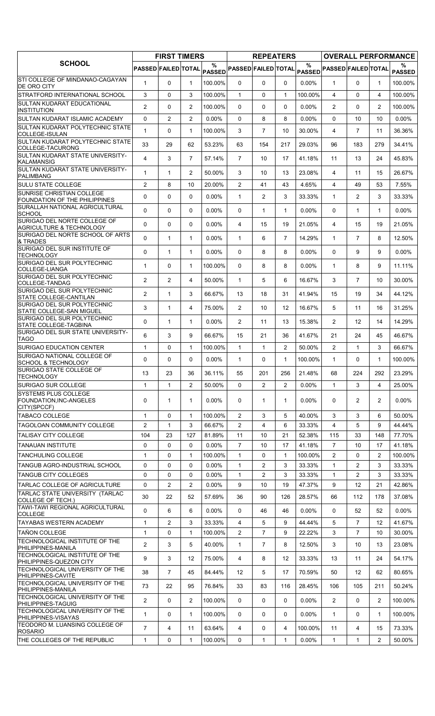|                                                                                         | <b>FIRST TIMERS</b>        |                     | <b>REPEATERS</b> |                      |                     |                | <b>OVERALL PERFORMANCE</b> |                       |                            |                       |                       |                    |
|-----------------------------------------------------------------------------------------|----------------------------|---------------------|------------------|----------------------|---------------------|----------------|----------------------------|-----------------------|----------------------------|-----------------------|-----------------------|--------------------|
| <b>SCHOOL</b>                                                                           | <b>PASSED FAILED TOTAL</b> |                     |                  | %<br><b>PASSED</b>   | PASSED FAILED TOTAL |                |                            | $\%$<br><b>PASSED</b> | <b>PASSED FAILED TOTAL</b> |                       |                       | %<br><b>PASSED</b> |
| STI COLLEGE OF MINDANAO-CAGAYAN<br><b>DE ORO CITY</b>                                   | 1                          | $\Omega$            | $\mathbf{1}$     | 100.00%              | $\mathbf{0}$        | $\Omega$       | 0                          | $0.00\%$              | $\mathbf 1$                | $\Omega$              | $\mathbf 1$           | 100.00%            |
| STRATFORD INTERNATIONAL SCHOOL                                                          | 3                          | 0                   | 3                | 100.00%              | $\mathbf{1}$        | 0              | $\mathbf{1}$               | 100.00%               | 4                          | $\Omega$              | 4                     | 100.00%            |
| SULTAN KUDARAT EDUCATIONAL                                                              | $\overline{2}$             | 0                   | $\overline{2}$   | 100.00%              | $\mathbf{0}$        | 0              | 0                          | 0.00%                 | $\overline{2}$             | $\Omega$              | $\overline{2}$        | 100.00%            |
| <b>INSTITUTION</b><br>SULTAN KUDARAT ISLAMIC ACADEMY                                    | $\mathbf 0$                | $\overline{2}$      | $\overline{2}$   | $0.00\%$             | $\Omega$            | 8              | 8                          | 0.00%                 | 0                          | 10                    | 10                    | $0.00\%$           |
| SULTAN KUDARAT POLYTECHNIC STATE                                                        | $\mathbf{1}$               | 0                   | $\mathbf{1}$     | 100.00%              | 3                   | $\overline{7}$ | 10                         | 30.00%                | 4                          | $\overline{7}$        | 11                    | 36.36%             |
| COLLEGE-ISULAN<br>SULTAN KUDARAT POLYTECHNIC STATE                                      |                            |                     |                  |                      |                     |                |                            |                       |                            |                       |                       |                    |
| COLLEGE-TACURONG                                                                        | 33                         | 29                  | 62               | 53.23%               | 63                  | 154            | 217                        | 29.03%                | 96                         | 183                   | 279                   | 34.41%             |
| SULTAN KUDARAT STATE UNIVERSITY-<br>KALAMANSIG                                          | $\overline{4}$             | 3                   | $\overline{7}$   | 57.14%               | $\overline{7}$      | 10             | 17                         | 41.18%                | 11                         | 13                    | 24                    | 45.83%             |
| SULTAN KUDARAT STATE UNIVERSITY-<br><b>PALIMBANG</b>                                    | $\mathbf 1$                | $\mathbf{1}$        | $\overline{2}$   | 50.00%               | 3                   | 10             | 13                         | 23.08%                | 4                          | 11                    | 15                    | 26.67%             |
| <b>SULU STATE COLLEGE</b>                                                               | $\overline{2}$             | 8                   | 10               | 20.00%               | 2                   | 41             | 43                         | 4.65%                 | 4                          | 49                    | 53                    | 7.55%              |
| SUNRISE CHRISTIAN COLLEGE<br>FOUNDATION OF THE PHILIPPINES                              | $\Omega$                   | 0                   | $\Omega$         | 0.00%                | $\mathbf{1}$        | $\overline{2}$ | 3                          | 33.33%                | $\mathbf{1}$               | 2                     | 3                     | 33.33%             |
| SURALLAH NATIONAL AGRICULTURAL<br><b>SCHOOL</b>                                         | 0                          | 0                   | 0                | 0.00%                | 0                   | 1              | $\mathbf{1}$               | 0.00%                 | 0                          | $\mathbf{1}$          | $\mathbf{1}$          | 0.00%              |
| SURIGAO DEL NORTE COLLEGE OF<br><b>AGRICULTURE &amp; TECHNOLOGY</b>                     | $\mathbf 0$                | 0                   | 0                | 0.00%                | 4                   | 15             | 19                         | 21.05%                | 4                          | 15                    | 19                    | 21.05%             |
| SURIGAO DEL NORTE SCHOOL OF ARTS<br>& TRADES                                            | $\Omega$                   | $\mathbf{1}$        | $\mathbf{1}$     | $0.00\%$             | $\mathbf{1}$        | 6              | $\overline{7}$             | 14.29%                | $\mathbf{1}$               | $\overline{7}$        | 8                     | 12.50%             |
| SURIGAO DEL SUR INSTITUTE OF                                                            | 0                          | $\mathbf{1}$        | $\mathbf{1}$     | 0.00%                | $\mathbf{0}$        | 8              | 8                          | 0.00%                 | $\Omega$                   | 9                     | 9                     | 0.00%              |
| <b>TECHNOLOGY</b><br>SURIGAO DEL SUR POLYTECHNIC                                        | 1                          | 0                   | $\mathbf{1}$     | 100.00%              | 0                   | 8              | 8                          | $0.00\%$              | $\mathbf{1}$               | 8                     | 9                     | 11.11%             |
| COLLEGE-LIANGA<br>SURIGAO DEL SUR POLYTECHNIC                                           | $\overline{2}$             | $\overline{2}$      | $\overline{4}$   | 50.00%               | $\mathbf{1}$        | 5              | 6                          | 16.67%                | 3                          | $\overline{7}$        | 10                    | 30.00%             |
| COLLEGE-TANDAG<br>SURIGAO DEL SUR POLYTECHNIC                                           |                            |                     |                  |                      |                     |                |                            |                       |                            |                       |                       |                    |
| <b>STATE COLLEGE-CANTILAN</b><br>SURIGAO DEL SUR POLYTECHNIC                            | $\overline{2}$             | $\mathbf{1}$        | 3                | 66.67%               | 13                  | 18             | 31                         | 41.94%                | 15                         | 19                    | 34                    | 44.12%             |
| STATE COLLEGE-SAN MIGUEL                                                                | 3                          | $\mathbf{1}$        | 4                | 75.00%               | 2                   | 10             | 12 <sup>2</sup>            | 16.67%                | 5                          | 11                    | 16                    | 31.25%             |
| SURIGAO DEL SUR POLYTECHNIC<br>STATE COLLEGE-TAGBINA                                    | 0                          | $\mathbf{1}$        | $\mathbf{1}$     | $0.00\%$             | $\overline{2}$      | 11             | 13                         | 15.38%                | $\overline{2}$             | 12                    | 14                    | 14.29%             |
| SURIGAO DEL SUR STATE UNIVERSITY-<br><b>TAGO</b>                                        | 6                          | 3                   | 9                | 66.67%               | 15                  | 21             | 36                         | 41.67%                | 21                         | 24                    | 45                    | 46.67%             |
| SURIGAO EDUCATION CENTER                                                                | $\mathbf{1}$               | 0                   | $\mathbf{1}$     | 100.00%              | $\mathbf{1}$        | $\mathbf{1}$   | $\overline{2}$             | 50.00%                | $\overline{2}$             | $\mathbf{1}$          | 3                     | 66.67%             |
| SURIGAO NATIONAL COLLEGE OF<br><b>SCHOOL &amp; TECHNOLOGY</b>                           | 0                          | 0                   | 0                | 0.00%                | $\mathbf{1}$        | 0              | $\mathbf{1}$               | 100.00%               | $\mathbf{1}$               | 0                     | $\mathbf{1}$          | 100.00%            |
| SURIGAO STATE COLLEGE OF<br><b>TECHNOLOGY</b>                                           | 13                         | 23                  | 36               | 36.11%               | 55                  | 201            | 256                        | 21.48%                | 68                         | 224                   | 292                   | 23.29%             |
| <b>SURIGAO SUR COLLEGE</b>                                                              | $\mathbf{1}$               | $\mathbf{1}$        | $\overline{2}$   | 50.00%               | 0                   | $\overline{2}$ | $\overline{2}$             | $0.00\%$              | $\mathbf{1}$               | 3                     | 4                     | 25.00%             |
| SYSTEMS PLUS COLLEGE<br>FOUNDATION, INC-ANGELES<br>CITY(SPCCF)                          | 0                          | 1                   | $\mathbf{1}$     | $0.00\%$             | 0                   | 1              | $\mathbf{1}$               | $0.00\%$              | 0                          | $\mathbf{2}^{\prime}$ | $\mathbf{2}^{\prime}$ | $0.00\%$           |
| <b>TABACO COLLEGE</b>                                                                   | $\mathbf{1}$               | 0                   | $\mathbf{1}$     | 100.00%              | $\overline{2}$      | 3              | 5                          | 40.00%                | 3                          | 3                     | 6                     | 50.00%             |
| TAGOLOAN COMMUNITY COLLEGE                                                              | $\overline{2}$             | $\mathbf{1}$        | 3                | 66.67%               | 2                   | 4              | 6                          | 33.33%                | 4                          | 5                     | 9                     | 44.44%             |
| TALISAY CITY COLLEGE                                                                    | 104                        | 23                  | 127              | 81.89%               | 11                  | 10             | 21                         | 52.38%                | 115                        | 33                    | 148                   | 77.70%             |
| <b>TANAUAN INSTITUTE</b>                                                                | $\mathbf 0$                | 0                   | 0                | $0.00\%$             | $\overline{7}$      | 10             | 17                         | 41.18%                | $\overline{7}$             | 10                    | 17                    | 41.18%             |
| TANCHULING COLLEGE                                                                      | $\mathbf{1}$               | 0                   | $\mathbf{1}$     | 100.00%              | $\mathbf{1}$        | 0              | $\mathbf{1}$               | 100.00%               | $\overline{2}$             | 0                     | 2                     | 100.00%            |
| TANGUB AGRO-INDUSTRIAL SCHOOL                                                           | 0                          | 0                   | 0                | $0.00\%$             | 1                   | 2              | 3                          | 33.33%                | $\mathbf{1}$               | 2                     | 3                     | 33.33%             |
| <b>TANGUB CITY COLLEGES</b><br>TARLAC COLLEGE OF AGRICULTURE                            | 0<br>$\mathbf 0$           | 0<br>$\overline{2}$ | 0<br>2           | $0.00\%$<br>$0.00\%$ | 1<br>9              | $\overline{2}$ | 3                          | 33.33%<br>47.37%      | $\mathbf{1}$<br>9          | 2<br>12               | 3<br>21               | 33.33%             |
| TARLAC STATE UNIVERSITY (TARLAC                                                         | 30                         | 22                  | 52               | 57.69%               | 36                  | 10<br>90       | 19<br>126                  | 28.57%                | 66                         | 112                   | 178                   | 42.86%<br>37.08%   |
| <b>COLLEGE OF TECH.)</b><br><b>TAWI-TAWI REGIONAL AGRICULTURAL</b>                      | 0                          | 6                   | 6                | $0.00\%$             | 0                   | 46             | 46                         | $0.00\%$              | 0                          | 52                    | 52                    | $0.00\%$           |
| COLLEGE<br><b>TAYABAS WESTERN ACADEMY</b>                                               | $\mathbf{1}$               | $\overline{2}$      | 3                | 33.33%               | 4                   | 5              | 9                          | 44.44%                | 5                          | $\overline{7}$        | 12                    | 41.67%             |
| <b>TAÑON COLLEGE</b>                                                                    | $\mathbf{1}$               | 0                   | $\mathbf{1}$     | 100.00%              | $\overline{2}$      | $\overline{7}$ | 9                          | 22.22%                | 3                          | $\overline{7}$        | 10                    | 30.00%             |
| TECHNOLOGICAL INSTITUTE OF THE<br>PHILIPPINES-MANILA                                    | $\overline{2}$             | 3                   | 5                | 40.00%               | 1                   | $\overline{7}$ | 8                          | 12.50%                | 3                          | 10                    | 13                    | 23.08%             |
| TECHNOLOGICAL INSTITUTE OF THE                                                          | 9                          | 3                   | 12               | 75.00%               | 4                   | 8              | 12                         | 33.33%                | 13                         | 11                    | 24                    | 54.17%             |
| PHILIPPINES-QUEZON CITY<br><b>TECHNOLOGICAL UNIVERSITY OF THE</b><br>PHILIPPINES-CAVITE | 38                         | 7                   | 45               | 84.44%               | 12                  | 5              | 17                         | 70.59%                | 50                         | 12                    | 62                    | 80.65%             |
| TECHNOLOGICAL UNIVERSITY OF THE                                                         | 73                         | 22                  | 95               | 76.84%               | 33                  | 83             | 116                        | 28.45%                | 106                        | 105                   | 211                   | 50.24%             |
| PHILIPPINES-MANILA<br>TECHNOLOGICAL UNIVERSITY OF THE                                   | $\overline{2}$             | 0                   | $\overline{2}$   | 100.00%              | 0                   | 0              | 0                          | 0.00%                 | $\overline{2}$             | 0                     | $\overline{2}$        | 100.00%            |
| PHILIPPINES-TAGUIG<br>TECHNOLOGICAL UNIVERSITY OF THE                                   | $\mathbf{1}$               | 0                   | $\mathbf{1}$     | 100.00%              | 0                   | 0              | 0                          | 0.00%                 | $\mathbf{1}$               | 0                     | 1                     | 100.00%            |
| PHILIPPINES-VISAYAS<br>TEODORO M. LUANSING COLLEGE OF                                   | $\overline{7}$             | 4                   | 11               | 63.64%               | 4                   | 0              | 4                          | 100.00%               | 11                         | 4                     | 15                    | 73.33%             |
| <b>ROSARIO</b><br>THE COLLEGES OF THE REPUBLIC                                          | $\mathbf{1}$               | 0                   | 1                | 100.00%              | 0                   | 1              | 1                          | $0.00\%$              | $\mathbf{1}$               | $\mathbf{1}$          | 2                     | 50.00%             |
|                                                                                         |                            |                     |                  |                      |                     |                |                            |                       |                            |                       |                       |                    |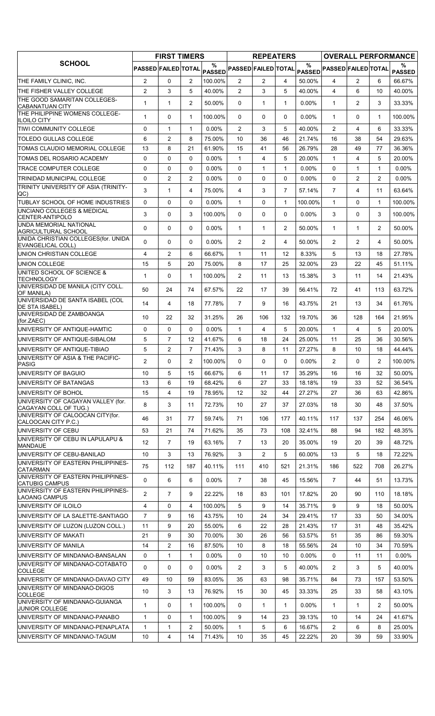|                                                             | <b>FIRST TIMERS</b> |                |                | <b>REPEATERS</b> |                                                                                     |                |                | <b>OVERALL PERFORMANCE</b> |                            |                |                |                    |
|-------------------------------------------------------------|---------------------|----------------|----------------|------------------|-------------------------------------------------------------------------------------|----------------|----------------|----------------------------|----------------------------|----------------|----------------|--------------------|
| <b>SCHOOL</b>                                               | PASSED FAILED TOTAL |                |                | %                | $\mathsf{PAS\overset{\circ}{\mathtt{SED}}}$ PASSED $\mathsf{FALED} \mathsf{TOTAL} $ |                |                | $\%$                       | PASSED PASSED FAILED TOTAL |                |                | %<br><b>PASSED</b> |
| THE FAMILY CLINIC, INC.                                     | $\overline{2}$      | $\Omega$       | $\overline{2}$ | 100.00%          | $\overline{2}$                                                                      | $\overline{2}$ | 4              | 50.00%                     | $\overline{4}$             | $\overline{2}$ | 6              | 66.67%             |
| THE FISHER VALLEY COLLEGE                                   | $\overline{2}$      | 3              | 5              | 40.00%           | $\overline{2}$                                                                      | 3              | 5              | 40.00%                     | $\overline{4}$             | 6              | 10             | 40.00%             |
| THE GOOD SAMARITAN COLLEGES-<br><b>CABANATUAN CITY</b>      | $\mathbf{1}$        | 1              | $\overline{2}$ | 50.00%           | $\Omega$                                                                            | $\mathbf{1}$   | $\mathbf{1}$   | $0.00\%$                   | $\mathbf{1}$               | $\overline{2}$ | 3              | 33.33%             |
| THE PHILIPPINE WOMENS COLLEGE-<br><b>ILOILO CITY</b>        | $\mathbf{1}$        | 0              | $\mathbf{1}$   | 100.00%          | $\Omega$                                                                            | 0              | $\Omega$       | $0.00\%$                   | $\mathbf{1}$               | $\Omega$       | $\mathbf{1}$   | 100.00%            |
| TIWI COMMUNITY COLLEGE                                      | 0                   | 1              | 1              | $0.00\%$         | 2                                                                                   | 3              | 5              | 40.00%                     | $\overline{2}$             | 4              | 6              | 33.33%             |
| TOLEDO GULLAS COLLEGE                                       | 6                   | $\overline{2}$ | 8              | 75.00%           | 10                                                                                  | 36             | 46             | 21.74%                     | 16                         | 38             | 54             | 29.63%             |
| TOMAS CLAUDIO MEMORIAL COLLEGE                              | 13                  | 8              | 21             | 61.90%           | 15                                                                                  | 41             | 56             | 26.79%                     | 28                         | 49             | 77             | 36.36%             |
| TOMAS DEL ROSARIO ACADEMY                                   | 0                   | $\Omega$       | $\Omega$       | $0.00\%$         | $\mathbf{1}$                                                                        | $\overline{4}$ | 5              | 20.00%                     | $\mathbf{1}$               | 4              | 5              | 20.00%             |
| <b>TRACE COMPUTER COLLEGE</b>                               | 0                   | $\mathbf 0$    | $\Omega$       | $0.00\%$         | 0                                                                                   | $\mathbf{1}$   | $\mathbf{1}$   | 0.00%                      | $\mathbf 0$                | $\mathbf{1}$   | $\mathbf{1}$   | $0.00\%$           |
| TRINIDAD MUNICIPAL COLLEGE                                  | 0                   | $\overline{2}$ | $\overline{2}$ | $0.00\%$         | $\mathbf 0$                                                                         | 0              | $\Omega$       | $0.00\%$                   | $\Omega$                   | $\overline{2}$ | 2              | $0.00\%$           |
| TRINITY UNIVERSITY OF ASIA (TRINITY-<br>QC)                 | 3                   | $\mathbf{1}$   | 4              | 75.00%           | 4                                                                                   | 3              | $\overline{7}$ | 57.14%                     | $\overline{7}$             | 4              | 11             | 63.64%             |
| TUBLAY SCHOOL OF HOME INDUSTRIES                            | $\mathbf 0$         | $\mathbf 0$    | $\Omega$       | $0.00\%$         | $\mathbf{1}$                                                                        | 0              | $\mathbf{1}$   | 100.00%                    | $\mathbf{1}$               | $\Omega$       | $\mathbf{1}$   | 100.00%            |
| UNCIANO COLLEGES & MEDICAL<br>CENTER-ANTIPOLO               | 3                   | 0              | 3              | 100.00%          | $\Omega$                                                                            | 0              | 0              | 0.00%                      | 3                          | $\Omega$       | 3              | 100.00%            |
| <b>UNDA MEMORIAL NATIONAL</b><br>AGRICULTURAL SCHOOL        | 0                   | $\mathbf 0$    | $\Omega$       | 0.00%            | $\mathbf{1}$                                                                        | $\mathbf{1}$   | $\overline{2}$ | 50.00%                     | $\mathbf{1}$               | $\mathbf{1}$   | $\overline{2}$ | 50.00%             |
| UNIDA CHRISTIAN COLLEGES(for. UNIDA<br>EVANGELICAL COLL)    | $\Omega$            | $\Omega$       | $\Omega$       | $0.00\%$         | $\overline{2}$                                                                      | $\overline{2}$ | 4              | 50.00%                     | $\overline{2}$             | $\overline{2}$ | 4              | 50.00%             |
| UNION CHRISTIAN COLLEGE                                     | 4                   | $\overline{2}$ | 6              | 66.67%           | $\mathbf{1}$                                                                        | 11             | 12             | 8.33%                      | 5                          | 13             | 18             | 27.78%             |
| UNION COLLEGE                                               | 15                  | 5              | 20             | 75.00%           | 8                                                                                   | 17             | 25             | 32.00%                     | 23                         | 22             | 45             | 51.11%             |
| UNITED SCHOOL OF SCIENCE &<br><b>TECHNOLOGY</b>             | $\mathbf{1}$        | $\mathbf{0}$   | $\mathbf{1}$   | 100.00%          | $\overline{2}$                                                                      | 11             | 13             | 15.38%                     | 3                          | 11             | 14             | 21.43%             |
| UNIVERSIDAD DE MANILA (CITY COLL.<br>OF MANILA)             | 50                  | 24             | 74             | 67.57%           | 22                                                                                  | 17             | 39             | 56.41%                     | 72                         | 41             | 113            | 63.72%             |
| UNIVERSIDAD DE SANTA ISABEL (COL<br>DE STA ISABEL)          | 14                  | $\overline{4}$ | 18             | 77.78%           | $\overline{7}$                                                                      | 9              | 16             | 43.75%                     | 21                         | 13             | 34             | 61.76%             |
| UNIVERSIDAD DE ZAMBOANGA<br>(for.ZAEC)                      | 10                  | 22             | 32             | 31.25%           | 26                                                                                  | 106            | 132            | 19.70%                     | 36                         | 128            | 164            | 21.95%             |
| UNIVERSITY OF ANTIQUE-HAMTIC                                | 0                   | $\Omega$       | $\Omega$       | $0.00\%$         | 1                                                                                   | $\overline{4}$ | 5              | 20.00%                     | $\mathbf{1}$               | 4              | 5              | 20.00%             |
| UNIVERSITY OF ANTIQUE-SIBALOM                               | 5                   | $\overline{7}$ | 12             | 41.67%           | 6                                                                                   | 18             | 24             | 25.00%                     | 11                         | 25             | 36             | 30.56%             |
| UNIVERSITY OF ANTIQUE-TIBIAO                                | 5                   | 2              | $\overline{7}$ | 71.43%           | 3                                                                                   | 8              | 11             | 27.27%                     | 8                          | 10             | 18             | 44.44%             |
| UNIVERSITY OF ASIA & THE PACIFIC-<br><b>PASIG</b>           | $\overline{2}$      | $\Omega$       | $\overline{2}$ | 100.00%          | $\Omega$                                                                            | $\Omega$       | $\Omega$       | 0.00%                      | $\overline{2}$             | $\Omega$       | $\overline{2}$ | 100.00%            |
| UNIVERSITY OF BAGUIO                                        | 10                  | 5              | 15             | 66.67%           | 6                                                                                   | 11             | 17             | 35.29%                     | 16                         | 16             | 32             | 50.00%             |
| UNIVERSITY OF BATANGAS                                      | 13                  | 6              | 19             | 68.42%           | 6                                                                                   | 27             | 33             | 18.18%                     | 19                         | 33             | 52             | 36.54%             |
| UNIVERSITY OF BOHOL                                         | 15                  | 4              | 19             | 78.95%           | 12                                                                                  | 32             | 44             | 27.27%                     | 27                         | 36             | 63             | 42.86%             |
| UNIVERSITY OF CAGAYAN VALLEY (for.<br>CAGAYAN COLL OF TUG.) | 8                   | 3              | 11             | 72.73%           | 10                                                                                  | 27             | 37             | 27.03%                     | 18                         | 30             | 48             | 37.50%             |
| UNIVERSITY OF CALOOCAN CITY (for.<br>CALOOCAN CITY P.C.)    | 46                  | 31             | 77             | 59.74%           | 71                                                                                  | 106            | 177            | 40.11%                     | 117                        | 137            | 254            | 46.06%             |
| UNIVERSITY OF CEBU                                          | 53                  | 21             | 74             | 71.62%           | 35                                                                                  | 73             | 108            | 32.41%                     | 88                         | 94             | 182            | 48.35%             |
| UNIVERSITY OF CEBU IN LAPULAPU &<br><b>MANDAUE</b>          | 12                  | $\overline{7}$ | 19             | 63.16%           | $\overline{7}$                                                                      | 13             | 20             | 35.00%                     | 19                         | 20             | 39             | 48.72%             |
| UNIVERSITY OF CEBU-BANILAD                                  | 10                  | 3              | 13             | 76.92%           | 3                                                                                   | $\overline{2}$ | 5              | 60.00%                     | 13                         | 5              | 18             | 72.22%             |
| UNIVERSITY OF EASTERN PHILIPPINES-<br><b>CATARMAN</b>       | 75                  | 112            | 187            | 40.11%           | 111                                                                                 | 410            | 521            | 21.31%                     | 186                        | 522            | 708            | 26.27%             |
| UNIVERSITY OF EASTERN PHILIPPINES-<br><b>CATUBIG CAMPUS</b> | $\mathbf 0$         | 6              | 6              | $0.00\%$         | $\overline{7}$                                                                      | 38             | 45             | 15.56%                     | $\overline{7}$             | 44             | 51             | 13.73%             |
| UNIVERSITY OF EASTERN PHILIPPINES-<br><b>LAOANG CAMPUS</b>  | $\overline{2}$      | $\overline{7}$ | 9              | 22.22%           | 18                                                                                  | 83             | 101            | 17.82%                     | 20                         | 90             | 110            | 18.18%             |
| UNIVERSITY OF ILOILO                                        | 4                   | $\Omega$       | 4              | 100.00%          | 5                                                                                   | 9              | 14             | 35.71%                     | 9                          | 9              | 18             | 50.00%             |
| UNIVERSITY OF LA SALETTE-SANTIAGO                           | $\overline{7}$      | 9              | 16             | 43.75%           | 10                                                                                  | 24             | 34             | 29.41%                     | 17                         | 33             | 50             | 34.00%             |
| UNIVERSITY OF LUZON (LUZON COLL.)                           | 11                  | 9              | 20             | 55.00%           | 6                                                                                   | 22             | 28             | 21.43%                     | 17                         | 31             | 48             | 35.42%             |
| UNIVERSITY OF MAKATI                                        | 21                  | 9              | 30             | 70.00%           | 30                                                                                  | 26             | 56             | 53.57%                     | 51                         | 35             | 86             | 59.30%             |
| UNIVERSITY OF MANILA                                        | 14                  | 2              | 16             | 87.50%           | 10                                                                                  | 8              | 18             | 55.56%                     | 24                         | 10             | 34             | 70.59%             |
| UNIVERSITY OF MINDANAO-BANSALAN                             | 0                   | 1              | $\mathbf{1}$   | $0.00\%$         | 0                                                                                   | 10             | 10             | $0.00\%$                   | $\mathbf 0$                | 11             | 11             | $0.00\%$           |
| UNIVERSITY OF MINDANAO-COTABATO<br><b>COLLEGE</b>           | $\Omega$            | 0              | 0              | $0.00\%$         | $\overline{2}$                                                                      | 3              | 5              | 40.00%                     | $\overline{2}$             | 3              | 5              | 40.00%             |
| UNIVERSITY OF MINDANAO-DAVAO CITY                           | 49                  | 10             | 59             | 83.05%           | 35                                                                                  | 63             | 98             | 35.71%                     | 84                         | 73             | 157            | 53.50%             |
| UNIVERSITY OF MINDANAO-DIGOS<br><b>COLLEGE</b>              | 10                  | 3              | 13             | 76.92%           | 15                                                                                  | 30             | 45             | 33.33%                     | 25                         | 33             | 58             | 43.10%             |
| UNIVERSITY OF MINDANAO-GUIANGA<br>JUNIOR COLLEGE            | 1                   | $\mathbf{0}$   | 1              | 100.00%          | $\mathbf{0}$                                                                        | $\mathbf{1}$   | $\mathbf{1}$   | 0.00%                      | $\mathbf{1}$               | $\mathbf{1}$   | $\overline{2}$ | 50.00%             |
| UNIVERSITY OF MINDANAO-PANABO                               | $\mathbf{1}$        | $\mathbf 0$    | $\mathbf{1}$   | 100.00%          | 9                                                                                   | 14             | 23             | 39.13%                     | 10                         | 14             | 24             | 41.67%             |
| UNIVERSITY OF MINDANAO-PENAPLATA                            | 1                   | 1              | 2              | 50.00%           | 1                                                                                   | 5              | 6              | 16.67%                     | $\overline{2}$             | 6              | 8              | 25.00%             |
| UNIVERSITY OF MINDANAO-TAGUM                                | 10                  | 4              | 14             | 71.43%           | 10                                                                                  | 35             | 45             | 22.22%                     | 20                         | 39             | 59             | 33.90%             |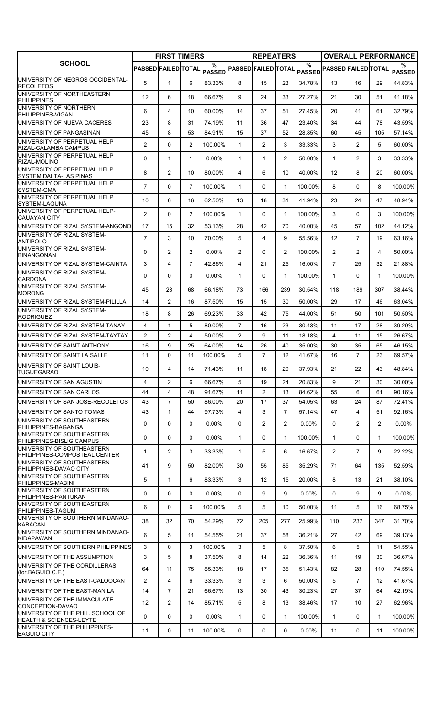|                                                               | <b>FIRST TIMERS</b>        |                | <b>REPEATERS</b> |                                |                            |                | <b>OVERALL PERFORMANCE</b> |          |                            |                |                |                    |
|---------------------------------------------------------------|----------------------------|----------------|------------------|--------------------------------|----------------------------|----------------|----------------------------|----------|----------------------------|----------------|----------------|--------------------|
| <b>SCHOOL</b>                                                 | <b>PASSED FAILED TOTAL</b> |                |                  | $\frac{0}{0}$<br><b>PASSED</b> | <b>PASSED FAILED TOTAL</b> |                |                            | $\%$     | PASSED PASSED FAILED TOTAL |                |                | %<br><b>PASSED</b> |
| UNIVERSITY OF NEGROS OCCIDENTAL-<br><b>RECOLETOS</b>          | 5                          | $\mathbf{1}$   | 6                | 83.33%                         | 8                          | 15             | 23                         | 34.78%   | 13                         | 16             | 29             | 44.83%             |
| UNIVERSITY OF NORTHEASTERN<br><b>PHILIPPINES</b>              | $12 \,$                    | 6              | 18               | 66.67%                         | 9                          | 24             | 33                         | 27.27%   | 21                         | 30             | 51             | 41.18%             |
| UNIVERSITY OF NORTHERN<br>PHILIPPINES-VIGAN                   | 6                          | 4              | 10               | 60.00%                         | 14                         | 37             | 51                         | 27.45%   | 20                         | 41             | 61             | 32.79%             |
| UNIVERSITY OF NUEVA CACERES                                   | 23                         | 8              | 31               | 74.19%                         | 11                         | 36             | 47                         | 23.40%   | 34                         | 44             | 78             | 43.59%             |
| UNIVERSITY OF PANGASINAN                                      | 45                         | 8              | 53               | 84.91%                         | 15                         | 37             | 52                         | 28.85%   | 60                         | 45             | 105            | 57.14%             |
| UNIVERSITY OF PERPETUAL HELP<br>RIZAL-CALAMBA CAMPUS          | 2                          | 0              | 2                | 100.00%                        | $\mathbf{1}$               | $\overline{2}$ | 3                          | 33.33%   | 3                          | $\overline{2}$ | 5              | 60.00%             |
| UNIVERSITY OF PERPETUAL HELP<br>RIZAL-MOLINO                  | 0                          | $\mathbf{1}$   | $\mathbf{1}$     | 0.00%                          | $\mathbf{1}$               | 1              | $\overline{2}$             | 50.00%   | $\mathbf{1}$               | $\overline{2}$ | 3              | 33.33%             |
| UNIVERSITY OF PERPETUAL HELP<br>SYSTEM DALTA-LAS PINAS        | 8                          | $\overline{2}$ | 10               | 80.00%                         | 4                          | 6              | 10                         | 40.00%   | 12                         | 8              | 20             | 60.00%             |
| UNIVERSITY OF PERPETUAL HELP<br>SYSTEM-GMA                    | $\overline{7}$             | 0              | $\overline{7}$   | 100.00%                        | $\mathbf{1}$               | 0              | $\mathbf{1}$               | 100.00%  | 8                          | $\Omega$       | 8              | 100.00%            |
| UNIVERSITY OF PERPETUAL HELP<br>SYSTEM-LAGUNA                 | 10                         | 6              | 16               | 62.50%                         | 13                         | 18             | 31                         | 41.94%   | 23                         | 24             | 47             | 48.94%             |
| UNIVERSITY OF PERPETUAL HELP-<br><b>CAUAYAN CITY</b>          | $\overline{2}$             | 0              | $\overline{2}$   | 100.00%                        | $\mathbf{1}$               | 0              | $\mathbf{1}$               | 100.00%  | 3                          | 0              | 3              | 100.00%            |
| UNIVERSITY OF RIZAL SYSTEM-ANGONO                             | 17                         | 15             | 32               | 53.13%                         | 28                         | 42             | 70                         | 40.00%   | 45                         | 57             | 102            | 44.12%             |
| UNIVERSITY OF RIZAL SYSTEM-<br><b>ANTIPOLO</b>                | $\overline{7}$             | 3              | 10               | 70.00%                         | 5                          | $\overline{4}$ | 9                          | 55.56%   | 12                         | $\overline{7}$ | 19             | 63.16%             |
| UNIVERSITY OF RIZAL SYSTEM-<br><b>BINANGONAN</b>              | $\Omega$                   | $\overline{2}$ | $\overline{2}$   | 0.00%                          | $\overline{2}$             | 0              | $\overline{2}$             | 100.00%  | $\overline{2}$             | $\overline{2}$ | 4              | 50.00%             |
| UNIVERSITY OF RIZAL SYSTEM-CAINTA                             | 3                          | $\overline{4}$ | $\overline{7}$   | 42.86%                         | 4                          | 21             | 25                         | 16.00%   | $\overline{7}$             | 25             | 32             | 21.88%             |
| UNIVERSITY OF RIZAL SYSTEM-<br><b>CARDONA</b>                 | 0                          | 0              | $\mathbf{0}$     | $0.00\%$                       | $\mathbf{1}$               | 0              | $\mathbf{1}$               | 100.00%  | $\mathbf{1}$               | $\Omega$       | $\mathbf 1$    | 100.00%            |
| UNIVERSITY OF RIZAL SYSTEM-<br><b>MORONG</b>                  | 45                         | 23             | 68               | 66.18%                         | 73                         | 166            | 239                        | 30.54%   | 118                        | 189            | 307            | 38.44%             |
| UNIVERSITY OF RIZAL SYSTEM-PILILLA                            | 14                         | $\overline{2}$ | 16               | 87.50%                         | 15                         | 15             | 30                         | 50.00%   | 29                         | 17             | 46             | 63.04%             |
| UNIVERSITY OF RIZAL SYSTEM-<br><b>RODRIGUEZ</b>               | 18                         | 8              | 26               | 69.23%                         | 33                         | 42             | 75                         | 44.00%   | 51                         | 50             | 101            | 50.50%             |
| UNIVERSITY OF RIZAL SYSTEM-TANAY                              | $\overline{4}$             | $\mathbf{1}$   | 5                | 80.00%                         | $\overline{7}$             | 16             | 23                         | 30.43%   | 11                         | 17             | 28             | 39.29%             |
| UNIVERSITY OF RIZAL SYSTEM-TAYTAY                             | $\overline{2}$             | $\overline{c}$ | $\overline{4}$   | 50.00%                         | $\overline{2}$             | 9              | 11                         | 18.18%   | $\overline{4}$             | 11             | 15             | 26.67%             |
| UNIVERSITY OF SAINT ANTHONY                                   | 16                         | 9              | 25               | 64.00%                         | 14                         | 26             | 40                         | 35.00%   | 30                         | 35             | 65             | 46.15%             |
| UNIVERSITY OF SAINT LA SALLE                                  | 11                         | 0              | 11               | 100.00%                        | 5                          | $\overline{7}$ | 12                         | 41.67%   | 16                         | $\overline{7}$ | 23             | 69.57%             |
| UNIVERSITY OF SAINT LOUIS-<br><b>TUGUEGARAO</b>               | 10                         | 4              | 14               | 71.43%                         | 11                         | 18             | 29                         | 37.93%   | 21                         | 22             | 43             | 48.84%             |
| UNIVERSITY OF SAN AGUSTIN                                     | $\overline{4}$             | $\overline{2}$ | 6                | 66.67%                         | 5                          | 19             | 24                         | 20.83%   | 9                          | 21             | 30             | 30.00%             |
| UNIVERSITY OF SAN CARLOS                                      | 44                         | $\overline{4}$ | 48               | 91.67%                         | 11                         | $\overline{2}$ | 13                         | 84.62%   | 55                         | 6              | 61             | 90.16%             |
| UNIVERSITY OF SAN JOSE-RECOLETOS                              | 43                         | $\overline{7}$ | 50               | 86.00%                         | 20                         | 17             | 37                         | 54.05%   | 63                         | 24             | 87             | 72.41%             |
| UNIVERSITY OF SANTO TOMAS                                     | 43                         | $\mathbf{1}$   | 44               | 97.73%                         | 4                          | 3              | $\overline{7}$             | 57.14%   | 47                         | $\overline{4}$ | 51             | 92.16%             |
| UNIVERSITY OF SOUTHEASTERN                                    | 0                          | 0              | $\mathbf 0$      | 0.00%                          | 0                          | $\overline{2}$ | $\overline{2}$             | 0.00%    | 0                          | $\overline{2}$ | $\overline{2}$ | $0.00\%$           |
| PHILIPPINES-BAGANGA<br>UNIVERSITY OF SOUTHEASTERN             | 0                          | 0              | 0                | $0.00\%$                       | $\mathbf{1}$               | 0              | $\mathbf{1}$               | 100.00%  | $\mathbf{1}$               | 0              | 1              | 100.00%            |
| PHILIPPINES-BISLIG CAMPUS<br>UNIVERSITY OF SOUTHEASTERN       |                            |                |                  |                                |                            |                |                            |          |                            |                |                |                    |
| PHILIPPINES-COMPOSTEAL CENTER<br>UNIVERSITY OF SOUTHEASTERN   | $\mathbf{1}$               | $\overline{2}$ | 3                | 33.33%                         | $\mathbf{1}$               | 5              | 6                          | 16.67%   | $\overline{2}$             | $\overline{7}$ | 9              | 22.22%             |
| PHILIPPINES-DAVAO CITY<br>UNIVERSITY OF SOUTHEASTERN          | 41                         | 9              | 50               | 82.00%                         | 30                         | 55             | 85                         | 35.29%   | 71                         | 64             | 135            | 52.59%             |
| PHILIPPINES-MABINI<br>UNIVERSITY OF SOUTHEASTERN              | 5                          | $\mathbf{1}$   | 6                | 83.33%                         | 3                          | 12             | 15                         | 20.00%   | 8                          | 13             | 21             | 38.10%             |
| PHILIPPINES-PANTUKAN<br>UNIVERSITY OF SOUTHEASTERN            | 0                          | 0              | 0                | $0.00\%$                       | $\mathbf{0}$               | 9              | 9                          | $0.00\%$ | $\Omega$                   | 9              | 9              | $0.00\%$           |
| PHILIPPINES-TAGUM                                             | 6                          | 0              | 6                | 100.00%                        | 5                          | 5              | 10                         | 50.00%   | 11                         | 5              | 16             | 68.75%             |
| UNIVERSITY OF SOUTHERN MINDANAO-<br><b>KABACAN</b>            | 38                         | 32             | 70               | 54.29%                         | 72                         | 205            | 277                        | 25.99%   | 110                        | 237            | 347            | 31.70%             |
| UNIVERSITY OF SOUTHERN MINDANAO-<br><b>KIDAPAWAN</b>          | 6                          | 5              | 11               | 54.55%                         | 21                         | 37             | 58                         | 36.21%   | 27                         | 42             | 69             | 39.13%             |
| UNIVERSITY OF SOUTHERN PHILIPPINES                            | 3                          | 0              | 3                | 100.00%                        | 3                          | 5              | 8                          | 37.50%   | 6                          | 5              | 11             | 54.55%             |
| UNIVERSITY OF THE ASSUMPTION                                  | 3                          | 5              | 8                | 37.50%                         | 8                          | 14             | 22                         | 36.36%   | 11                         | 19             | 30             | 36.67%             |
| UNIVERSITY OF THE CORDILLERAS<br>(for.BAGUIO C.F.)            | 64                         | 11             | 75               | 85.33%                         | 18                         | 17             | 35                         | 51.43%   | 82                         | 28             | 110            | 74.55%             |
| UNIVERSITY OF THE EAST-CALOOCAN                               | $\overline{2}$             | 4              | 6                | 33.33%                         | 3                          | 3              | 6                          | 50.00%   | 5                          | $\overline{7}$ | 12             | 41.67%             |
| UNIVERSITY OF THE EAST-MANILA<br>UNIVERSITY OF THE IMMACULATE | 14                         | $\overline{7}$ | 21               | 66.67%                         | 13                         | 30             | 43                         | 30.23%   | 27                         | 37             | 64             | 42.19%             |
| CONCEPTION-DAVAO<br>UNIVERSITY OF THE PHIL. SCHOOL OF         | 12                         | $\overline{2}$ | 14               | 85.71%                         | 5                          | 8              | 13                         | 38.46%   | 17                         | 10             | 27             | 62.96%             |
| HEALTH & SCIENCES-LEYTE<br>UNIVERSITY OF THE PHILIPPINES-     | 0                          | 0              | $\mathbf{0}$     | $0.00\%$                       | $\mathbf{1}$               | 0              | $\mathbf{1}$               | 100.00%  | $\mathbf{1}$               | 0              | $\mathbf{1}$   | 100.00%            |
| <b>BAGUIO CITY</b>                                            | 11                         | 0              | 11               | 100.00%                        | 0                          | 0              | 0                          | 0.00%    | 11                         | 0              | 11             | 100.00%            |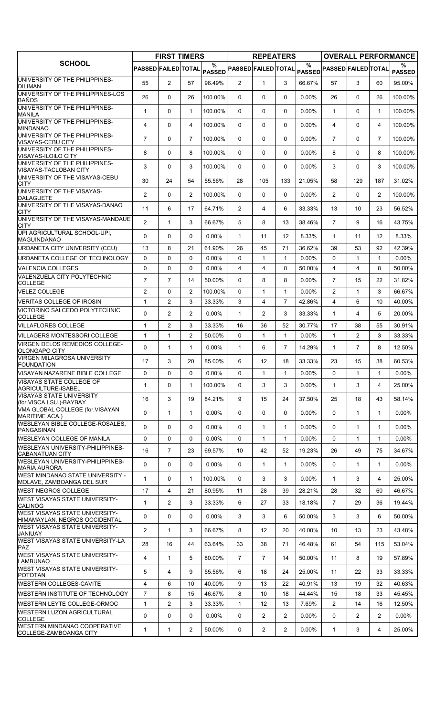|                                                                        | <b>FIRST TIMERS</b>        |                |                |                    | <b>REPEATERS</b>           | <b>OVERALL PERFORMANCE</b> |                 |               |                            |                |                |                    |
|------------------------------------------------------------------------|----------------------------|----------------|----------------|--------------------|----------------------------|----------------------------|-----------------|---------------|----------------------------|----------------|----------------|--------------------|
| <b>SCHOOL</b>                                                          | <b>PASSED FAILED TOTAL</b> |                |                | %<br><b>PASSED</b> | <b>PASSED FAILED TOTAL</b> |                            |                 | $\frac{9}{6}$ | PASSED PASSED FAILED TOTAL |                |                | %<br><b>PASSED</b> |
| UNIVERSITY OF THE PHILIPPINES-<br><b>DILIMAN</b>                       | 55                         | $\overline{2}$ | 57             | 96.49%             | $\overline{2}$             | $\mathbf{1}$               | 3               | 66.67%        | 57                         | 3              | 60             | 95.00%             |
| UNIVERSITY OF THE PHILIPPINES-LOS<br>BAÑOS                             | 26                         | 0              | 26             | 100.00%            | $\mathbf{0}$               | 0                          | 0               | $0.00\%$      | 26                         | $\mathbf{0}$   | 26             | 100.00%            |
| UNIVERSITY OF THE PHILIPPINES-<br><b>MANILA</b>                        | $\mathbf{1}$               | 0              | $\mathbf{1}$   | 100.00%            | 0                          | 0                          | $\Omega$        | $0.00\%$      | $\mathbf{1}$               | $\Omega$       | $\mathbf 1$    | 100.00%            |
| UNIVERSITY OF THE PHILIPPINES-<br><b>MINDANAO</b>                      | 4                          | 0              | 4              | 100.00%            | $\mathbf{0}$               | 0                          | 0               | 0.00%         | 4                          | $\Omega$       | 4              | 100.00%            |
| UNIVERSITY OF THE PHILIPPINES-<br>VISAYAS-CEBU CITY                    | $\overline{7}$             | 0              | $\overline{7}$ | 100.00%            | $\mathbf{0}$               | 0                          | $\mathbf{0}$    | $0.00\%$      | $\overline{7}$             | $\Omega$       | $\overline{7}$ | 100.00%            |
| UNIVERSITY OF THE PHILIPPINES-<br>VISAYAS-ILOILO CITY                  | 8                          | 0              | 8              | 100.00%            | $\mathbf{0}$               | $\Omega$                   | $\Omega$        | $0.00\%$      | 8                          | $\Omega$       | 8              | 100.00%            |
| UNIVERSITY OF THE PHILIPPINES-<br>VISAYAS-TACLOBAN CITY                | 3                          | 0              | 3              | 100.00%            | $\mathbf{0}$               | $\Omega$                   | $\Omega$        | 0.00%         | 3                          | $\Omega$       | 3              | 100.00%            |
| UNIVERSITY OF THE VISAYAS-CEBU<br><b>CITY</b>                          | 30                         | 24             | 54             | 55.56%             | 28                         | 105                        | 133             | 21.05%        | 58                         | 129            | 187            | 31.02%             |
| UNIVERSITY OF THE VISAYAS-<br><b>DALAGUETE</b>                         | $\overline{2}$             | $\Omega$       | $\overline{c}$ | 100.00%            | $\mathbf{0}$               | $\Omega$                   | $\mathbf{0}$    | 0.00%         | $\overline{2}$             | $\Omega$       | 2              | 100.00%            |
| UNIVERSITY OF THE VISAYAS-DANAO<br><b>CITY</b>                         | 11                         | 6              | 17             | 64.71%             | $\overline{2}$             | 4                          | 6               | 33.33%        | 13                         | 10             | 23             | 56.52%             |
| UNIVERSITY OF THE VISAYAS-MANDAUE<br><b>CITY</b>                       | $\overline{c}$             | $\mathbf{1}$   | 3              | 66.67%             | 5                          | 8                          | 13              | 38.46%        | $\overline{7}$             | 9              | 16             | 43.75%             |
| UPI AGRICULTURAL SCHOOL-UPI,<br><b>MAGUINDANAO</b>                     | $\Omega$                   | 0              | 0              | 0.00%              | $\mathbf{1}$               | 11                         | 12 <sup>2</sup> | 8.33%         | $\mathbf{1}$               | 11             | 12             | 8.33%              |
| URDANETA CITY UNIVERSITY (CCU)                                         | 13                         | 8              | 21             | 61.90%             | 26                         | 45                         | 71              | 36.62%        | 39                         | 53             | 92             | 42.39%             |
| URDANETA COLLEGE OF TECHNOLOGY                                         | 0                          | 0              | $\mathbf 0$    | $0.00\%$           | $\Omega$                   | $\mathbf{1}$               | $\mathbf{1}$    | 0.00%         | 0                          | $\mathbf{1}$   | $\mathbf{1}$   | $0.00\%$           |
| <b>VALENCIA COLLEGES</b>                                               | 0                          | 0              | $\mathbf 0$    | 0.00%              | 4                          | 4                          | 8               | 50.00%        | 4                          | $\overline{4}$ | 8              | 50.00%             |
| VALENZUELA CITY POLYTECHNIC<br><b>COLLEGE</b>                          | $\overline{7}$             | $\overline{7}$ | 14             | 50.00%             | $\Omega$                   | 8                          | 8               | 0.00%         | $\overline{7}$             | 15             | 22             | 31.82%             |
| <b>VELEZ COLLEGE</b>                                                   | $\overline{2}$             | 0              | $\overline{c}$ | 100.00%            | 0                          | $\mathbf{1}$               | $\mathbf{1}$    | 0.00%         | $\overline{2}$             | $\mathbf{1}$   | 3              | 66.67%             |
| VERITAS COLLEGE OF IROSIN                                              | $\mathbf{1}$               | $\overline{2}$ | 3              | 33.33%             | 3                          | $\overline{4}$             | $\overline{7}$  | 42.86%        | 4                          | 6              | 10             | 40.00%             |
| VICTORINO SALCEDO POLYTECHNIC<br><b>COLLEGE</b>                        | $\Omega$                   | $\overline{c}$ | $\overline{2}$ | $0.00\%$           | $\mathbf{1}$               | $\overline{2}$             | 3               | 33.33%        | $\mathbf{1}$               | 4              | 5              | 20.00%             |
| <b>VILLAFLORES COLLEGE</b>                                             | $\mathbf{1}$               | $\overline{2}$ | 3              | 33.33%             | 16                         | 36                         | 52              | 30.77%        | 17                         | 38             | 55             | 30.91%             |
| <b>VILLAGERS MONTESSORI COLLEGE</b>                                    | $\mathbf{1}$               | $\mathbf{1}$   | $\overline{c}$ | 50.00%             | $\Omega$                   | $\mathbf{1}$               | 1               | $0.00\%$      | $\mathbf{1}$               | 2              | 3              | 33.33%             |
| VIRGEN DELOS REMEDIOS COLLEGE-<br>OLONGAPO CITY                        | 0                          | $\mathbf{1}$   | $\mathbf{1}$   | $0.00\%$           | $\mathbf{1}$               | 6                          | $\overline{7}$  | 14.29%        | $\mathbf{1}$               | $\overline{7}$ | 8              | 12.50%             |
| <b>VIRGEN MILAGROSA UNIVERSITY</b><br>FOUNDATION                       | 17                         | 3              | 20             | 85.00%             | 6                          | $12 \,$                    | 18              | 33.33%        | 23                         | 15             | 38             | 60.53%             |
| VISAYAN NAZARENE BIBLE COLLEGE                                         | 0                          | 0              | $\mathbf 0$    | 0.00%              | 0                          | 1                          | 1               | 0.00%         | 0                          | $\mathbf{1}$   | 1              | 0.00%              |
| <b>VISAYAS STATE COLLEGE OF</b><br>AGRICULTURE-ISABEL                  | 1                          | 0              | $\mathbf{1}$   | 100.00%            | 0                          | 3                          | 3               | $0.00\%$      | $\mathbf{1}$               | 3              | 4              | 25.00%             |
| <b>VISAYAS STATE UNIVERSITY</b><br>(for.VISCA,LSU.)-BAYBAY             | 16                         | 3              | 19             | 84.21%             | 9                          | 15                         | 24              | 37.50%        | 25                         | 18             | 43             | 58.14%             |
| VMA GLOBAL COLLEGE (for.VISAYAN<br><b>MARITIME ACA.)</b>               | $\Omega$                   | $\mathbf{1}$   | $\mathbf{1}$   | $0.00\%$           | 0                          | 0                          | $\Omega$        | 0.00%         | 0                          | $\mathbf{1}$   | $\mathbf{1}$   | $0.00\%$           |
| WESLEYAN BIBLE COLLEGE-ROSALES,<br>PANGASINAN                          | $\Omega$                   | 0              | 0              | $0.00\%$           | 0                          | 1                          | 1               | $0.00\%$      | 0                          | 1              | 1              | 0.00%              |
| <b>WESLEYAN COLLEGE OF MANILA</b>                                      | 0                          | 0              | 0              | $0.00\%$           | 0                          | 1                          | 1               | $0.00\%$      | 0                          | 1              | 1              | $0.00\%$           |
| <b>WESLEYAN UNIVERSITY-PHILIPPINES-</b><br><b>CABANATUAN CITY</b>      | 16                         | 7              | 23             | 69.57%             | 10                         | 42                         | 52              | 19.23%        | 26                         | 49             | 75             | 34.67%             |
| WESLEYAN UNIVERSITY-PHILIPPINES-<br><b>MARIA AURORA</b>                | 0                          | 0              | 0              | $0.00\%$           | 0                          | 1                          | 1               | $0.00\%$      | 0                          | $\mathbf{1}$   | 1              | $0.00\%$           |
| IWEST MINDANAO STATE UNIVERSITY -<br>MOLAVE, ZAMBOANGA DEL SUR         | 1                          | 0              | $\mathbf{1}$   | 100.00%            | 0                          | 3                          | 3               | $0.00\%$      | $\mathbf{1}$               | 3              | 4              | 25.00%             |
| WEST NEGROS COLLEGE                                                    | 17                         | 4              | 21             | 80.95%             | 11                         | 28                         | 39              | 28.21%        | 28                         | 32             | 60             | 46.67%             |
| <b>WEST VISAYAS STATE UNIVERSITY-</b><br><b>CALINOG</b>                | $\mathbf{1}$               | $\overline{2}$ | 3              | 33.33%             | 6                          | 27                         | 33              | 18.18%        | $\overline{7}$             | 29             | 36             | 19.44%             |
| <b>WEST VISAYAS STATE UNIVERSITY-</b><br>HIMAMAYLAN, NEGROS OCCIDENTAL | 0                          | 0              | 0              | $0.00\%$           | 3                          | 3                          | 6               | 50.00%        | 3                          | 3              | 6              | 50.00%             |
| WEST VISAYAS STATE UNIVERSITY-<br><b>JANIUAY</b>                       | 2                          | $\mathbf{1}$   | 3              | 66.67%             | 8                          | 12                         | 20              | 40.00%        | 10                         | 13             | 23             | 43.48%             |
| <b>WEST VISAYAS STATE UNIVERSITY-LA</b><br><b>PAZ</b>                  | 28                         | 16             | 44             | 63.64%             | 33                         | 38                         | 71              | 46.48%        | 61                         | 54             | 115            | 53.04%             |
| <b>WEST VISAYAS STATE UNIVERSITY-</b><br>LAMBUNAO                      | 4                          | $\mathbf{1}$   | 5              | 80.00%             | $\overline{7}$             | $\overline{7}$             | 14              | 50.00%        | 11                         | 8              | 19             | 57.89%             |
| <b>WEST VISAYAS STATE UNIVERSITY-</b><br>POTOTAN                       | 5                          | 4              | 9              | 55.56%             | 6                          | 18                         | 24              | 25.00%        | 11                         | 22             | 33             | 33.33%             |
| <b>WESTERN COLLEGES-CAVITE</b>                                         | 4                          | 6              | 10             | 40.00%             | 9                          | 13                         | 22              | 40.91%        | 13                         | 19             | 32             | 40.63%             |
| <b>WESTERN INSTITUTE OF TECHNOLOGY</b>                                 | $\overline{7}$             | 8              | 15             | 46.67%             | 8                          | 10                         | 18              | 44.44%        | 15                         | 18             | 33             | 45.45%             |
| <b>WESTERN LEYTE COLLEGE-ORMOC</b>                                     | $\mathbf{1}$               | 2              | 3              | 33.33%             | $\mathbf{1}$               | 12                         | 13              | 7.69%         | $\overline{2}$             | 14             | 16             | 12.50%             |
| <b>WESTERN LUZON AGRICULTURAL</b><br><b>COLLEGE</b>                    | 0                          | 0              | 0              | $0.00\%$           | 0                          | $\overline{2}$             | $\overline{2}$  | 0.00%         | 0                          | $\overline{2}$ | $\overline{2}$ | $0.00\%$           |
| <b>WESTERN MINDANAO COOPERATIVE</b><br>COLLEGE-ZAMBOANGA CITY          | 1                          | $\mathbf{1}$   | 2              | 50.00%             | 0                          | $\mathbf{2}$               | $\overline{2}$  | $0.00\%$      | $\mathbf{1}$               | 3              | 4              | 25.00%             |